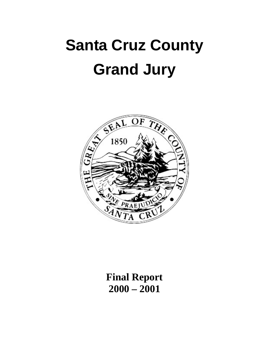# **Santa Cruz County Grand Jury**



**Final Report 2000 – 2001**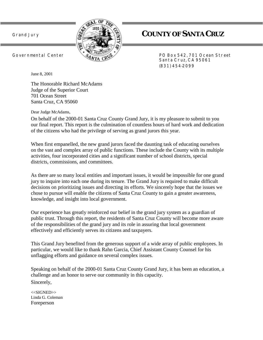

# Grand Jury **COUNTY OF SANTA CRUZ**

Governmental Center  $\mathcal{S}_4$  PO Box 542, 701 Ocean Street Santa Cruz, CA 95061 (831) 454-2099

June 8, 2001

The Honorable Richard McAdams Judge of the Superior Court 701 Ocean Street Santa Cruz, CA 95060

Dear Judge McAdams,

On behalf of the 2000-01 Santa Cruz County Grand Jury, it is my pleasure to submit to you our final report. This report is the culmination of countless hours of hard work and dedication of the citizens who had the privilege of serving as grand jurors this year.

When first empanelled, the new grand jurors faced the daunting task of educating ourselves on the vast and complex array of public functions. These include the County with its multiple activities, four incorporated cities and a significant number of school districts, special districts, commissions, and committees.

As there are so many local entities and important issues, it would be impossible for one grand jury to inquire into each one during its tenure. The Grand Jury is required to make difficult decisions on prioritizing issues and directing its efforts. We sincerely hope that the issues we chose to pursue will enable the citizens of Santa Cruz County to gain a greater awareness, knowledge, and insight into local government.

Our experience has greatly reinforced our belief in the grand jury system as a guardian of public trust. Through this report, the residents of Santa Cruz County will become more aware of the responsibilities of the grand jury and its role in assuring that local government effectively and efficiently serves its citizens and taxpayers.

This Grand Jury benefited from the generous support of a wide array of public employees. In particular, we would like to thank Rahn Garcia, Chief Assistant County Counsel for his unflagging efforts and guidance on several complex issues.

Speaking on behalf of the 2000-01 Santa Cruz County Grand Jury, it has been an education, a challenge and an honor to serve our community in this capacity. Sincerely,

<<SIGNED>> Linda G. Coleman Foreperson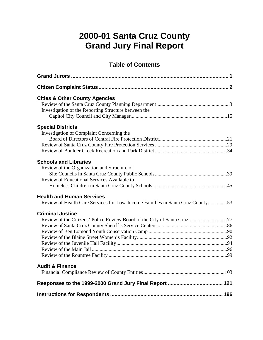# **2000-01 Santa Cruz County Grand Jury Final Report**

# **Table of Contents**

| <b>Cities &amp; Other County Agencies</b>                                     |  |
|-------------------------------------------------------------------------------|--|
|                                                                               |  |
| Investigation of the Reporting Structure between the                          |  |
|                                                                               |  |
| <b>Special Districts</b>                                                      |  |
| Investigation of Complaint Concerning the                                     |  |
|                                                                               |  |
|                                                                               |  |
|                                                                               |  |
| <b>Schools and Libraries</b>                                                  |  |
| Review of the Organization and Structure of                                   |  |
|                                                                               |  |
| Review of Educational Services Available to                                   |  |
|                                                                               |  |
| <b>Health and Human Services</b>                                              |  |
| Review of Health Care Services for Low-Income Families in Santa Cruz County53 |  |
| <b>Criminal Justice</b>                                                       |  |
| Review of the Citizens' Police Review Board of the City of Santa Cruz77       |  |
|                                                                               |  |
|                                                                               |  |
|                                                                               |  |
|                                                                               |  |
|                                                                               |  |
|                                                                               |  |
| <b>Audit &amp; Finance</b>                                                    |  |
|                                                                               |  |
|                                                                               |  |
|                                                                               |  |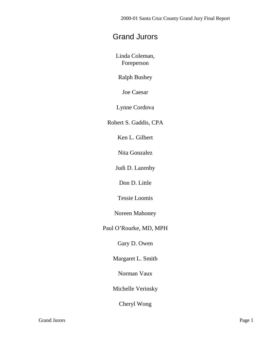# Grand Jurors

Linda Coleman, Foreperson

Ralph Bushey

Joe Caesar

Lynne Cordova

Robert S. Gaddis, CPA

Ken L. Gilbert

Nita Gonzalez

Judi D. Lazenby

Don D. Little

Tessie Loomis

Noreen Mahoney

Paul O'Rourke, MD, MPH

Gary D. Owen

Margaret L. Smith

Norman Vaux

Michelle Verinsky

Cheryl Wong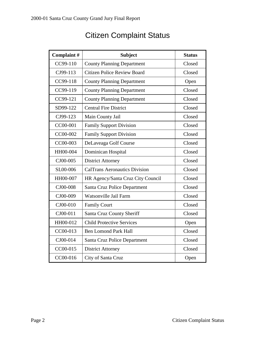| <b>Citizen Complaint Status</b> |  |
|---------------------------------|--|
|---------------------------------|--|

| Complaint# | <b>Subject</b>                       | <b>Status</b> |
|------------|--------------------------------------|---------------|
| CC99-110   | <b>County Planning Department</b>    | Closed        |
| CJ99-113   | <b>Citizen Police Review Board</b>   | Closed        |
| CC99-118   | <b>County Planning Department</b>    | Open          |
| CC99-119   | <b>County Planning Department</b>    | Closed        |
| CC99-121   | <b>County Planning Department</b>    | Closed        |
| SD99-122   | <b>Central Fire District</b>         | Closed        |
| CJ99-123   | Main County Jail                     | Closed        |
| CC00-001   | <b>Family Support Division</b>       | Closed        |
| CC00-002   | <b>Family Support Division</b>       | Closed        |
| CC00-003   | DeLaveaga Golf Course                | Closed        |
| HH00-004   | Dominican Hospital                   | Closed        |
| CJ00-005   | <b>District Attorney</b>             | Closed        |
| SL00-006   | <b>CalTrans Aeronautics Division</b> | Closed        |
| HH00-007   | HR Agency/Santa Cruz City Council    | Closed        |
| CJ00-008   | Santa Cruz Police Department         | Closed        |
| CJ00-009   | Watsonville Jail Farm                | Closed        |
| CJ00-010   | <b>Family Court</b>                  | Closed        |
| CJ00-011   | Santa Cruz County Sheriff            | Closed        |
| HH00-012   | <b>Child Protective Services</b>     | Open          |
| CC00-013   | <b>Ben Lomond Park Hall</b>          | Closed        |
| CJ00-014   | Santa Cruz Police Department         | Closed        |
| CC00-015   | <b>District Attorney</b>             | Closed        |
| CC00-016   | City of Santa Cruz                   | Open          |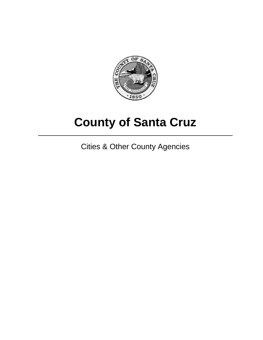

# **County of Santa Cruz**

Cities & Other County Agencies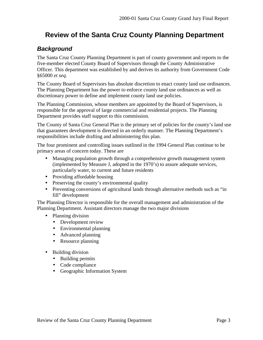# **Review of the Santa Cruz County Planning Department**

#### *Background*

The Santa Cruz County Planning Department is part of county government and reports to the five-member elected County Board of Supervisors through the County Administrative Officer. This department was established by and derives its authority from Government Code §65000 *et seq*.

The County Board of Supervisors has absolute discretion to enact county land use ordinances. The Planning Department has the power to enforce county land use ordinances as well as discretionary power to define and implement county land use policies.

The Planning Commission, whose members are appointed by the Board of Supervisors, is responsible for the approval of large commercial and residential projects. The Planning Department provides staff support to this commission.

The County of Santa Cruz General Plan is the primary set of policies for the county's land use that guarantees development is directed in an orderly manner. The Planning Department's responsibilities include drafting and administering this plan.

The four prominent and controlling issues outlined in the 1994 General Plan continue to be primary areas of concern today. These are

- Managing population growth through a comprehensive growth management system (implemented by Measure J, adopted in the 1970's) to assure adequate services, particularly water, to current and future residents
- Providing affordable housing
- Preserving the county's environmental quality
- Preventing conversions of agricultural lands through alternative methods such as "in fill" development

The Planning Director is responsible for the overall management and administration of the Planning Department. Assistant directors manage the two major divisions

- Planning division
	- Development review
	- Environmental planning
	- Advanced planning
	- Resource planning
- Building division
	- Building permits
	- Code compliance
	- Geographic Information System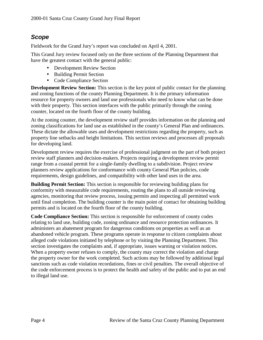#### *Scope*

Fieldwork for the Grand Jury's report was concluded on April 4, 2001.

This Grand Jury review focused only on the three sections of the Planning Department that have the greatest contact with the general public:

- Development Review Section
- Building Permit Section
- Code Compliance Section

**Development Review Section:** This section is the key point of public contact for the planning and zoning functions of the county Planning Department. It is the primary information resource for property owners and land use professionals who need to know what can be done with their property. This section interfaces with the public primarily through the zoning counter, located on the fourth floor of the county building.

At the zoning counter, the development review staff provides information on the planning and zoning classifications for land use as established in the county's General Plan and ordinances. These dictate the allowable uses and development restrictions regarding the property, such as property line setbacks and height limitations. This section reviews and processes all proposals for developing land.

Development review requires the exercise of professional judgment on the part of both project review staff planners and decision-makers. Projects requiring a development review permit range from a coastal permit for a single-family dwelling to a subdivision. Project review planners review applications for conformance with county General Plan policies, code requirements, design guidelines, and compatibility with other land uses in the area.

**Building Permit Section:** This section is responsible for reviewing building plans for conformity with measurable code requirements, routing the plans to all outside reviewing agencies, monitoring that review process, issuing permits and inspecting all permitted work until final completion. The building counter is the main point of contact for obtaining building permits and is located on the fourth floor of the county building.

**Code Compliance Section:** This section is responsible for enforcement of county codes relating to land use, building code, zoning ordinance and resource protection ordinances. It administers an abatement program for dangerous conditions on properties as well as an abandoned vehicle program. These programs operate in response to citizen complaints about alleged code violations initiated by telephone or by visiting the Planning Department. This section investigates the complaints and, if appropriate, issues warning or violation notices. When a property owner refuses to comply, the county may correct the violation and charge the property owner for the work completed. Such actions may be followed by additional legal sanctions such as code violation recordations, fines or civil penalties. The overall objective of the code enforcement process is to protect the health and safety of the public and to put an end to illegal land use.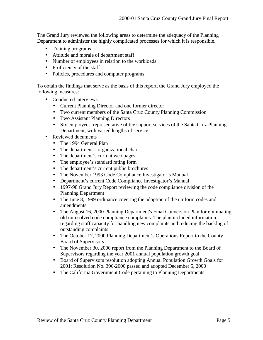The Grand Jury reviewed the following areas to determine the adequacy of the Planning Department to administer the highly complicated processes for which it is responsible.

- Training programs
- Attitude and morale of department staff
- Number of employees in relation to the workloads
- Proficiency of the staff
- Policies, procedures and computer programs

To obtain the findings that serve as the basis of this report, the Grand Jury employed the following measures:

- Conducted interviews
	- Current Planning Director and one former director
	- Two current members of the Santa Cruz County Planning Commission
	- Two Assistant Planning Directors
	- Six employees, representative of the support services of the Santa Cruz Planning Department, with varied lengths of service
- Reviewed documents
	- The 1994 General Plan
	- The department's organizational chart
	- The department's current web pages
	- The employee's standard rating form
	- The department's current public brochures
	- The November 1993 Code Compliance Investigator's Manual
	- Department's current Code Compliance Investigator's Manual
	- 1997-98 Grand Jury Report reviewing the code compliance division of the Planning Department
	- The June 8, 1999 ordinance covering the adoption of the uniform codes and amendments
	- The August 16, 2000 Planning Department's Final Conversion Plan for eliminating old unresolved code compliance complaints. The plan included information regarding staff capacity for handling new complaints and reducing the backlog of outstanding complaints
	- The October 17, 2000 Planning Department's Operations Report to the County Board of Supervisors
	- The November 30, 2000 report from the Planning Department to the Board of Supervisors regarding the year 2001 annual population growth goal
	- Board of Supervisors resolution adopting Annual Population Growth Goals for 2001: Resolution No. 396-2000 passed and adopted December 5, 2000
	- The California Government Code pertaining to Planning Departments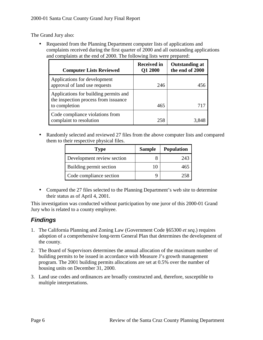The Grand Jury also:

• Requested from the Planning Department computer lists of applications and complaints received during the first quarter of 2000 and all outstanding applications and complaints at the end of 2000. The following lists were prepared:

| <b>Computer Lists Reviewed</b>                                                                 | <b>Received in</b><br>Q1 2000 | <b>Outstanding at</b><br>the end of 2000 |
|------------------------------------------------------------------------------------------------|-------------------------------|------------------------------------------|
| Applications for development<br>approval of land use requests                                  | 246                           | 456                                      |
| Applications for building permits and<br>the inspection process from issuance<br>to completion | 465                           | 717                                      |
| Code compliance violations from<br>complaint to resolution                                     | 258                           | 3.84                                     |

• Randomly selected and reviewed 27 files from the above computer lists and compared them to their respective physical files.

| <b>Type</b>                | <b>Sample</b> | <b>Population</b> |
|----------------------------|---------------|-------------------|
| Development review section |               | 243               |
| Building permit section    |               | 465               |
| Code compliance section    | g             | 258               |

• Compared the 27 files selected to the Planning Department's web site to determine their status as of April 4, 2001.

This investigation was conducted without participation by one juror of this 2000-01 Grand Jury who is related to a county employee.

#### *Findings*

- 1. The California Planning and Zoning Law (Government Code §65300 *et seq*.) requires adoption of a comprehensive long-term General Plan that determines the development of the county.
- 2. The Board of Supervisors determines the annual allocation of the maximum number of building permits to be issued in accordance with Measure J's growth management program. The 2001 building permits allocations are set at 0.5% over the number of housing units on December 31, 2000.
- 3. Land use codes and ordinances are broadly constructed and, therefore, susceptible to multiple interpretations.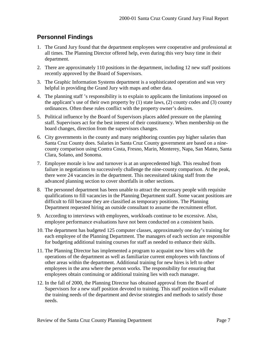#### **Personnel Findings**

- 1. The Grand Jury found that the department employees were cooperative and professional at all times. The Planning Director offered help, even during this very busy time in their department.
- 2. There are approximately 110 positions in the department, including 12 new staff positions recently approved by the Board of Supervisors.
- 3. The Graphic Information Systems department is a sophisticated operation and was very helpful in providing the Grand Jury with maps and other data.
- 4. The planning staff 's responsibility is to explain to applicants the limitations imposed on the applicant's use of their own property by  $(1)$  state laws,  $(2)$  county codes and  $(3)$  county ordinances. Often these rules conflict with the property owner's desires.
- 5. Political influence by the Board of Supervisors places added pressure on the planning staff. Supervisors act for the best interest of their constituency. When membership on the board changes, direction from the supervisors changes.
- 6. City governments in the county and many neighboring counties pay higher salaries than Santa Cruz County does. Salaries in Santa Cruz County government are based on a ninecounty comparison using Contra Costa, Fresno, Marin, Monterey, Napa, San Mateo, Santa Clara, Solano, and Sonoma.
- 7. Employee morale is low and turnover is at an unprecedented high. This resulted from failure in negotiations to successively challenge the nine-county comparison. At the peak, there were 24 vacancies in the department. This necessitated taking staff from the advanced planning section to cover shortfalls in other sections.
- 8. The personnel department has been unable to attract the necessary people with requisite qualifications to fill vacancies in the Planning Department staff. Some vacant positions are difficult to fill because they are classified as temporary positions. The Planning Department requested hiring an outside consultant to assume the recruitment effort.
- 9. According to interviews with employees, workloads continue to be excessive. Also, employee performance evaluations have not been conducted on a consistent basis.
- 10. The department has budgeted 125 computer classes, approximately one day's training for each employee of the Planning Department. The managers of each section are responsible for budgeting additional training courses for staff as needed to enhance their skills.
- 11. The Planning Director has implemented a program to acquaint new hires with the operations of the department as well as familiarize current employees with functions of other areas within the department. Additional training for new hires is left to other employees in the area where the person works. The responsibility for ensuring that employees obtain continuing or additional training lies with each manager.
- 12. In the fall of 2000, the Planning Director has obtained approval from the Board of Supervisors for a new staff position devoted to training. This staff position will evaluate the training needs of the department and devise strategies and methods to satisfy those needs.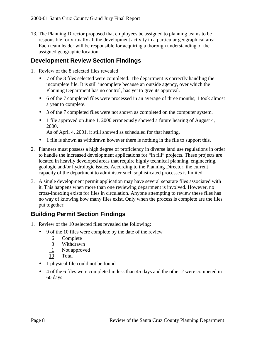13. The Planning Director proposed that employees be assigned to planning teams to be responsible for virtually all the development activity in a particular geographical area. Each team leader will be responsible for acquiring a thorough understanding of the assigned geographic location.

#### **Development Review Section Findings**

- 1. Review of the 8 selected files revealed
	- 7 of the 8 files selected were completed. The department is correctly handling the incomplete file. It is still incomplete because an outside agency, over which the Planning Department has no control, has yet to give its approval.
	- 6 of the 7 completed files were processed in an average of three months; 1 took almost a year to complete.
	- 3 of the 7 completed files were not shown as completed on the computer system.
	- 1 file approved on June 1, 2000 erroneously showed a future hearing of August 4, 2000.

As of April 4, 2001, it still showed as scheduled for that hearing.

- 1 file is shown as withdrawn however there is nothing in the file to support this.
- 2. Planners must possess a high degree of proficiency in diverse land use regulations in order to handle the increased development applications for "in fill" projects. These projects are located in heavily developed areas that require highly technical planning, engineering, geologic and/or hydrologic issues. According to the Planning Director, the current capacity of the department to administer such sophisticated processes is limited.
- 3. A single development permit application may have several separate files associated with it. This happens when more than one reviewing department is involved. However, no cross-indexing exists for files in circulation. Anyone attempting to review these files has no way of knowing how many files exist. Only when the process is complete are the files put together.

#### **Building Permit Section Findings**

- 1. Review of the 10 selected files revealed the following:
	- 9 of the 10 files were complete by the date of the review
		- 6 Complete
		- 3 Withdrawn
		- 1 Not approved
		- 10 Total
	- 1 physical file could not be found
	- 4 of the 6 files were completed in less than 45 days and the other 2 were competed in 60 days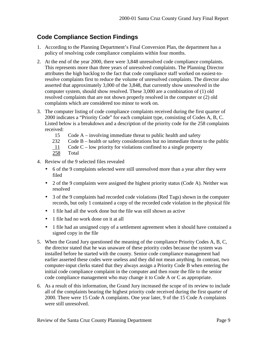#### **Code Compliance Section Findings**

- 1. According to the Planning Department's Final Conversion Plan, the department has a policy of resolving code compliance complaints within four months.
- 2. At the end of the year 2000, there were 3,848 unresolved code compliance complaints. This represents more than three years of unresolved complaints. The Planning Director attributes the high backlog to the fact that code compliance staff worked on easiest-toresolve complaints first to reduce the volume of unresolved complaints. The director also asserted that approximately 3,000 of the 3,848, that currently show unresolved in the computer system, should show resolved. These 3,000 are a combination of (1) old resolved complaints that are not shown properly resolved in the computer or (2) old complaints which are considered too minor to work on.
- 3. The computer listing of code compliance complaints received during the first quarter of 2000 indicates a "Priority Code" for each complaint type, consisting of Codes A, B, C. Listed below is a breakdown and a description of the priority code for the 258 complaints received:
	- 15 Code A involving immediate threat to public health and safety
	- 232 Code B health or safety considerations but no immediate threat to the public
	- 11 Code C low priority for violations confined to a single property
	- 258 Total
- 4. Review of the 9 selected files revealed
	- 6 of the 9 complaints selected were still unresolved more than a year after they were filed
	- 2 of the 9 complaints were assigned the highest priority status (Code A). Neither was resolved
	- 3 of the 9 complaints had recorded code violations (Red Tags) shown in the computer records, but only 1 contained a copy of the recorded code violation in the physical file
	- 1 file had all the work done but the file was still shown as active
	- 1 file had no work done on it at all
	- 1 file had an unsigned copy of a settlement agreement when it should have contained a signed copy in the file
- 5. When the Grand Jury questioned the meaning of the compliance Priority Codes A, B, C, the director stated that he was unaware of these priority codes because the system was installed before he started with the county. Senior code compliance management had earlier asserted these codes were useless and they did not mean anything. In contrast, two computer-input clerks stated that they always assign a Priority Code B when entering the initial code compliance complaint in the computer and then route the file to the senior code compliance management who may change it to Code A or C as appropriate.
- 6. As a result of this information, the Grand Jury increased the scope of its review to include all of the complaints bearing the highest priority code received during the first quarter of 2000. There were 15 Code A complaints. One year later, 9 of the 15 Code A complaints were still unresolved.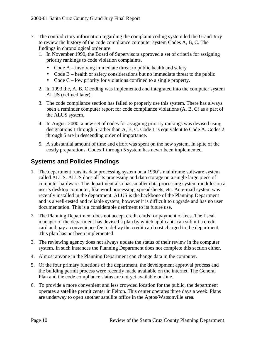- 7. The contradictory information regarding the complaint coding system led the Grand Jury to review the history of the code compliance computer system Codes A, B, C. The findings in chronological order are
	- 1. In November 1990, the Board of Supervisors approved a set of criteria for assigning priority rankings to code violation complaints.
		- Code A involving immediate threat to public health and safety
		- Code B health or safety considerations but no immediate threat to the public
		- Code C low priority for violations confined to a single property.
	- 2. In 1993 the, A, B, C coding was implemented and integrated into the computer system ALUS (defined later).
	- 3. The code compliance section has failed to properly use this system. There has always been a reminder computer report for code compliance violations (A, B, C) as a part of the ALUS system.
	- 4. In August 2000, a new set of codes for assigning priority rankings was devised using designations 1 through 5 rather than A, B, C. Code 1 is equivalent to Code A. Codes 2 through 5 are in descending order of importance.
	- 5. A substantial amount of time and effort was spent on the new system. In spite of the costly preparations, Codes 1 through 5 system has never been implemented.

#### **Systems and Policies Findings**

- 1. The department runs its data processing system on a 1990's mainframe software system called ALUS. ALUS does all its processing and data storage on a single large piece of computer hardware. The department also has smaller data processing system modules on a user's desktop computer, like word processing, spreadsheets, etc. An e-mail system was recently installed in the department. ALUS is the backbone of the Planning Department and is a well-tested and reliable system, however it is difficult to upgrade and has no user documentation. This is a considerable detriment to its future use.
- 2. The Planning Department does not accept credit cards for payment of fees. The fiscal manager of the department has devised a plan by which applicants can submit a credit card and pay a convenience fee to defray the credit card cost charged to the department. This plan has not been implemented.
- 3. The reviewing agency does not always update the status of their review in the computer system. In such instances the Planning Department does not complete this section either.
- 4. Almost anyone in the Planning Department can change data in the computer.
- 5. Of the four primary functions of the department, the development approval process and the building permit process were recently made available on the internet. The General Plan and the code compliance status are not yet available on-line.
- 6. To provide a more convenient and less crowded location for the public, the department operates a satellite permit center in Felton. This center operates three days a week. Plans are underway to open another satellite office in the Aptos/Watsonville area.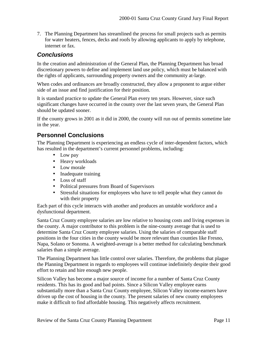7. The Planning Department has streamlined the process for small projects such as permits for water heaters, fences, decks and roofs by allowing applicants to apply by telephone, internet or fax.

#### *Conclusions*

In the creation and administration of the General Plan, the Planning Department has broad discretionary powers to define and implement land use policy, which must be balanced with the rights of applicants, surrounding property owners and the community at-large.

When codes and ordinances are broadly constructed, they allow a proponent to argue either side of an issue and find justification for their position.

It is standard practice to update the General Plan every ten years. However, since such significant changes have occurred in the county over the last seven years, the General Plan should be updated sooner.

If the county grows in 2001 as it did in 2000, the county will run out of permits sometime late in the year.

#### **Personnel Conclusions**

The Planning Department is experiencing an endless cycle of inter-dependent factors, which has resulted in the department's current personnel problems, including:

- Low pay
- Heavy workloads
- Low morale
- Inadequate training
- Loss of staff
- Political pressures from Board of Supervisors
- Stressful situations for employees who have to tell people what they cannot do with their property

Each part of this cycle interacts with another and produces an unstable workforce and a dysfunctional department.

Santa Cruz County employee salaries are low relative to housing costs and living expenses in the county. A major contributor to this problem is the nine-county average that is used to determine Santa Cruz County employee salaries. Using the salaries of comparable staff positions in the four cities in the county would be more relevant than counties like Fresno, Napa, Solano or Sonoma. A weighted-average is a better method for calculating benchmark salaries than a simple average.

The Planning Department has little control over salaries. Therefore, the problems that plague the Planning Department in regards to employees will continue indefinitely despite their good effort to retain and hire enough new people.

Silicon Valley has become a major source of income for a number of Santa Cruz County residents. This has its good and bad points. Since a Silicon Valley employee earns substantially more than a Santa Cruz County employee, Silicon Valley income-earners have driven up the cost of housing in the county. The present salaries of new county employees make it difficult to find affordable housing. This negatively affects recruitment.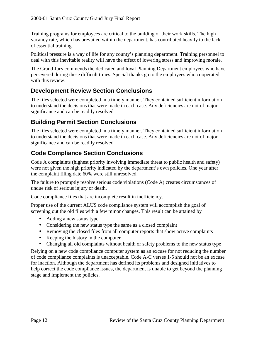Training programs for employees are critical to the building of their work skills. The high vacancy rate, which has prevailed within the department, has contributed heavily to the lack of essential training.

Political pressure is a way of life for any county's planning department. Training personnel to deal with this inevitable reality will have the effect of lowering stress and improving morale.

The Grand Jury commends the dedicated and loyal Planning Department employees who have persevered during these difficult times. Special thanks go to the employees who cooperated with this review.

#### **Development Review Section Conclusions**

The files selected were completed in a timely manner. They contained sufficient information to understand the decisions that were made in each case. Any deficiencies are not of major significance and can be readily resolved.

#### **Building Permit Section Conclusions**

The files selected were completed in a timely manner. They contained sufficient information to understand the decisions that were made in each case. Any deficiencies are not of major significance and can be readily resolved.

#### **Code Compliance Section Conclusions**

Code A complaints (highest priority involving immediate threat to public health and safety) were not given the high priority indicated by the department's own policies. One year after the complaint filing date 60% were still unresolved.

The failure to promptly resolve serious code violations (Code A) creates circumstances of undue risk of serious injury or death.

Code compliance files that are incomplete result in inefficiency.

Proper use of the current ALUS code compliance system will accomplish the goal of screening out the old files with a few minor changes. This result can be attained by

- Adding a new status type
- Considering the new status type the same as a closed complaint
- Removing the closed files from all computer reports that show active complaints
- Keeping the history in the computer
- Changing all old complaints without health or safety problems to the new status type

Relying on a new code compliance computer system as an excuse for not reducing the number of code compliance complaints is unacceptable. Code A-C verses 1-5 should not be an excuse for inaction. Although the department has defined its problems and designed initiatives to help correct the code compliance issues, the department is unable to get beyond the planning stage and implement the policies.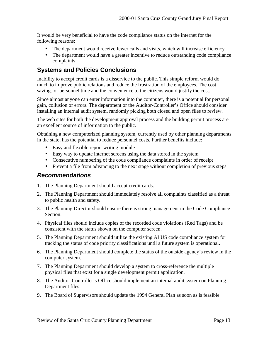It would be very beneficial to have the code compliance status on the internet for the following reasons:

- The department would receive fewer calls and visits, which will increase efficiency
- The department would have a greater incentive to reduce outstanding code compliance complaints

#### **Systems and Policies Conclusions**

Inability to accept credit cards is a disservice to the public. This simple reform would do much to improve public relations and reduce the frustration of the employees. The cost savings of personnel time and the convenience to the citizens would justify the cost.

Since almost anyone can enter information into the computer, there is a potential for personal gain, collusion or errors. The department or the Auditor-Controller's Office should consider installing an internal audit system, randomly picking both closed and open files to review.

The web sites for both the development approval process and the building permit process are an excellent source of information to the public.

Obtaining a new computerized planning system, currently used by other planning departments in the state, has the potential to reduce personnel costs. Further benefits include:

- Easy and flexible report writing module
- Easy way to update internet screens using the data stored in the system
- Consecutive numbering of the code compliance complaints in order of receipt
- Prevent a file from advancing to the next stage without completion of previous steps

#### *Recommendations*

- 1. The Planning Department should accept credit cards.
- 2. The Planning Department should immediately resolve all complaints classified as a threat to public health and safety.
- 3. The Planning Director should ensure there is strong management in the Code Compliance Section.
- 4. Physical files should include copies of the recorded code violations (Red Tags) and be consistent with the status shown on the computer screen.
- 5. The Planning Department should utilize the existing ALUS code compliance system for tracking the status of code priority classifications until a future system is operational.
- 6. The Planning Department should complete the status of the outside agency's review in the computer system.
- 7. The Planning Department should develop a system to cross-reference the multiple physical files that exist for a single development permit application.
- 8. The Auditor-Controller's Office should implement an internal audit system on Planning Department files.
- 9. The Board of Supervisors should update the 1994 General Plan as soon as is feasible.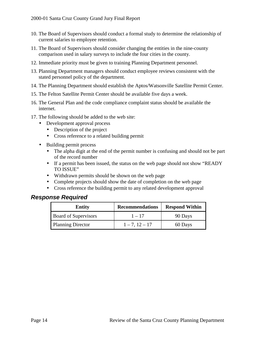- 10. The Board of Supervisors should conduct a formal study to determine the relationship of current salaries to employee retention.
- 11. The Board of Supervisors should consider changing the entities in the nine-county comparison used in salary surveys to include the four cities in the county.
- 12. Immediate priority must be given to training Planning Department personnel.
- 13. Planning Department managers should conduct employee reviews consistent with the stated personnel policy of the department.
- 14. The Planning Department should establish the Aptos/Watsonville Satellite Permit Center.
- 15. The Felton Satellite Permit Center should be available five days a week.
- 16. The General Plan and the code compliance complaint status should be available the internet.
- 17. The following should be added to the web site:
	- Development approval process
		- Description of the project
		- Cross reference to a related building permit
	- Building permit process
		- The alpha digit at the end of the permit number is confusing and should not be part of the record number
		- If a permit has been issued, the status on the web page should not show "READY TO ISSUE"
		- Withdrawn permits should be shown on the web page
		- Complete projects should show the date of completion on the web page
		- Cross reference the building permit to any related development approval

#### *Response Required*

| <b>Entity</b>               | <b>Recommendations</b> | <b>Respond Within</b> |
|-----------------------------|------------------------|-----------------------|
| <b>Board of Supervisors</b> | $1 - 17$               | 90 Days               |
| <b>Planning Director</b>    | $1 - 7$ , $12 - 17$    | 60 Days               |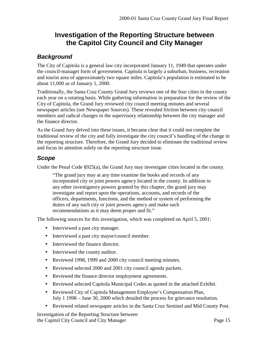# **Investigation of the Reporting Structure between the Capitol City Council and City Manager**

#### *Background*

The City of Capitola is a general law city incorporated January 11, 1949 that operates under the council-manager form of government. Capitola is largely a suburban, business, recreation and tourist area of approximately two square miles. Capitola's population is estimated to be about 11,000 as of January 1, 2000.

Traditionally, the Santa Cruz County Grand Jury reviews one of the four cities in the county each year on a rotating basis. While gathering information in preparation for the review of the City of Capitola, the Grand Jury reviewed city council meeting minutes and several newspaper articles (see Newspaper Sources). These revealed friction between city council members and radical changes in the supervisory relationship between the city manager and the finance director.

As the Grand Jury delved into these issues, it became clear that it could not complete the traditional review of the city and fully investigate the city council's handling of the change in the reporting structure. Therefore, the Grand Jury decided to eliminate the traditional review and focus its attention solely on the reporting structure issue.

#### *Scope*

Under the Penal Code §925(a), the Grand Jury may investigate cities located in the county.

"The grand jury may at any time examine the books and records of any incorporated city or joint powers agency located in the county. In addition to any other investigatory powers granted by this chapter, the grand jury may investigate and report upon the operations, accounts, and records of the officers, departments, functions, and the method or system of performing the duties of any such city or joint powers agency and make such recommendations as it may deem proper and fit."

The following sources for this investigation, which was completed on April 5, 2001:

- Interviewed a past city manager.
- Interviewed a past city mayor/council member.
- Interviewed the finance director.
- Interviewed the county auditor.
- Reviewed 1998, 1999 and 2000 city council meeting minutes.
- Reviewed selected 2000 and 2001 city council agenda packets.
- Reviewed the finance director employment agreements.
- Reviewed selected Capitola Municipal Codes as quoted in the attached Exhibit.
- Reviewed City of Capitola Management Employee's Compensation Plan, July 1 1998 – June 30, 2000 which detailed the process for grievance resolution.
- Reviewed related newspaper articles in the Santa Cruz Sentinel and Mid County Post.

Investigation of the Reporting Structure between the Capitol City Council and City Manager Page 15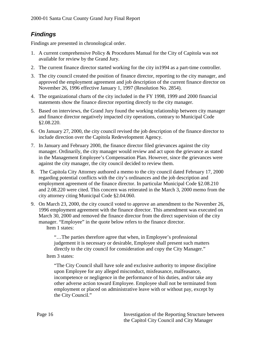#### *Findings*

Findings are presented in chronological order.

- 1. A current comprehensive Policy & Procedures Manual for the City of Capitola was not available for review by the Grand Jury.
- 2. The current finance director started working for the city in1994 as a part-time controller.
- 3. The city council created the position of finance director, reporting to the city manager, and approved the employment agreement and job description of the current finance director on November 26, 1996 effective January 1, 1997 (Resolution No. 2854).
- 4. The organizational charts of the city included in the FY 1998, 1999 and 2000 financial statements show the finance director reporting directly to the city manager.
- 5. Based on interviews, the Grand Jury found the working relationship between city manager and finance director negatively impacted city operations, contrary to Municipal Code §2.08.220.
- 6. On January 27, 2000, the city council revised the job description of the finance director to include direction over the Capitola Redevelopment Agency.
- 7. In January and February 2000, the finance director filed grievances against the city manager. Ordinarily, the city manager would review and act upon the grievance as stated in the Management Employee's Compensation Plan. However, since the grievances were against the city manager, the city council decided to review them.
- 8. The Capitola City Attorney authored a memo to the city council dated February 17, 2000 regarding potential conflicts with the city's ordinances and the job description and employment agreement of the finance director. In particular Municipal Code §2.08.210 and 2.08.220 were cited. This concern was reiterated in the March 3, 2000 memo from the city attorney citing Municipal Code §2.04.060.
- 9. On March 23, 2000, the city council voted to approve an amendment to the November 26, 1996 employment agreement with the finance director. This amendment was executed on March 30, 2000 and removed the finance director from the direct supervision of the city manager. "Employee" in the quote below refers to the finance director. Item 1 states:

"…The parties therefore agree that when, in Employee's professional judgement it is necessary or desirable, Employee shall present such matters directly to the city council for consideration and copy the City Manager."

Item 3 states:

"The City Council shall have sole and exclusive authority to impose discipline upon Employee for any alleged misconduct, misfeasance, malfeasance, incompetence or negligence in the performance of his duties, and/or take any other adverse action toward Employee. Employee shall not be terminated from employment or placed on administrative leave with or without pay, except by the City Council."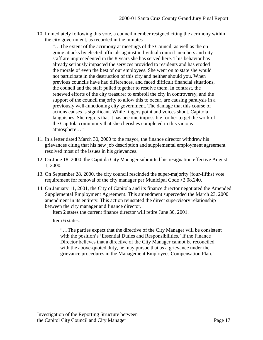10. Immediately following this vote, a council member resigned citing the acrimony within the city government, as recorded in the minutes

"…The extent of the acrimony at meetings of the Council, as well as the on going attacks by elected officials against individual council members and city staff are unprecedented in the 8 years she has served here. This behavior has already seriously impacted the services provided to residents and has eroded the morale of even the best of our employees. She went on to state she would not participate in the destruction of this city and neither should you. When previous councils have had differences, and faced difficult financial situations, the council and the staff pulled together to resolve them. In contrast, the renewed efforts of the city treasurer to embroil the city in controversy, and the support of the council majority to allow this to occur, are causing paralysis in a previously well-functioning city government. The damage that this course of actions causes is significant. While fingers point and voices shout, Capitola languishes. She regrets that it has become impossible for her to get the work of the Capitola community that she cherishes completed in this vicious atmosphere…"

- 11. In a letter dated March 30, 2000 to the mayor, the finance director withdrew his grievances citing that his new job description and supplemental employment agreement resolved most of the issues in his grievances.
- 12. On June 18, 2000, the Capitola City Manager submitted his resignation effective August 1, 2000.
- 13. On September 28, 2000, the city council rescinded the super-majority (four-fifths) vote requirement for removal of the city manager per Municipal Code §2.08.240.
- 14. On January 11, 2001, the City of Capitola and its finance director negotiated the Amended Supplemental Employment Agreement. This amendment superceded the March 23, 2000 amendment in its entirety. This action reinstated the direct supervisory relationship between the city manager and finance director.

Item 2 states the current finance director will retire June 30, 2001.

Item 6 states:

"…The parties expect that the directive of the City Manager will be consistent with the position's 'Essential Duties and Responsibilities.' If the Finance Director believes that a directive of the City Manager cannot be reconciled with the above-quoted duty, he may pursue that as a grievance under the grievance procedures in the Management Employees Compensation Plan."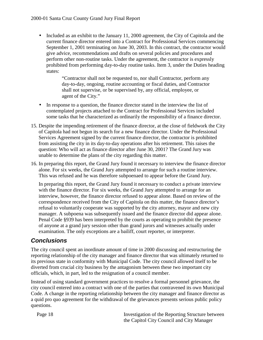• Included as an exhibit to the January 11, 2000 agreement, the City of Capitola and the current finance director entered into a Contract for Professional Services commencing September 1, 2001 terminating on June 30, 2003. In this contract, the contractor would give advice, recommendations and drafts on several policies and procedures and perform other non-routine tasks. Under the agreement, the contractor is expressly prohibited from performing day-to-day routine tasks. Item 3, under the Duties heading states:

> "Contractor shall not be requested to, nor shall Contractor, perform any day-to-day, ongoing, routine accounting or fiscal duties, and Contractor shall not supervise, or be supervised by, any official, employee, or agent of the City."

- In response to a question, the finance director stated in the interview the list of contemplated projects attached to the Contract for Professional Services included some tasks that he characterized as ordinarily the responsibility of a finance director.
- 15. Despite the impending retirement of the finance director, at the close of fieldwork the City of Capitola had not begun its search for a new finance director. Under the Professional Services Agreement signed by the current finance director, the contractor is prohibited from assisting the city in its day-to-day operations after his retirement. This raises the question: Who will act as finance director after June 30, 2001? The Grand Jury was unable to determine the plans of the city regarding this matter.
- 16. In preparing this report, the Grand Jury found it necessary to interview the finance director alone. For six weeks, the Grand Jury attempted to arrange for such a routine interview. This was refused and he was therefore subpoenaed to appear before the Grand Jury.

In preparing this report, the Grand Jury found it necessary to conduct a private interview with the finance director. For six weeks, the Grand Jury attempted to arrange for an interview, however, the finance director refused to appear alone. Based on review of the correspondence received from the City of Capitola on this matter, the finance director's refusal to voluntarily cooperate was supported by the city attorney, mayor and new city manager. A subpoena was subsequently issued and the finance director did appear alone. Penal Code §939 has been interpreted by the courts as operating to prohibit the presence of anyone at a grand jury session other than grand jurors and witnesses actually under examination. The only exceptions are a bailiff, court reporter, or interpreter.

#### *Conclusions*

The city council spent an inordinate amount of time in 2000 discussing and restructuring the reporting relationship of the city manager and finance director that was ultimately returned to its previous state in conformity with Municipal Code. The city council allowed itself to be diverted from crucial city business by the antagonism between these two important city officials, which, in part, led to the resignation of a council member.

Instead of using standard government practices to resolve a formal personnel grievance, the city council entered into a contract with one of the parties that contravened its own Municipal Code. A change in the reporting relationship between the city manager and finance director as a quid pro quo agreement for the withdrawal of the grievances presents serious public policy questions.

Page 18 Investigation of the Reporting Structure between the Capitol City Council and City Manager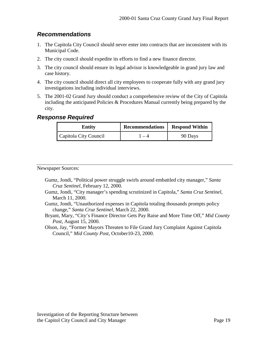#### *Recommendations*

- 1. The Capitola City Council should never enter into contracts that are inconsistent with its Municipal Code.
- 2. The city council should expedite its efforts to find a new finance director.
- 3. The city council should ensure its legal advisor is knowledgeable in grand jury law and case history.
- 4. The city council should direct all city employees to cooperate fully with any grand jury investigations including individual interviews.
- 5. The 2001-02 Grand Jury should conduct a comprehensive review of the City of Capitola including the anticipated Policies & Procedures Manual currently being prepared by the city.

#### *Response Required*

| <b>Entity</b>         | <b>Recommendations</b> | <b>Respond Within</b> |
|-----------------------|------------------------|-----------------------|
| Capitola City Council | $-4$                   | 90 Days               |

Newspaper Sources:

- Gumz, Jondi, "Political power struggle swirls around embattled city manager," *Santa Cruz Sentinel*, February 12, 2000.
- Gumz, Jondi, "City manager's spending scrutinized in Capitola," *Santa Cruz Sentinel*, March 11, 2000.
- Gumz, Jondi, "Unauthorized expenses in Capitola totaling thousands prompts policy change," *Santa Cruz Sentinel*, March 22, 2000.
- Bryant, Mary, "City's Finance Director Gets Pay Raise and More Time Off," *Mid County Post*, August 15, 2000.
- Olson, Jay, "Former Mayors Threaten to File Grand Jury Complaint Against Capitola Council," *Mid County Post*, October10-23, 2000.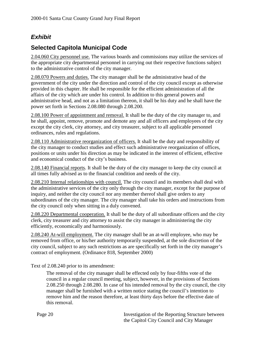### *Exhibit*

#### **Selected Capitola Municipal Code**

2.04.060 City personnel use. The various boards and commissions may utilize the services of the appropriate city departmental personnel in carrying out their respective functions subject to the administrative control of the city manager.

2.08.070 Powers and duties. The city manager shall be the administrative head of the government of the city under the direction and control of the city council except as otherwise provided in this chapter. He shall be responsible for the efficient administration of all the affairs of the city which are under his control. In addition to this general powers and administrative head, and not as a limitation thereon, it shall be his duty and he shall have the power set forth in Sections 2.08.080 through 2.08.200.

2.08.100 Power of appointment and removal. It shall be the duty of the city manager to, and he shall, appoint, remove, promote and demote any and all officers and employees of the city except the city clerk, city attorney, and city treasurer, subject to all applicable personnel ordinances, rules and regulations.

2.08.110 Administrative reorganization of officers. It shall be the duty and responsibility of the city manager to conduct studies and effect such administrative reorganization of offices, positions or units under his direction as may be indicated in the interest of efficient, effective and economical conduct of the city's business.

2.08.140 Financial reports. It shall be the duty of the city manager to keep the city council at all times fully advised as to the financial condition and needs of the city.

2.08.210 Internal relationships with council. The city council and its members shall deal with the administrative services of the city only through the city manager, except for the purpose of inquiry, and neither the city council nor any member thereof shall give orders to any subordinates of the city manager. The city manager shall take his orders and instructions from the city council only when sitting in a duly convened.

2.08.220 Departmental cooperation. It shall be the duty of all subordinate officers and the city clerk, city treasurer and city attorney to assist the city manager in administering the city efficiently, economically and harmoniously.

2.08.240 At-will employment. The city manager shall be an at-will employee, who may be removed from office, or his/her authority temporarily suspended, at the sole discretion of the city council, subject to any such restrictions as are specifically set forth in the city manager's contract of employment. (Ordinance 818, September 2000)

Text of 2.08.240 prior to its amendment:

The removal of the city manager shall be effected only by four-fifths vote of the council in a regular council meeting, subject, however, in the provisions of Sections 2.08.250 through 2.08.280. In case of his intended removal by the city council, the city manager shall be furnished with a written notice stating the council's intention to remove him and the reason therefore, at least thirty days before the effective date of this removal.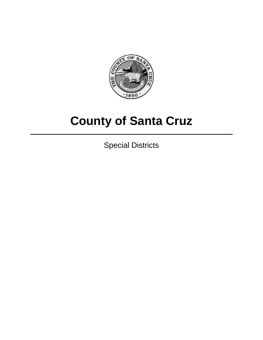

# **County of Santa Cruz**

Special Districts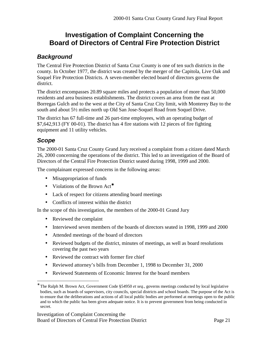# **Investigation of Complaint Concerning the Board of Directors of Central Fire Protection District**

#### *Background*

The Central Fire Protection District of Santa Cruz County is one of ten such districts in the county. In October 1977, the district was created by the merger of the Capitola, Live Oak and Soquel Fire Protection Districts. A seven-member elected board of directors governs the district.

The district encompasses 20.89 square miles and protects a population of more than 50,000 residents and area business establishments. The district covers an area from the east at Borregas Gulch and to the west at the City of Santa Cruz City limit, with Monterey Bay to the south and about 5½ miles north up Old San Jose-Soquel Road from Soquel Drive.

The district has 67 full-time and 26 part-time employees, with an operating budget of \$7,642,913 (FY 00-01). The district has 4 fire stations with 12 pieces of fire fighting equipment and 11 utility vehicles.

#### *Scope*

l

The 2000-01 Santa Cruz County Grand Jury received a complaint from a citizen dated March 26, 2000 concerning the operations of the district. This led to an investigation of the Board of Directors of the Central Fire Protection District seated during 1998, 1999 and 2000.

The complainant expressed concerns in the following areas:

- Misappropriation of funds
- Violations of the Brown Act<sup>∗</sup>
- Lack of respect for citizens attending board meetings
- Conflicts of interest within the district

In the scope of this investigation, the members of the 2000-01 Grand Jury

- Reviewed the complaint
- Interviewed seven members of the boards of directors seated in 1998, 1999 and 2000
- Attended meetings of the board of directors
- Reviewed budgets of the district, minutes of meetings, as well as board resolutions covering the past two years
- Reviewed the contract with former fire chief
- Reviewed attorney's bills from December 1, 1998 to December 31, 2000
- Reviewed Statements of Economic Interest for the board members

<sup>∗</sup> The Ralph M. Brown Act, Government Code §54950 *et seq.*, governs meetings conducted by local legislative bodies, such as boards of supervisors, city councils, special districts and school boards. The purpose of the Act is to ensure that the deliberations and actions of all local public bodies are performed at meetings open to the public and to which the public has been given adequate notice. It is to prevent government from being conducted in secret.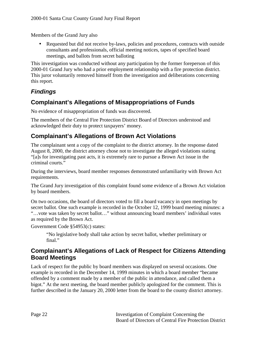Members of the Grand Jury also

• Requested but did not receive by-laws, policies and procedures, contracts with outside consultants and professionals, official meeting notices, tapes of specified board meetings, and ballots from secret balloting

This investigation was conducted without any participation by the former foreperson of this 2000-01 Grand Jury who had a prior employment relationship with a fire protection district. This juror voluntarily removed himself from the investigation and deliberations concerning this report.

# *Findings*

### **Complainant's Allegations of Misappropriations of Funds**

No evidence of misappropriation of funds was discovered.

The members of the Central Fire Protection District Board of Directors understood and acknowledged their duty to protect taxpayers' money.

## **Complainant's Allegations of Brown Act Violations**

The complainant sent a copy of the complaint to the district attorney. In the response dated August 8, 2000, the district attorney chose not to investigate the alleged violations stating "[a]s for investigating past acts, it is extremely rare to pursue a Brown Act issue in the criminal courts."

During the interviews, board member responses demonstrated unfamiliarity with Brown Act requirements.

The Grand Jury investigation of this complaint found some evidence of a Brown Act violation by board members.

On two occasions, the board of directors voted to fill a board vacancy in open meetings by secret ballot. One such example is recorded in the October 12, 1999 board meeting minutes: a "…vote was taken by secret ballot…" without announcing board members' individual votes as required by the Brown Act.

Government Code §54953(c) states:

"No legislative body shall take action by secret ballot, whether preliminary or final."

#### **Complainant's Allegations of Lack of Respect for Citizens Attending Board Meetings**

Lack of respect for the public by board members was displayed on several occasions. One example is recorded in the December 14, 1999 minutes in which a board member "became offended by a comment made by a member of the public in attendance, and called them a bigot." At the next meeting, the board member publicly apologized for the comment. This is further described in the January 20, 2000 letter from the board to the county district attorney.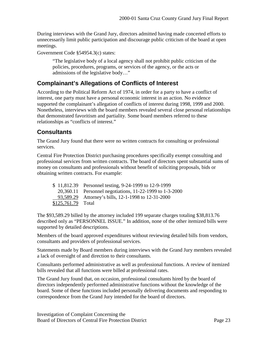During interviews with the Grand Jury, directors admitted having made concerted efforts to unnecessarily limit public participation and discourage public criticism of the board at open meetings.

Government Code §54954.3(c) states:

"The legislative body of a local agency shall not prohibit public criticism of the policies, procedures, programs, or services of the agency, or the acts or admissions of the legislative body…"

#### **Complainant's Allegations of Conflicts of Interest**

According to the Political Reform Act of 1974, in order for a party to have a conflict of interest, one party must have a personal economic interest in an action. No evidence supported the complainant's allegation of conflicts of interest during 1998, 1999 and 2000. Nonetheless, interviews with the board members revealed several close personal relationships that demonstrated favoritism and partiality. Some board members referred to these relationships as "conflicts of interest."

#### **Consultants**

The Grand Jury found that there were no written contracts for consulting or professional services.

Central Fire Protection District purchasing procedures specifically exempt consulting and professional services from written contracts. The board of directors spent substantial sums of money on consultants and professionals without benefit of soliciting proposals, bids or obtaining written contracts. For example:

|                    | \$11,812.39 Personnel testing, 9-24-1999 to 12-9-1999    |
|--------------------|----------------------------------------------------------|
|                    | 20,360.11 Personnel negotiations, 11-22-1999 to 1-3-2000 |
|                    | 93,589.29 Attorney's bills, 12-1-1998 to 12-31-2000      |
| \$125,761.79 Total |                                                          |

The \$93,589.29 billed by the attorney included 199 separate charges totaling \$38,813.76 described only as "PERSONNEL ISSUE." In addition, none of the other itemized bills were supported by detailed descriptions.

Members of the board approved expenditures without reviewing detailed bills from vendors, consultants and providers of professional services.

Statements made by Board members during interviews with the Grand Jury members revealed a lack of oversight of and direction to their consultants.

Consultants performed administrative as well as professional functions. A review of itemized bills revealed that all functions were billed at professional rates.

The Grand Jury found that, on occasion, professional consultants hired by the board of directors independently performed administrative functions without the knowledge of the board. Some of these functions included personally delivering documents and responding to correspondence from the Grand Jury intended for the board of directors.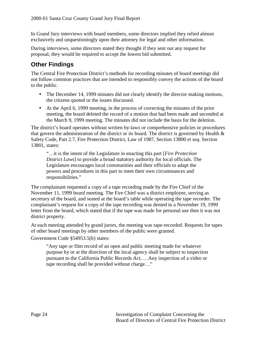In Grand Jury interviews with board members, some directors implied they relied almost exclusively and unquestioningly upon their attorney for legal and other information.

During interviews, some directors stated they thought if they sent out any request for proposal, they would be required to accept the lowest bid submitted.

### **Other Findings**

The Central Fire Protection District's methods for recording minutes of board meetings did not follow common practices that are intended to responsibly convey the actions of the board to the public.

- The December 14, 1999 minutes did not clearly identify the director making motions, the citizens quoted or the issues discussed.
- At the April 6, 1999 meeting, in the process of correcting the minutes of the prior meeting, the board deleted the record of a motion that had been made and seconded at the March 9, 1999 meeting. The minutes did not include the basis for the deletion.

The district's board operates without written by-laws or comprehensive policies or procedures that govern the administration of the district or its board. The district is governed by Health  $\&$ Safety Code, Part 2.7, Fire Protection District, Law of 1987, Section 13800 *et seq*. Section 13801, states:

"…it is the intent of the Legislature in enacting this part [*Fire Protection District Laws*] to provide a broad statutory authority for local officials. The Legislature encourages local communities and their officials to adapt the powers and procedures in this part to meet their own circumstances and responsibilities."

The complainant requested a copy of a tape recording made by the Fire Chief of the November 11, 1999 board meeting. The Fire Chief was a district employee, serving as secretary of the board, and seated at the board's table while operating the tape recorder. The complainant's request for a copy of the tape recording was denied in a November 19, 1999 letter from the board, which stated that if the tape was made for personal use then it was not district property.

At each meeting attended by grand jurors, the meeting was tape-recorded. Requests for tapes of other board meetings by other members of the public were granted. Government Code §54953.5(b) states:

"Any tape or film record of an open and public meeting made for whatever purpose by or at the direction of the local agency shall be subject to inspection pursuant to the California Public Records Act. …Any inspection of a video or tape recording shall be provided without charge…"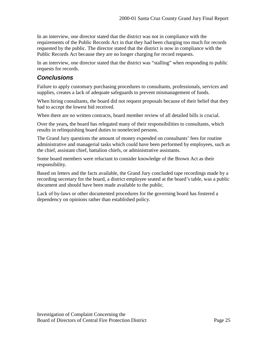In an interview, one director stated that the district was not in compliance with the requirements of the Public Records Act in that they had been charging too much for records requested by the public. The director stated that the district is now in compliance with the Public Records Act because they are no longer charging for record requests.

In an interview, one director stated that the district was "stalling" when responding to public requests for records.

#### *Conclusions*

Failure to apply customary purchasing procedures to consultants, professionals, services and supplies, creates a lack of adequate safeguards to prevent mismanagement of funds.

When hiring consultants, the board did not request proposals because of their belief that they had to accept the lowest bid received.

When there are no written contracts, board member review of all detailed bills is crucial.

Over the years*,* the board has relegated many of their responsibilities to consultants, which results in relinquishing board duties to nonelected persons.

The Grand Jury questions the amount of money expended on consultants' fees for routine administrative and managerial tasks which could have been performed by employees, such as the chief, assistant chief, battalion chiefs, or administrative assistants.

Some board members were reluctant to consider knowledge of the Brown Act as their responsibility.

Based on letters and the facts available, the Grand Jury concluded tape recordings made by a recording secretary for the board, a district employee seated at the board's table, was a public document and should have been made available to the public.

Lack of by-laws or other documented procedures for the governing board has fostered a dependency on opinions rather than established policy.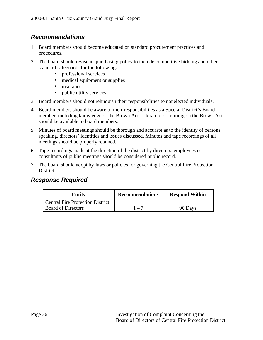#### *Recommendations*

- 1. Board members should become educated on standard procurement practices and procedures.
- 2. The board should revise its purchasing policy to include competitive bidding and other standard safeguards for the following:
	- professional services
	- medical equipment or supplies
	- insurance
	- public utility services
- 3. Board members should not relinquish their responsibilities to nonelected individuals.
- 4. Board members should be aware of their responsibilities as a Special District's Board member, including knowledge of the Brown Act. Literature or training on the Brown Act should be available to board members.
- 5. Minutes of board meetings should be thorough and accurate as to the identity of persons speaking, directors' identities and issues discussed. Minutes and tape recordings of all meetings should be properly retained.
- 6. Tape recordings made at the direction of the district by directors, employees or consultants of public meetings should be considered public record.
- 7. The board should adopt by-laws or policies for governing the Central Fire Protection District.

#### *Response Required*

| <b>Entity</b>                           | <b>Recommendations</b> | <b>Respond Within</b> |
|-----------------------------------------|------------------------|-----------------------|
| <b>Central Fire Protection District</b> |                        |                       |
| <b>Board of Directors</b>               | $-7$                   | 90 Days               |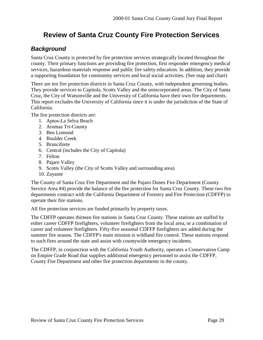# **Review of Santa Cruz County Fire Protection Services**

## *Background*

Santa Cruz County is protected by fire protection services strategically located throughout the county. Their primary functions are providing fire protection, first responder emergency medical services, hazardous materials response and public fire safety education. In addition, they provide a supporting foundation for community services and local social activities. (See map and chart)

There are ten fire protection districts in Santa Cruz County, with independent governing bodies. They provide services to Capitola, Scotts Valley and the unincorporated areas. The City of Santa Cruz, the City of Watsonville and the University of California have their own fire departments. This report excludes the University of California since it is under the jurisdiction of the State of California.

The fire protection districts are:

- 1. Aptos-La Selva Beach
- 2. Aromas Tri-County
- 3. Ben Lomond
- 4. Boulder Creek
- 5. Branciforte
- 6. Central (includes the City of Capitola)
- 7. Felton
- 8. Pajaro Valley
- 9. Scotts Valley (the City of Scotts Valley and surrounding area)
- 10. Zayante

The County of Santa Cruz Fire Department and the Pajaro Dunes Fire Department (County Service Area #4) provide the balance of the fire protection for Santa Cruz County. These two fire departments contract with the California Department of Forestry and Fire Protection (CDFFP) to operate their fire stations.

All fire protection services are funded primarily by property taxes.

The CDFFP operates thirteen fire stations in Santa Cruz County. These stations are staffed by either career CDFFP firefighters, volunteer firefighters from the local area, or a combination of career and volunteer firefighters. Fifty-five seasonal CDFFP firefighters are added during the summer fire season. The CDFFP's main mission is wildland fire control. These stations respond to such fires around the state and assist with countywide emergency incidents.

The CDFFP, in conjunction with the California Youth Authority, operates a Conservation Camp on Empire Grade Road that supplies additional emergency personnel to assist the CDFFP, County Fire Department and other fire protection departments in the county.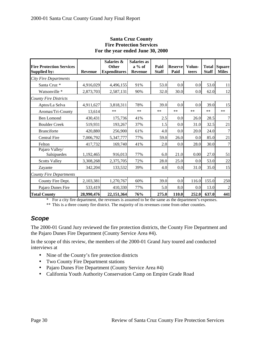| <b>Fire Protection Services</b><br>Supplied by: | <b>Revenue</b> | Salaries &<br>Other<br><b>Expenditures</b> | <b>Salaries as</b><br>$a\%$ of<br><b>Revenue</b> | Paid<br><b>Staff</b> | <b>Reserve</b><br>Paid | Volun-<br>teers | <b>Total</b><br><b>Staff</b> | <b>Square</b><br><b>Miles</b> |
|-------------------------------------------------|----------------|--------------------------------------------|--------------------------------------------------|----------------------|------------------------|-----------------|------------------------------|-------------------------------|
| <b>City Fire Departments</b>                    |                |                                            |                                                  |                      |                        |                 |                              |                               |
| Santa Cruz *                                    | 4,916,029      | 4,496,155                                  | 91%                                              | 53.0                 | 0.0                    | 0.0             | 53.0                         | 11                            |
| Watsonville *                                   | 2,873,703      | 2,587,131                                  | 90%                                              | 32.0                 | 30.0                   | 0.0             | 62.0                         | 12                            |
| <b>County Fire Districts</b>                    |                |                                            |                                                  |                      |                        |                 |                              |                               |
| Aptos/La Selva                                  | 4,911,627      | 3,818,311                                  | 78%                                              | 39.0                 | 0.0                    | 0.0             | 39.0                         | 15                            |
| Aromas/Tri-County                               | 13,614         | $**$                                       | $**$                                             | $***$                | $**$                   | $**$            | $**$                         | $**$                          |
| Ben Lomond                                      | 430,431        | 175,736                                    | 41%                                              | 2.5                  | 0.0                    | 26.0            | 28.5                         | 7                             |
| <b>Boulder Creek</b>                            | 519,931        | 193,267                                    | 37%                                              | 1.5                  | 0.0                    | 31.0            | 32.5                         | 21                            |
| <b>Branciforte</b>                              | 420,880        | 256,900                                    | 61%                                              | 4.0                  | 0.0                    | 20.0            | 24.0                         | $\overline{7}$                |
| <b>Central Fire</b>                             | 7,006,792      | 5,347,777                                  | 77%                                              | 59.0                 | 26.0                   | 0.0             | 85.0                         | 21                            |
| Felton                                          | 417,732        | 169,740                                    | 41%                                              | 2.0                  | 0.0                    | 28.0            | 30.0                         | $\overline{7}$                |
| Pajaro Valley/<br>Salsipuedes                   | 1,192,465      | 916,013                                    | 77%                                              | 6.0                  | 21.0                   | 0.00            | 27.0                         | 51                            |
| <b>Scotts Valley</b>                            | 3,308,268      | 2,375,705                                  | 72%                                              | 28.0                 | 25.0                   | 0.0             | 53.0                         | 22                            |
| Zayante                                         | 342,204        | 133,532                                    | 39%                                              | 4.0                  | 0.0                    | 31.0            | 35.0                         | 15                            |
| <b>County Fire Departments</b>                  |                |                                            |                                                  |                      |                        |                 |                              |                               |
| County Fire Dept.                               | 2,103,381      | 1,270,767                                  | 60%                                              | 39.0                 | 0.0                    | 116.0           | 155.0                        | 250                           |
| Pajaro Dunes Fire                               | 533,419        | 410,330                                    | 77%                                              | 5.0                  | 8.0                    | 0.0             | 13.0                         | 2                             |
| <b>Total County</b>                             | 28,990,476     | 22,151,364                                 | 76%                                              | 275.0                | 110.0                  | 252.0           | 637.0                        | 441                           |

#### **Santa Cruz County Fire Protection Services For the year ended June 30, 2000**

\* For a city fire department, the revenues is assumed to be the same as the department's expenses.

\*\* This is a three county fire district. The majority of its revenues come from other counties.

# *Scope*

The 2000-01 Grand Jury reviewed the fire protection districts, the County Fire Department and the Pajaro Dunes Fire Department (County Service Area #4).

In the scope of this review, the members of the 2000-01 Grand Jury toured and conducted interviews at

- Nine of the County's fire protection districts
- Two County Fire Department stations
- Pajaro Dunes Fire Department (County Service Area #4)
- California Youth Authority Conservation Camp on Empire Grade Road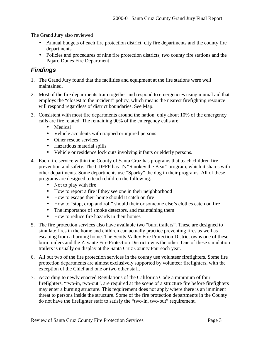The Grand Jury also reviewed

- Annual budgets of each fire protection district, city fire departments and the county fire departments
- Policies and procedures of nine fire protection districts, two county fire stations and the Pajaro Dunes Fire Department

## *Findings*

- 1. The Grand Jury found that the facilities and equipment at the fire stations were well maintained.
- 2. Most of the fire departments train together and respond to emergencies using mutual aid that employs the "closest to the incident" policy, which means the nearest firefighting resource will respond regardless of district boundaries. See Map.
- 3. Consistent with most fire departments around the nation, only about 10% of the emergency calls are fire related. The remaining 90% of the emergency calls are
	- Medical
	- Vehicle accidents with trapped or injured persons
	- Other rescue services
	- Hazardous material spills
	- Vehicle or residence lock outs involving infants or elderly persons.
- 4. Each fire service within the County of Santa Cruz has programs that teach children fire prevention and safety. The CDFFP has it's "Smokey the Bear" program, which it shares with other departments. Some departments use "Sparky" the dog in their programs. All of these programs are designed to teach children the following:
	- Not to play with fire
	- How to report a fire if they see one in their neighborhood
	- How to escape their home should it catch on fire
	- How to "stop, drop and roll" should their or someone else's clothes catch on fire
	- The importance of smoke detectors, and maintaining them
	- How to reduce fire hazards in their homes
- 5. The fire protection services also have available two "burn trailers". These are designed to simulate fires in the home and children can actually practice preventing fires as well as escaping from a burning home. The Scotts Valley Fire Protection District owns one of these burn trailers and the Zayante Fire Protection District owns the other. One of these simulation trailers is usually on display at the Santa Cruz County Fair each year.
- 6. All but two of the fire protection services in the county use volunteer firefighters. Some fire protection departments are almost exclusively supported by volunteer firefighters, with the exception of the Chief and one or two other staff.
- 7. According to newly enacted Regulations of the California Code a minimum of four firefighters, "two-in, two-out", are required at the scene of a structure fire before firefighters may enter a burning structure. This requirement does not apply where there is an imminent threat to persons inside the structure. Some of the fire protection departments in the County do not have the firefighter staff to satisfy the "two-in, two-out" requirement.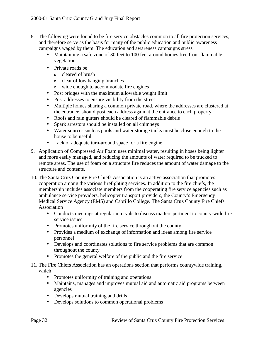- 8. The following were found to be fire service obstacles common to all fire protection services, and therefore serve as the basis for many of the public education and public awareness campaigns waged by them. The education and awareness campaigns stress
	- Maintaining a safe zone of 30 feet to 100 feet around homes free from flammable vegetation
	- Private roads be
		- @ cleared of brush
		- @ clear of low hanging branches
		- @ wide enough to accommodate fire engines
	- Post bridges with the maximum allowable weight limit
	- Post addresses to ensure visibility from the street
	- Multiple homes sharing a common private road, where the addresses are clustered at the entrance, should post each address again at the entrance to each property
	- Roofs and rain gutters should be cleared of flammable debris
	- Spark arrestors should be installed on all chimneys
	- Water sources such as pools and water storage tanks must be close enough to the house to be useful
	- Lack of adequate turn-around space for a fire engine
- 9. Application of Compressed Air Foam uses minimal water, resulting in hoses being lighter and more easily managed, and reducing the amounts of water required to be trucked to remote areas. The use of foam on a structure fire reduces the amount of water damage to the structure and contents.
- 10. The Santa Cruz County Fire Chiefs Association is an active association that promotes cooperation among the various firefighting services. In addition to the fire chiefs, the membership includes associate members from the cooperating fire service agencies such as ambulance service providers, helicopter transport providers, the County's Emergency Medical Service Agency (EMS) and Cabrillo College. The Santa Cruz County Fire Chiefs Association
	- Conducts meetings at regular intervals to discuss matters pertinent to county-wide fire service issues
	- Promotes uniformity of the fire service throughout the county
	- Provides a medium of exchange of information and ideas among fire service personnel
	- Develops and coordinates solutions to fire service problems that are common throughout the county
	- Promotes the general welfare of the public and the fire service
- 11. The Fire Chiefs Association has an operations section that performs countywide training, which
	- Promotes uniformity of training and operations
	- Maintains, manages and improves mutual aid and automatic aid programs between agencies
	- Develops mutual training and drills
	- Develops solutions to common operational problems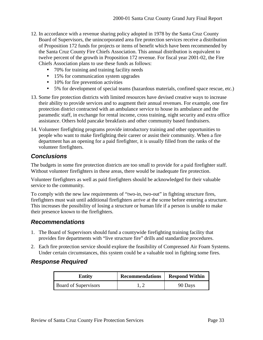- 12. In accordance with a revenue sharing policy adopted in 1978 by the Santa Cruz County Board of Supervisors, the unincorporated area fire protection services receive a distribution of Proposition 172 funds for projects or items of benefit which have been recommended by the Santa Cruz County Fire Chiefs Association. This annual distribution is equivalent to twelve percent of the growth in Proposition 172 revenue. For fiscal year 2001-02, the Fire Chiefs Association plans to use these funds as follows:
	- 70% for training and training facility needs
	- 15% for communication system upgrades
	- 10% for fire prevention activities
	- 5% for development of special teams (hazardous materials, confined space rescue, etc.)
- 13. Some fire protection districts with limited resources have devised creative ways to increase their ability to provide services and to augment their annual revenues. For example, one fire protection district contracted with an ambulance service to house its ambulance and the paramedic staff, in exchange for rental income, cross training, night security and extra office assistance. Others hold pancake breakfasts and other community based fundraisers.
- 14. Volunteer firefighting programs provide introductory training and other opportunities to people who want to make firefighting their career or assist their community. When a fire department has an opening for a paid firefighter, it is usually filled from the ranks of the volunteer firefighters.

## *Conclusions*

The budgets in some fire protection districts are too small to provide for a paid firefighter staff. Without volunteer firefighters in these areas, there would be inadequate fire protection.

Volunteer firefighters as well as paid firefighters should be acknowledged for their valuable service to the community.

To comply with the new law requirements of "two-in, two-out" in fighting structure fires, firefighters must wait until additional firefighters arrive at the scene before entering a structure. This increases the possibility of losing a structure or human life if a person is unable to make their presence known to the firefighters.

#### *Recommendations*

- 1. The Board of Supervisors should fund a countywide firefighting training facility that provides fire departments with "live structure fire" drills and standardize procedures.
- 2. Each fire protection service should explore the feasibility of Compressed Air Foam Systems. Under certain circumstances, this system could be a valuable tool in fighting some fires.

## *Response Required*

| <b>Entity</b>        | <b>Recommendations</b> | <b>Respond Within</b> |  |  |
|----------------------|------------------------|-----------------------|--|--|
| Board of Supervisors |                        | 90 Days               |  |  |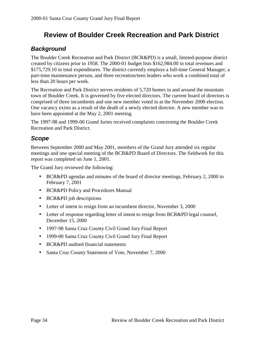# **Review of Boulder Creek Recreation and Park District**

## *Background*

The Boulder Creek Recreation and Park District (BCR&PD) is a small, limited-purpose district created by citizens prior to 1958. The 2000-01 budget lists \$162,984.00 in total revenues and \$175,729.10 in total expenditures. The district currently employs a full-time General Manager, a part-time maintenance person, and three recreation/teen leaders who work a combined total of less than 20 hours per week.

The Recreation and Park District serves residents of 5,720 homes in and around the mountain town of Boulder Creek. It is governed by five elected directors. The current board of directors is comprised of three incumbents and one new member voted in at the November 2000 election. One vacancy exists as a result of the death of a newly elected director. A new member was to have been appointed at the May 2, 2001 meeting.

The 1997-98 and 1999-00 Grand Juries received complaints concerning the Boulder Creek Recreation and Park District.

## *Scope*

Between September 2000 and May 2001, members of the Grand Jury attended six regular meetings and one special meeting of the BCR&PD Board of Directors. The fieldwork for this report was completed on June 1, 2001.

The Grand Jury reviewed the following:

- BCR&PD agendas and minutes of the board of director meetings, February 2, 2000 to February 7, 2001
- BCR&PD Policy and Procedures Manual
- BCR&PD job descriptions
- Letter of intent to resign from an incumbent director, November 3, 2000
- Letter of response regarding letter of intent to resign from BCR&PD legal counsel, December 15, 2000
- 1997-98 Santa Cruz County Civil Grand Jury Final Report
- 1999-00 Santa Cruz County Civil Grand Jury Final Report
- BCR&PD audited financial statements
- Santa Cruz County Statement of Vote, November 7, 2000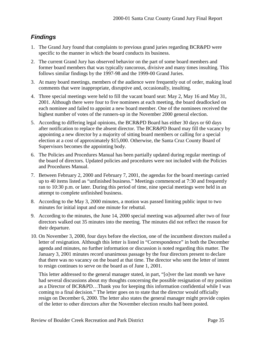# *Findings*

- 1. The Grand Jury found that complaints to previous grand juries regarding BCR&PD were specific to the manner in which the board conducts its business.
- 2. The current Grand Jury has observed behavior on the part of some board members and former board members that was typically rancorous, divisive and many times insulting. This follows similar findings by the 1997-98 and the 1999-00 Grand Juries.
- 3. At many board meetings, members of the audience were frequently out of order, making loud comments that were inappropriate, disruptive and, occasionally, insulting.
- 4. Three special meetings were held to fill the vacant board seat: May 2, May 16 and May 31, 2001. Although there were four to five nominees at each meeting, the board deadlocked on each nominee and failed to appoint a new board member. One of the nominees received the highest number of votes of the runners-up in the November 2000 general election.
- 5. According to differing legal opinions, the BCR&PD Board has either 30 days or 60 days after notification to replace the absent director. The BCR&PD Board may fill the vacancy by appointing a new director by a majority of sitting board members or calling for a special election at a cost of approximately \$15,000. Otherwise, the Santa Cruz County Board of Supervisors becomes the appointing body.
- 6. The Policies and Procedures Manual has been partially updated during regular meetings of the board of directors. Updated policies and procedures were not included with the Policies and Procedures Manual.
- 7. Between February 2, 2000 and February 7, 2001, the agendas for the board meetings carried up to 40 items listed as "unfinished business." Meetings commenced at 7:30 and frequently ran to 10:30 p.m. or later. During this period of time, nine special meetings were held in an attempt to complete unfinished business.
- 8. According to the May 3, 2000 minutes, a motion was passed limiting public input to two minutes for initial input and one minute for rebuttal.
- 9. According to the minutes, the June 14, 2000 special meeting was adjourned after two of four directors walked out 35 minutes into the meeting. The minutes did not reflect the reason for their departure.
- 10. On November 3, 2000, four days before the election, one of the incumbent directors mailed a letter of resignation. Although this letter is listed in "Correspondence" in both the December agenda and minutes, no further information or discussion is noted regarding this matter. The January 3, 2001 minutes record unanimous passage by the four directors present to declare that there was no vacancy on the board at that time. The director who sent the letter of intent to resign continues to serve on the board as of June 1, 2001.

This letter addressed to the general manager stated, in part, "[o]ver the last month we have had several discussions about my thoughts concerning the possible resignation of my position as a Director of BCR&PD…Thank you for keeping this information confidential while I was coming to a final decision." The letter goes on to state that the director would officially resign on December 6, 2000. The letter also states the general manager might provide copies of the letter to other directors after the November election results had been posted.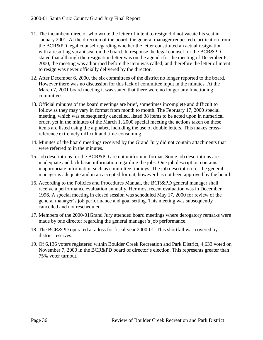- 11. The incumbent director who wrote the letter of intent to resign did not vacate his seat in January 2001. At the direction of the board, the general manager requested clarification from the BCR&PD legal counsel regarding whether the letter constituted an actual resignation with a resulting vacant seat on the board. In response the legal counsel for the BCR&PD stated that although the resignation letter was on the agenda for the meeting of December 6, 2000, the meeting was adjourned before the item was called, and therefore the letter of intent to resign was never officially delivered by the director.
- 12. After December 6, 2000, the six committees of the district no longer reported to the board. However there was no discussion for this lack of committee input in the minutes. At the March 7, 2001 board meeting it was stated that there were no longer any functioning committees.
- 13. Official minutes of the board meetings are brief, sometimes incomplete and difficult to follow as they may vary in format from month to month. The February 17, 2000 special meeting, which was subsequently cancelled, listed 38 items to be acted upon in numerical order, yet in the minutes of the March 1, 2000 special meeting the actions taken on these items are listed using the alphabet, including the use of double letters. This makes crossreference extremely difficult and time-consuming.
- 14. Minutes of the board meetings received by the Grand Jury did not contain attachments that were referred to in the minutes.
- 15. Job descriptions for the BCR&PD are not uniform in format. Some job descriptions are inadequate and lack basic information regarding the jobs. One job description contains inappropriate information such as committee findings. The job description for the general manager is adequate and in an accepted format, however has not been approved by the board.
- 16. According to the Policies and Procedures Manual, the BCR&PD general manager shall receive a performance evaluation annually. Her most recent evaluation was in December 1996. A special meeting in closed session was scheduled May 17, 2000 for review of the general manager's job performance and goal setting. This meeting was subsequently cancelled and not rescheduled.
- 17. Members of the 2000-01Grand Jury attended board meetings where derogatory remarks were made by one director regarding the general manager's job performance.
- 18. The BCR&PD operated at a loss for fiscal year 2000-01. This shortfall was covered by district reserves.
- 19. Of 6,136 voters registered within Boulder Creek Recreation and Park District, 4,633 voted on November 7, 2000 in the BCR&PD board of director's election. This represents greater than 75% voter turnout.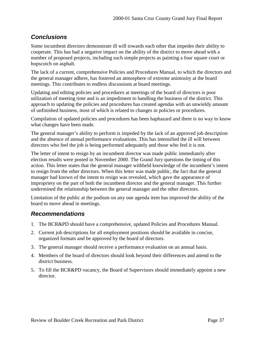# *Conclusions*

Some incumbent directors demonstrate ill will towards each other that impedes their ability to cooperate. This has had a negative impact on the ability of the district to move ahead with a number of proposed projects, including such simple projects as painting a four square court or hopscotch on asphalt.

The lack of a current, comprehensive Policies and Procedures Manual, to which the directors and the general manager adhere, has fostered an atmosphere of extreme animosity at the board meetings. This contributes to endless discussions at board meetings.

Updating and editing policies and procedures at meetings of the board of directors is poor utilization of meeting time and is an impediment to handling the business of the district. This approach to updating the policies and procedures has created agendas with an unwieldy amount of unfinished business, most of which is related to changes in policies or procedures.

Compilation of updated policies and procedures has been haphazard and there is no way to know what changes have been made.

The general manager's ability to perform is impeded by the lack of an approved job description and the absence of annual performance evaluations. This has intensified the ill will between directors who feel the job is being performed adequately and those who feel it is not.

The letter of intent to resign by an incumbent director was made public immediately after election results were posted in November 2000. The Grand Jury questions the timing of this action. This letter states that the general manager withheld knowledge of the incumbent's intent to resign from the other directors. When this letter was made public, the fact that the general manager had known of the intent to resign was revealed, which gave the appearance of impropriety on the part of both the incumbent director and the general manager. This further undermined the relationship between the general manager and the other directors.

Limitation of the public at the podium on any one agenda item has improved the ability of the board to move ahead in meetings.

## *Recommendations*

- 1. The BCR&PD should have a comprehensive, updated Policies and Procedures Manual.
- 2. Current job descriptions for all employment positions should be available in concise, organized formats and be approved by the board of directors.
- 3. The general manager should receive a performance evaluation on an annual basis.
- 4. Members of the board of directors should look beyond their differences and attend to the district business.
- 5. To fill the BCR&PD vacancy, the Board of Supervisors should immediately appoint a new director.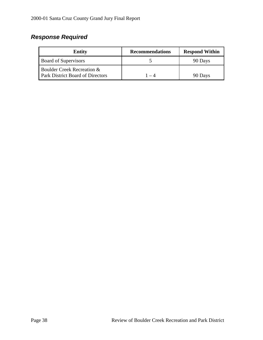# *Response Required*

| <b>Entity</b>                                                         | <b>Recommendations</b> | <b>Respond Within</b> |
|-----------------------------------------------------------------------|------------------------|-----------------------|
| <b>Board of Supervisors</b>                                           |                        | 90 Days               |
| Boulder Creek Recreation &<br><b>Park District Board of Directors</b> | $1 - 4$                | 90 Days               |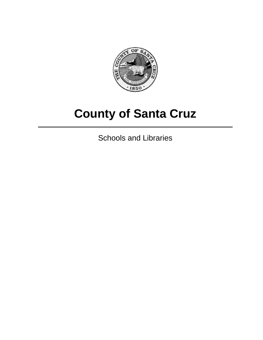

# **County of Santa Cruz**

Schools and Libraries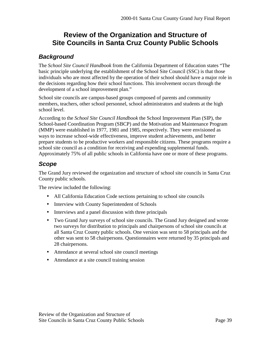# **Review of the Organization and Structure of Site Councils in Santa Cruz County Public Schools**

# *Background*

The *School Site Council Handbook* from the California Department of Education states "The basic principle underlying the establishment of the School Site Council (SSC) is that those individuals who are most affected by the operation of their school should have a major role in the decisions regarding how their school functions. This involvement occurs through the development of a school improvement plan."

School site councils are campus-based groups composed of parents and community members, teachers, other school personnel, school administrators and students at the high school level.

According to the *School Site Council Handbook* the School Improvement Plan (SIP), the School-based Coordination Program (SBCP) and the Motivation and Maintenance Program (MMP) were established in 1977, 1981 and 1985, respectively. They were envisioned as ways to increase school-wide effectiveness, improve student achievements, and better prepare students to be productive workers and responsible citizens. These programs require a school site council as a condition for receiving and expending supplemental funds. Approximately 75% of all public schools in California have one or more of these programs.

## *Scope*

The Grand Jury reviewed the organization and structure of school site councils in Santa Cruz County public schools.

The review included the following:

- All California Education Code sections pertaining to school site councils
- Interview with County Superintendent of Schools
- Interviews and a panel discussion with three principals
- Two Grand Jury surveys of school site councils. The Grand Jury designed and wrote two surveys for distribution to principals and chairpersons of school site councils at all Santa Cruz County public schools. One version was sent to 58 principals and the other was sent to 58 chairpersons. Questionnaires were returned by 35 principals and 28 chairpersons.
- Attendance at several school site council meetings
- Attendance at a site council training session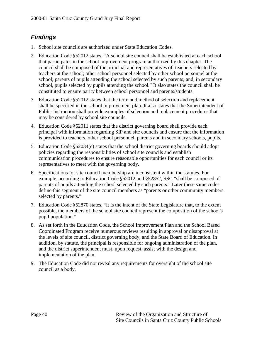# *Findings*

- 1. School site councils are authorized under State Education Codes.
- 2. Education Code §52012 states, "A school site council shall be established at each school that participates in the school improvement program authorized by this chapter. The council shall be composed of the principal and representatives of: teachers selected by teachers at the school; other school personnel selected by other school personnel at the school; parents of pupils attending the school selected by such parents; and, in secondary school, pupils selected by pupils attending the school." It also states the council shall be constituted to ensure parity between school personnel and parents/students.
- 3. Education Code §52012 states that the term and method of selection and replacement shall be specified in the school improvement plan. It also states that the Superintendent of Public Instruction shall provide examples of selection and replacement procedures that may be considered by school site councils.
- 4. Education Code §52011 states that the district governing board shall provide each principal with information regarding SIP and site councils and ensure that the information is provided to teachers, other school personnel, parents and in secondary schools, pupils.
- 5. Education Code §52034(c) states that the school district governing boards should adopt policies regarding the responsibilities of school site councils and establish communication procedures to ensure reasonable opportunities for each council or its representatives to meet with the governing body.
- 6. Specifications for site council membership are inconsistent within the statutes. For example, according to Education Code §52012 and §52852, SSC "shall be composed of parents of pupils attending the school selected by such parents." Later these same codes define this segment of the site council members as "parents or other community members selected by parents."
- 7. Education Code §52870 states, "It is the intent of the State Legislature that, to the extent possible, the members of the school site council represent the composition of the school's pupil population."
- 8. As set forth in the Education Code, the School Improvement Plan and the School Based Coordinated Program receive numerous reviews resulting in approval or disapproval at the levels of site council, district governing body, and the State Board of Education. In addition, by statute, the principal is responsible for ongoing administration of the plan, and the district superintendent must, upon request, assist with the design and implementation of the plan.
- 9. The Education Code did not reveal any requirements for oversight of the school site council as a body.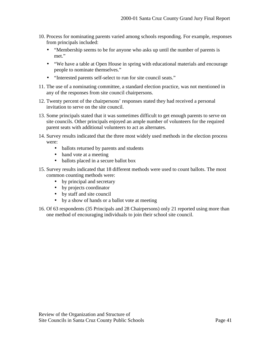- 10. Process for nominating parents varied among schools responding. For example, responses from principals included:
	- "Membership seems to be for anyone who asks up until the number of parents is met."
	- "We have a table at Open House in spring with educational materials and encourage people to nominate themselves."
	- "Interested parents self-select to run for site council seats."
- 11. The use of a nominating committee, a standard election practice, was not mentioned in any of the responses from site council chairpersons.
- 12. Twenty percent of the chairpersons' responses stated they had received a personal invitation to serve on the site council.
- 13. Some principals stated that it was sometimes difficult to get enough parents to serve on site councils. Other principals enjoyed an ample number of volunteers for the required parent seats with additional volunteers to act as alternates.
- 14. Survey results indicated that the three most widely used methods in the election process were:
	- ballots returned by parents and students
	- hand vote at a meeting
	- ballots placed in a secure ballot box
- 15. Survey results indicated that 18 different methods were used to count ballots. The most common counting methods were:
	- by principal and secretary
	- by projects coordinator
	- by staff and site council
	- by a show of hands or a ballot vote at meeting
- 16. Of 63 respondents (35 Principals and 28 Chairpersons) only 21 reported using more than one method of encouraging individuals to join their school site council.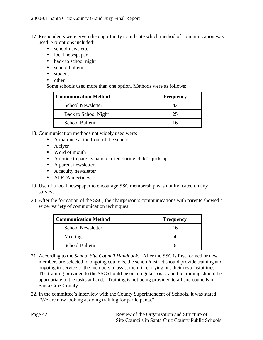- 17. Respondents were given the opportunity to indicate which method of communication was used. Six options included:
	- school newsletter
	- local newspaper
	- back to school night
	- school bulletin
	- student
	- other

Some schools used more than one option. Methods were as follows:

| <b>Communication Method</b> | <b>Frequency</b> |  |  |
|-----------------------------|------------------|--|--|
| School Newsletter           |                  |  |  |
| Back to School Night        | 25               |  |  |
| School Bulletin             |                  |  |  |

- 18. Communication methods not widely used were:
	- A marquee at the front of the school
	- A flyer
	- Word of mouth
	- A notice to parents hand-carried during child's pick-up
	- A parent newsletter
	- A faculty newsletter
	- At PTA meetings
- 19. Use of a local newspaper to encourage SSC membership was not indicated on any surveys.
- 20. After the formation of the SSC, the chairperson's communications with parents showed a wider variety of communication techniques.

| <b>Communication Method</b> | <b>Frequency</b> |  |  |
|-----------------------------|------------------|--|--|
| School Newsletter           | 16               |  |  |
| Meetings                    |                  |  |  |
| <b>School Bulletin</b>      |                  |  |  |

- 21. According to the *School Site Council Handbook*, "After the SSC is first formed or new members are selected to ongoing councils, the school/district should provide training and ongoing in-service to the members to assist them in carrying out their responsibilities. The training provided to the SSC should be on a regular basis, and the training should be appropriate to the tasks at hand." Training is not being provided to all site councils in Santa Cruz County.
- 22. In the committee's interview with the County Superintendent of Schools, it was stated "We are now looking at doing training for participants."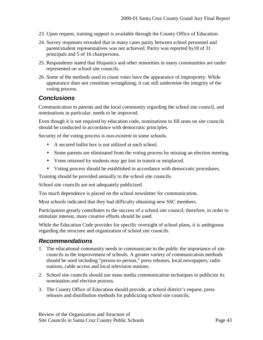- 23. Upon request, training support is available through the County Office of Education.
- 24. Survey responses revealed that in many cases parity between school personnel and parent/student representatives was not achieved. Parity was reported by18 of 31 principals and 5 of 16 chairpersons.
- 25. Respondents stated that Hispanics and other minorities in many communities are under represented on school site councils.
- 26. Some of the methods used to count votes have the appearance of impropriety. While appearance does not constitute wrongdoing, it can still undermine the integrity of the voting process.

### *Conclusions*

Communication to parents and the local community regarding the school site council, and nominations in particular, needs to be improved.

Even though it is not required by education code, nominations to fill seats on site councils should be conducted in accordance with democratic principles.

Security of the voting process is non-existent in some schools.

- A secured ballot box is not utilized at each school.
- Some parents are eliminated from the voting process by missing an election meeting.
- Votes returned by students may get lost in transit or misplaced.
- Voting process should be established in accordance with democratic procedures.

Training should be provided annually to the school site councils.

School site councils are not adequately publicized.

Too much dependence is placed on the school newsletter for communication.

Most schools indicated that they had difficulty obtaining new SSC members.

Participation greatly contributes to the success of a school site council; therefore, in order to stimulate interest, more creative efforts should be used.

While the Education Code provides for specific oversight of school plans, it is ambiguous regarding the structure and organization of school site councils.

#### *Recommendations*

- 1. The educational community needs to communicate to the public the importance of site councils in the improvement of schools. A greater variety of communication methods should be used including "person-to-person," press releases, local newspapers, radio stations, cable access and local television stations.
- 2. School site councils should use mass media communication techniques to publicize its nomination and election process.
- 3. The County Office of Education should provide, at school district's request, press releases and distribution methods for publicizing school site councils.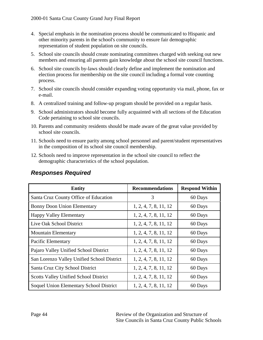- 4. Special emphasis in the nomination process should be communicated to Hispanic and other minority parents in the school's community to ensure fair demographic representation of student population on site councils.
- 5. School site councils should create nominating committees charged with seeking out new members and ensuring all parents gain knowledge about the school site council functions.
- 6. School site councils by-laws should clearly define and implement the nomination and election process for membership on the site council including a formal vote counting process.
- 7. School site councils should consider expanding voting opportunity via mail, phone, fax or e-mail.
- 8. A centralized training and follow-up program should be provided on a regular basis.
- 9. School administrators should become fully acquainted with all sections of the Education Code pertaining to school site councils.
- 10. Parents and community residents should be made aware of the great value provided by school site councils.
- 11. Schools need to ensure parity among school personnel and parent/student representatives in the composition of its school site council membership.
- 12. Schools need to improve representation in the school site council to reflect the demographic characteristics of the school population.

| <b>Entity</b>                              | <b>Recommendations</b> | <b>Respond Within</b> |  |
|--------------------------------------------|------------------------|-----------------------|--|
| Santa Cruz County Office of Education      | 3                      | 60 Days               |  |
| <b>Bonny Doon Union Elementary</b>         | 1, 2, 4, 7, 8, 11, 12  | 60 Days               |  |
| <b>Happy Valley Elementary</b>             | 1, 2, 4, 7, 8, 11, 12  | 60 Days               |  |
| Live Oak School District                   | 1, 2, 4, 7, 8, 11, 12  | 60 Days               |  |
| <b>Mountain Elementary</b>                 | 1, 2, 4, 7, 8, 11, 12  | 60 Days               |  |
| Pacific Elementary                         | 1, 2, 4, 7, 8, 11, 12  | 60 Days               |  |
| Pajaro Valley Unified School District      | 1, 2, 4, 7, 8, 11, 12  | 60 Days               |  |
| San Lorenzo Valley Unified School District | 1, 2, 4, 7, 8, 11, 12  | 60 Days               |  |
| Santa Cruz City School District            | 1, 2, 4, 7, 8, 11, 12  | 60 Days               |  |
| Scotts Valley Unified School District      | 1, 2, 4, 7, 8, 11, 12  | 60 Days               |  |
| Soquel Union Elementary School District    | 1, 2, 4, 7, 8, 11, 12  | 60 Days               |  |

### *Responses Required*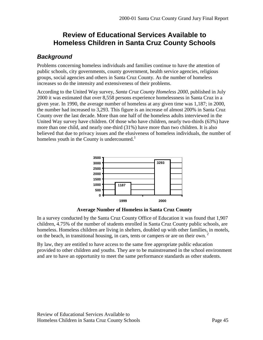# **Review of Educational Services Available to Homeless Children in Santa Cruz County Schools**

# *Background*

Problems concerning homeless individuals and families continue to have the attention of public schools, city governments, county government, health service agencies, religious groups, social agencies and others in Santa Cruz County. As the number of homeless increases so do the intensity and extensiveness of their problems.

According to the United Way survey, *Santa Cruz County Homeless 2000*, published in July 2000 it was estimated that over 8,558 persons experience homelessness in Santa Cruz in a given year. In 1990, the average number of homeless at any given time was 1,187; in 2000, the number had increased to 3,293. This figure is an increase of almost 200% in Santa Cruz County over the last decade. More than one half of the homeless adults interviewed in the United Way survey have children. Of those who have children, nearly two-thirds (63%) have more than one child, and nearly one-third (31%) have more than two children. It is also believed that due to privacy issues and the elusiveness of homeless individuals, the number of homeless youth in the County is undercounted. $<sup>1</sup>$ </sup>



**Average Number of Homeless in Santa Cruz County**

In a survey conducted by the Santa Cruz County Office of Education it was found that 1,907 children, 4.75% of the number of students enrolled in Santa Cruz County public schools, are homeless. Homeless children are living in shelters, doubled up with other families, in motels, on the beach, in transitional housing, in cars, tents or campers or are on their own.<sup>2</sup>

By law, they are entitled to have access to the same free appropriate public education provided to other children and youths. They are to be mainstreamed in the school environment and are to have an opportunity to meet the same performance standards as other students.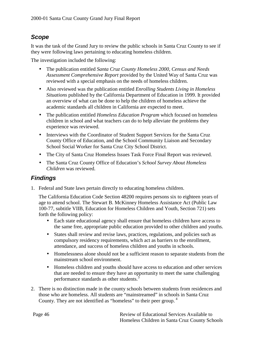# *Scope*

It was the task of the Grand Jury to review the public schools in Santa Cruz County to see if they were following laws pertaining to educating homeless children.

The investigation included the following:

- The publication entitled *Santa Cruz County Homeless 2000, Census and Needs Assessment Comprehensive Report* provided by the United Way of Santa Cruz was reviewed with a special emphasis on the needs of homeless children.
- Also reviewed was the publication entitled *Enrolling Students Living in Homeless Situations* published by the California Department of Education in 1999. It provided an overview of what can be done to help the children of homeless achieve the academic standards all children in California are expected to meet.
- The publication entitled *Homeless Education Program* which focused on homeless children in school and what teachers can do to help alleviate the problems they experience was reviewed.
- Interviews with the Coordinator of Student Support Services for the Santa Cruz County Office of Education, and the School Community Liaison and Secondary School Social Worker for Santa Cruz City School District.
- The City of Santa Cruz Homeless Issues Task Force Final Report was reviewed.
- The Santa Cruz County Office of Education's *School Survey About Homeless Children* was reviewed.

# *Findings*

1. Federal and State laws pertain directly to educating homeless children.

The California Education Code Section 48200 requires persons six to eighteen years of age to attend school. The Stewart B. McKinney Homeless Assistance Act (Public Law 100-77, subtitle VIIB, Education for Homeless Children and Youth, Section 721) sets forth the following policy:

- Each state educational agency shall ensure that homeless children have access to the same free, appropriate public education provided to other children and youths.
- States shall review and revise laws, practices, regulations, and policies such as compulsory residency requirements, which act as barriers to the enrollment, attendance, and success of homeless children and youths in schools.
- Homelessness alone should not be a sufficient reason to separate students from the mainstream school environment.
- Homeless children and youths should have access to education and other services that are needed to ensure they have an opportunity to meet the same challenging performance standards as other students.<sup>3</sup>
- 2. There is no distinction made in the county schools between students from residences and those who are homeless. All students are "mainstreamed" in schools in Santa Cruz County. They are not identified as "homeless" to their peer group.<sup>4</sup>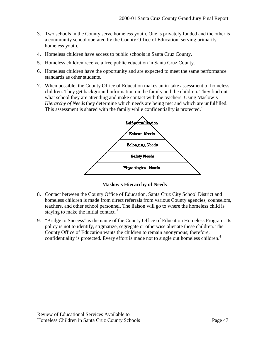- 3. Two schools in the County serve homeless youth. One is privately funded and the other is a community school operated by the County Office of Education, serving primarily homeless youth.
- 4. Homeless children have access to public schools in Santa Cruz County.
- 5. Homeless children receive a free public education in Santa Cruz County.
- 6. Homeless children have the opportunity and are expected to meet the same performance standards as other students.
- 7. When possible, the County Office of Education makes an in-take assessment of homeless children. They get background information on the family and the children. They find out what school they are attending and make contact with the teachers. Using Maslow's *Hierarchy of Needs*they determine which needs are being met and which are unfulfilled. This assessment is shared with the family while confidentiality is protected.<sup>4</sup>



**Maslow's Hierarchy of Needs**

- 8. Contact between the County Office of Education, Santa Cruz City School District and homeless children is made from direct referrals from various County agencies, counselors, teachers, and other school personnel. The liaison will go to where the homeless child is staying to make the initial contact.<sup>4</sup>
- 9. "Bridge to Success" is the name of the County Office of Education Homeless Program. Its policy is not to identify, stigmatize, segregate or otherwise alienate these children. The County Office of Education wants the children to remain anonymous; therefore, confidentiality is protected. Every effort is made not to single out homeless children.<sup>4</sup>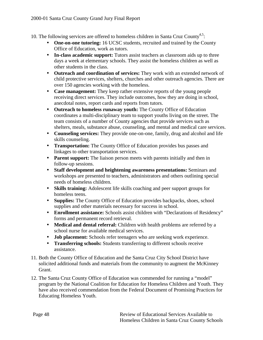- 10. The following services are offered to homeless children in Santa Cruz County<sup>4,5</sup>:
	- **One-on-one tutoring:** 16 UCSC students, recruited and trained by the County Office of Education, work as tutors.
	- **In-class academic support:** Tutors assist teachers as classroom aids up to three days a week at elementary schools. They assist the homeless children as well as other students in the class.
	- **Outreach and coordination of services:** They work with an extended network of child protective services, shelters, churches and other outreach agencies. There are over 150 agencies working with the homeless.
	- **Case management:** They keep rather extensive reports of the young people receiving direct services. They include outcomes, how they are doing in school, anecdotal notes, report cards and reports from tutors.
	- **Outreach to homeless runaway youth:** The County Office of Education coordinates a multi-disciplinary team to support youths living on the street. The team consists of a number of County agencies that provide services such as shelters, meals, substance abuse, counseling, and mental and medical care services.
	- **Counseling services:** They provide one-on-one, family, drug and alcohol and life skills counseling.
	- **Transportation:** The County Office of Education provides bus passes and linkages to other transportation services.
	- **Parent support:** The liaison person meets with parents initially and then in follow-up sessions.
	- **Staff development and heightening awareness presentations:** Seminars and workshops are presented to teachers, administrators and others outlining special needs of homeless children.
	- **Skills training:** Adolescent life skills coaching and peer support groups for homeless teens.
	- **Supplies:** The County Office of Education provides backpacks, shoes, school supplies and other materials necessary for success in school.
	- **Enrollment assistance:** Schools assist children with "Declarations of Residency" forms and permanent record retrieval.
	- **Medical and dental referral:** Children with health problems are referred by a school nurse for available medical services.
	- **Job placement:** Schools refer teenagers who are seeking work experience.
	- **Transferring schools:** Students transferring to different schools receive assistance.
- 11. Both the County Office of Education and the Santa Cruz City School District have solicited additional funds and materials from the community to augment the McKinney Grant.
- 12. The Santa Cruz County Office of Education was commended for running a "model" program by the National Coalition for Education for Homeless Children and Youth. They have also received commendation from the Federal Document of Promising Practices for Educating Homeless Youth.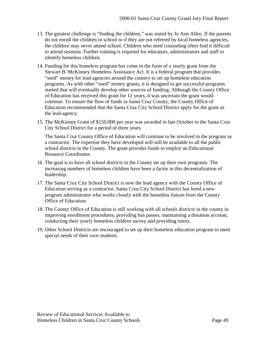- 13. The greatest challenge is "finding the children," was stated by Jo Ann Allen. If the parents do not enroll the children in school or if they are not referred by local homeless agencies, the children may never attend school. Children who need counseling often find it difficult to attend sessions. Further training is required for educators, administrators and staff to identify homeless children.
- 14. Funding for this homeless program has come in the form of a yearly grant from the Stewart B. McKinney Homeless Assistance Act. It is a federal program that provides "seed" money for lead agencies around the country to set up homeless education programs. As with other "seed" money grants, it is designed to get successful programs started that will eventually develop other sources of funding. Although the County Office of Education has received this grant for 12 years, it was uncertain the grant would continue. To ensure the flow of funds to Santa Cruz County, the County Office of Education recommended that the Santa Cruz City School District apply for the grant as the lead agency.
- 15. The McKinney Grant of \$150,000 per year was awarded in late October to the Santa Cruz City School District for a period of three years.

The Santa Cruz County Office of Education will continue to be involved in the program as a contractor. The expertise they have developed will still be available to all the public school districts in the County. The grant provides funds to employ an Educational Resource Coordinator.

- 16. The goal is to have all school districts in the County set up their own programs. The increasing numbers of homeless children have been a factor in this decentralization of leadership.
- 17. The Santa Cruz City School District is now the lead agency with the County Office of Education serving as a contractor. Santa Cruz City School District has hired a new program administrator who works closely with the homeless liaison from the County Office of Education.
- 18. The County Office of Education is still working with all schools districts in the county in improving enrollment procedures, providing bus passes, maintaining a donation account, conducting their yearly homeless children survey and providing tutors.
- 19. Other School Districts are encouraged to set up their homeless education program to meet special needs of their own students.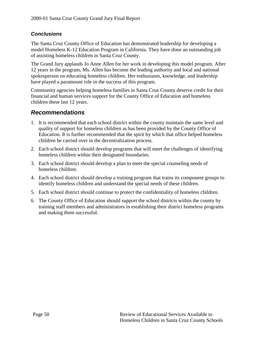#### *Conclusions*

The Santa Cruz County Office of Education has demonstrated leadership for developing a model Homeless K-12 Education Program in California. They have done an outstanding job of assisting homeless children in Santa Cruz County.

The Grand Jury applauds Jo Anne Allen for her work in developing this model program. After 12 years in the program, Ms. Allen has become the leading authority and local and national spokesperson on educating homeless children. Her enthusiasm, knowledge, and leadership have played a paramount role in the success of this program.

Community agencies helping homeless families in Santa Cruz County deserve credit for their financial and human services support for the County Office of Education and homeless children these last 12 years.

### *Recommendations*

- 1. It is recommended that each school district within the county maintain the same level and quality of support for homeless children as has been provided by the County Office of Education. It is further recommended that the spirit by which that office helped homeless children be carried over in the decentralization process.
- 2. Each school district should develop programs that will meet the challenges of identifying homeless children within their designated boundaries.
- 3. Each school district should develop a plan to meet the special counseling needs of homeless children.
- 4. Each school district should develop a training program that trains its component groups to identify homeless children and understand the special needs of these children.
- 5. Each school district should continue to protect the confidentiality of homeless children.
- 6. The County Office of Education should support the school districts within the county by training staff members and administrators in establishing their district homeless programs and making them successful.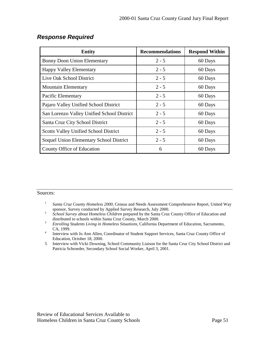| <b>Entity</b>                                | <b>Recommendations</b> | <b>Respond Within</b> |  |
|----------------------------------------------|------------------------|-----------------------|--|
| <b>Bonny Doon Union Elementary</b>           | $2 - 5$                | 60 Days               |  |
| <b>Happy Valley Elementary</b>               | $2 - 5$                | 60 Days               |  |
| Live Oak School District                     | $2 - 5$                | 60 Days               |  |
| <b>Mountain Elementary</b>                   | $2 - 5$                | 60 Days               |  |
| Pacific Elementary                           | $2 - 5$                | 60 Days               |  |
| Pajaro Valley Unified School District        | $2 - 5$                | 60 Days               |  |
| San Lorenzo Valley Unified School District   | $2 - 5$                | 60 Days               |  |
| Santa Cruz City School District              | $2 - 5$                | 60 Days               |  |
| <b>Scotts Valley Unified School District</b> | $2 - 5$                | 60 Days               |  |
| Soquel Union Elementary School District      | $2 - 5$                | 60 Days               |  |
| County Office of Education                   | 6                      | 60 Days               |  |

### *Response Required*

#### Sources:

- <sup>1</sup> *Santa Cruz County Homeless 2000*, Census and Needs Assessment Comprehensive Report, United Way sponsor, Survey conducted by Applied Survey Research, July 2000.<br><sup>2</sup> *School Survey about Homeless Children* prepared by the Santa Cruz County Office of Education and
- distributed to schools within Santa Cruz County, March 2000. <sup>3</sup> *Enrolling Students Living in Homeless Situations*, California Department of Education, Sacramento,
- CA, 1999. <sup>4</sup> Interview with Jo Ann Allen, Coordinator of Student Support Services, Santa Cruz County Office of
- Education, October 18, 2000.
- 5 Interview with Vicki Downing, School Community Liaison for the Santa Cruz City School District and Patricia Schroeder, Secondary School Social Worker, April 3, 2001.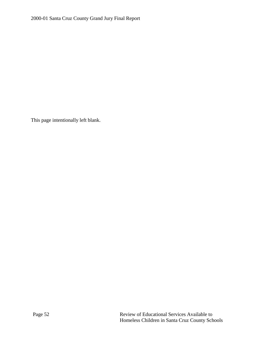This page intentionally left blank.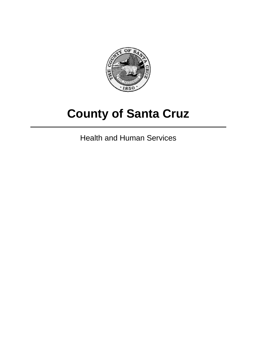

# **County of Santa Cruz**

Health and Human Services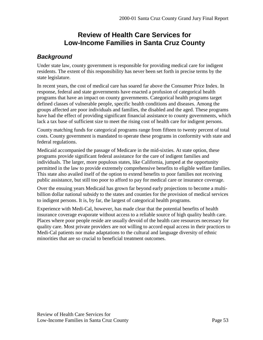# **Review of Health Care Services for Low-Income Families in Santa Cruz County**

# *Background*

Under state law, county government is responsible for providing medical care for indigent residents. The extent of this responsibility has never been set forth in precise terms by the state legislature.

In recent years, the cost of medical care has soared far above the Consumer Price Index. In response, federal and state governments have enacted a profusion of categorical health programs that have an impact on county governments. Categorical health programs target defined classes of vulnerable people, specific health conditions and diseases. Among the groups affected are poor individuals and families, the disabled and the aged. These programs have had the effect of providing significant financial assistance to county governments, which lack a tax base of sufficient size to meet the rising cost of health care for indigent persons.

County matching funds for categorical programs range from fifteen to twenty percent of total costs. County government is mandated to operate these programs in conformity with state and federal regulations.

Medicaid accompanied the passage of Medicare in the mid-sixties. At state option, these programs provide significant federal assistance for the care of indigent families and individuals. The larger, more populous states, like California, jumped at the opportunity permitted in the law to provide extremely comprehensive benefits to eligible welfare families. This state also availed itself of the option to extend benefits to poor families not receiving public assistance, but still too poor to afford to pay for medical care or insurance coverage.

Over the ensuing years Medicaid has grown far beyond early projections to become a multibillion dollar national subsidy to the states and counties for the provision of medical services to indigent persons. It is, by far, the largest of categorical health programs.

Experience with Medi-Cal, however, has made clear that the potential benefits of health insurance coverage evaporate without access to a reliable source of high quality health care. Places where poor people reside are usually devoid of the health care resources necessary for quality care. Most private providers are not willing to accord equal access in their practices to Medi-Cal patients nor make adaptations to the cultural and language diversity of ethnic minorities that are so crucial to beneficial treatment outcomes.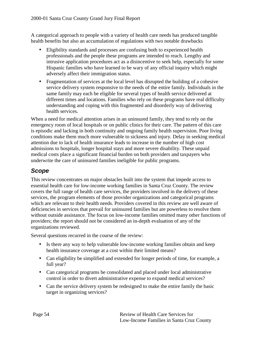A categorical approach to people with a variety of health care needs has produced tangible health benefits but also an accumulation of regulations with two notable drawbacks

- Eligibility standards and processes are confusing both to experienced health professionals and the people these programs are intended to reach. Lengthy and intrusive application procedures act as a disincentive to seek help, especially for some Hispanic families who have learned to be wary of any official inquiry which might adversely affect their immigration status.
- Fragmentation of services at the local level has disrupted the building of a cohesive service delivery system responsive to the needs of the entire family. Individuals in the same family may each be eligible for several types of health service delivered at different times and locations. Families who rely on these programs have real difficulty understanding and coping with this fragmented and disorderly way of delivering health services.

When a need for medical attention arises in an uninsured family, they tend to rely on the emergency room of local hospitals or on public clinics for their care. The pattern of this care is episodic and lacking in both continuity and ongoing family health supervision. Poor living conditions make them much more vulnerable to sickness and injury. Delay in seeking medical attention due to lack of health insurance leads to increase in the number of high cost admissions to hospitals, longer hospital stays and more severe disability. These unpaid medical costs place a significant financial burden on both providers and taxpayers who underwrite the care of uninsured families ineligible for public programs.

# *Scope*

This review concentrates on major obstacles built into the system that impede access to essential health care for low-income working families in Santa Cruz County. The review covers the full range of health care services, the providers involved in the delivery of these services, the program elements of those provider organizations and categorical programs which are relevant to their health needs. Providers covered in this review are well aware of deficiencies in services that prevail for uninsured families but are powerless to resolve them without outside assistance. The focus on low-income families omitted many other functions of providers; the report should not be considered an in-depth evaluation of any of the organizations reviewed.

Several questions recurred in the course of the review:

- Is there any way to help vulnerable low-income working families obtain and keep health insurance coverage at a cost within their limited means?
- Can eligibility be simplified and extended for longer periods of time, for example, a full year?
- Can categorical programs be consolidated and placed under local administrative control in order to divert administrative expense to expand medical services?
- Can the service delivery system be redesigned to make the entire family the basic target in organizing services?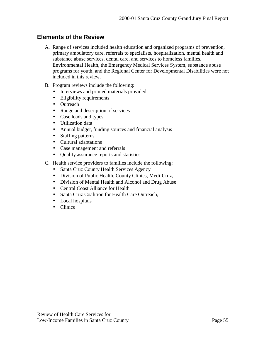# **Elements of the Review**

- A. Range of services included health education and organized programs of prevention, primary ambulatory care, referrals to specialists, hospitalization, mental health and substance abuse services, dental care, and services to homeless families. Environmental Health, the Emergency Medical Services System, substance abuse programs for youth, and the Regional Center for Developmental Disabilities were not included in this review.
- B. Program reviews include the following:
	- Interviews and printed materials provided
	- Eligibility requirements
	- Outreach
	- Range and description of services
	- Case loads and types
	- Utilization data
	- Annual budget, funding sources and financial analysis
	- Staffing patterns
	- Cultural adaptations
	- Case management and referrals
	- Ouality assurance reports and statistics
- C. Health service providers to families include the following:
	- Santa Cruz County Health Services Agency
	- Division of Public Health, County Clinics, Medi-Cruz,
	- Division of Mental Health and Alcohol and Drug Abuse
	- Central Coast Alliance for Health
	- Santa Cruz Coalition for Health Care Outreach,
	- Local hospitals
	- Clinics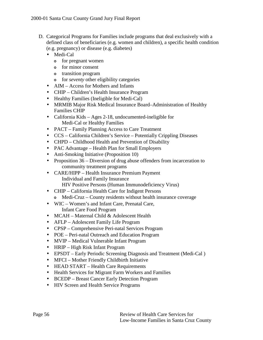- D. Categorical Programs for Families include programs that deal exclusively with a defined class of beneficiaries (e.g. women and children), a specific health condition (e.g. pregnancy) or disease (e.g. diabetes)
	- Medi-Cal
		- @ for pregnant women
		- @ for minor consent
		- @ transition program
		- @ for *seventy* other eligibility categories
	- AIM Access for Mothers and Infants
	- CHIP Children's Health Insurance Program
	- Healthy Families (Ineligible for Medi-Cal)
	- MRMIB Major Risk Medical Insurance Board–Administration of Healthy Families CHIP
	- California Kids Ages 2-18, undocumented-ineligible for Medi-Cal or Healthy Families
	- PACT Family Planning Access to Care Treatment
	- CCS California Children's Service Potentially Crippling Diseases
	- CHPD Childhood Health and Prevention of Disability
	- PAC Advantage Health Plan for Small Employers
	- Anti-Smoking Initiative (Proposition 10)
	- Proposition 36 Diversion of drug abuse offenders from incarceration to community treatment programs
	- CARE/HIPP Health Insurance Premium Payment Individual and Family Insurance HIV Positive Persons (Human Immunodeficiency Virus)
	- CHIP California Health Care for Indigent Persons @ Medi-Cruz – County residents without health insurance coverage
	- WIC Women's and Infant Care, Prenatal Care, Infant Care Food Program
	- MCAH Maternal Child & Adolescent Health
	- AFLP Adolescent Family Life Program
	- CPSP Comprehensive Peri-natal Services Program
	- POE Peri-natal Outreach and Education Program
	- MVIP Medical Vulnerable Infant Program
	- HRIP High Risk Infant Program
	- EPSDT Early Periodic Screening Diagnosis and Treatment (Medi-Cal )
	- MFCI Mother Friendly Childbirth Initiative
	- HEAD START Health Care Requirements
	- Health Services for Migrant Farm Workers and Families
	- BCEDP Breast Cancer Early Detection Program
	- HIV Screen and Health Service Programs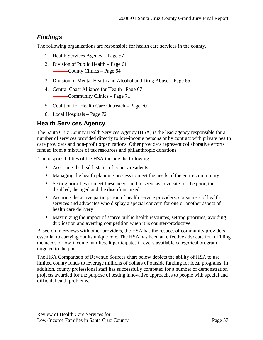# *Findings*

The following organizations are responsible for health care services in the county.

- 1. Health Services Agency Page 57
- 2. Division of Public Health Page 61 County Clinics – Page 64
- 3. Division of Mental Health and Alcohol and Drug Abuse Page 65
- 4. Central Coast Alliance for Health– Page 67 Community Clinics – Page 71
- 5. Coalition for Health Care Outreach Page 70
- 6. Local Hospitals Page 72

# **Health Services Agency**

The Santa Cruz County Health Services Agency (HSA) is the lead agency responsible for a number of services provided directly to low-income persons or by contract with private health care providers and non-profit organizations. Other providers represent collaborative efforts funded from a mixture of tax resources and philanthropic donations.

The responsibilities of the HSA include the following:

- Assessing the health status of county residents
- Managing the health planning process to meet the needs of the entire community
- Setting priorities to meet these needs and to serve as advocate for the poor, the disabled, the aged and the disenfranchised
- Assuring the active participation of health service providers, consumers of health services and advocates who display a special concern for one or another aspect of health care delivery
- Maximizing the impact of scarce public health resources, setting priorities, avoiding duplication and averting competition when it is counter-productive

Based on interviews with other providers, the HSA has the respect of community providers essential to carrying out its unique role. The HSA has been an effective advocate for fulfilling the needs of low-income families. It participates in every available categorical program targeted to the poor.

The HSA Comparison of Revenue Sources chart below depicts the ability of HSA to use limited county funds to leverage millions of dollars of outside funding for local programs. In addition, county professional staff has successfully competed for a number of demonstration projects awarded for the purpose of testing innovative approaches to people with special and difficult health problems.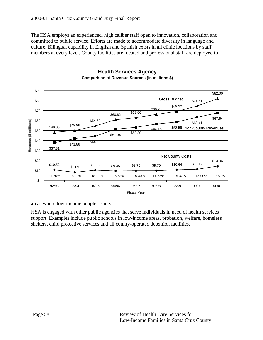The HSA employs an experienced, high caliber staff open to innovation, collaboration and committed to public service. Efforts are made to accommodate diversity in language and culture. Bilingual capability in English and Spanish exists in all clinic locations by staff members at every level. County facilities are located and professional staff are deployed to



#### **Health Services Agency Comparison of Revenue Sources (in millions \$)**

areas where low-income people reside.

HSA is engaged with other public agencies that serve individuals in need of health services support. Examples include public schools in low-income areas, probation, welfare, homeless shelters, child protective services and all county-operated detention facilities.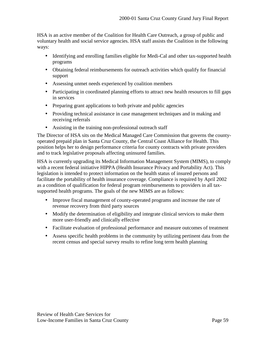HSA is an active member of the Coalition for Health Care Outreach, a group of public and voluntary health and social service agencies. HSA staff assists the Coalition in the following ways:

- Identifying and enrolling families eligible for Medi-Cal and other tax-supported health programs
- Obtaining federal reimbursements for outreach activities which qualify for financial support
- Assessing unmet needs experienced by coalition members
- Participating in coordinated planning efforts to attract new health resources to fill gaps in services
- Preparing grant applications to both private and public agencies
- Providing technical assistance in case management techniques and in making and receiving referrals
- Assisting in the training non-professional outreach staff

The Director of HSA sits on the Medical Managed Care Commission that governs the countyoperated prepaid plan in Santa Cruz County, the Central Coast Alliance for Health. This position helps her to design performance criteria for county contracts with private providers and to track legislative proposals affecting uninsured families.

HSA is currently upgrading its Medical Information Management System (MIMS), to comply with a recent federal initiative HIPPA (Health Insurance Privacy and Portability Act). This legislation is intended to protect information on the health status of insured persons and facilitate the portability of health insurance coverage. Compliance is required by April 2002 as a condition of qualification for federal program reimbursements to providers in all taxsupported health programs. The goals of the new MIMS are as follows:

- Improve fiscal management of county-operated programs and increase the rate of revenue recovery from third party sources
- Modify the determination of eligibility and integrate clinical services to make them more user-friendly and clinically effective
- Facilitate evaluation of professional performance and measure outcomes of treatment
- Assess specific health problems in the community by utilizing pertinent data from the recent census and special survey results to refine long term health planning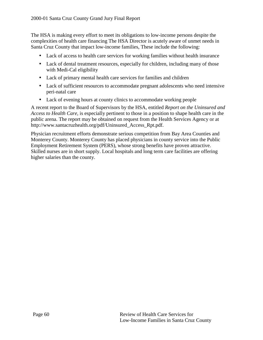The HSA is making every effort to meet its obligations to low-income persons despite the complexities of health care financing The HSA Director is acutely aware of unmet needs in Santa Cruz County that impact low-income families, These include the following:

- Lack of access to health care services for working families without health insurance
- Lack of dental treatment resources, especially for children, including many of those with Medi-Cal eligibility
- Lack of primary mental health care services for families and children
- Lack of sufficient resources to accommodate pregnant adolescents who need intensive peri-natal care
- Lack of evening hours at county clinics to accommodate working people

A recent report to the Board of Supervisors by the HSA, entitled *Report on the Uninsured and Access to Health Care,* is especially pertinent to those in a position to shape health care in the public arena. The report may be obtained on request from the Health Services Agency or at http://www.santacruzhealth.org/pdf/Uninsured\_Access\_Rpt.pdf.

Physician recruitment efforts demonstrate serious competition from Bay Area Counties and Monterey County. Monterey County has placed physicians in county service into the Public Employment Retirement System (PERS), whose strong benefits have proven attractive. Skilled nurses are in short supply. Local hospitals and long term care facilities are offering higher salaries than the county.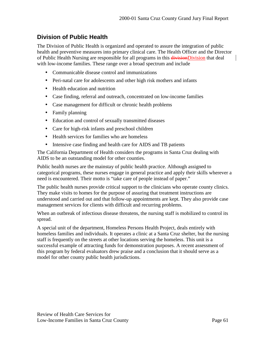# **Division of Public Health**

The Division of Public Health is organized and operated to assure the integration of public health and preventive measures into primary clinical care. The Health Officer and the Director of Public Health Nursing are responsible for all programs in this **divisionDivision** that deal with low-income families. These range over a broad spectrum and include

- Communicable disease control and immunizations
- Peri-natal care for adolescents and other high risk mothers and infants
- Health education and nutrition
- Case finding, referral and outreach, concentrated on low-income families
- Case management for difficult or chronic health problems
- Family planning
- Education and control of sexually transmitted diseases
- Care for high-risk infants and preschool children
- Health services for families who are homeless
- Intensive case finding and health care for AIDS and TB patients

The California Department of Health considers the programs in Santa Cruz dealing with AIDS to be an outstanding model for other counties.

Public health nurses are the mainstay of public health practice. Although assigned to categorical programs, these nurses engage in general practice and apply their skills wherever a need is encountered. Their motto is "take care of people instead of paper."

The public health nurses provide critical support to the clinicians who operate county clinics. They make visits to homes for the purpose of assuring that treatment instructions are understood and carried out and that follow-up appointments are kept. They also provide case management services for clients with difficult and recurring problems.

When an outbreak of infectious disease threatens, the nursing staff is mobilized to control its spread.

A special unit of the department, Homeless Persons Health Project, deals entirely with homeless families and individuals. It operates a clinic at a Santa Cruz shelter, but the nursing staff is frequently on the streets at other locations serving the homeless. This unit is a successful example of attracting funds for demonstration purposes. A recent assessment of this program by federal evaluators drew praise and a conclusion that it should serve as a model for other county public health jurisdictions.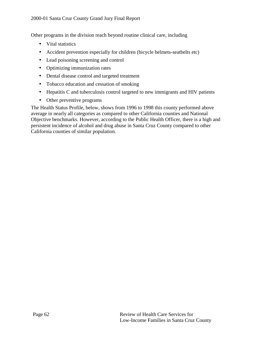Other programs in the division reach beyond routine clinical care, including

- Vital statistics
- Accident prevention especially for children (bicycle helmets-seatbelts etc)
- Lead poisoning screening and control
- Optimizing immunization rates
- Dental disease control and targeted treatment
- Tobacco education and cessation of smoking
- Hepatitis C and tuberculosis control targeted to new immigrants and HIV patients
- Other preventive programs

The Health Status Profile, below, shows from 1996 to 1998 this county performed above average in nearly all categories as compared to other California counties and National Objective benchmarks. However, according to the Public Health Officer, there is a high and persistent incidence of alcohol and drug abuse in Santa Cruz County compared to other California counties of similar population.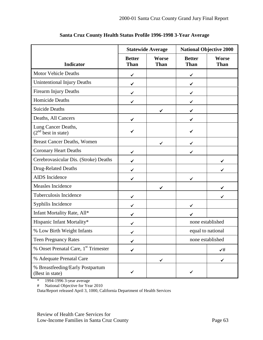|                                                     |                              | <b>Statewide Average</b>    | <b>National Objective 2000</b> |                             |
|-----------------------------------------------------|------------------------------|-----------------------------|--------------------------------|-----------------------------|
| <b>Indicator</b>                                    | <b>Better</b><br><b>Than</b> | <b>Worse</b><br><b>Than</b> | <b>Better</b><br><b>Than</b>   | <b>Worse</b><br><b>Than</b> |
| Motor Vehicle Deaths                                | ✓                            |                             | ✔                              |                             |
| <b>Unintentional Injury Deaths</b>                  | ✓                            |                             | ✓                              |                             |
| <b>Firearm Injury Deaths</b>                        | ✓                            |                             |                                |                             |
| <b>Homicide Deaths</b>                              | ✓                            |                             |                                |                             |
| <b>Suicide Deaths</b>                               |                              | ✓                           |                                |                             |
| Deaths, All Cancers                                 | ✓                            |                             |                                |                             |
| Lung Cancer Deaths,<br>$(2nd$ best in state)        | ✓                            |                             |                                |                             |
| <b>Breast Cancer Deaths, Women</b>                  |                              | ✓                           |                                |                             |
| <b>Coronary Heart Deaths</b>                        | ✓                            |                             |                                |                             |
| Cerebrovasicular Dis. (Stroke) Deaths               | ✓                            |                             |                                |                             |
| <b>Drug-Related Deaths</b>                          | ✓                            |                             |                                |                             |
| AIDS Incidence                                      | ✓                            |                             |                                |                             |
| Measles Incidence                                   |                              | ✓                           |                                |                             |
| Tuberculosis Incidence                              | ✓                            |                             |                                |                             |
| Syphilis Incidence                                  | ✓                            |                             | ✓                              |                             |
| Infant Mortality Rate, All*                         | ✓                            |                             |                                |                             |
| Hispanic Infant Mortality*                          | ✓                            |                             | none established               |                             |
| % Low Birth Weight Infants                          | ✔                            |                             |                                | equal to national           |
| <b>Teen Pregnancy Rates</b>                         | ✓                            |                             | none established               |                             |
| % Onset Prenatal Care, 1 <sup>st</sup> Trimester    | $\checkmark$                 |                             |                                | $\checkmark$                |
| % Adequate Prenatal Care                            |                              | ✓                           |                                | ✓                           |
| % Breastfeeding/Early Postpartum<br>(Best in state) |                              |                             |                                |                             |

**Santa Cruz County Health Status Profile 1996-1998 3-Year Average**

\* 1994-1996 3-year average

# National Objective for Year 2010

Data/Report released April 3, 1000, California Department of Health Services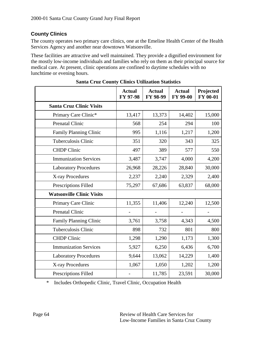#### **County Clinics**

The county operates two primary care clinics, one at the Emeline Health Center of the Health Services Agency and another near downtown Watsonville.

These facilities are attractive and well maintained. They provide a dignified environment for the mostly low-income individuals and families who rely on them as their principal source for medical care. At present, clinic operations are confined to daytime schedules with no lunchtime or evening hours.

|                                  | <b>Actual</b><br>FY 97-98 | <b>Actual</b><br>FY 98-99 | <b>Actual</b><br>FY 99-00 | Projected<br>FY 00-01 |
|----------------------------------|---------------------------|---------------------------|---------------------------|-----------------------|
| <b>Santa Cruz Clinic Visits</b>  |                           |                           |                           |                       |
| Primary Care Clinic*             | 13,417                    | 13,373                    | 14,402                    | 15,000                |
| <b>Prenatal Clinic</b>           | 568                       | 254                       | 294                       | 100                   |
| <b>Family Planning Clinic</b>    | 995                       | 1,116                     | 1,217                     | 1,200                 |
| Tuberculosis Clinic              | 351                       | 320                       | 343                       | 325                   |
| <b>CHDP</b> Clinic               | 497                       | 389                       | 577                       | 550                   |
| <b>Immunization Services</b>     | 3,487                     | 3,747                     | 4,000                     | 4,200                 |
| <b>Laboratory Procedures</b>     | 26,968                    | 28,226                    | 28,840                    | 30,000                |
| X-ray Procedures                 | 2,237                     | 2,240                     | 2,329                     | 2,400                 |
| Prescriptions Filled             | 75,297                    | 67,686                    | 63,837                    | 68,000                |
| <b>Watsonville Clinic Visits</b> |                           |                           |                           |                       |
| Primary Care Clinic              | 11,355                    | 11,406                    | 12,240                    | 12,500                |
| <b>Prenatal Clinic</b>           |                           |                           |                           |                       |
| <b>Family Planning Clinic</b>    | 3,761                     | 3,758                     | 4,343                     | 4,500                 |
| Tuberculosis Clinic              | 898                       | 732                       | 801                       | 800                   |
| <b>CHDP</b> Clinic               | 1,298                     | 1,290                     | 1,173                     | 1,300                 |
| <b>Immunization Services</b>     | 5,927                     | 6,250                     | 6,436                     | 6,700                 |
| <b>Laboratory Procedures</b>     | 9,644                     | 13,062                    | 14,229                    | 1,400                 |
| X-ray Procedures                 | 1,067                     | 1,050                     | 1,202                     | 1,200                 |
| <b>Prescriptions Filled</b>      |                           | 11,785                    | 23,591                    | 30,000                |

|  |  | <b>Santa Cruz County Clinics Utilization Statistics</b> |  |
|--|--|---------------------------------------------------------|--|
|  |  |                                                         |  |

\* Includes Orthopedic Clinic, Travel Clinic, Occupation Health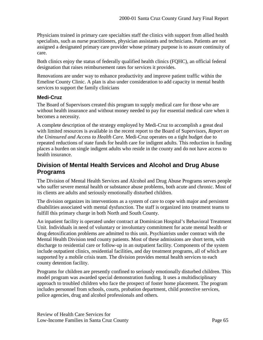Physicians trained in primary care specialties staff the clinics with support from allied health specialists, such as nurse practitioners, physician assistants and technicians. Patients are not assigned a designated primary care provider whose primary purpose is to assure continuity of care.

Both clinics enjoy the status of federally qualified health clinics (FQHC), an official federal designation that raises reimbursement rates for services it provides.

Renovations are under way to enhance productivity and improve patient traffic within the Emeline County Clinic. A plan is also under consideration to add capacity in mental health services to support the family clinicians

#### **Medi-Cruz**

The Board of Supervisors created this program to supply medical care for those who are without health insurance and without money needed to pay for essential medical care when it becomes a necessity.

A complete description of the strategy employed by Medi-Cruz to accomplish a great deal with limited resources is available in the recent report to the Board of Supervisors, *Report on the Uninsured and Access to Health Care.* Medi-Cruz operates on a tight budget due to repeated reductions of state funds for health care for indigent adults. This reduction in funding places a burden on single indigent adults who reside in the county and do not have access to health insurance.

## **Division of Mental Health Services and Alcohol and Drug Abuse Programs**

The Division of Mental Health Services and Alcohol and Drug Abuse Programs serves people who suffer severe mental health or substance abuse problems, both acute and chronic. Most of its clients are adults and seriously emotionally disturbed children.

The division organizes its interventions as a system of care to cope with major and persistent disabilities associated with mental dysfunction. The staff is organized into treatment teams to fulfill this primary charge in both North and South County.

An inpatient facility is operated under contract at Dominican Hospital's Behavioral Treatment Unit. Individuals in need of voluntary or involuntary commitment for acute mental health or drug detoxification problems are admitted to this unit. Psychiatrists under contract with the Mental Health Division tend county patients. Most of these admissions are short term, with discharge to residential care or follow-up in an outpatient facility. Components of the system include outpatient clinics, residential facilities, and day treatment programs, all of which are supported by a mobile crisis team. The division provides mental health services to each county detention facility.

Programs for children are presently confined to seriously emotionally disturbed children. This model program was awarded special demonstration funding. It uses a multidisciplinary approach to troubled children who face the prospect of foster home placement. The program includes personnel from schools, courts, probation department, child protective services, police agencies, drug and alcohol professionals and others.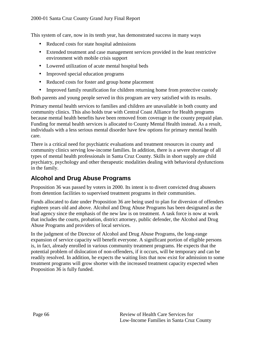This system of care, now in its tenth year, has demonstrated success in many ways

- Reduced costs for state hospital admissions
- Extended treatment and case management services provided in the least restrictive environment with mobile crisis support
- Lowered utilization of acute mental hospital beds
- Improved special education programs
- Reduced costs for foster and group home placement
- Improved family reunification for children returning home from protective custody

Both parents and young people served in this program are very satisfied with its results.

Primary mental health services to families and children are unavailable in both county and community clinics. This also holds true with Central Coast Alliance for Health programs because mental health benefits have been removed from coverage in the county prepaid plan. Funding for mental health services is allocated to County Mental Health instead. As a result, individuals with a less serious mental disorder have few options for primary mental health care.

There is a critical need for psychiatric evaluations and treatment resources in county and community clinics serving low-income families. In addition, there is a severe shortage of all types of mental health professionals in Santa Cruz County. Skills in short supply are child psychiatry, psychology and other therapeutic modalities dealing with behavioral dysfunctions in the family.

#### **Alcohol and Drug Abuse Programs**

Proposition 36 was passed by voters in 2000. Its intent is to divert convicted drug abusers from detention facilities to supervised treatment programs in their communities.

Funds allocated to date under Proposition 36 are being used to plan for diversion of offenders eighteen years old and above. Alcohol and Drug Abuse Programs has been designated as the lead agency since the emphasis of the new law is on treatment. A task force is now at work that includes the courts, probation, district attorney, public defender, the Alcohol and Drug Abuse Programs and providers of local services.

In the judgment of the Director of Alcohol and Drug Abuse Programs, the long-range expansion of service capacity will benefit everyone. A significant portion of eligible persons is, in fact, already enrolled in various community treatment programs. He expects that the potential problem of dislocation of non-offenders, if it occurs, will be temporary and can be readily resolved. In addition, he expects the waiting lists that now exist for admission to some treatment programs will grow shorter with the increased treatment capacity expected when Proposition 36 is fully funded.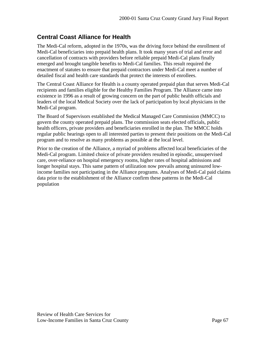# **Central Coast Alliance for Health**

The Medi-Cal reform, adopted in the 1970s, was the driving force behind the enrollment of Medi-Cal beneficiaries into prepaid health plans. It took many years of trial and error and cancellation of contracts with providers before reliable prepaid Medi-Cal plans finally emerged and brought tangible benefits to Medi-Cal families. This result required the enactment of statutes to ensure that prepaid contractors under Medi-Cal meet a number of detailed fiscal and health care standards that protect the interests of enrollees.

The Central Coast Alliance for Health is a county operated prepaid plan that serves Medi-Cal recipients and families eligible for the Healthy Families Program. The Alliance came into existence in 1996 as a result of growing concern on the part of public health officials and leaders of the local Medical Society over the lack of participation by local physicians in the Medi-Cal program.

The Board of Supervisors established the Medical Managed Care Commission (MMCC) to govern the county operated prepaid plans. The commission seats elected officials, public health officers, private providers and beneficiaries enrolled in the plan. The MMCC holds regular public hearings open to all interested parties to present their positions on the Medi-Cal program and to resolve as many problems as possible at the local level.

Prior to the creation of the Alliance, a myriad of problems affected local beneficiaries of the Medi-Cal program. Limited choice of private providers resulted in episodic, unsupervised care, over-reliance on hospital emergency rooms, higher rates of hospital admissions and longer hospital stays. This same pattern of utilization now prevails among uninsured lowincome families not participating in the Alliance programs. Analyses of Medi-Cal paid claims data prior to the establishment of the Alliance confirm these patterns in the Medi-Cal population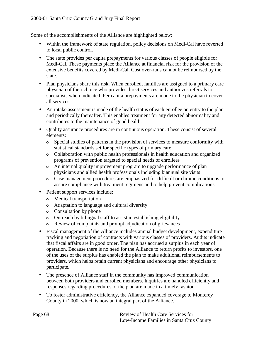Some of the accomplishments of the Alliance are highlighted below:

- Within the framework of state regulation, policy decisions on Medi-Cal have reverted to local public control.
- The state provides per capita prepayments for various classes of people eligible for Medi-Cal. These payments place the Alliance at financial risk for the provision of the extensive benefits covered by Medi-Cal. Cost over-runs cannot be reimbursed by the state.
- Plan physicians share this risk. When enrolled, families are assigned to a primary care physician of their choice who provides direct services and authorizes referrals to specialists when indicated. Per capita prepayments are made to the physician to cover all services.
- An intake assessment is made of the health status of each enrollee on entry to the plan and periodically thereafter. This enables treatment for any detected abnormality and contributes to the maintenance of good health.
- Quality assurance procedures are in continuous operation. These consist of several elements:
	- @ Special studies of patterns in the provision of services to measure conformity with statistical standards set for specific types of primary care
	- @ Collaboration with public health professionals in health education and organized programs of prevention targeted to special needs of enrollees
	- @ An internal quality improvement program to upgrade performance of plan physicians and allied health professionals including biannual site visits
	- @ Case management procedures are emphasized for difficult or chronic conditions to assure compliance with treatment regimens and to help prevent complications.
- Patient support services include:
	- @ Medical transportation
	- @ Adaptation to language and cultural diversity
	- @ Consultation by phone
	- @ Outreach by bilingual staff to assist in establishing eligibility
	- @ Review of complaints and prompt adjudication of grievances
- Fiscal management of the Alliance includes annual budget development, expenditure tracking and negotiation of contracts with various classes of providers. Audits indicate that fiscal affairs are in good order. The plan has accrued a surplus in each year of operation. Because there is no need for the Alliance to return profits to investors, one of the uses of the surplus has enabled the plan to make additional reimbursements to providers, which helps retain current physicians and encourage other physicians to participate.
- The presence of Alliance staff in the community has improved communication between both providers and enrolled members. Inquiries are handled efficiently and responses regarding procedures of the plan are made in a timely fashion.
- To foster administrative efficiency, the Alliance expanded coverage to Monterey County in 2000, which is now an integral part of the Alliance.

Page 68 Review of Health Care Services for Low-Income Families in Santa Cruz County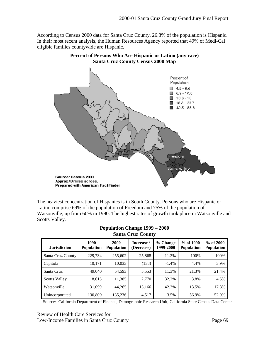According to Census 2000 data for Santa Cruz County, 26.8% of the population is Hispanic. In their most recent analysis, the Human Resources Agency reported that 49% of Medi-Cal eligible families countywide are Hispanic.





The heaviest concentration of Hispanics is in South County. Persons who are Hispanic or Latino comprise 69% of the population of Freedom and 75% of the population of Watsonville, up from 60% in 1990. The highest rates of growth took place in Watsonville and Scotts Valley.

| <b>Jurisdiction</b>  | 1990<br><b>Population</b> | 2000<br><b>Population</b> | Increase /<br>(Decrease) | % Change<br>1999-2000 | % of 1990<br><b>Population</b> | $%$ of 2000<br><b>Population</b> |
|----------------------|---------------------------|---------------------------|--------------------------|-----------------------|--------------------------------|----------------------------------|
| Santa Cruz County    | 229,734                   | 255,602                   | 25,868                   | 11.3%                 | 100%                           | 100%                             |
| Capitola             | 10,171                    | 10,033                    | (138)                    | $-1.4%$               | 4.4%                           | 3.9%                             |
| Santa Cruz           | 49,040                    | 54,593                    | 5,553                    | 11.3%                 | 21.3%                          | 21.4%                            |
| <b>Scotts Valley</b> | 8,615                     | 11,385                    | 2,770                    | 32.2%                 | 3.8%                           | 4.5%                             |
| Watsonville          | 31.099                    | 44,265                    | 13,166                   | 42.3%                 | 13.5%                          | 17.3%                            |
| Unincorporated       | 130,809                   | 135,236                   | 4,517                    | 3.5%                  | 56.9%                          | 52.9%                            |

#### **Population Change 1999 – 2000 Santa Cruz County**

Source: California Department of Finance, Demographic Research Unit, California State Census Data Center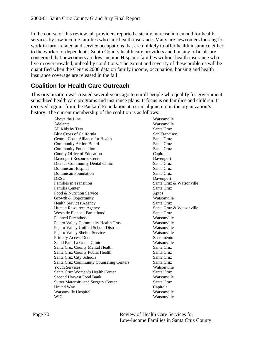In the course of this review, all providers reported a steady increase in demand for health services by low-income families who lack health insurance. Many are newcomers looking for work in farm-related and service occupations that are unlikely to offer health insurance either to the worker or dependents. South County health care providers and housing officials are concerned that newcomers are low-income Hispanic families without health insurance who live in overcrowded, unhealthy conditions. The extent and severity of these problems will be quantified when the Census 2000 data on family income, occupation, housing and health insurance coverage are released in the fall.

## **Coalition for Health Care Outreach**

This organization was created several years ago to enroll people who qualify for government subsidized health care programs and insurance plans. It focus is on families and children. It received a grant from the Packard Foundation at a crucial juncture in the organization's history. The current membership of the coalition is as follows:

| Above the Line                                 | Watsonville              |
|------------------------------------------------|--------------------------|
| Adelante                                       | Watsonville              |
| All Kids by Two                                | Santa Cruz               |
| <b>Blue Cross of California</b>                | San Francisco            |
| <b>Central Coast Alliance for Health</b>       | Santa Cruz               |
| <b>Community Action Board</b>                  | Santa Cruz               |
| <b>Community Foundation</b>                    | Santa Cruz               |
| County Office of Education                     | Capitola                 |
| Davenport Resource Center                      | Davenport                |
| <b>Dientes Community Dental Clinic</b>         | Santa Cruz               |
|                                                | Santa Cruz               |
| Dominican Hospital<br>Dominican Foundation     | Santa Cruz               |
| <b>DRSC</b>                                    |                          |
|                                                | Davenport                |
| <b>Families in Transition</b>                  | Santa Cruz & Watsonville |
| Familia Center                                 | Santa Cruz               |
| Food & Nutrition Service                       | Aptos                    |
| Growth & Opportunity                           | Watsonville              |
| <b>Health Services Agency</b>                  | Santa Cruz               |
| Human Resources Agency                         | Santa Cruz & Watsonville |
| <b>Westside Planned Parenthood</b>             | Santa Cruz               |
| <b>Planned Parenthood</b>                      | Watsonville              |
| Pajaro Valley Community Health Trust           | Watsonville              |
| Pajaro Valley Unified School District          | Watsonville              |
| Pajaro Valley Shelter Services                 | Watsonville              |
| <b>Primary Access Dental</b>                   | Sacramento               |
| Salud Para La Gente Clinic                     | Watsonville              |
| Santa Cruz County Mental Health                | Santa Cruz               |
| Santa Cruz County Public Health                | Santa Cruz               |
| Santa Cruz City Schools                        | Santa Cruz               |
| <b>Santa Cruz Community Counseling Centers</b> | Santa Cruz               |
| <b>Youth Services</b>                          | Watsonville              |
| Santa Cruz Women's Health Center               | Santa Cruz               |
| <b>Second Harvest Food Bank</b>                | Watsonville              |
| <b>Sutter Maternity and Surgery Center</b>     | Santa Cruz               |
| United Way                                     | Capitola                 |
| Watsonville Hospital                           | Watsonville              |
| <b>WIC</b>                                     | Watsonville              |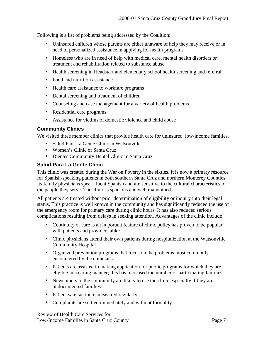Following is a list of problems being addressed by the Coalition:

- Uninsured children whose parents are either unaware of help they may receive or in need of personalized assistance in applying for health programs
- Homeless who are in need of help with medical care, mental health disorders or treatment and rehabilitation related to substance abuse
- Health screening in Headstart and elementary school health screening and referral
- Food and nutrition assistance
- Health care assistance to workfare programs
- Dental screening and treatment of children
- Counseling and case management for a variety of health problems
- Residential care programs
- Assistance for victims of domestic violence and child abuse

#### **Community Clinics**

We visited three member clinics that provide health care for uninsured, low-income families.

- Salud Para La Gente Clinic in Watsonville
- Women's Clinic of Santa Cruz
- Dientes Community Dental Clinic in Santa Cruz

#### **Salud Para La Gente Clinic**

This clinic was created during the War on Poverty in the sixties. It is now a primary resource for Spanish-speaking patients in both southern Santa Cruz and northern Monterey Counties. Its family physicians speak fluent Spanish and are sensitive to the cultural characteristics of the people they serve. The clinic is spacious and well maintained.

All patients are treated without prior determination of eligibility or inquiry into their legal status. This practice is well known in the community and has significantly reduced the use of the emergency room for primary care during clinic hours. It has also reduced serious complications resulting from delays in seeking attention. Advantages of the clinic include

- Continuity of care is an important feature of clinic policy has proven to be popular with patients and providers alike
- Clinic physicians attend their own patients during hospitalization at the Watsonville Community Hospital
- Organized prevention programs that focus on the problems most commonly encountered by the clinicians
- Patients are assisted in making application for public programs for which they are eligible in a caring manner; this has increased the number of participating families
- Newcomers to the community are likely to use the clinic especially if they are undocumented families
- Patient satisfaction is measured regularly
- Complaints are settled immediately and without formality

Review of Health Care Services for Low-Income Families in Santa Cruz County Page 71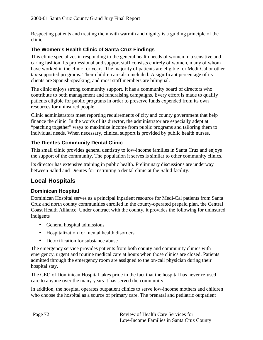Respecting patients and treating them with warmth and dignity is a guiding principle of the clinic.

#### **The Women's Health Clinic of Santa Cruz Findings**

This clinic specializes in responding to the general health needs of women in a sensitive and caring fashion. Its professional and support staff consists entirely of women, many of whom have worked in the clinic for years. The majority of patients are eligible for Medi-Cal or other tax-supported programs. Their children are also included. A significant percentage of its clients are Spanish-speaking, and most staff members are bilingual.

The clinic enjoys strong community support. It has a community board of directors who contribute to both management and fundraising campaigns. Every effort is made to qualify patients eligible for public programs in order to preserve funds expended from its own resources for uninsured people.

Clinic administrators meet reporting requirements of city and county government that help finance the clinic. In the words of its director, the administrator are especially adept at "patching together" ways to maximize income from public programs and tailoring them to individual needs. When necessary, clinical support is provided by public health nurses.

#### **The Dientes Community Dental Clinic**

This small clinic provides general dentistry to low-income families in Santa Cruz and enjoys the support of the community. The population it serves is similar to other community clinics.

Its director has extensive training in public health. Preliminary discussions are underway between Salud and Dientes for instituting a dental clinic at the Salud facility.

## **Local Hospitals**

#### **Dominican Hospital**

Dominican Hospital serves as a principal inpatient resource for Medi-Cal patients from Santa Cruz and north county communities enrolled in the county-operated prepaid plan, the Central Coast Health Alliance. Under contract with the county, it provides the following for uninsured indigents

- General hospital admissions
- Hospitalization for mental health disorders
- Detoxification for substance abuse

The emergency service provides patients from both county and community clinics with emergency, urgent and routine medical care at hours when those clinics are closed. Patients admitted through the emergency room are assigned to the on-call physician during their hospital stay.

The CEO of Dominican Hospital takes pride in the fact that the hospital has never refused care to anyone over the many years it has served the community.

In addition, the hospital operates outpatient clinics to serve low-income mothers and children who choose the hospital as a source of primary care. The prenatal and pediatric outpatient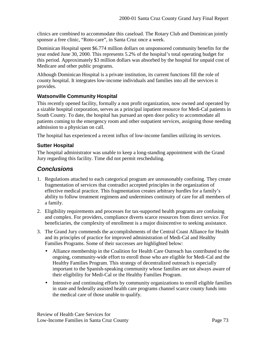clinics are combined to accommodate this caseload. The Rotary Club and Dominican jointly sponsor a free clinic, "Roto-care", in Santa Cruz once a week.

Dominican Hospital spent \$6.774 million dollars on unsponsored community benefits for the year ended June 30, 2000. This represents 5.2% of the hospital's total operating budget for this period. Approximately \$3 million dollars was absorbed by the hospital for unpaid cost of Medicare and other public programs.

Although Dominican Hospital is a private institution, its current functions fill the role of county hospital. It integrates low-income individuals and families into all the services it provides.

#### **Watsonville Community Hospital**

This recently opened facility, formally a non profit organization, now owned and operated by a sizable hospital corporation, serves as a principal inpatient resource for Medi-Cal patients in South County. To date, the hospital has pursued an open door policy to accommodate all patients coming to the emergency room and other outpatient services, assigning those needing admission to a physician on call.

The hospital has experienced a recent influx of low-income families utilizing its services.

#### **Sutter Hospital**

The hospital administrator was unable to keep a long-standing appointment with the Grand Jury regarding this facility. Time did not permit rescheduling.

## *Conclusions*

- 1. Regulations attached to each categorical program are unreasonably confining. They create fragmentation of services that contradict accepted principles in the organization of effective medical practice. This fragmentation creates arbitrary hurdles for a family's ability to follow treatment regimens and undermines continuity of care for all members of a family.
- 2. Eligibility requirements and processes for tax-supported health programs are confusing and complex. For providers, compliance diverts scarce resources from direct service. For beneficiaries, the complexity of enrollment is a major disincentive to seeking assistance.
- 3. The Grand Jury commends the accomplishments of the Central Coast Alliance for Health and its principles of practice for improved administration of Medi-Cal and Healthy Families Programs. Some of their successes are highlighted below:
	- Alliance membership in the Coalition for Health Care Outreach has contributed to the ongoing, community-wide effort to enroll those who are eligible for Medi-Cal and the Healthy Families Program. This strategy of decentralized outreach is especially important to the Spanish-speaking community whose families are not always aware of their eligibility for Medi-Cal or the Healthy Families Program.
	- Intensive and continuing efforts by community organizations to enroll eligible families in state and federally assisted health care programs channel scarce county funds into the medical care of those unable to qualify.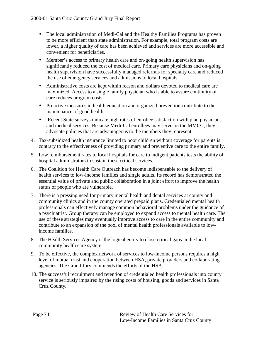- The local administration of Medi-Cal and the Healthy Families Programs has proven to be more efficient than state administration. For example, total program costs are lower, a higher quality of care has been achieved and services are more accessible and convenient for beneficiaries.
- Member's access to primary health care and on-going health supervision has significantly reduced the cost of medical care. Primary care physicians and on-going health supervision have successfully managed referrals for specialty care and reduced the use of emergency services and admissions to local hospitals.
- Administrative costs are kept within reason and dollars devoted to medical care are maximized. Access to a single family physician who is able to assure continuity of care reduces program costs.
- Proactive measures in health education and organized prevention contribute to the maintenance of good health.
- Recent State surveys indicate high rates of enrollee satisfaction with plan physicians and medical services. Because Medi-Cal enrollees may serve on the MMCC, they advocate policies that are advantageous to the members they represent.
- 4. Tax-subsidized health insurance limited to poor children without coverage for parents is contrary to the effectiveness of providing primary and preventive care to the entire family.
- 5. Low reimbursement rates to local hospitals for care to indigent patients tests the ability of hospital administrators to sustain these critical services.
- 6. The Coalition for Health Care Outreach has become indispensable to the delivery of health services to low-income families and single adults. Its record has demonstrated the essential value of private and public collaboration in a joint effort to improve the health status of people who are vulnerable.
- 7. There is a pressing need for primary mental health and dental services at county and community clinics and in the county operated prepaid plans. Credentialed mental health professionals can effectively manage common behavioral problems under the guidance of a psychiatrist. Group therapy can be employed to expand access to mental health care. The use of these strategies may eventually improve access to care in the entire community and contribute to an expansion of the pool of mental health professionals available to lowincome families.
- 8. The Health Services Agency is the logical entity to close critical gaps in the local community health care system.
- 9. To be effective, the complex network of services to low-income persons requires a high level of mutual trust and cooperation between HSA, private providers and collaborating agencies. The Grand Jury commends the efforts of the HSA.
- 10. The successful recruitment and retention of credentialed health professionals into county service is seriously impaired by the rising costs of housing, goods and services in Santa Cruz County.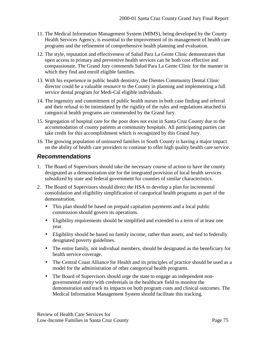- 11. The Medical Information Management System (MIMS), being developed by the County Health Services Agency, is essential to the improvement of its management of health care programs and the refinement of comprehensive health planning and evaluation.
- 12. The style, reputation and effectiveness of Salud Para La Gente Clinic demonstrates that open access to primary and preventive health services can be both cost effective and compassionate. The Grand Jury commends Salud Para La Gente Clinic for the manner in which they find and enroll eligible families.
- 13. With his experience in public health dentistry, the Dientes Community Dental Clinic director could be a valuable resource to the County in planning and implementing a full service dental program for Medi-Cal eligible individuals.
- 14. The ingenuity and commitment of public health nurses in both case finding and referral and their refusal to be intimidated by the rigidity of the rules and regulations attached to categorical health programs are commended by the Grand Jury.
- 15. Segregation of hospital care for the poor does not exist in Santa Cruz County due to the accommodation of county patients at community hospitals. All participating parties can take credit for this accomplishment which is recognized by this Grand Jury.
- 16. The growing population of uninsured families in South County is having a major impact on the ability of health care providers to continue to offer high quality health care service.

#### *Recommendations*

- 1. The Board of Supervisors should take the necessary course of action to have the county designated as a demonstration site for the integrated provision of local health services subsidized by state and federal government for counties of similar characteristics.
- 2. The Board of Supervisors should direct the HSA to develop a plan for incremental consolidation and eligibility simplification of categorical health programs as part of the demonstration.
	- This plan should be based on prepaid capitation payments and a local public commission should govern its operations.
	- Eligibility requirements should be simplified and extended to a term of at least one year.
	- Eligibility should be based on family income, rather than assets, and tied to federally designated poverty guidelines.
	- The entire family, not individual members, should be designated as the beneficiary for health service coverage.
	- The Central Coast Alliance for Health and its principles of practice should be used as a model for the administration of other categorical health programs.
	- The Board of Supervisors should urge the state to engage an independent nongovernmental entity with credentials in the healthcare field to monitor the demonstration and track its impacts on both program costs and clinical outcomes. The Medical Information Management System should facilitate this tracking.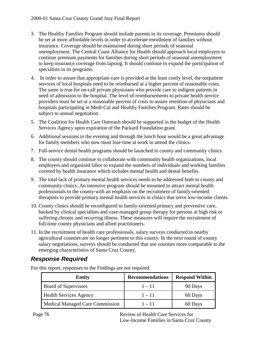- 3. The Healthy Families Program should include parents in its coverage. Premiums should be set at more affordable levels in order to accelerate enrollment of families without insurance. Coverage should be maintained during short periods of seasonal unemployment. The Central Coast Alliance for Health should approach local employers to continue premium payments for families during short periods of seasonal unemployment to keep insurance coverage from lapsing. It should continue to expand the participation of specialists in its programs.
- 4. In order to assure that appropriate care is provided at the least costly level, the outpatient services of local hospitals need to be reimbursed at a higher percent of reasonable costs. The same is true for on-call private physicians who provide care to indigent patients in need of admission to the hospital. The level of reimbursements to private health service providers must be set at a reasonable percent of costs to assure retention of physicians and hospitals participating in Medi-Cal and Healthy Families Program. Rates should be subject to annual negotiation.
- 5. The Coalition for Health Care Outreach should be supported in the budget of the Health Services Agency upon expiration of the Packard Foundation grant.
- 6. Additional sessions in the evening and through the lunch hour would be a great advantage for family members who now must lose time at work to attend the clinics.
- 7. Full-service dental health programs should be launched in county and community clinics.
- 8. The county should continue to collaborate with community health organizations, local employers and organized labor to expand the numbers of individuals and working families covered by health insurance which includes mental health and dental benefits.
- 9. The total lack of primary mental health services needs to be addressed both in county and community clinics. An intensive program should be mounted to attract mental health professionals to the county with an emphasis on the recruitment of family-oriented therapists to provide primary mental health services in clinics that serve low-income clients.
- 10. County clinics should be reconfigured to family-oriented primary and preventive care, backed by clinical specialties and case-managed group therapy for persons at high risk or suffering chronic and recurring illness. These measures will require the recruitment of full-time county physicians and allied practitioners.
- 11. In the recruitment of health care professionals, salary surveys conducted in nearby agricultural counties are no longer pertinent to this county. In the next round of county salary negotiations, surveys should be conducted that use counties more comparable to the emerging characteristics of Santa Cruz County.

# *Response Required*

For this report, responses to the Findings are not required.

| <b>Entity</b>                   | <b>Recommendations</b> | <b>Respond Within</b> |
|---------------------------------|------------------------|-----------------------|
| <b>Board of Supervisors</b>     | $1 - 11$               | 90 Days               |
| <b>Health Services Agency</b>   | $1 - 11$               | 60 Days               |
| Medical Managed Care Commission | $1 - 11$               | 60 Days               |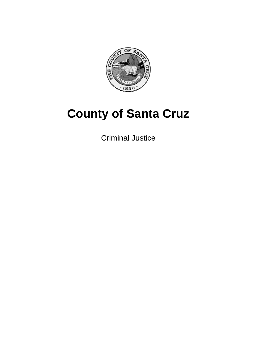

# **County of Santa Cruz**

Criminal Justice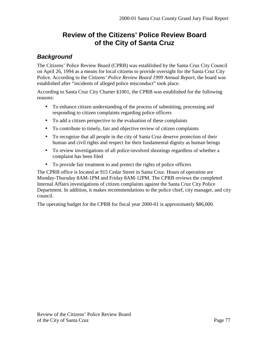# **Review of the Citizens' Police Review Board of the City of Santa Cruz**

## *Background*

The Citizens' Police Review Board (CPRB) was established by the Santa Cruz City Council on April 26, 1994 as a means for local citizens to provide oversight for the Santa Cruz City Police. According to the *Citizens' Police Review Board 1999 Annual Report,* the board was established after "incidents of alleged police misconduct" took place.

According to Santa Cruz City Charter §1001, the CPRB was established for the following reasons:

- To enhance citizen understanding of the process of submitting, processing and responding to citizen complaints regarding police officers
- To add a citizen perspective to the evaluation of these complaints
- To contribute to timely, fair and objective review of citizen complaints
- To recognize that all people in the city of Santa Cruz deserve protection of their human and civil rights and respect for their fundamental dignity as human beings
- To review investigations of all police-involved shootings regardless of whether a complaint has been filed
- To provide fair treatment to and protect the rights of police officers

The CPRB office is located at 915 Cedar Street in Santa Cruz. Hours of operation are Monday-Thursday 8AM-1PM and Friday 8AM-12PM. The CPRB reviews the completed Internal Affairs investigations of citizen complaints against the Santa Cruz City Police Department. In addition, it makes recommendations to the police chief, city manager, and city council.

The operating budget for the CPRB for fiscal year 2000-01 is approximately \$86,000.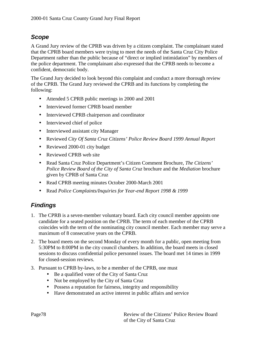## *Scope*

A Grand Jury review of the CPRB was driven by a citizen complaint. The complainant stated that the CPRB board members were trying to meet the needs of the Santa Cruz City Police Department rather than the public because of "direct or implied intimidation" by members of the police department. The complainant also expressed that the CPRB needs to become a confident, democratic body.

The Grand Jury decided to look beyond this complaint and conduct a more thorough review of the CPRB. The Grand Jury reviewed the CPRB and its functions by completing the following:

- Attended 5 CPRB public meetings in 2000 and 2001
- Interviewed former CPRB board member
- Interviewed CPRB chairperson and coordinator
- Interviewed chief of police
- Interviewed assistant city Manager
- Reviewed *City Of Santa Cruz Citizens' Police Review Board 1999 Annual Report*
- Reviewed 2000-01 city budget
- Reviewed CPRB web site
- Read Santa Cruz Police Department's Citizen Comment Brochure, *The Citizens' Police Review Board of the City of Santa Cruz* brochure and the *Mediation* brochure given by CPRB of Santa Cruz
- Read CPRB meeting minutes October 2000-March 2001
- Read *Police Complaints/Inquiries for Year-end Report 1998 & 1999*

# *Findings*

- 1. The CPRB is a seven-member voluntary board. Each city council member appoints one candidate for a seated position on the CPRB. The term of each member of the CPRB coincides with the term of the nominating city council member. Each member may serve a maximum of 8 consecutive years on the CPRB.
- 2. The board meets on the second Monday of every month for a public, open meeting from 5:30PM to 8:00PM in the city council chambers. In addition, the board meets in closed sessions to discuss confidential police personnel issues. The board met 14 times in 1999 for closed-session reviews.
- 3. Pursuant to CPRB by-laws, to be a member of the CPRB, one must
	- Be a qualified voter of the City of Santa Cruz
	- Not be employed by the City of Santa Cruz
	- Possess a reputation for fairness, integrity and responsibility
	- Have demonstrated an active interest in public affairs and service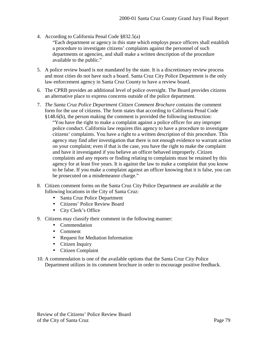4. According to California Penal Code §832.5(a)

"Each department or agency in this state which employs peace officers shall establish a procedure to investigate citizens' complaints against the personnel of such departments or agencies, and shall make a written description of the procedure available to the public."

- 5. A police review board is not mandated by the state. It is a discretionary review process and most cities do not have such a board. Santa Cruz City Police Department is the only law enforcement agency in Santa Cruz County to have a review board.
- 6. The CPRB provides an additional level of police oversight. The Board provides citizens an alternative place to express concerns outside of the police department.
- 7. *The Santa Cruz Police Department Citizen Comment Brochure* contains the comment form for the use of citizens. The form states that according to California Penal Code §148.6(b), the person making the comment is provided the following instruction:

"You have the right to make a complaint against a police officer for any improper police conduct. California law requires this agency to have a procedure to investigate citizens' complaints. You have a right to a written description of this procedure. This agency may find after investigation that there is not enough evidence to warrant action on your complaint; even if that is the case, you have the right to make the complaint and have it investigated if you believe an officer behaved improperly. Citizen complaints and any reports or finding relating to complaints must be retained by this agency for at least five years. It is against the law to make a complaint that you know to be false. If you make a complaint against an officer knowing that it is false, you can be prosecuted on a misdemeanor charge."

- 8. Citizen comment forms on the Santa Cruz City Police Department are available at the following locations in the City of Santa Cruz:
	- Santa Cruz Police Department
	- Citizens' Police Review Board
	- City Clerk's Office
- 9. Citizens may classify their comment in the following manner:
	- Commendation
	- Comment
	- Request for Mediation Information
	- Citizen Inquiry
	- Citizen Complaint
- 10. A commendation is one of the available options that the Santa Cruz City Police Department utilizes in its comment brochure in order to encourage positive feedback.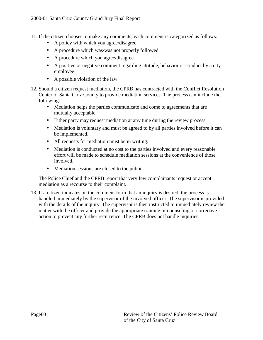- 11. If the citizen chooses to make any comments, each comment is categorized as follows:
	- A policy with which you agree/disagree
	- A procedure which was/was not properly followed
	- A procedure which you agree/disagree
	- A positive or negative comment regarding attitude, behavior or conduct by a city employee
	- A possible violation of the law
- 12. Should a citizen request mediation, the CPRB has contracted with the Conflict Resolution Center of Santa Cruz County to provide mediation services. The process can include the following:
	- Mediation helps the parties communicate and come to agreements that are mutually acceptable.
	- Either party may request mediation at any time during the review process.
	- Mediation is voluntary and must be agreed to by all parties involved before it can be implemented.
	- All requests for mediation must be in writing.
	- Mediation is conducted at no cost to the parties involved and every reasonable effort will be made to schedule mediation sessions at the convenience of those involved.
	- Mediation sessions are closed to the public.

The Police Chief and the CPRB report that very few complainants request or accept mediation as a recourse to their complaint.

13. If a citizen indicates on the comment form that an inquiry is desired, the process is handled immediately by the supervisor of the involved officer. The supervisor is provided with the details of the inquiry. The supervisor is then instructed to immediately review the matter with the officer and provide the appropriate training or counseling or corrective action to prevent any further recurrence. The CPRB does not handle inquiries.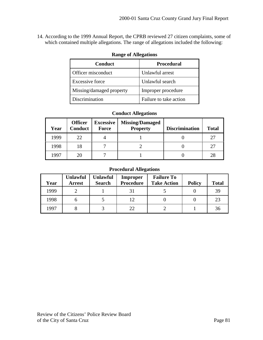14. According to the 1999 Annual Report, the CPRB reviewed 27 citizen complaints, some of which contained multiple allegations. The range of allegations included the following:

| Conduct                  | <b>Procedural</b>      |
|--------------------------|------------------------|
| Officer misconduct       | Unlawful arrest        |
| <b>Excessive force</b>   | Unlawful search        |
| Missing/damaged property | Improper procedure     |
| Discrimination           | Failure to take action |

#### **Range of Allegations**

#### **Conduct Allegations**

| Year | <b>Officer</b><br>Conduct | <b>Excessive</b><br><b>Force</b> | <b>Missing/Damaged</b><br><b>Property</b> | <b>Discrimination</b> | <b>Total</b> |
|------|---------------------------|----------------------------------|-------------------------------------------|-----------------------|--------------|
| 1999 | 22                        |                                  |                                           |                       | 27           |
| 1998 | 18                        |                                  |                                           |                       | 27           |
| 1997 | 20                        |                                  |                                           |                       | 28           |

#### **Procedural Allegations**

| Year | <b>Unlawful</b><br><b>Arrest</b> | Unlawful<br><b>Search</b> | Improper<br><b>Procedure</b> | <b>Failure To</b><br><b>Take Action</b> | <b>Policy</b> | <b>Total</b> |
|------|----------------------------------|---------------------------|------------------------------|-----------------------------------------|---------------|--------------|
| 1999 |                                  |                           | 31                           |                                         |               | 39           |
| 1998 |                                  |                           | 12                           |                                         |               | 23           |
| 1997 |                                  |                           | 22                           |                                         |               | 36           |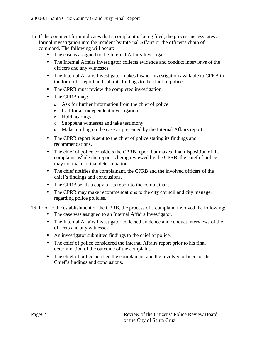- 15. If the comment form indicates that a complaint is being filed, the process necessitates a formal investigation into the incident by Internal Affairs or the officer's chain of command. The following will occur:
	- The case is assigned to the Internal Affairs Investigator.
	- The Internal Affairs Investigator collects evidence and conduct interviews of the officers and any witnesses.
	- The Internal Affairs Investigator makes his/her investigation available to CPRB in the form of a report and submits findings to the chief of police.
	- The CPRB must review the completed investigation.
	- The CPRB may:
		- @ Ask for further information from the chief of police
		- @ Call for an independent investigation
		- @ Hold hearings
		- @ Subpoena witnesses and take testimony
		- @ Make a ruling on the case as presented by the Internal Affairs report.
	- The CPRB report is sent to the chief of police stating its findings and recommendations.
	- The chief of police considers the CPRB report but makes final disposition of the complaint. While the report is being reviewed by the CPRB, the chief of police may not make a final determination.
	- The chief notifies the complainant, the CPRB and the involved officers of the chief's findings and conclusions.
	- The CPRB sends a copy of its report to the complainant.
	- The CPRB may make recommendations to the city council and city manager regarding police policies.

16. Prior to the establishment of the CPRB, the process of a complaint involved the following:

- The case was assigned to an Internal Affairs Investigator.
- The Internal Affairs Investigator collected evidence and conduct interviews of the officers and any witnesses.
- An investigator submitted findings to the chief of police.
- The chief of police considered the Internal Affairs report prior to his final determination of the outcome of the complaint.
- The chief of police notified the complainant and the involved officers of the Chief's findings and conclusions.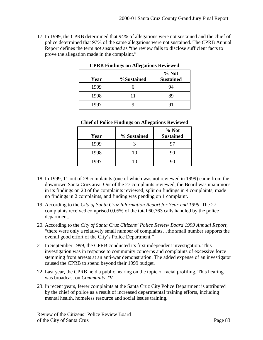17. In 1999, the CPRB determined that 94% of allegations were not sustained and the chief of police determined that 97% of the same allegations were not sustained. The CPRB Annual Report defines the term *not sustained* as "the review fails to disclose sufficient facts to prove the allegation made in the complaint."

| Year | %Sustained | $%$ Not<br><b>Sustained</b> |
|------|------------|-----------------------------|
| 1999 |            | 94                          |
| 1998 | 11         | 89                          |
| 1997 |            |                             |

**CPRB Findings on Allegations Reviewed**

#### **Chief of Police Findings on Allegations Reviewed**

| Year | % Sustained | $%$ Not<br><b>Sustained</b> |
|------|-------------|-----------------------------|
| 1999 |             | g.                          |
| 1998 | 10          | 90                          |
| 1997 |             |                             |

- 18. In 1999, 11 out of 28 complaints (one of which was not reviewed in 1999) came from the downtown Santa Cruz area. Out of the 27 complaints reviewed, the Board was unanimous in its findings on 20 of the complaints reviewed, split on findings in 4 complaints, made no findings in 2 complaints, and finding was pending on 1 complaint.
- 19. According to the *City of Santa Cruz Information Report for Year-end 1999*. The 27 complaints received comprised 0.05% of the total 60,763 calls handled by the police department.
- 20. According to the *City of Santa Cruz Citizens' Police Review Board 1999 Annual Report*, "there were only a relatively small number of complaints…the small number supports the overall good effort of the City's Police Department."
- 21. In September 1999, the CPRB conducted its first independent investigation. This investigation was in response to community concerns and complaints of excessive force stemming from arrests at an anti-war demonstration. The added expense of an investigator caused the CPRB to spend beyond their 1999 budget.
- 22. Last year, the CPRB held a public hearing on the topic of racial profiling. This hearing was broadcast on *Community TV.*
- 23. In recent years, fewer complaints at the Santa Cruz City Police Department is attributed by the chief of police as a result of increased departmental training efforts, including mental health, homeless resource and social issues training.

Review of the Citizens' Police Review Board of the City of Santa Cruz Page 83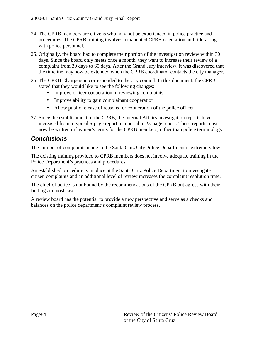- 24. The CPRB members are citizens who may not be experienced in police practice and procedures. The CPRB training involves a mandated CPRB orientation and ride-alongs with police personnel.
- 25. Originally, the board had to complete their portion of the investigation review within 30 days. Since the board only meets once a month, they want to increase their review of a complaint from 30 days to 60 days. After the Grand Jury interview, it was discovered that the timeline may now be extended when the CPRB coordinator contacts the city manager.
- 26. The CPRB Chairperson corresponded to the city council. In this document, the CPRB stated that they would like to see the following changes:
	- Improve officer cooperation in reviewing complaints
	- Improve ability to gain complainant cooperation
	- Allow public release of reasons for exoneration of the police officer
- 27. Since the establishment of the CPRB, the Internal Affairs investigation reports have increased from a typical 5-page report to a possible 25-page report. These reports must now be written in laymen's terms for the CPRB members, rather than police terminology.

#### *Conclusions*

The number of complaints made to the Santa Cruz City Police Department is extremely low.

The existing training provided to CPRB members does not involve adequate training in the Police Department's practices and procedures.

An established procedure is in place at the Santa Cruz Police Department to investigate citizen complaints and an additional level of review increases the complaint resolution time.

The chief of police is not bound by the recommendations of the CPRB but agrees with their findings in most cases.

A review board has the potential to provide a new perspective and serve as a checks and balances on the police department's complaint review process.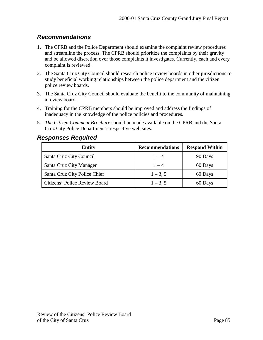## *Recommendations*

- 1. The CPRB and the Police Department should examine the complaint review procedures and streamline the process. The CPRB should prioritize the complaints by their gravity and be allowed discretion over those complaints it investigates. Currently, each and every complaint is reviewed.
- 2. The Santa Cruz City Council should research police review boards in other jurisdictions to study beneficial working relationships between the police department and the citizen police review boards.
- 3. The Santa Cruz City Council should evaluate the benefit to the community of maintaining a review board.
- 4. Training for the CPRB members should be improved and address the findings of inadequacy in the knowledge of the police policies and procedures.
- 5. *The Citizen Comment Brochure* should be made available on the CPRB and the Santa Cruz City Police Department's respective web sites.

#### *Responses Required*

| <b>Entity</b>                 | <b>Recommendations</b> | <b>Respond Within</b> |
|-------------------------------|------------------------|-----------------------|
| Santa Cruz City Council       | $1 - 4$                | 90 Days               |
| Santa Cruz City Manager       | $1 - 4$                | 60 Days               |
| Santa Cruz City Police Chief  | $1 - 3, 5$             | 60 Days               |
| Citizens' Police Review Board | $1 - 3, 5$             | 60 Days               |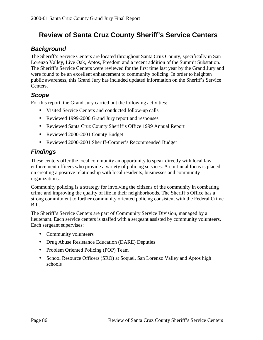# **Review of Santa Cruz County Sheriff's Service Centers**

#### *Background*

The Sheriff's Service Centers are located throughout Santa Cruz County, specifically in San Lorenzo Valley, Live Oak, Aptos, Freedom and a recent addition of the Summit Substation. The Sheriff's Service Centers were reviewed for the first time last year by the Grand Jury and were found to be an excellent enhancement to community policing. In order to heighten public awareness, this Grand Jury has included updated information on the Sheriff's Service Centers.

#### *Scope*

For this report, the Grand Jury carried out the following activities:

- Visited Service Centers and conducted follow-up calls
- Reviewed 1999-2000 Grand Jury report and responses
- Reviewed Santa Cruz County Sheriff's Office 1999 Annual Report
- Reviewed 2000-2001 County Budget
- Reviewed 2000-2001 Sheriff-Coroner's Recommended Budget

## *Findings*

These centers offer the local community an opportunity to speak directly with local law enforcement officers who provide a variety of policing services. A continual focus is placed on creating a positive relationship with local residents, businesses and community organizations.

Community policing is a strategy for involving the citizens of the community in combating crime and improving the quality of life in their neighborhoods. The Sheriff's Office has a strong commitment to further community oriented policing consistent with the Federal Crime Bill.

The Sheriff's Service Centers are part of Community Service Division, managed by a lieutenant. Each service centers is staffed with a sergeant assisted by community volunteers. Each sergeant supervises:

- Community volunteers
- Drug Abuse Resistance Education (DARE) Deputies
- Problem Oriented Policing (POP) Team
- School Resource Officers (SRO) at Soquel, San Lorenzo Valley and Aptos high schools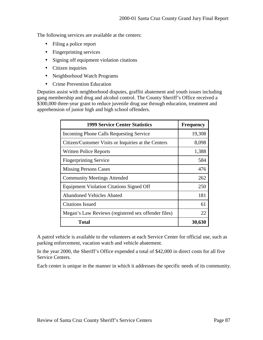The following services are available at the centers:

- Filing a police report
- Fingerprinting services
- Signing off equipment violation citations
- Citizen inquiries
- Neighborhood Watch Programs
- Crime Prevention Education

Deputies assist with neighborhood disputes, graffiti abatement and youth issues including gang membership and drug and alcohol control. The County Sheriff's Office received a \$300,000 three-year grant to reduce juvenile drug use through education, treatment and apprehension of junior high and high school offenders.

| <b>1999 Service Center Statistics</b>               | <b>Frequency</b> |
|-----------------------------------------------------|------------------|
| Incoming Phone Calls Requesting Service             | 19,308           |
| Citizen/Customer Visits or Inquiries at the Centers | 8,098            |
| <b>Written Police Reports</b>                       | 1,388            |
| <b>Fingerprinting Service</b>                       | 584              |
| <b>Missing Persons Cases</b>                        | 476              |
| <b>Community Meetings Attended</b>                  | 262              |
| <b>Equipment Violation Citations Signed Off</b>     | 250              |
| <b>Abandoned Vehicles Abated</b>                    | 181              |
| Citations Issued                                    | 61               |
| Megan's Law Reviews (registered sex offender files) | 22               |
| Total                                               | 30,630           |

A patrol vehicle is available to the volunteers at each Service Center for official use, such as parking enforcement, vacation watch and vehicle abatement.

In the year 2000, the Sheriff's Office expended a total of \$42,000 in direct costs for all five Service Centers.

Each center is unique in the manner in which it addresses the specific needs of its community.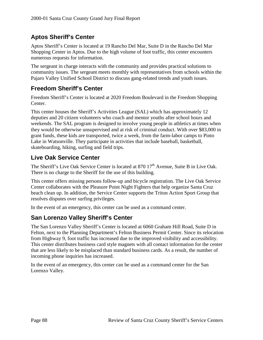# **Aptos Sheriff's Center**

Aptos Sheriff's Center is located at 19 Rancho Del Mar, Suite D in the Rancho Del Mar Shopping Center in Aptos. Due to the high volume of foot traffic, this center encounters numerous requests for information.

The sergeant in charge interacts with the community and provides practical solutions to community issues. The sergeant meets monthly with representatives from schools within the Pajaro Valley Unified School District to discuss gang-related trends and youth issues.

# **Freedom Sheriff's Center**

Freedom Sheriff's Center is located at 2020 Freedom Boulevard in the Freedom Shopping Center.

This center houses the Sheriff's Activities League (SAL) which has approximately 12 deputies and 20 citizen volunteers who coach and mentor youths after school hours and weekends. The SAL program is designed to involve young people in athletics at times when they would be otherwise unsupervised and at risk of criminal conduct. With over \$83,000 in grant funds, these kids are transported, twice a week, from the farm-labor camps to Pinto Lake in Watsonville. They participate in activities that include baseball, basketball, skateboarding, hiking, surfing and field trips.

# **Live Oak Service Center**

The Sheriff's Live Oak Service Center is located at 870 17<sup>th</sup> Avenue, Suite B in Live Oak. There is no charge to the Sheriff for the use of this building.

This center offers missing persons follow-up and bicycle registration. The Live Oak Service Center collaborates with the Pleasure Point Night Fighters that help organize Santa Cruz beach clean up. In addition, the Service Center supports the Triton Action Sport Group that resolves disputes over surfing privileges.

In the event of an emergency, this center can be used as a command center.

## **San Lorenzo Valley Sheriff's Center**

The San Lorenzo Valley Sheriff's Center is located at 6060 Graham Hill Road, Suite D in Felton, next to the Planning Department's Felton Business Permit Center. Since its relocation from Highway 9, foot traffic has increased due to the improved visibility and accessibility. This center distributes business card style magnets with all contact information for the center that are less likely to be misplaced than standard business cards. As a result, the number of incoming phone inquiries has increased.

In the event of an emergency, this center can be used as a command center for the San Lorenzo Valley.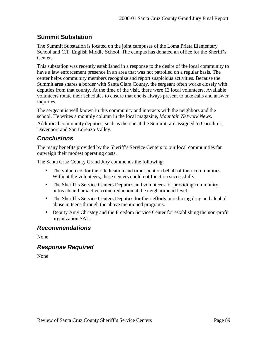## **Summit Substation**

The Summit Substation is located on the joint campuses of the Loma Prieta Elementary School and C.T. English Middle School. The campus has donated an office for the Sheriff's Center.

This substation was recently established in a response to the desire of the local community to have a law enforcement presence in an area that was not patrolled on a regular basis. The center helps community members recognize and report suspicious activities. Because the Summit area shares a border with Santa Clara County, the sergeant often works closely with deputies from that county. At the time of the visit, there were 13 local volunteers. Available volunteers rotate their schedules to ensure that one is always present to take calls and answer inquiries.

The sergeant is well known in this community and interacts with the neighbors and the school. He writes a monthly column in the local magazine, *Mountain Network News*.

Additional community deputies, such as the one at the Summit, are assigned to Corralitos, Davenport and San Lorenzo Valley.

## *Conclusions*

The many benefits provided by the Sheriff's Service Centers to our local communities far outweigh their modest operating costs.

The Santa Cruz County Grand Jury commends the following:

- The volunteers for their dedication and time spent on behalf of their communities. Without the volunteers, these centers could not function successfully.
- The Sheriff's Service Centers Deputies and volunteers for providing community outreach and proactive crime reduction at the neighborhood level.
- The Sheriff's Service Centers Deputies for their efforts in reducing drug and alcohol abuse in teens through the above mentioned programs.
- Deputy Amy Christey and the Freedom Service Center for establishing the non-profit organization SAL.

#### *Recommendations*

None

#### *Response Required*

None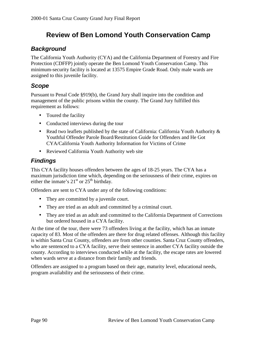# **Review of Ben Lomond Youth Conservation Camp**

## *Background*

The California Youth Authority (CYA) and the California Department of Forestry and Fire Protection (CDFFP) jointly operate the Ben Lomond Youth Conservation Camp. This minimum-security facility is located at 13575 Empire Grade Road. Only male wards are assigned to this juvenile facility.

## *Scope*

Pursuant to Penal Code §919(b), the Grand Jury shall inquire into the condition and management of the public prisons within the county. The Grand Jury fulfilled this requirement as follows:

- Toured the facility
- Conducted interviews during the tour
- Read two leaflets published by the state of California: California Youth Authority  $\&$ Youthful Offender Parole Board/Restitution Guide for Offenders and He Got CYA/California Youth Authority Information for Victims of Crime
- Reviewed California Youth Authority web site

# *Findings*

This CYA facility houses offenders between the ages of 18-25 years. The CYA has a maximum jurisdiction time which, depending on the seriousness of their crime, expires on either the inmate's  $21<sup>st</sup>$  or  $25<sup>th</sup>$  birthday.

Offenders are sent to CYA under any of the following conditions:

- They are committed by a juvenile court.
- They are tried as an adult and committed by a criminal court.
- They are tried as an adult and committed to the California Department of Corrections but ordered housed in a CYA facility.

At the time of the tour, there were 73 offenders living at the facility, which has an inmate capacity of 83. Most of the offenders are there for drug related offenses. Although this facility is within Santa Cruz County, offenders are from other counties. Santa Cruz County offenders, who are sentenced to a CYA facility, serve their sentence in another CYA facility outside the county. According to interviews conducted while at the facility, the escape rates are lowered when wards serve at a distance from their family and friends.

Offenders are assigned to a program based on their age, maturity level, educational needs, program availability and the seriousness of their crime.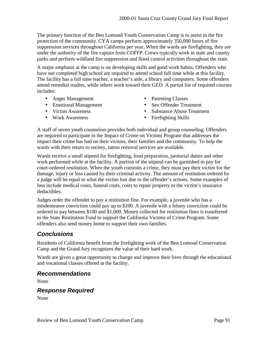The primary function of the Ben Lomond Youth Conservation Camp is to assist in the fire protection of the community. CYA camps perform approximately 350,000 hours of fire suppression services throughout California per year. When the wards are firefighting, they are under the authority of the fire captain from CDFFP. Crews typically work in state and county parks and perform wildland fire suppression and flood control activities throughout the state.

A major emphasis at the camp is on developing skills and good work habits. Offenders who have not completed high school are required to attend school full time while at this facility. The facility has a full time teacher, a teacher's aide, a library and computers. Some offenders attend remedial studies, while others work toward their GED. A partial list of required courses includes:

- 
- 
- 
- 
- Anger Management Parenting Classes
- Emotional Management Sex Offender Treatment
- Victim Awareness Substance Abuse Treatment
- Work Awareness Firefighting Skills

A staff of seven youth counselors provides both individual and group counseling. Offenders are required to participate in the Impact of Crime on Victims Program that addresses the impact their crime has had on their victims, their families and the community. To help the wards with their return to society, tattoo removal services are available.

Wards receive a small stipend for firefighting, food preparation, janitorial duties and other work performed while at the facility. A portion of the stipend can be garnished to pay for court-ordered restitution. When the youth commits a crime, they must pay their victim for the damage, injury or loss caused by their criminal activity. The amount of restitution ordered by a judge will be equal to what the victim lost due to the offender's actions. Some examples of loss include medical costs, funeral costs, costs to repair property or the victim's insurance deductibles.

Judges order the offender to pay a restitution fine. For example, a juvenile who has a misdemeanor conviction could pay up to \$100. A juvenile with a felony conviction could be ordered to pay between \$100 and \$1,000. Money collected for restitution fines is transferred to the State Restitution Fund to support the California Victims of Crime Program. Some offenders also send money home to support their own families.

## *Conclusions*

Residents of California benefit from the firefighting work of the Ben Lomond Conservation Camp and the Grand Jury recognizes the value of their hard work.

Wards are given a great opportunity to change and improve their lives through the educational and vocational classes offered at the facility.

#### *Recommendations*

None

#### *Response Required*

None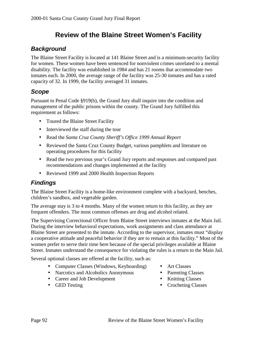# **Review of the Blaine Street Women's Facility**

#### *Background*

The Blaine Street Facility is located at 141 Blaine Street and is a minimum-security facility for women. These women have been sentenced for nonviolent crimes unrelated to a mental disability. The facility was established in 1984 and has 21 rooms that accommodate two inmates each. In 2000, the average range of the facility was 25-30 inmates and has a rated capacity of 32. In 1999, the facility averaged 31 inmates.

#### *Scope*

Pursuant to Penal Code §919(b), the Grand Jury shall inquire into the condition and management of the public prisons within the county. The Grand Jury fulfilled this requirement as follows:

- Toured the Blaine Street Facility
- Interviewed the staff during the tour
- Read the *Santa Cruz County Sheriff's Office 1999 Annual Report*
- Reviewed the Santa Cruz County Budget, various pamphlets and literature on operating procedures for this facility
- Read the two previous year's Grand Jury reports and responses and compared past recommendations and changes implemented at the facility
- Reviewed 1999 and 2000 Health Inspection Reports

## *Findings*

The Blaine Street Facility is a home-like environment complete with a backyard, benches, children's sandbox, and vegetable garden.

The average stay is 3 to 4 months. Many of the women return to this facility, as they are frequent offenders. The most common offenses are drug and alcohol related.

The Supervising Correctional Officer from Blaine Street interviews inmates at the Main Jail. During the interview behavioral expectations, work assignments and class attendance at Blaine Street are presented to the inmate. According to the supervisor, inmates must "display a cooperative attitude and peaceful behavior if they are to remain at this facility." Most of the women prefer to serve their time here because of the special privileges available at Blaine Street. Inmates understand the consequence for violating the rules is a return to the Main Jail.

Several optional classes are offered at the facility, such as:

- Computer Classes (Windows, Keyboarding) Art Classes
- Narcotics and Alcoholics Anonymous Parenting Classes
- Career and Job Development Knitting Classes
- 
- 
- 
- 
- GED Testing Crocheting Classes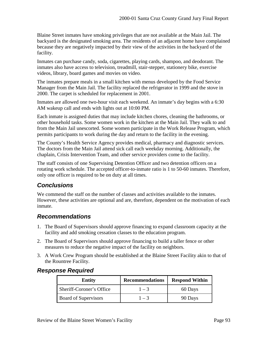Blaine Street inmates have smoking privileges that are not available at the Main Jail. The backyard is the designated smoking area. The residents of an adjacent home have complained because they are negatively impacted by their view of the activities in the backyard of the facility.

Inmates can purchase candy, soda, cigarettes, playing cards, shampoo, and deodorant. The inmates also have access to television, treadmill, stair-stepper, stationery bike, exercise videos, library, board games and movies on video.

The inmates prepare meals in a small kitchen with menus developed by the Food Service Manager from the Main Jail. The facility replaced the refrigerator in 1999 and the stove in 2000. The carpet is scheduled for replacement in 2001.

Inmates are allowed one two-hour visit each weekend. An inmate's day begins with a 6:30 AM wakeup call and ends with lights out at 10:00 PM.

Each inmate is assigned duties that may include kitchen chores, cleaning the bathrooms, or other household tasks. Some women work in the kitchen at the Main Jail. They walk to and from the Main Jail unescorted. Some women participate in the Work Release Program, which permits participants to work during the day and return to the facility in the evening.

The County's Health Service Agency provides medical, pharmacy and diagnostic services. The doctors from the Main Jail attend sick call each weekday morning. Additionally, the chaplain, Crisis Intervention Team, and other service providers come to the facility.

The staff consists of one Supervising Detention Officer and two detention officers on a rotating work schedule. The accepted officer-to-inmate ratio is 1 to 50-60 inmates. Therefore, only one officer is required to be on duty at all times.

#### *Conclusions*

We commend the staff on the number of classes and activities available to the inmates. However, these activities are optional and are, therefore, dependent on the motivation of each inmate.

#### *Recommendations*

- 1. The Board of Supervisors should approve financing to expand classroom capacity at the facility and add smoking cessation classes to the education program.
- 2. The Board of Supervisors should approve financing to build a taller fence or other measures to reduce the negative impact of the facility on neighbors.
- 3. A Work Crew Program should be established at the Blaine Street Facility akin to that of the Rountree Facility.

| <b>Entity</b>               | <b>Recommendations</b> | <b>Respond Within</b> |
|-----------------------------|------------------------|-----------------------|
| Sheriff-Coroner's Office    | $1 - 3$                | 60 Days               |
| <b>Board of Supervisors</b> | $1 - 3$                | 90 Days               |

#### *Response Required*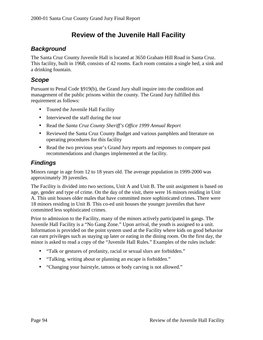# **Review of the Juvenile Hall Facility**

## *Background*

The Santa Cruz County Juvenile Hall is located at 3650 Graham Hill Road in Santa Cruz. This facility, built in 1968, consists of 42 rooms. Each room contains a single bed, a sink and a drinking fountain.

## *Scope*

Pursuant to Penal Code §919(b), the Grand Jury shall inquire into the condition and management of the public prisons within the county. The Grand Jury fulfilled this requirement as follows:

- Toured the Juvenile Hall Facility
- Interviewed the staff during the tour
- Read the *Santa Cruz County Sheriff's Office 1999 Annual Report*
- Reviewed the Santa Cruz County Budget and various pamphlets and literature on operating procedures for this facility
- Read the two previous year's Grand Jury reports and responses to compare past recommendations and changes implemented at the facility.

# *Findings*

Minors range in age from 12 to 18 years old. The average population in 1999-2000 was approximately 39 juveniles.

The Facility is divided into two sections, Unit A and Unit B. The unit assignment is based on age, gender and type of crime. On the day of the visit, there were 16 minors residing in Unit A. This unit houses older males that have committed more sophisticated crimes. There were 18 minors residing in Unit B. This co-ed unit houses the younger juveniles that have committed less sophisticated crimes.

Prior to admission to the Facility, many of the minors actively participated in gangs. The Juvenile Hall Facility is a "No Gang Zone." Upon arrival, the youth is assigned to a unit. Information is provided on the point system used at the Facility where kids on good behavior can earn privileges such as staying up later or eating in the dining room. On the first day, the minor is asked to read a copy of the "Juvenile Hall Rules." Examples of the rules include:

- "Talk or gestures of profanity, racial or sexual slurs are forbidden."
- "Talking, writing about or planning an escape is forbidden."
- "Changing your hairstyle, tattoos or body carving is not allowed."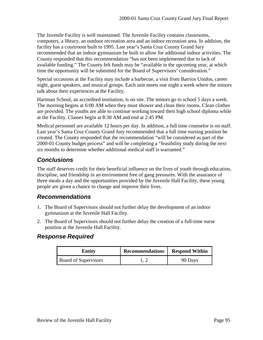The Juvenile Facility is well maintained. The Juvenile Facility contains classrooms, computers, a library, an outdoor recreation area and an indoor recreation area. In addition, the facility has a courtroom built in 1995. Last year's Santa Cruz County Grand Jury recommended that an indoor gymnasium be built to allow for additional indoor activities. The County responded that this recommendation "has not been implemented due to lack of available funding." The County felt funds may be "available in the upcoming year, at which time the opportunity will be submitted for the Board of Supervisors' consideration."

Special occasions at the Facility may include a barbecue, a visit from Barrios Unidos, career night, guest speakers, and musical groups. Each unit meets one night a week where the minors talk about their experiences at the Facility.

Hartman School, an accredited institution, is on site. The minors go to school 5 days a week. The morning begins at 6:00 AM when they must shower and clean their rooms. Clean clothes are provided. The youths are able to continue working toward their high school diploma while at the Facility. Classes begin at 8:30 AM and end at 2:45 PM.

Medical personnel are available 12 hours per day. In addition, a full time counselor is on staff. Last year's Santa Cruz County Grand Jury recommended that a full time nursing position be created. The County responded that the recommendation "will be considered as part of the 2000-01 County budget process" and will be completing a "feasibility study during the next six months to determine whether additional medical staff is warranted."

# *Conclusions*

The staff deserves credit for their beneficial influence on the lives of youth through education, discipline, and friendship in an environment free of gang pressures. With the assurance of three meals a day and the opportunities provided by the Juvenile Hall Facility, these young people are given a chance to change and improve their lives.

## *Recommendations*

- 1. The Board of Supervisors should not further delay the development of an indoor gymnasium at the Juvenile Hall Facility.
- 2. The Board of Supervisors should not further delay the creation of a full-time nurse position at the Juvenile Hall Facility.

| <b>Entity</b>               | <b>Recommendations</b> | <b>Respond Within</b> |
|-----------------------------|------------------------|-----------------------|
| <b>Board of Supervisors</b> |                        | 90 Days               |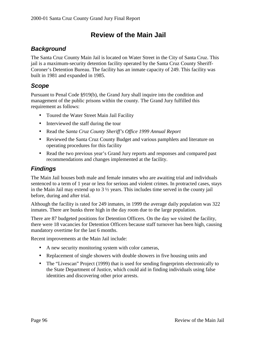# **Review of the Main Jail**

#### *Background*

The Santa Cruz County Main Jail is located on Water Street in the City of Santa Cruz. This jail is a maximum-security detention facility operated by the Santa Cruz County Sheriff-Coroner's Detention Bureau. The facility has an inmate capacity of 249. This facility was built in 1981 and expanded in 1985.

#### *Scope*

Pursuant to Penal Code §919(b), the Grand Jury shall inquire into the condition and management of the public prisons within the county. The Grand Jury fulfilled this requirement as follows:

- Toured the Water Street Main Jail Facility
- Interviewed the staff during the tour
- Read the *Santa Cruz County Sheriff's Office 1999 Annual Report*
- Reviewed the Santa Cruz County Budget and various pamphlets and literature on operating procedures for this facility
- Read the two previous year's Grand Jury reports and responses and compared past recommendations and changes implemented at the facility.

#### *Findings*

The Main Jail houses both male and female inmates who are awaiting trial and individuals sentenced to a term of 1 year or less for serious and violent crimes. In protracted cases, stays in the Main Jail may extend up to  $3\frac{1}{2}$  years. This includes time served in the county jail before, during and after trial.

Although the facility is rated for 249 inmates, in 1999 the average daily population was 322 inmates. There are bunks three high in the day room due to the large population.

There are 87 budgeted positions for Detention Officers. On the day we visited the facility, there were 18 vacancies for Detention Officers because staff turnover has been high, causing mandatory overtime for the last 6 months.

Recent improvements at the Main Jail include:

- A new security monitoring system with color cameras,
- Replacement of single showers with double showers in five housing units and
- The "Livescan" Project (1999) that is used for sending fingerprints electronically to the State Department of Justice, which could aid in finding individuals using false identities and discovering other prior arrests.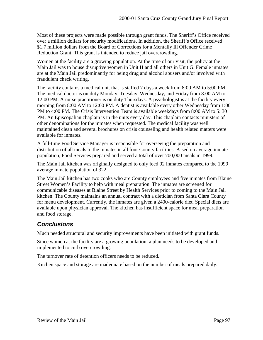Most of these projects were made possible through grant funds. The Sheriff's Office received over a million dollars for security modifications. In addition, the Sheriff's Office received \$1.7 million dollars from the Board of Corrections for a Mentally Ill Offender Crime Reduction Grant. This grant is intended to reduce jail overcrowding.

Women at the facility are a growing population. At the time of our visit, the policy at the Main Jail was to house disruptive women in Unit H and all others in Unit G. Female inmates are at the Main Jail predominantly for being drug and alcohol abusers and/or involved with fraudulent check writing.

The facility contains a medical unit that is staffed 7 days a week from 8:00 AM to 5:00 PM. The medical doctor is on duty Monday, Tuesday, Wednesday, and Friday from 8:00 AM to 12:00 PM. A nurse practitioner is on duty Thursdays. A psychologist is at the facility every morning from 8:00 AM to 12:00 PM. A dentist is available every other Wednesday from 1:00 PM to 4:00 PM. The Crisis Intervention Team is available weekdays from 8:00 AM to 5: 30 PM. An Episcopalian chaplain is in the units every day. This chaplain contacts ministers of other denominations for the inmates when requested. The medical facility was well maintained clean and several brochures on crisis counseling and health related matters were available for inmates.

A full-time Food Service Manager is responsible for overseeing the preparation and distribution of all meals to the inmates in all four County facilities. Based on average inmate population, Food Services prepared and served a total of over 700,000 meals in 1999.

The Main Jail kitchen was originally designed to only feed 92 inmates compared to the 1999 average inmate population of 322.

The Main Jail kitchen has two cooks who are County employees and five inmates from Blaine Street Women's Facility to help with meal preparation. The inmates are screened for communicable diseases at Blaine Street by Health Services prior to coming to the Main Jail kitchen. The County maintains an annual contract with a dietician from Santa Clara County for menu development. Currently, the inmates are given a 2400-calorie diet. Special diets are available upon physician approval. The kitchen has insufficient space for meal preparation and food storage.

#### *Conclusions*

Much needed structural and security improvements have been initiated with grant funds.

Since women at the facility are a growing population, a plan needs to be developed and implemented to curb overcrowding.

The turnover rate of detention officers needs to be reduced.

Kitchen space and storage are inadequate based on the number of meals prepared daily.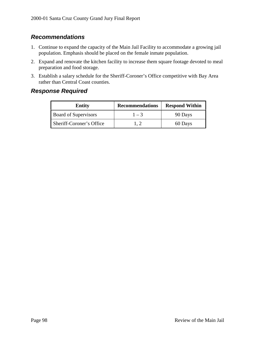## *Recommendations*

- 1. Continue to expand the capacity of the Main Jail Facility to accommodate a growing jail population. Emphasis should be placed on the female inmate population.
- 2. Expand and renovate the kitchen facility to increase them square footage devoted to meal preparation and food storage.
- 3. Establish a salary schedule for the Sheriff-Coroner's Office competitive with Bay Area rather than Central Coast counties.

| <b>Entity</b>               | <b>Recommendations</b> | <b>Respond Within</b> |
|-----------------------------|------------------------|-----------------------|
| <b>Board of Supervisors</b> | $1 - 3$                | 90 Days               |
| Sheriff-Coroner's Office    | 1.2                    | 60 Days               |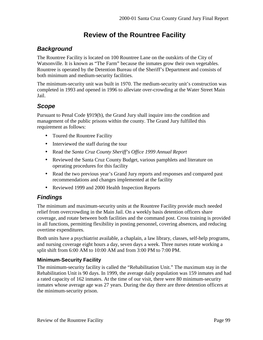# **Review of the Rountree Facility**

## *Background*

The Rountree Facility is located on 100 Rountree Lane on the outskirts of the City of Watsonville. It is known as "The Farm" because the inmates grow their own vegetables. Rountree is operated by the Detention Bureau of the Sheriff's Department and consists of both minimum and medium-security facilities.

The minimum-security unit was built in 1970. The medium-security unit's construction was completed in 1993 and opened in 1996 to alleviate over-crowding at the Water Street Main Jail.

## *Scope*

Pursuant to Penal Code §919(b), the Grand Jury shall inquire into the condition and management of the public prisons within the county. The Grand Jury fulfilled this requirement as follows:

- Toured the Rountree Facility
- Interviewed the staff during the tour
- Read the *Santa Cruz County Sheriff's Office 1999 Annual Report*
- Reviewed the Santa Cruz County Budget, various pamphlets and literature on operating procedures for this facility
- Read the two previous year's Grand Jury reports and responses and compared past recommendations and changes implemented at the facility
- Reviewed 1999 and 2000 Health Inspection Reports

#### *Findings*

The minimum and maximum-security units at the Rountree Facility provide much needed relief from overcrowding in the Main Jail. On a weekly basis detention officers share coverage, and rotate between both facilities and the command post. Cross training is provided in all functions, permitting flexibility in posting personnel, covering absences, and reducing overtime expenditures.

Both units have a psychiatrist available, a chaplain, a law library, classes, self-help programs, and nursing coverage eight hours a day, seven days a week. Three nurses rotate working a split shift from 6:00 AM to 10:00 AM and from 3:00 PM to 7:00 PM.

#### **Minimum-Security Facility**

The minimum-security facility is called the "Rehabilitation Unit." The maximum stay in the Rehabilitation Unit is 90 days. In 1999, the average daily population was 159 inmates and had a rated capacity of 162 inmates. At the time of our visit, there were 80 minimum-security inmates whose average age was 27 years. During the day there are three detention officers at the minimum-security prison.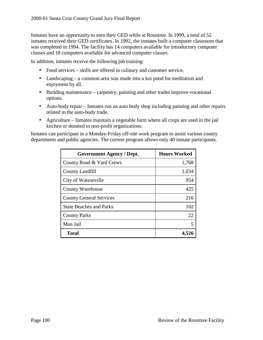Inmates have an opportunity to earn their GED while at Rountree. In 1999, a total of 52 inmates received their GED certificates. In 1992, the inmates built a computer classroom that was completed in 1994. The facility has 14 computers available for introductory computer classes and 18 computers available for advanced computer classes.

In addition, inmates receive the following job training:

- Food services skills are offered in culinary and customer service.
- Landscaping a common area was made into a koi pond for meditation and enjoyment by all.
- Building maintenance carpentry, painting and other trades improve vocational options.
- Auto-body repair Inmates run an auto body shop including painting and other repairs related to the auto-body trade.
- Agriculture Inmates maintain a vegetable farm where all crops are used in the jail kitchen or donated to non-profit organizations.

Inmates can participate in a Monday-Friday off-site work program to assist various county departments and public agencies. The current program allows only 40 inmate participants.

| <b>Government Agency / Dept.</b> | <b>Hours Worked</b> |
|----------------------------------|---------------------|
| County Road & Yard Crews         | 1,768               |
| County Landfill                  | 1,034               |
| City of Watsonville              | 954                 |
| <b>County Warehouse</b>          | 425                 |
| <b>County General Services</b>   | 216                 |
| <b>State Beaches and Parks</b>   | 102                 |
| <b>County Parks</b>              | 22                  |
| Man Jail                         | 5                   |
| <b>Total</b>                     |                     |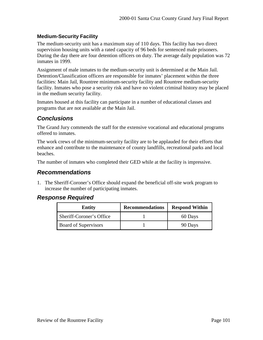#### **Medium-Security Facility**

The medium-security unit has a maximum stay of 110 days. This facility has two direct supervision housing units with a rated capacity of 96 beds for sentenced male prisoners. During the day there are four detention officers on duty. The average daily population was 72 inmates in 1999.

Assignment of male inmates to the medium-security unit is determined at the Main Jail. Detention/Classification officers are responsible for inmates' placement within the three facilities: Main Jail, Rountree minimum-security facility and Rountree medium-security facility. Inmates who pose a security risk and have no violent criminal history may be placed in the medium security facility.

Inmates housed at this facility can participate in a number of educational classes and programs that are not available at the Main Jail.

#### *Conclusions*

The Grand Jury commends the staff for the extensive vocational and educational programs offered to inmates.

The work crews of the minimum-security facility are to be applauded for their efforts that enhance and contribute to the maintenance of county landfills, recreational parks and local beaches.

The number of inmates who completed their GED while at the facility is impressive.

#### *Recommendations*

1. The Sheriff-Coroner's Office should expand the beneficial off-site work program to increase the number of participating inmates.

| <b>Entity</b>               | <b>Recommendations</b> | <b>Respond Within</b> |
|-----------------------------|------------------------|-----------------------|
| Sheriff-Coroner's Office    |                        | 60 Days               |
| <b>Board of Supervisors</b> |                        | 90 Days               |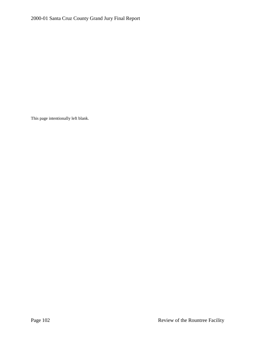This page intentionally left blank.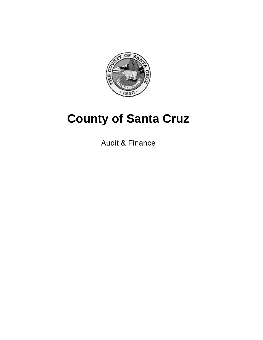

# **County of Santa Cruz**

Audit & Finance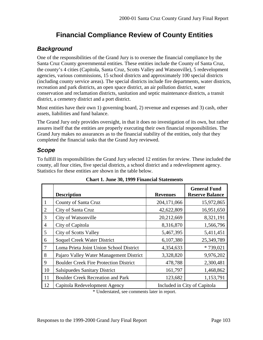# **Financial Compliance Review of County Entities**

## *Background*

One of the responsibilities of the Grand Jury is to oversee the financial compliance by the Santa Cruz County governmental entities. These entities include the County of Santa Cruz, the county's 4 cities (Capitola, Santa Cruz, Scotts Valley and Watsonville), 5 redevelopment agencies, various commissions, 15 school districts and approximately 100 special districts (including county service areas). The special districts include fire departments, water districts, recreation and park districts, an open space district, an air pollution district, water conservation and reclamation districts, sanitation and septic maintenance districts, a transit district, a cemetery district and a port district.

Most entities have their own 1) governing board, 2) revenue and expenses and 3) cash, other assets, liabilities and fund balance.

The Grand Jury only provides oversight, in that it does no investigation of its own, but rather assures itself that the entities are properly executing their own financial responsibilities. The Grand Jury makes no assurances as to the financial stability of the entities, only that they completed the financial tasks that the Grand Jury reviewed.

## *Scope*

To fulfill its responsibilities the Grand Jury selected 12 entities for review. These included the county, all four cities, five special districts, a school district and a redevelopment agency. Statistics for these entities are shown in the table below.

|                | <b>Description</b>                            | <b>Revenues</b>              | <b>General Fund</b><br><b>Reserve Balance</b> |
|----------------|-----------------------------------------------|------------------------------|-----------------------------------------------|
| -1             | County of Santa Cruz                          | 204,171,066                  | 15,972,865                                    |
| 2              | City of Santa Cruz                            | 42,622,809                   | 16,951,650                                    |
| 3              | City of Watsonville                           | 20,212,669                   | 8,321,191                                     |
| $\overline{4}$ | City of Capitola                              | 8,316,870                    | 1,566,796                                     |
| 5              | <b>City of Scotts Valley</b>                  | 5,467,395                    | 5,411,451                                     |
| 6              | <b>Soquel Creek Water District</b>            | 6,107,380                    | 25,349,789                                    |
| $\overline{7}$ | Loma Prieta Joint Union School District       | 4,354,633                    | $*739,021$                                    |
| 8              | Pajaro Valley Water Management District       | 3,328,820                    | 9,976,202                                     |
| 9              | <b>Boulder Creek Fire Protection District</b> | 478,788                      | 2,300,481                                     |
| 10             | <b>Salsipuedes Sanitary District</b>          | 161,797                      | 1,468,862                                     |
| 11             | <b>Boulder Creek Recreation and Park</b>      | 123,682                      | 1,153,791                                     |
| 12             | Capitola Redevelopment Agency                 | Included in City of Capitola |                                               |

**Chart 1. June 30, 1999 Financial Statements**

\* Understated, see comments later in report.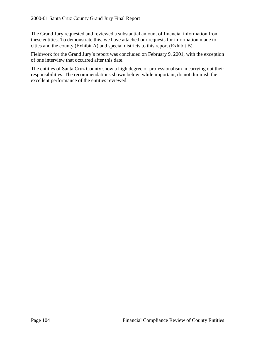The Grand Jury requested and reviewed a substantial amount of financial information from these entities. To demonstrate this, we have attached our requests for information made to cities and the county (Exhibit A) and special districts to this report (Exhibit B).

Fieldwork for the Grand Jury's report was concluded on February 9, 2001, with the exception of one interview that occurred after this date.

The entities of Santa Cruz County show a high degree of professionalism in carrying out their responsibilities. The recommendations shown below, while important, do not diminish the excellent performance of the entities reviewed.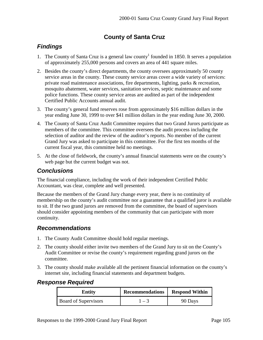## **County of Santa Cruz**

#### *Findings*

- 1. The County of Santa Cruz is a general law county<sup>1</sup> founded in 1850. It serves a population of approximately 255,000 persons and covers an area of 441 square miles.
- 2. Besides the county's direct departments, the county oversees approximately 50 county service areas in the county. These county service areas cover a wide variety of services: private road maintenance associations, fire departments, lighting, parks & recreation, mosquito abatement, water services, sanitation services, septic maintenance and some police functions. These county service areas are audited as part of the independent Certified Public Accounts annual audit.
- 3. The county's general fund reserves rose from approximately \$16 million dollars in the year ending June 30, 1999 to over \$41 million dollars in the year ending June 30, 2000.
- 4. The County of Santa Cruz Audit Committee requires that two Grand Jurors participate as members of the committee. This committee oversees the audit process including the selection of auditor and the review of the auditor's reports. No member of the current Grand Jury was asked to participate in this committee. For the first ten months of the current fiscal year, this committee held no meetings.
- 5. At the close of fieldwork, the county's annual financial statements were on the county's web page but the current budget was not.

#### *Conclusions*

The financial compliance, including the work of their independent Certified Public Accountant, was clear, complete and well presented.

Because the members of the Grand Jury change every year, there is no continuity of membership on the county's audit committee nor a guarantee that a qualified juror is available to sit. If the two grand jurors are removed from the committee, the board of supervisors should consider appointing members of the community that can participate with more continuity.

#### *Recommendations*

- 1. The County Audit Committee should hold regular meetings.
- 2. The county should either invite two members of the Grand Jury to sit on the County's Audit Committee or revise the county's requirement regarding grand jurors on the committee.
- 3. The county should make available all the pertinent financial information on the county's internet site, including financial statements and department budgets.

| <b>Entity</b>        | <b>Recommendations</b> | <b>Respond Within</b> |
|----------------------|------------------------|-----------------------|
| Board of Supervisors | $-3$                   | 90 Days               |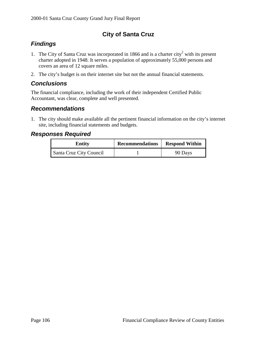# **City of Santa Cruz**

# *Findings*

- 1. The City of Santa Cruz was incorporated in 1866 and is a charter city<sup>2</sup> with its present charter adopted in 1948. It serves a population of approximately 55,000 persons and covers an area of 12 square miles.
- 2. The city's budget is on their internet site but not the annual financial statements.

## *Conclusions*

The financial compliance, including the work of their independent Certified Public Accountant, was clear, complete and well presented.

#### *Recommendations*

1. The city should make available all the pertinent financial information on the city's internet site, including financial statements and budgets.

| <b>Entity</b>           | <b>Recommendations</b> | <b>Respond Within</b> |
|-------------------------|------------------------|-----------------------|
| Santa Cruz City Council |                        | 90 Days               |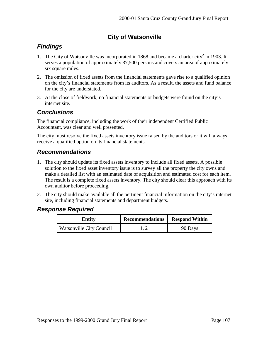## **City of Watsonville**

## *Findings*

- 1. The City of Watsonville was incorporated in 1868 and became a charter city<sup>2</sup> in 1903. It serves a population of approximately 37,500 persons and covers an area of appoximately six square miles.
- 2. The omission of fixed assets from the financial statements gave rise to a qualified opinion on the city's financial statements from its auditors. As a result, the assets and fund balance for the city are understated.
- 3. At the close of fieldwork, no financial statements or budgets were found on the city's internet site.

#### *Conclusions*

The financial compliance, including the work of their independent Certified Public Accountant, was clear and well presented.

The city must resolve the fixed assets inventory issue raised by the auditors or it will always receive a qualified option on its financial statements.

#### *Recommendations*

- 1. The city should update its fixed assets inventory to include all fixed assets. A possible solution to the fixed asset inventory issue is to survey all the property the city owns and make a detailed list with an estimated date of acquisition and estimated cost for each item. The result is a complete fixed assets inventory. The city should clear this approach with its own auditor before proceeding.
- 2. The city should make available all the pertinent financial information on the city's internet site, including financial statements and department budgets.

| <b>Entity</b>                   | <b>Recommendations</b> | <b>Respond Within</b> |
|---------------------------------|------------------------|-----------------------|
| <b>Watsonville City Council</b> |                        | 90 Days               |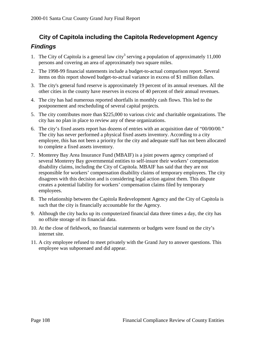# **City of Capitola including the Capitola Redevelopment Agency** *Findings*

- 1. The City of Capitola is a general law city<sup>3</sup> serving a population of approximately 11,000 persons and covering an area of approximately two square miles.
- 2. The 1998-99 financial statements include a budget-to-actual comparison report. Several items on this report showed budget-to-actual variance in excess of \$1 million dollars.
- 3. The city's general fund reserve is approximately 19 percent of its annual revenues. All the other cities in the county have reserves in excess of 40 percent of their annual revenues.
- 4. The city has had numerous reported shortfalls in monthly cash flows. This led to the postponement and rescheduling of several capital projects.
- 5. The city contributes more than \$225,000 to various civic and charitable organizations. The city has no plan in place to review any of these organizations.
- 6. The city's fixed assets report has dozens of entries with an acquisition date of "00/00/00." The city has never performed a physical fixed assets inventory. According to a city employee, this has not been a priority for the city and adequate staff has not been allocated to complete a fixed assets inventory.
- 7. Monterey Bay Area Insurance Fund (MBAIF) is a joint powers agency comprised of several Monterey Bay governmental entities to self-insure their workers' compensation disability claims, including the City of Capitola. MBAIF has said that they are not responsible for workers' compensation disability claims of temporary employees. The city disagrees with this decision and is considering legal action against them. This dispute creates a potential liability for workers' compensation claims filed by temporary employees.
- 8. The relationship between the Capitola Redevelopment Agency and the City of Capitola is such that the city is financially accountable for the Agency.
- 9. Although the city backs up its computerized financial data three times a day, the city has no offsite storage of its financial data.
- 10. At the close of fieldwork, no financial statements or budgets were found on the city's internet site.
- 11. A city employee refused to meet privately with the Grand Jury to answer questions. This employee was subpoenaed and did appear.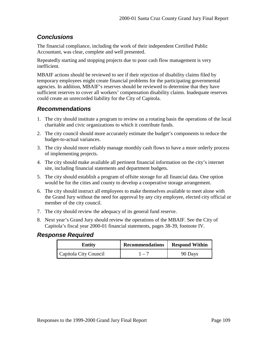## *Conclusions*

The financial compliance, including the work of their independent Certified Public Accountant, was clear, complete and well presented.

Repeatedly starting and stopping projects due to poor cash flow management is very inefficient.

MBAIF actions should be reviewed to see if their rejection of disability claims filed by temporary employees might create financial problems for the participating governmental agencies. In addition, MBAIF's reserves should be reviewed to determine that they have sufficient reserves to cover all workers' compensation disability claims. Inadequate reserves could create an unrecorded liability for the City of Capitola.

#### *Recommendations*

- 1. The city should institute a program to review on a rotating basis the operations of the local charitable and civic organizations to which it contribute funds.
- 2. The city council should more accurately estimate the budget's components to reduce the budget-to-actual variances.
- 3. The city should more reliably manage monthly cash flows to have a more orderly process of implementing projects.
- 4. The city should make available all pertinent financial information on the city's internet site, including financial statements and department budgets.
- 5. The city should establish a program of offsite storage for all financial data. One option would be for the cities and county to develop a cooperative storage arrangement.
- 6. The city should instruct all employees to make themselves available to meet alone with the Grand Jury without the need for approval by any city employee, elected city official or member of the city council.
- 7. The city should review the adequacy of its general fund reserve.
- 8. Next year's Grand Jury should review the operations of the MBAIF. See the City of Capitola's fiscal year 2000-01 financial statements, pages 38-39, footnote IV.

| <b>Entity</b>         | <b>Recommendations</b> | <b>Respond Within</b> |
|-----------------------|------------------------|-----------------------|
| Capitola City Council | $-7$                   | 90 Days               |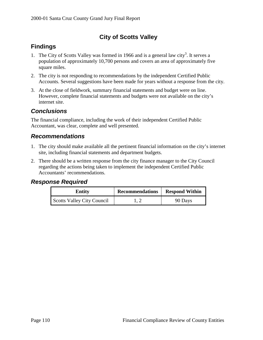# **City of Scotts Valley**

# **Findings**

- 1. The City of Scotts Valley was formed in 1966 and is a general law city<sup>3</sup>. It serves a population of approximately 10,700 persons and covers an area of approximately five square miles.
- 2. The city is not responding to recommendations by the independent Certified Public Accounts. Several suggestions have been made for years without a response from the city.
- 3. At the close of fieldwork, summary financial statements and budget were on line. However, complete financial statements and budgets were not available on the city's internet site.

## *Conclusions*

The financial compliance, including the work of their independent Certified Public Accountant, was clear, complete and well presented.

## *Recommendations*

- 1. The city should make available all the pertinent financial information on the city's internet site, including financial statements and department budgets.
- 2. There should be a written response from the city finance manager to the City Council regarding the actions being taken to implement the independent Certified Public Accountants' recommendations.

| <b>Entity</b>                     | <b>Recommendations</b> | <b>Respond Within</b> |
|-----------------------------------|------------------------|-----------------------|
| <b>Scotts Valley City Council</b> |                        | 90 Days               |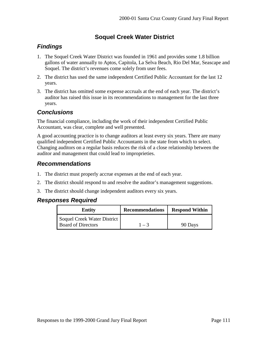#### **Soquel Creek Water District**

## *Findings*

- 1. The Soquel Creek Water District was founded in 1961 and provides some 1.8 billion gallons of water annually to Aptos, Capitola, La Selva Beach, Rio Del Mar, Seascape and Soquel. The district's revenues come solely from user fees.
- 2. The district has used the same independent Certified Public Accountant for the last 12 years.
- 3. The district has omitted some expense accruals at the end of each year. The district's auditor has raised this issue in its recommendations to management for the last three years.

#### *Conclusions*

The financial compliance, including the work of their independent Certified Public Accountant, was clear, complete and well presented.

A good accounting practice is to change auditors at least every six years. There are many qualified independent Certified Public Accountants in the state from which to select. Changing auditors on a regular basis reduces the risk of a close relationship between the auditor and management that could lead to improprieties.

#### *Recommendations*

- 1. The district must properly accrue expenses at the end of each year.
- 2. The district should respond to and resolve the auditor's management suggestions.
- 3. The district should change independent auditors every six years.

| <b>Entity</b>               | <b>Recommendations</b> | <b>Respond Within</b> |
|-----------------------------|------------------------|-----------------------|
| Soquel Creek Water District |                        |                       |
| <b>Board of Directors</b>   | $1 - 3$                | 90 Days               |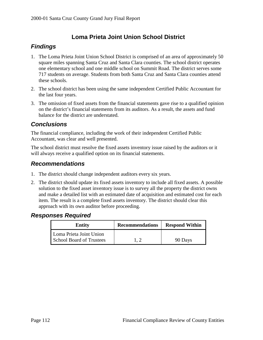# **Loma Prieta Joint Union School District**

## *Findings*

- 1. The Loma Prieta Joint Union School District is comprised of an area of approximately 50 square miles spanning Santa Cruz and Santa Clara counties. The school district operates one elementary school and one middle school on Summit Road. The district serves some 717 students on average. Students from both Santa Cruz and Santa Clara counties attend these schools.
- 2. The school district has been using the same independent Certified Public Accountant for the last four years.
- 3. The omission of fixed assets from the financial statements gave rise to a qualified opinion on the district's financial statements from its auditors. As a result, the assets and fund balance for the district are understated.

#### *Conclusions*

The financial compliance, including the work of their independent Certified Public Accountant, was clear and well presented.

The school district must resolve the fixed assets inventory issue raised by the auditors or it will always receive a qualified option on its financial statements.

#### *Recommendations*

- 1. The district should change independent auditors every six years.
- 2. The district should update its fixed assets inventory to include all fixed assets. A possible solution to the fixed asset inventory issue is to survey all the property the district owns and make a detailed list with an estimated date of acquisition and estimated cost for each item. The result is a complete fixed assets inventory. The district should clear this approach with its own auditor before proceeding.

| <b>Entity</b>                                              | <b>Recommendations</b> | <b>Respond Within</b> |
|------------------------------------------------------------|------------------------|-----------------------|
| Loma Prieta Joint Union<br><b>School Board of Trustees</b> |                        | 90 Days               |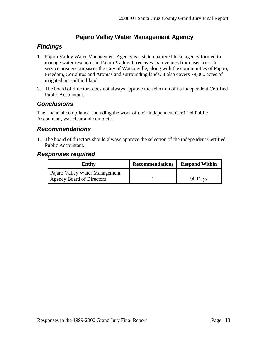## **Pajaro Valley Water Management Agency**

## *Findings*

- 1. Pajaro Valley Water Management Agency is a state-chartered local agency formed to manage water resources in Pajaro Valley. It receives its revenues from user fees. Its service area encompasses the City of Watsonville, along with the communities of Pajaro, Freedom, Corralitos and Aromas and surrounding lands. It also covers 79,000 acres of irrigated agricultural land.
- 2. The board of directors does not always approve the selection of its independent Certified Public Accountant.

#### *Conclusions*

The financial compliance, including the work of their independent Certified Public Accountant, was clear and complete.

#### *Recommendations*

1. The board of directors should always approve the selection of the independent Certified Public Accountant.

| <b>Entity</b>                    | <b>Recommendations</b> | <b>Respond Within</b> |
|----------------------------------|------------------------|-----------------------|
| Pajaro Valley Water Management   |                        |                       |
| <b>Agency Board of Directors</b> |                        | 90 Days               |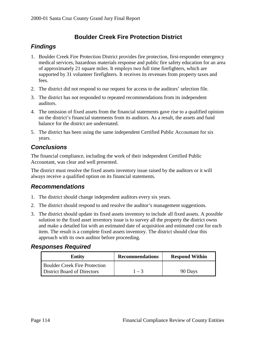## **Boulder Creek Fire Protection District**

## *Findings*

- 1. Boulder Creek Fire Protection District provides fire protection, first-responder emergency medical services, hazardous materials response and public fire safety education for an area of approximately 21 square miles. It employs two full time firefighters, which are supported by 31 volunteer firefighters. It receives its revenues from property taxes and fees.
- 2. The district did not respond to our request for access to the auditors' selection file.
- 3. The district has not responded to repeated recommendations from its independent auditors.
- 4. The omission of fixed assets from the financial statements gave rise to a qualified opinion on the district's financial statements from its auditors. As a result, the assets and fund balance for the district are understated.
- 5. The district has been using the same independent Certified Public Accountant for six years.

## *Conclusions*

The financial compliance, including the work of their independent Certified Public Accountant, was clear and well presented.

The district must resolve the fixed assets inventory issue raised by the auditors or it will always receive a qualified option on its financial statements.

#### *Recommendations*

- 1. The district should change independent auditors every six years.
- 2. The district should respond to and resolve the auditor's management suggestions.
- 3. The district should update its fixed assets inventory to include all fixed assets. A possible solution to the fixed asset inventory issue is to survey all the property the district owns and make a detailed list with an estimated date of acquisition and estimated cost for each item. The result is a complete fixed assets inventory. The district should clear this approach with its own auditor before proceeding.

| <b>Entity</b>                        | <b>Recommendations</b> | <b>Respond Within</b> |
|--------------------------------------|------------------------|-----------------------|
| <b>Boulder Creek Fire Protection</b> |                        |                       |
| District Board of Directors          | $1 - 3$                | 90 Days               |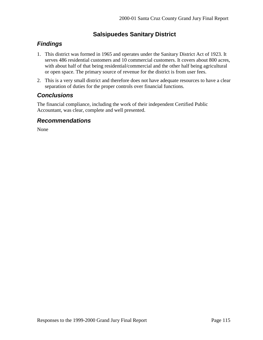#### **Salsipuedes Sanitary District**

## *Findings*

- 1. This district was formed in 1965 and operates under the Sanitary District Act of 1923. It serves 486 residential customers and 10 commercial customers. It covers about 800 acres, with about half of that being residential/commercial and the other half being agricultural or open space. The primary source of revenue for the district is from user fees.
- 2. This is a very small district and therefore does not have adequate resources to have a clear separation of duties for the proper controls over financial functions.

## *Conclusions*

The financial compliance, including the work of their independent Certified Public Accountant, was clear, complete and well presented.

#### *Recommendations*

None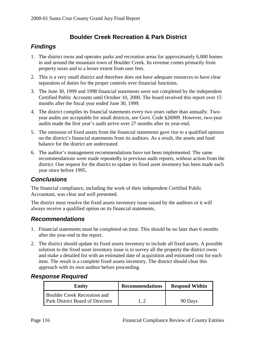# **Boulder Creek Recreation & Park District**

## *Findings*

- 1. The district owns and operates parks and recreation areas for approximately 6,000 homes in and around the mountain town of Boulder Creek. Its revenue comes primarily from property taxes and to a lesser extent from user fees.
- 2. This is a very small district and therefore does not have adequate resources to have clear separation of duties for the proper controls over financial functions.
- 3. The June 30, 1999 and 1998 financial statements were not completed by the independent Certified Public Accounts until October 10, 2000. The board received this report over 15 months after the fiscal year ended June 30, 1999.
- 4. The district compiles its financial statements every two years rather than annually. Twoyear audits are acceptable for small districts, see Govt. Code §26909. However, two-year audits made the first year's audit arrive over 27 months after its year-end.
- 5. The omission of fixed assets from the financial statements gave rise to a qualified opinion on the district's financial statements from its auditors. As a result, the assets and fund balance for the district are understated.
- 6. The auditor's management recommendations have not been implemented. The same recommendations were made repeatedly in previous audit reports, without action from the district. One request for the district to update its fixed asset inventory has been made each year since before 1995.

# *Conclusions*

The financial compliance, including the work of their independent Certified Public Accountant, was clear and well presented.

The district must resolve the fixed assets inventory issue raised by the auditors or it will always receive a qualified option on its financial statements.

## *Recommendations*

- 1. Financial statements must be completed on time. This should be no later than 6 months after the year-end in the report.
- 2. The district should update its fixed assets inventory to include all fixed assets. A possible solution to the fixed asset inventory issue is to survey all the property the district owns and make a detailed list with an estimated date of acquisition and estimated cost for each item. The result is a complete fixed assets inventory. The district should clear this approach with its own auditor before proceeding.

| <b>Entity</b>                           | <b>Recommendations</b> | <b>Respond Within</b> |
|-----------------------------------------|------------------------|-----------------------|
| <b>Boulder Creek Recreation and</b>     |                        |                       |
| <b>Park District Board of Directors</b> | 1.2                    | 90 Days               |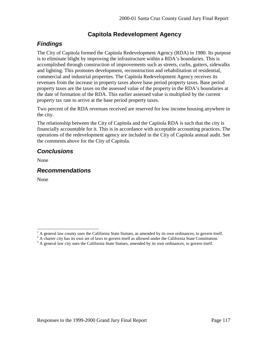#### **Capitola Redevelopment Agency**

# *Findings*

The City of Capitola formed the Capitola Redevelopment Agency (RDA) in 1980. Its purpose is to eliminate blight by improving the infrastructure within a RDA's boundaries. This is accomplished through construction of improvements such as streets, curbs, gutters, sidewalks and lighting. This promotes development, reconstruction and rehabilitation of residential, commercial and industrial properties. The Capitola Redevelopment Agency receives its revenues from the increase in property taxes above base period property taxes. Base period property taxes are the taxes on the assessed value of the property in the RDA's boundaries at the date of formation of the RDA. This earlier assessed value is multiplied by the current property tax rate to arrive at the base period property taxes.

Two percent of the RDA revenues received are reserved for low income housing anywhere in the city.

The relationship between the City of Capitola and the Capitola RDA is such that the city is financially accountable for it. This is in accordance with acceptable accounting practices. The operations of the redevelopment agency are included in the City of Capitola annual audit. See the comments above for the City of Capitola.

## *Conclusions*

None

#### *Recommendations*

None

l <sup>1</sup> A general law county uses the California State Statues, as amended by its own ordinances, to govern itself.

 $2<sup>2</sup>$  A charter city has its own set of laws to govern itself as allowed under the California State Constitution.

<sup>&</sup>lt;sup>3</sup> A general law city uses the California State Statues, amended by its own ordinances, to govern itself.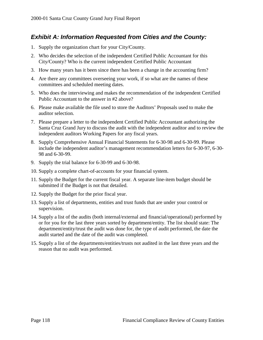#### *Exhibit A: Information Requested from Cities and the County:*

- 1. Supply the organization chart for your City/County.
- 2. Who decides the selection of the independent Certified Public Accountant for this City/County? Who is the current independent Certified Public Accountant
- 3. How many years has it been since there has been a change in the accounting firm?
- 4. Are there any committees overseeing your work, if so what are the names of these committees and scheduled meeting dates.
- 5. Who does the interviewing and makes the recommendation of the independent Certified Public Accountant to the answer in #2 above?
- 6. Please make available the file used to store the Auditors' Proposals used to make the auditor selection.
- 7. Please prepare a letter to the independent Certified Public Accountant authorizing the Santa Cruz Grand Jury to discuss the audit with the independent auditor and to review the independent auditors Working Papers for any fiscal years.
- 8. Supply Comprehensive Annual Financial Statements for 6-30-98 and 6-30-99. Please include the independent auditor's management recommendation letters for 6-30-97, 6-30- 98 and 6-30-99.
- 9. Supply the trial balance for 6-30-99 and 6-30-98.
- 10. Supply a complete chart-of-accounts for your financial system.
- 11. Supply the Budget for the current fiscal year. A separate line-item budget should be submitted if the Budget is not that detailed.
- 12. Supply the Budget for the prior fiscal year.
- 13. Supply a list of departments, entities and trust funds that are under your control or supervision.
- 14. Supply a list of the audits (both internal/external and financial/operational) performed by or for you for the last three years sorted by department/entity. The list should state: The department/entity/trust the audit was done for, the type of audit performed, the date the audit started and the date of the audit was completed.
- 15. Supply a list of the departments/entities/trusts not audited in the last three years and the reason that no audit was performed.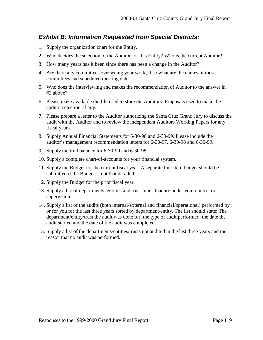#### *Exhibit B: Information Requested from Special Districts:*

- 1. Supply the organization chart for the Entity.
- 2. Who decides the selection of the Auditor for this Entity? Who is the current Auditor?
- 3. How many years has it been since there has been a change in the Auditor?
- 4. Are there any committees overseeing your work, if so what are the names of these committees and scheduled meeting dates.
- 5. Who does the interviewing and makes the recommendation of Auditor to the answer in #2 above?
- 6. Please make available the file used to store the Auditors' Proposals used to make the auditor selection, if any.
- 7. Please prepare a letter to the Auditor authorizing the Santa Cruz Grand Jury to discuss the audit with the Auditor and to review the independent Auditors Working Papers for any fiscal years.
- 8. Supply Annual Financial Statements for 6-30-98 and 6-30-99. Please include the auditor's management recommendation letters for 6-30-97, 6-30-98 and 6-30-99.
- 9. Supply the trial balance for 6-30-99 and 6-30-98.
- 10. Supply a complete chart-of-accounts for your financial system.
- 11. Supply the Budget for the current fiscal year. A separate line-item budget should be submitted if the Budget is not that detailed.
- 12. Supply the Budget for the prior fiscal year.
- 13. Supply a list of departments, entities and trust funds that are under your control or supervision.
- 14. Supply a list of the audits (both internal/external and financial/operational) performed by or for you for the last three years sorted by department/entity. The list should state: The department/entity/trust the audit was done for, the type of audit performed, the date the audit started and the date of the audit was completed.
- 15. Supply a list of the departments/entities/trusts not audited in the last three years and the reason that no audit was performed.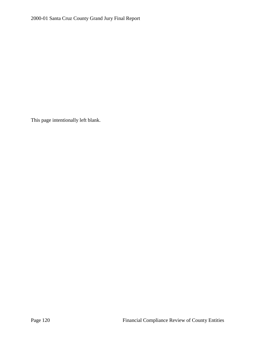This page intentionally left blank.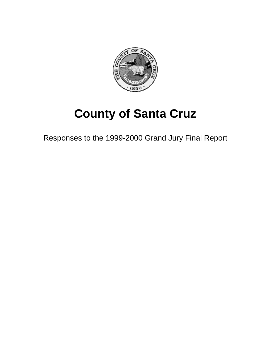

# **County of Santa Cruz**

Responses to the 1999-2000 Grand Jury Final Report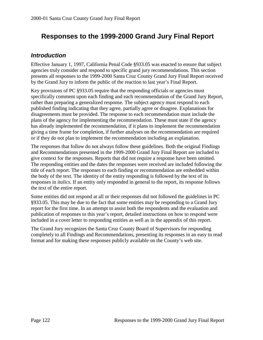# **Responses to the 1999-2000 Grand Jury Final Report**

#### *Introduction*

Effective January 1, 1997, California Penal Code §933.05 was enacted to ensure that subject agencies truly consider and respond to specific grand jury recommendations. This section presents all responses to the 1999-2000 Santa Cruz County Grand Jury Final Report received by the Grand Jury to inform the public of the reaction to last year's Final Report.

Key provisions of PC §933.05 require that the responding officials or agencies must specifically comment upon each finding and each recommendation of the Grand Jury Report, rather than preparing a generalized response. The subject agency must respond to each published finding indicating that they agree, partially agree or disagree. Explanations for disagreements must be provided. The response to each recommendation must include the plans of the agency for implementing the recommendation. These must state if the agency has already implemented the recommendation, if it plans to implement the recommendation giving a time frame for completion, if further analyses on the recommendation are required or if they do not plan to implement the recommendation including an explanation.

The responses that follow do not always follow these guidelines. Both the original Findings and Recommendations presented in the 1999-2000 Grand Jury Final Report are included to give context for the responses. Reports that did not require a response have been omitted. The responding entities and the dates the responses were received are included following the title of each report. The responses to each finding or recommendation are embedded within the body of the text. The identity of the entity responding is followed by the text of its responses in *italics*. If an entity only responded in general to the report, its response follows the text of the entire report.

Some entities did not respond at all or their responses did not followed the guidelines in PC §933.05. This may be due to the fact that some entities may be responding to a Grand Jury report for the first time. In an attempt to assist both the respondents and the evaluation and publication of responses to this year's report, detailed instructions on how to respond were included in a cover letter to responding entities as well as in the appendix of this report.

The Grand Jury recognizes the Santa Cruz County Board of Supervisors for responding completely to all Findings and Recommendations, presenting its responses in an easy to read format and for making these responses publicly available on the County's web site.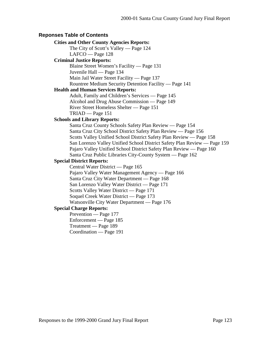#### **Reponses Table of Contents**

#### **Cities and Other County Agencies Reports:** The City of Scott's Valley — Page 124 LAFCO — Page 128 **Criminal Justice Reports:** Blaine Street Women's Facility — Page 131 Juvenile Hall — Page 134 Main Jail Water Street Facility — Page 137 Rountree Medium Security Detention Facility — Page 141 **Health and Human Services Reports:** Adult, Family and Children's Services — Page 145 Alcohol and Drug Abuse Commission — Page 149 River Street Homeless Shelter — Page 151 TRIAD — Page 151 **Schools and Library Reports:** Santa Cruz County Schools Safety Plan Review — Page 154 Santa Cruz City School District Safety Plan Review — Page 156 Scotts Valley Unified School District Safety Plan Review — Page 158 San Lorenzo Valley Unified School District Safety Plan Review — Page 159 Pajaro Valley Unified School District Safety Plan Review — Page 160 Santa Cruz Public Libraries City-County System — Page 162 **Special District Reports:** Central Water District — Page 165 Pajaro Valley Water Management Agency — Page 166 Santa Cruz City Water Department — Page 168 San Lorenzo Valley Water District — Page 171 Scotts Valley Water District — Page 171 Soquel Creek Water District — Page 173 Watsonville City Water Department — Page 176 **Special Charge Reports:** Prevention — Page 177 Enforcement — Page 185 Treatment — Page 189

Coordination — Page 191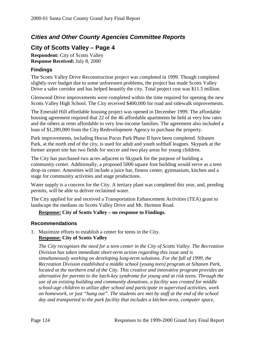## *Cities and Other County Agencies Committee Reports*

#### **City of Scotts Valley – Page 4**

**Respondent:** City of Scotts Valley **Response Received:** July 8, 2000

#### **Findings**

The Scotts Valley Drive Reconstruction project was completed in 1999. Though completed slightly over budget due to some unforeseen problems, the project has made Scotts Valley Drive a safer corridor and has helped beautify the city. Total project cost was \$11.5 million.

Glenwood Drive improvements were completed within the time required for opening the new Scotts Valley High School. The City received \$400,000 for road and sidewalk improvements.

The Emerald Hill affordable housing project was opened in December 1999. The affordable housing agreement required that 22 of the 46 affordable apartments be held at very low rates and the others at rents affordable to very low-income families. The agreement also included a loan of \$1,289,000 from the City Redevelopment Agency to purchase the property.

Park improvements, including Hocus Pocus Park Phase II have been completed. Siltanen Park, at the north end of the city, is used for adult and youth softball leagues. Skypark at the former airport site has two fields for soccer and two play areas for young children.

The City has purchased two acres adjacent to Skypark for the purpose of building a community center. Additionally, a proposed 5000 square foot building would serve as a teen drop-in center. Amenities will include a juice bar, fitness center, gymnasium, kitchen and a stage for community activities and stage productions.

Water supply is a concern for the City. A tertiary plant was completed this year, and, pending permits, will be able to deliver reclaimed water.

The City applied for and received a Transportation Enhancement Activities (TEA) grant to landscape the medians on Scotts Valley Drive and Mt. Hermon Road.

#### **Response: City of Scotts Valley – no response to Findings.**

#### **Recommendations**

1. Maximize efforts to establish a center for teens in the City. **Response: City of Scotts Valley**

*The City recognizes the need for a teen center in the City of Scotts Valley. The Recreation Division has taken immediate short-term action regarding this issue and is simultaneously working on developing long-term solutions. For the fall of 1999, the Recreation Division established a middle school (young teen) program at Siltanen Park, located at the northern end of the City. This creative and innovative program provides an alternative for parents to the latch-key syndrome for young and at risk teens. Through the use of an existing building and community donations, a facility was created for middle school-age children to utilize after school and participate in supervised activities, work on homework, or just "hang out". The students are met by staff at the end of the school day and transported to the park facility that includes a kitchen area, computer space,*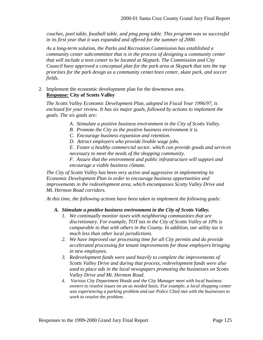*couches, pool table, foozball table, and ping pong table. This program was so successful in its first year that it was expanded and offered for the summer of 2000.*

*As a long-term solution, the Parks and Recreation Commission has established a community center subcommittee that is in the process of designing a community center that will include a teen center to be located at Skypark. The Commission and City Council have approved a conceptual plan for the park area at Skypark that sets the top priorities for the park design as a community center/teen center, skate park, and soccer fields.*

#### 2. Implement the economic development plan for the downtown area. **Response: City of Scotts Valley**

*The Scotts Valley Economic Development Plan, adopted in Fiscal Year 1996/97, is enclosed for your review. It has six major goals, followed by actions to implement the goals. The six goals are:*

- *A. Stimulate a positive business environment in the City of Scotts Valley.*
- *B. Promote the City as the positive business environment it is.*
- *C. Encourage business expansion and retention.*
- *D. Attract employers who provide livable wage jobs.*

*E. Foster a healthy commercial sector, which can provide goods and services necessary to meet the needs of the shopping community.*

*F. Assure that the environment and public infrastructure will support and encourage a viable business climate.*

*The City of Scotts Valley has been very active and aggressive in implementing its Economic Development Plan in order to encourage business opportunities and improvements in the redevelopment area, which encompasses Scotty Valley Drive and Mt. Hermon Road corridors.*

*At this time, the following actions have been taken to implement the following goals:*

#### *A. Stimulate a positive business environment in the City of Scotts Valley.*

- *1. We continually monitor taxes with neighboring communities that are discretionary. For example, TOT tax in the City of Scotts Valley at 10% is comparable to that with others in the County. In addition, our utility tax is much less than other local jurisdictions.*
- *2. We have improved our processing time for all City permits and do provide accelerated processing for tenant improvements for those employers bringing in new employees.*
- *3. Redevelopment funds were used heavily to complete the improvements of Scotts Valley Drive and during that process, redevelopment funds were also used to place ads in the local newspapers promoting the businesses on Scotts Valley Drive and Mt. Hermon Road.*
- *4. Various City Department Heads and the City Manager meet with local business owners to resolve issues on an as needed basis. For example, a local shopping center was experiencing a parking problem and our Police Chief met with the businesses to work to resolve the problem.*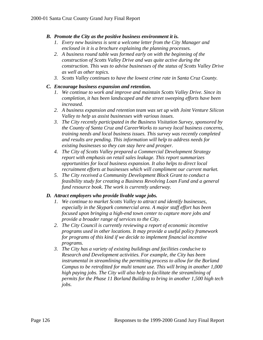#### *B. Promote the City as the positive business environment it is.*

- *1. Every new business is sent a welcome letter from the City Manager and enclosed in it is a brochure explaining the planning processes.*
- *2. A business round table was formed early on with the beginning of the construction of Scotts Valley Drive and was quite active during the construction. This was to advise businesses of the status of Scotts Valley Drive as well as other topics.*
- *3. Scotts Valley continues to have the lowest crime rate in Santa Cruz County.*

#### *C. Encourage business expansion and retention.*

- *1. We continue to work and improve and maintain Scotts Valley Drive. Since its completion, it has been landscaped and the street sweeping efforts have been increased.*
- *2. A business expansion and retention team was set up with Joint Venture Silicon Valley to help us assist businesses with various issues.*
- *3. The City recently participated in the Business Visitation Survey, sponsored by the County of Santa Cruz and CareerWorks to survey local business concerns, training needs and local business issues. This survey was recently completed and results are pending. This information will help to address needs for existing businesses so they can stay here and prosper.*
- *4. The City of Scotts Valley prepared a Commercial Development Strategy report with emphasis on retail sales leakage. This report summarizes opportunities for local business expansion. It also helps to direct local recruitment efforts at businesses which will compliment our current market.*
- *5. The City received a Community Development Block Grant to conduct a feasibility study for creating a Business Revolving Loan Fund and a general fund resource book. The work is currently underway.*

#### *D. Attract employers who provide livable wage jobs.*

- *1. We continue to market Scotts Valley to attract and identify businesses, especially in the Skypark commercial area. A major staff effort has been focused upon bringing a high-end town center to capture more jobs and provide a broader range of services to the City.*
- *2. The City Council is currently reviewing a report of economic incentive programs used in other locations. It may provide a useful policy framework for programs of this kind if we decide to implement financial incentive programs.*
- *3. The City has a variety of existing buildings and facilities conducive to Research and Development activities. For example, the City has been instrumental in streamlining the permitting process to allow for the Borland Campus to be retrofitted for multi tenant use. This will bring in another 1,000 high paying jobs. The City will also help to facilitate the streamlining of permits for the Phase 11 Borland Building to bring in another 1,500 high tech jobs.*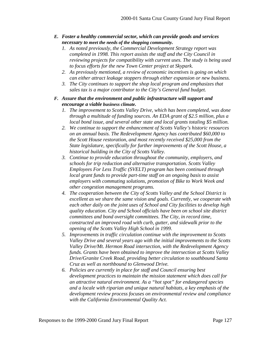- *E. Foster a healthy commercial sector, which can provide goods and services necessary to meet the needs of the shopping community.*
	- *1. As noted previously, the Commercial Development Strategy report was completed in 1998. This report assists the staff and the City Council in reviewing projects for compatibility with current uses. The study is being used to focus efforts for the new Town Center project at Skypark.*
	- *2. As previously mentioned, a review of economic incentives is going on which can either attract leakage stoppers through either expansion or new business.*
	- *3. The City continues to support the shop local program and emphasizes that sales tax is a major contributor to the City's General fund budget.*
- *F. Assure that the environment and public infrastructure will support and encourage a viable business climate.*
	- *1. The improvement to Scotts Valley Drive, which has been completed, was done through a multitude of funding sources. An EDA grant of \$2.5 million, plus a local bond issue, and several other state and local grants totaling \$5 million.*
	- *2. We continue to support the enhancement of Scotts Valley's historic resources on an annual basis. The Redevelopment Agency has contributed \$60,000 to the Scott House restoration, and most recently received \$25,000 from the State legislature, specifically for further improvements of the Scott House, a historical building in the City of Scotts Valley.*
	- *3. Continue to provide education throughout the community, employers, and schools for trip reduction and alternative transportation. Scotts Valley Employees For Less Traffic (SVELT) program has been continued through local grant funds to provide part-time staff on an ongoing basis to assist employers with commuting solutions, promotion of Bike to Work Week and other congestion management programs.*
	- *4. The cooperation between the City of Scotts Valley and the School District is excellent as we share the same vision and goals. Currently, we cooperate with each other daily on the joint uses of School and City facilities to develop high quality education. City and School officials have been on school site district committees and bond oversight committees. The City, in record time, constructed an improved road with curb, gutter, and sidewalk prior to the opening of the Scotts Valley High School in 1999.*
	- *5. Improvements in traffic circulation continue with the improvement to Scotts Valley Drive and several years ago with the initial improvements to the Scotts Valley Drive/Mt. Hermon Road intersection, with the Redevelopment Agency funds. Grants have been obtained to improve the intersection at Scotts Valley Drive/Granite Creek Road, providing better circulation to southbound Santa Cruz as well as northbound to Glenwood Drive.*
	- *6. Policies are currently in place for staff and Council ensuring best development practices to maintain the mission statement which does call for an attractive natural environment. As a "hot spot" for endangered species and a locale with riparian and unique natural habitats, a key emphasis of the development review process focuses on environmental review and compliance with the California Environmental Quality Act.*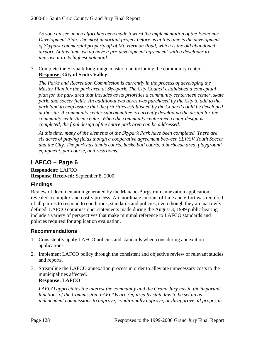*As you can see, much effort has been made toward the implementation of the Economic Development Plan. The most important project before us at this time is the development of Skypark commercial property off of Mt. Hermon Road, which is the old abandoned airport. At this time, we do have a pre-development agreement with a developer to improve it to its highest potential.*

3. Complete the Skypark long-range master plan including the community center. **Response: City of Scotts Valley**

*The Parks and Recreation Commission is currently in the process of developing the Master Plan for the park area at Skykpark. The City Council established a conceptual plan for the park area that includes as its priorities a community center/teen center, skate park, and soccer fields. An additional two acres was purchased by the City to add to the park land to help assure that the priorities established by the Council could be developed at the site. A community center subcommittee is currently developing the design for the community center/teen center. When the community center/teen center design is completed, the final design of the entire park area can be addressed.*

*At this time, many of the elements of the Skypark Park have been completed. There are six acres of playing fields though a cooperative agreement between SLV/SV Youth Soccer and the City. The park has tennis courts, basketball courts, a barbecue area, playground equipment, par course, and restrooms.*

# **LAFCO – Page 6**

**Respondent:** LAFCO **Response Received:** September 8, 2000

#### **Findings**

Review of documentation generated by the Manabe-Burgstrom annexation application revealed a complex and costly process. An inordinate amount of time and effort was required of all parties to respond to conditions, standards and policies, even though they are narrowly defined. LAFCO commissioner statements made during the August 3, 1999 public hearing include a variety of perspectives that make minimal reference to LAFCO standards and policies required for application evaluation.

#### **Recommendations**

- 1. Consistently apply LAFCO policies and standards when considering annexation applications.
- 2. Implement LAFCO policy through the consistent and objective review of relevant studies and reports.
- 3. Streamline the LAFCO annexation process in order to alleviate unnecessary costs to the municipalities affected. **Response: LAFCO**

*LAFCO appreciates the interest the community and the Grand Jury has in the important functions of the Commission. LAFCOs are required by state law to be set up as independent commissions to approve, conditionally approve, or disapprove all proposals*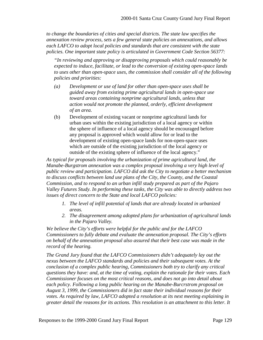*to change the boundaries of cities and special districts. The state law specifies the annexation review process, sets a few general state policies on annexations, and allows each LAFCO to adopt local policies and standards that are consistent with the state policies. One important state policy is articulated in Government Code Section 56377:*

*"In reviewing and approving or disapproving proposals which could reasonably be expected to induce, facilitate, or lead to the conversion of existing open-space lands to uses other than open-space uses, the commission shall consider all of the following policies and priorities:*

- *(a) Development or use of land for other than open-space uses shall be guided away from existing prime agricultural lands in open-space use toward areas containing nonprime agricultural lands, unless that action would not promote the planned, orderly, efficient development of an area.*
- (b) Development of existing vacant or nonprime agricultural lands for urban uses within the existing jurisdiction of a local agency or within the sphere of influence of a local agency should be encouraged before any proposal is approved which would allow for or lead to the development of existing open-space lands for non-open-space uses which are outside of the existing jurisdiction of the local agency or outside of the existing sphere of influence of the local agency."

*As typical for proposals involving the urbanization of prime agricultural land, the Manabe-Burgstrom annexation was a complex proposal involving a very high level of public review and participation. LAFCO did ask the City to negotiate a better mechanism to discuss conflicts between land use plans of the City, the County, and the Coastal Commission, and to respond to an urban infill study prepared as part of the Pajaro Valley Futures Study. In performing these tasks, the City was able to directly address two issues of direct concern to the State and local LAFCO policies:*

- *1. The level of infill potential of lands that are already located in urbanized areas.*
- *2. The disagreement among adopted plans for urbanization of agricultural lands in the Pajaro Valley.*

*We believe the City's efforts were helpful for the public and for the LAFCO Commissioners to fully debate and evaluate the annexation proposal. The City's efforts on behalf of the annexation proposal also assured that their best case was made in the record of the hearing.*

*The Grand Jury found that the LAFCO Commissioners didn't adequately lay out the nexus between the LAFCO standards and policies and their subsequent votes. At the conclusion of a complex public hearing, Commissioners both try to clarify any critical questions they have: and, at the time of voting, explain the rationale for their votes. Each Commissioner focuses on the most critical reasons, and does not go into detail about each policy. Following a long public hearing on the Manabe-Burcrstrom proposal on August 3, 1999, the Commissioners did in fact state their individual reasons for their votes. As required by law, LAFCO adopted a resolution at its next meeting explaining in greater detail the reasons for its actions. This resolution is an attachment to this letter. It*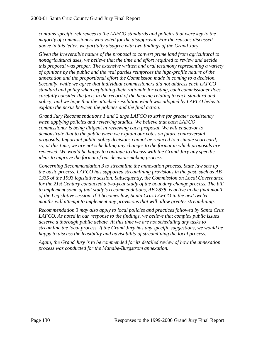*contains specific references to the LAFCO standards and policies that were key to the majority of commissioners who voted for the disapproval. For the reasons discussed above in this letter, we partially disagree with two findings of the Grand Jury.*

*Given the irreversible nature of the proposal to convert prime land from agricultural to nonagricultural uses, we believe that the time and effort required to review and decide this proposal was proper. The extensive written and oral testimony representing a variety of opinions by the public and the real parties reinforces the high-profile nature of the annexation and the proportional effort the Commission made in coming to a decision. Secondly, while we agree that individual commissioners did not address each LAFCO standard and policy when explaining their rationale for voting, each commissioner does carefully consider the facts in the record of the hearing relating to each standard and policy; and we hope that the attached resolution which was adopted by LAFCO helps to explain the nexus between the policies and the final action.*

*Grand Jury Recommendations 1 and 2 urge LAFCO to strive for greater consistency when applying policies and reviewing studies. We believe that each LAFCO commissioner is being diligent in reviewing each proposal. We will endeavor to demonstrate that to the public when we explain our votes on future controversial proposals. Important public policy decisions cannot be reduced to a simple scorecard; so, at this time, we are not scheduling any changes to the format in which proposals are reviewed. We would be happy to continue to discuss with the Grand Jury any specific ideas to improve the format of our decision-making process.*

*Concerning Recommendation 3 to streamline the annexation process. State law sets up the basic process. LAFCO has supported streamlining provisions in the past, such as AB 1335 of the 1993 legislative session. Subsequently, the Commission on Local Governance for the 21st Century conducted a two-year study of the boundary change process. The bill to implement some of that study's recommendations, AB 2838, is active in the final month of the Legislative session. If it becomes law, Santa Cruz LAFCO in the next twelve months will attempt to implement any provisions that will allow greater streamlining.*

*Recommendation 3 may also apply to local policies and practices followed by Santa Cruz LAFCO. As noted in our response to the findings, we believe that complex public issues deserve a thorough public debate. At this time we are not scheduling any tasks to streamline the local process. If the Grand Jury has any specific suggestions, we would be happy to discuss the feasibility and advisability of streamlining the local process.*

*Again, the Grand Jury is to be commended for its detailed review of how the annexation process was conducted for the Manabe-Burgstrom annexation.*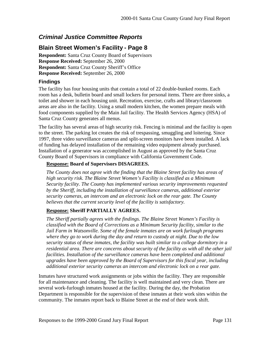# *Criminal Justice Committee Reports*

# **Blain Street Women's Facility - Page 8**

**Respondent:** Santa Cruz County Board of Supervisors **Response Received:** September 26, 2000 **Respondent:** Santa Cruz County Sheriff's Office **Response Received:** September 26, 2000

# **Findings**

The facility has four housing units that contain a total of 22 double-bunked rooms. Each room has a desk, bulletin board and small lockers for personal items. There are three sinks, a toilet and shower in each housing unit. Recreation, exercise, crafts and library/classroom areas are also in the facility. Using a small modern kitchen, the women prepare meals with food components supplied by the Main Jail facility. The Health Services Agency (HSA) of Santa Cruz County generates all menus.

The facility has several areas of high security risk. Fencing is minimal and the facility is open to the street. The parking lot creates the risk of trespassing, smuggling and loitering. Since 1997, three video surveillance cameras and split-screen monitors have been installed. A lack of funding has delayed installation of the remaining video equipment already purchased. Installation of a generator was accomplished in August as approved by the Santa Cruz County Board of Supervisors in compliance with California Government Code.

# **Response: Board of Supervisors DISAGREES.**

*The County does not agree with the finding that the Blaine Street facility has areas of high security risk. The Blaine Street Women's Facility is classified as a Minimum Security facility. The County has implemented various security improvements requested by the Sheriff, including the installation of surveillance cameras, additional exterior security cameras, an intercom and an electronic lock on the rear gate. The County believes that the current security level of the facility is satisfactory.*

# **Response: Sheriff PARTIALLY AGREES.**

*The Sheriff partially agrees with the findings. The Blaine Street Women's Facility is classified with the Board of Corrections as a Minimum Security facility, similar to the Jail Farm in Watsonville. Some of the female inmates are on work furlough programs where they go to work during the day and return to custody at night. Due to the low security status of these inmates, the facility was built similar to a college dormitory in a residential area. There are concerns about security of the facility as with all the other jail facilities. Installation of the surveillance cameras have been completed and additional upgrades have been approved by the Board of Supervisors for this fiscal year, including additional exterior security cameras an intercom and electronic lock on a rear gate.*

Inmates have structured work assignments or jobs within the facility. They are responsible for all maintenance and cleaning. The facility is well maintained and very clean. There are several work-furlough inmates housed at the facility. During the day, the Probation Department is responsible for the supervision of these inmates at their work sites within the community. The inmates report back to Blaine Street at the end of their work shift.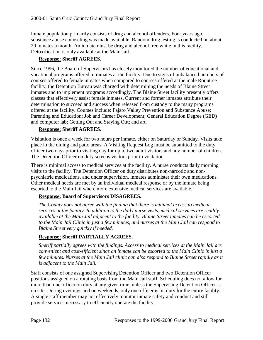Inmate population primarily consists of drug and alcohol offenders. Four years ago, substance abuse counseling was made available. Random drug testing is conducted on about 20 inmates a month. An inmate must be drug and alcohol free while in this facility. Detoxification is only available at the Main Jail.

# **Response: Sheriff AGREES.**

Since 1996, the Board of Supervisors has closely monitored the number of educational and vocational programs offered to inmates at the facility. Due to signs of unbalanced numbers of courses offered to female inmates when compared to courses offered at the male Rountree facility, the Detention Bureau was charged with determining the needs of Blaine Street inmates and to implement programs accordingly. The Blaine Street facility presently offers classes that effectively assist female inmates. Current and former inmates attribute their determination to succeed and success when released from custody to the many programs offered at the facility. Courses include: Pajaro Valley Prevention and Substance Abuse; Parenting and Education; Job and Career Development; General Education Degree (GED) and computer lab; Getting Out and Staying Out; and art.

# **Response: Sheriff AGREES.**

Visitation is once a week for two hours per inmate, either on Saturday or Sunday. Visits take place in the dining and patio areas. A Visiting Request Log must be submitted to the duty officer two days prior to visiting day for up to two adult visitors and any number of children. The Detention Officer on duty screens visitors prior to visitation.

There is minimal access to medical services at the facility. A nurse conducts daily morning visits to the facility. The Detention Officer on duty distributes non-narcotic and nonpsychiatric medications, and under supervision, inmates administer their own medications. Other medical needs are met by an individual medical response or by the inmate being escorted to the Main Jail where more extensive medical services are available.

# **Response: Board of Supervisors DISAGREES.**

*The County does not agree with the finding that there is minimal access to medical services at the facility. In addition to the daily nurse visits, medical services are readily available at the Main Jail adjacent to the facility. Blaine Street inmates can be escorted to the Main Jail Clinic in just a few minutes, and nurses at the Main Jail can respond to Blaine Street very quickly if needed.*

# **Response: Sheriff PARTIALLY AGREES.**

*Sheriff partially agrees with the findings. Access to medical services at the Main Jail are convenient and cost-efficient since an inmate can be escorted to the Main Clinic in just a few minutes. Nurses at the Main Jail clinic can also respond to Blaine Street rapidly as it is adjacent to the Main Jail.*

Staff consists of one assigned Supervising Detention Officer and two Detention Officer positions assigned on a rotating basis from the Main Jail staff. Scheduling does not allow for more than one officer on duty at any given time, unless the Supervising Detention Officer is on site. During evenings and on weekends, only one officer is on duty for the entire facility. A single staff member may not effectively monitor inmate safety and conduct and still provide services necessary to efficiently operate the facility.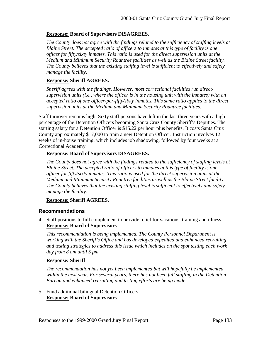### **Response: Board of Supervisors DISAGREES.**

*The County does not agree with the findings related to the sufficiency of staffing levels at Blaine Street. The accepted ratio of officers to inmates at this type of facility is one officer for fifty/sixty inmates. This ratio is used for the direct supervision units at the Medium and Minimum Security Rountree facilities as well as the Blaine Street facility. The County believes that the existing staffing level is sufficient to effectively and safely manage the facility.*

### **Response: Sheriff AGREES.**

*Sheriff agrees with the findings. However, most correctional facilities run directsupervision units (i.e., where the officer is in the housing unit with the inmates) with an accepted ratio of one officer-per-fifty/sixty inmates. This same ratio applies to the direct supervision units at the Medium and Minimum Security Rountree facilities.*

Staff turnover remains high. Sixty staff persons have left in the last three years with a high percentage of the Detention Officers becoming Santa Cruz County Sheriff's Deputies. The starting salary for a Detention Officer is \$15.22 per hour plus benefits. It costs Santa Cruz County approximately \$17,000 to train a new Detention Officer. Instruction involves 12 weeks of in-house training, which includes job shadowing, followed by four weeks at a Correctional Academy.

### **Response: Board of Supervisors DISAGREES.**

*The County does not agree with the findings related to the sufficiency of staffing levels at Blaine Street. The accepted ratio of officers to inmates at this type of facility is one officer for fifty/sixty inmates. This ratio is used for the direct supervision units at the Medium and Minimum Security Rountree facilities as well as the Blaine Street facility. The County believes that the existing staffing level is sufficient to effectively and safely manage the facility.*

#### **Response: Sheriff AGREES.**

#### **Recommendations**

4. Staff positions to full complement to provide relief for vacations, training and illness. **Response: Board of Supervisors**

*This recommendation is being implemented. The County Personnel Department is working with the Sheriff's Office and has developed expedited and enhanced recruiting and testing strategies to address this issue which includes on the spot testing each work day from 8 am until 5 pm.*

#### **Response: Sheriff**

*The recommendation has not yet been implemented but will hopefully be implemented within the next year. For several years, there has not been full staffing in the Detention Bureau and enhanced recruiting and testing efforts are being made.*

5. Fund additional bilingual Detention Officers. **Response: Board of Supervisors**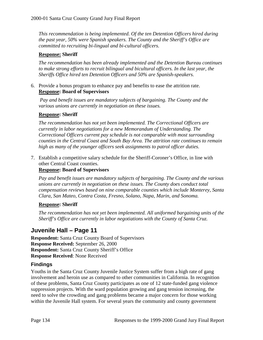*This recommendation is being implemented. Of the ten Detention Officers hired during the past year, 50% were Spanish speakers. The County and the Sheriff's Office are committed to recruiting bi-lingual and bi-cultural officers.*

# **Response: Sheriff**

*The recommendation has been already implemented and the Detention Bureau continues to make strong efforts to recruit bilingual and bicultural officers. In the last year, the Sheriffs Office hired ten Detention Officers and 50% are Spanish-speakers.*

6. Provide a bonus program to enhance pay and benefits to ease the attrition rate. **Response: Board of Supervisors**

 *Pay and benefit issues are mandatory subjects of bargaining. The County and the various unions are currently in negotiation on these issues.*

# **Response: Sheriff**

*The recommendation has not yet been implemented. The Correctional Officers are currently in labor negotiations for a new Memorandum of Understanding. The Correctional Officers current pay schedule is not comparable with most surrounding counties in the Central Coast and South Bay Area. The attrition rate continues to remain high as many of the younger officers seek assignments to patrol officer duties.*

7. Establish a competitive salary schedule for the Sheriff-Coroner's Office, in line with other Central Coast counties.

# **Response: Board of Supervisors**

*Pay and benefit issues are mandatory subjects of bargaining. The County and the various unions are currently in negotiation on these issues. The County does conduct total compensation reviews based on nine comparable counties which include Monterey, Santa Clara, San Mateo, Contra Costa, Fresno, Solano, Napa, Marin, and Sonoma.*

# **Response: Sheriff**

*The recommendation has not yet been implemented. All uniformed bargaining units of the Sheriff's Office are currently in labor negotiations with the County of Santa Cruz.*

# **Juvenile Hall – Page 11**

**Respondent:** Santa Cruz County Board of Supervisors **Response Received:** September 26, 2000 **Respondent:** Santa Cruz County Sheriff's Office **Response Received**: None Received

# **Findings**

Youths in the Santa Cruz County Juvenile Justice System suffer from a high rate of gang involvement and heroin use as compared to other communities in California. In recognition of these problems, Santa Cruz County participates as one of 12 state-funded gang violence suppression projects. With the ward population growing and gang tension increasing, the need to solve the crowding and gang problems became a major concern for those working within the Juvenile Hall system. For several years the community and county government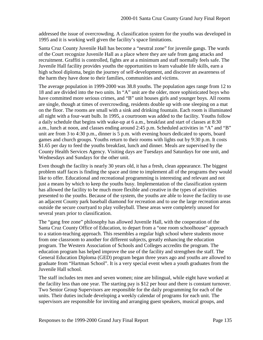addressed the issue of overcrowding. A classification system for the youths was developed in 1995 and it is working well given the facility's space limitations.

Santa Cruz County Juvenile Hall has become a "neutral zone" for juvenile gangs. The wards of the Court recognize Juvenile Hall as a place where they are safe from gang attacks and recruitment. Graffiti is controlled, fights are at a minimum and staff normally feels safe. The Juvenile Hall facility provides youths the opportunities to learn valuable life skills, earn a high school diploma, begin the journey of self-development, and discover an awareness of the harm they have done to their families, communities and victims.

The average population in 1999-2000 was 38.8 youths. The population ages range from 12 to 18 and are divided into the two units. In "A" unit are the older, more sophisticated boys who have committed more serious crimes, and "B" unit houses girls and younger boys. All rooms are single, though at times of overcrowding, residents double up with one sleeping on a mat on the floor. The rooms are small with a sink and drinking fountain. Each room is illuminated all night with a four-watt bulb. In 1995, a courtroom was added to the facility. Youths follow a daily schedule that begins with wake-up at 6 a.m., breakfast and start of classes at 8:30 a.m., lunch at noon, and classes ending around 2:45 p.m. Scheduled activities in "A" and "B" unit are from 3 to 4:30 p.m., dinner is 5 p.m. with evening hours dedicated to sports, board games and church groups. Youths return to their rooms with lights out by 9:30 p.m. It costs \$1.65 per day to feed the youths breakfast, lunch and dinner. Meals are supervised by the County Health Services Agency. Visiting days are Tuesdays and Saturdays for one unit, and Wednesdays and Sundays for the other unit.

Even though the facility is nearly 30 years old, it has a fresh, clean appearance. The biggest problem staff faces is finding the space and time to implement all of the programs they would like to offer. Educational and recreational programming is interesting and relevant and not just a means by which to keep the youths busy. Implementation of the classification system has allowed the facility to be much more flexible and creative in the types of activities presented to the youths. Because of the system, the youths are able to leave the facility to use an adjacent County park baseball diamond for recreation and to use the large recreation areas outside the secure courtyard to play volleyball. These areas were completely unused for several years prior to classification.

The "gang free zone" philosophy has allowed Juvenile Hall, with the cooperation of the Santa Cruz County Office of Education, to depart from a "one room schoolhouse" approach to a station-teaching approach. This resembles a regular high school where students move from one classroom to another for different subjects, greatly enhancing the education program. The Western Association of Schools and Colleges accredits the program. The education program has helped improve the use of the facility and strengthen the staff. The General Education Diploma (GED) program began three years ago and youths are allowed to graduate from "Hartman School". It is a very special event when a youth graduates from the Juvenile Hall school.

The staff includes ten men and seven women; nine are bilingual, while eight have worked at the facility less than one year. The starting pay is \$12 per hour and there is constant turnover. Two Senior Group Supervisors are responsible for the daily programming for each of the units. Their duties include developing a weekly calendar of programs for each unit. The supervisors are responsible for inviting and arranging guest speakers, musical groups, and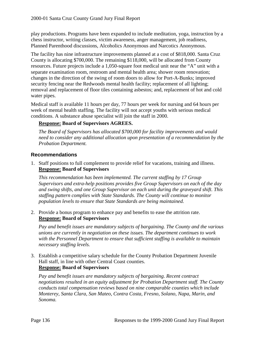play productions. Programs have been expanded to include meditation, yoga, instruction by a chess instructor, writing classes, victim awareness, anger management, job readiness, Planned Parenthood discussions, Alcoholics Anonymous and Narcotics Anonymous.

The facility has nine infrastructure improvements planned at a cost of \$818,000. Santa Cruz County is allocating \$700,000. The remaining \$118,000, will be allocated from County resources. Future projects include a 1,050-square foot medical unit near the "A" unit with a separate examination room, restroom and mental health area; shower room renovation; changes in the direction of the swing of room doors to allow for Port-A-Bunks; improved security fencing near the Redwoods mental health facility; replacement of all lighting; removal and replacement of floor tiles containing asbestos; and, replacement of hot and cold water pipes.

Medical staff is available 11 hours per day, 77 hours per week for nursing and 64 hours per week of mental health staffing. The facility will not accept youths with serious medical conditions. A substance abuse specialist will join the staff in 2000.

# **Response: Board of Supervisors AGREES.**

*The Board of Supervisors has allocated \$700,000 for facility improvements and would need to consider any additional allocation upon presentation of a recommendation by the Probation Department.*

# **Recommendations**

1. Staff positions to full complement to provide relief for vacations, training and illness. **Response: Board of Supervisors**

*This recommendation has been implemented. The current staffing by 17 Group Supervisors and extra-help positions provides five Group Supervisors on each of the day and swing shifts, and one Group Supervisor on each unit during the graveyard shift. This staffing pattern complies with State Standards. The County will continue to monitor population levels to ensure that State Standards are being maintained.*

2. Provide a bonus program to enhance pay and benefits to ease the attrition rate. **Response: Board of Supervisors**

*Pay and benefit issues are mandatory subjects of bargaining. The County and the various unions are currently in negotiation on these issues. The department continues to work with the Personnel Department to ensure that sufficient staffing is available to maintain necessary staffing levels.*

3. Establish a competitive salary schedule for the County Probation Department Juvenile Hall staff, in line with other Central Coast counties. **Response: Board of Supervisors**

*Pay and benefit issues are mandatory subjects of bargaining. Recent contract negotiations resulted in an equity adjustment for Probation Department staff. The County conducts total compensation reviews based on nine comparable counties which include Monterey, Santa Clara, San Mateo, Contra Costa, Fresno, Solano, Napa, Marin, and Sonoma.*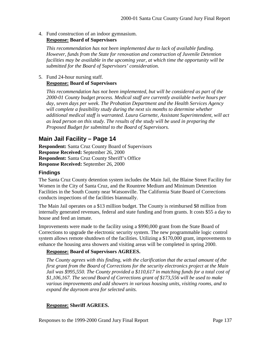4. Fund construction of an indoor gymnasium. **Response: Board of Supervisors**

*This recommendation has not been implemented due to lack of available funding. However, funds from the State for renovation and construction of Juvenile Detention facilities may be available in the upcoming year, at which time the opportunity will be submitted for the Board of Supervisors' consideration.*

# 5. Fund 24-hour nursing staff. **Response: Board of Supervisors**

*This recommendation has not been implemented, but will be considered as part of the 2000-01 County budget process. Medical staff are currently available twelve hours per day, seven days per week. The Probation Department and the Health Services Agency will complete a feasibility study during the next six months to determine whether additional medical staff is warranted. Laura Garnette, Assistant Superintendent, will act as lead person on this study. The results of the study will be used in preparing the Proposed Budget for submittal to the Board of Supervisors.*

# **Main Jail Facility – Page 14**

**Respondent:** Santa Cruz County Board of Supervisors **Response Received:** September 26, 2000 **Respondent:** Santa Cruz County Sheriff's Office **Response Received:** September 26, 2000

# **Findings**

The Santa Cruz County detention system includes the Main Jail, the Blaine Street Facility for Women in the City of Santa Cruz, and the Rountree Medium and Minimum Detention Facilities in the South County near Watsonville. The California State Board of Corrections conducts inspections of the facilities biannually.

The Main Jail operates on a \$13 million budget. The County is reimbursed \$8 million from internally generated revenues, federal and state funding and from grants. It costs \$55 a day to house and feed an inmate.

Improvements were made to the facility using a \$990,000 grant from the State Board of Corrections to upgrade the electronic security system. The new programmable logic control system allows remote shutdown of the facilities. Utilizing a \$170,000 grant, improvements to enhance the housing area showers and visiting areas will be completed in spring 2000.

# **Response: Board of Supervisors AGREES.**

*The County agrees with this finding, with the clarification that the actual amount of the first grant from the Board of Corrections for the security electronics project at the Main Jail was \$995,550. The County provided a \$110,617 in matching funds for a total cost of \$1,106,167. The second Board of Corrections grant of \$173,556 will be used to make various improvements and add showers in various housing units, visiting rooms, and to expand the dayroom area for selected units.*

# **Response: Sheriff AGREES.**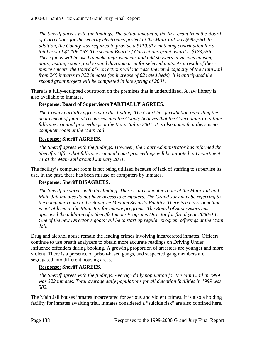*The Sheriff agrees with the findings. The actual amount of the first grant from the Board of Corrections for the security electronics project at the Main Jail was \$995,550. In addition, the County was required to provide a \$110,617 matching contribution for a total cost of \$1,106,167. The second Board of Corrections grant award is \$173,556. These funds will be used to make improvements and add showers in various housing units, visiting rooms, and expand dayroom area for selected units. As a result of these improvements, the Board of Corrections will increase the rated capacity of the Main Jail from 249 inmates to 322 inmates (an increase of 62 rated beds). It is anticipated the second grant project will be completed in late spring of 2001.*

There is a fully-equipped courtroom on the premises that is underutilized. A law library is also available to inmates.

# **Response: Board of Supervisors PARTIALLY AGREES.**

*The County partially agrees with this finding. The Court has jurisdiction regarding the deployment of judicial resources, and the County believes that the Court plans to initiate full-time criminal proceedings at the Main Jail in 2001. It is also noted that there is no computer room at the Main Jail.*

# **Response: Sheriff AGREES.**

*The Sheriff agrees with the findings. However, the Court Administrator has informed the Sheriff's Office that full-time criminal court proceedings will be initiated in Department 11 at the Main Jail around January 2001.*

The facility's computer room is not being utilized because of lack of staffing to supervise its use. In the past, there has been misuse of computers by inmates.

# **Response: Sheriff DISAGREES.**

*The Sheriff disagrees with this finding. There is no computer room at the Main Jail and Main Jail inmates do not have access to computers. The Grand Jury may be referring to the computer room at the Rountree Medium Security Facility. There is a classroom that is not utilized at the Main Jail for inmate programs. The Board of Supervisors has approved the addition of a Sheriffs Inmate Programs Director for fiscal year 2000-0 1. One of the new Director's goats will be to start up regular program offerings at the Main Jail.*

Drug and alcohol abuse remain the leading crimes involving incarcerated inmates. Officers continue to use breath analyzers to obtain more accurate readings on Driving Under Influence offenders during booking. A growing proportion of arrestees are younger and more violent. There is a presence of prison-based gangs, and suspected gang members are segregated into different housing areas.

# **Response: Sheriff AGREES.**

*The Sheriff agrees with the findings. Average daily population for the Main Jail in 1999 was 322 inmates. Total average daily populations for all detention facilities in 1999 was 582.*

The Main Jail houses inmates incarcerated for serious and violent crimes. It is also a holding facility for inmates awaiting trial. Inmates considered a "suicide risk" are also confined here.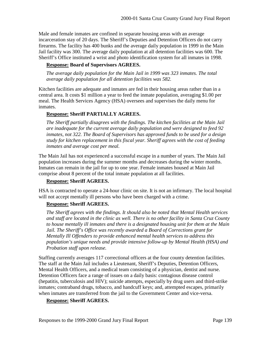Male and female inmates are confined in separate housing areas with an average incarceration stay of 20 days. The Sheriff's Deputies and Detention Officers do not carry firearms. The facility has 400 bunks and the average daily population in 1999 in the Main Jail facility was 300. The average daily population at all detention facilities was 600. The Sheriff's Office instituted a wrist and photo identification system for all inmates in 1998.

# **Response: Board of Supervisors AGREES.**

*The average daily population for the Main Jail in 1999 was 323 inmates. The total average daily population for all detention facilities was 582.*

Kitchen facilities are adequate and inmates are fed in their housing areas rather than in a central area. It costs \$1 million a year to feed the inmate population, averaging \$1.00 per meal. The Health Services Agency (HSA) oversees and supervises the daily menu for inmates.

# **Response: Sheriff PARTIALLY AGREES.**

*The Sheriff partially disagrees with the findings. The kitchen facilities at the Main Jail are inadequate for the current average daily population and were designed to feed 92 inmates, not 322. The Board of Supervisors has approved funds to be used for a design study for kitchen replacement in this fiscal year. Sheriff agrees with the cost of feeding inmates and average cost per meal.*

The Main Jail has not experienced a successful escape in a number of years. The Main Jail population increases during the summer months and decreases during the winter months. Inmates can remain in the jail for up to one year. Female inmates housed at Main Jail comprise about 8 percent of the total inmate population at all facilities.

# **Response: Sheriff AGREES.**

HSA is contracted to operate a 24-hour clinic on site. It is not an infirmary. The local hospital will not accept mentally ill persons who have been charged with a crime.

# **Response: Sheriff AGREES.**

*The Sheriff agrees with the findings. It should also be noted that Mental Health services and staff are located in the clinic as well. There is no other facility in Santa Cruz County to house mentally ill inmates and there is a designated housing unit for them at the Main Jail. The Sheriff's Office was recently awarded a Board of Corrections grant for Mentally Ill Offenders to provide enhanced mental health services to address this population's unique needs and provide intensive follow-up by Mental Health (HSA) and Probation staff upon release.*

Staffing currently averages 117 correctional officers at the four county detention facilities. The staff at the Main Jail includes a Lieutenant, Sheriff's Deputies, Detention Officers, Mental Health Officers, and a medical team consisting of a physician, dentist and nurse. Detention Officers face a range of issues on a daily basis: contagious disease control (hepatitis, tuberculosis and HIV); suicide attempts, especially by drug users and third-strike inmates; contraband drugs, tobacco, and handcuff keys; and, attempted escapes, primarily when inmates are transferred from the jail to the Government Center and vice-versa.

# **Response: Sheriff AGREES.**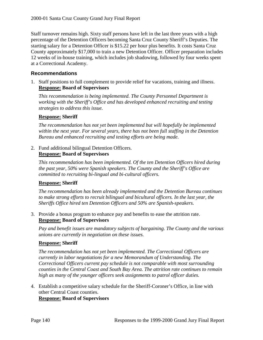Staff turnover remains high. Sixty staff persons have left in the last three years with a high percentage of the Detention Officers becoming Santa Cruz County Sheriff's Deputies. The starting salary for a Detention Officer is \$15.22 per hour plus benefits. It costs Santa Cruz County approximately \$17,000 to train a new Detention Officer. Officer preparation includes 12 weeks of in-house training, which includes job shadowing, followed by four weeks spent at a Correctional Academy.

# **Recommendations**

1. Staff positions to full complement to provide relief for vacations, training and illness. **Response: Board of Supervisors**

*This recommendation is being implemented. The County Personnel Department is working with the Sheriff's Office and has developed enhanced recruiting and testing strategies to address this issue.*

# **Response: Sheriff**

*The recommendation has not yet been implemented but will hopefully be implemented within the next year. For several years, there has not been full staffing in the Detention Bureau and enhanced recruiting and testing efforts are being made.*

2. Fund additional bilingual Detention Officers. **Response: Board of Supervisors**

*This recommendation has been implemented. Of the ten Detention Officers hired during the past year, 50% were Spanish speakers. The County and the Sheriff's Office are committed to recruiting bi-lingual and bi-cultural officers.*

# **Response: Sheriff**

*The recommendation has been already implemented and the Detention Bureau continues to make strong efforts to recruit bilingual and bicultural officers. In the last year, the Sheriffs Office hired ten Detention Officers and 50% are Spanish-speakers.*

3. Provide a bonus program to enhance pay and benefits to ease the attrition rate. **Response: Board of Supervisors**

*Pay and benefit issues are mandatory subjects of bargaining. The County and the various unions are currently in negotiation on these issues.*

# **Response: Sheriff**

*The recommendation has not yet been implemented. The Correctional Officers are currently in labor negotiations for a new Memorandum of Understanding. The Correctional Officers current pay schedule is not comparable with most surrounding counties in the Central Coast and South Bay Area. The attrition rate continues to remain high as many of the younger officers seek assignments to patrol officer duties.*

4. Establish a competitive salary schedule for the Sheriff-Coroner's Office, in line with other Central Coast counties.

**Response: Board of Supervisors**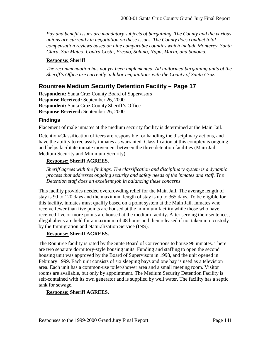*Pay and benefit issues are mandatory subjects of bargaining. The County and the various unions are currently in negotiation on these issues. The County does conduct total compensation reviews based on nine comparable counties which include Monterey, Santa Clara, San Mateo, Contra Costa, Fresno, Solano, Napa, Marin, and Sonoma.*

# **Response: Sheriff**

*The recommendation has not yet been implemented. All uniformed bargaining units of the Sheriff's Office are currently in labor negotiations with the County of Santa Cruz.*

# **Rountree Medium Security Detention Facility – Page 17**

**Respondent:** Santa Cruz County Board of Supervisors **Response Received:** September 26, 2000 **Respondent:** Santa Cruz County Sheriff's Office **Response Received:** September 26, 2000

# **Findings**

Placement of male inmates at the medium security facility is determined at the Main Jail.

Detention/Classification officers are responsible for handling the disciplinary actions, and have the ability to reclassify inmates as warranted. Classification at this complex is ongoing and helps facilitate inmate movement between the three detention facilities (Main Jail, Medium Security and Minimum Security).

# **Response: Sheriff AGREES.**

*Sheriff agrees with the findings. The classification and disciplinary system is a dynamic process that addresses ongoing security and safety needs of the inmates and staff. The Detention staff does an excellent job in balancing these concerns.*

This facility provides needed overcrowding relief for the Main Jail. The average length of stay is 90 to 120 days and the maximum length of stay is up to 365 days. To be eligible for this facility, inmates must qualify based on a point system at the Main Jail. Inmates who receive fewer than five points are housed at the minimum facility while those who have received five or more points are housed at the medium facility. After serving their sentences, illegal aliens are held for a maximum of 48 hours and then released if not taken into custody by the Immigration and Naturalization Service (INS).

# **Response: Sheriff AGREES.**

The Rountree facility is rated by the State Board of Corrections to house 96 inmates. There are two separate dormitory-style housing units. Funding and staffing to open the second housing unit was approved by the Board of Supervisors in 1998, and the unit opened in February 1999. Each unit consists of six sleeping bays and one bay is used as a television area. Each unit has a common-use toilet/shower area and a small meeting room. Visitor rooms are available, but only by appointment. The Medium Security Detention Facility is self-contained with its own generator and is supplied by well water. The facility has a septic tank for sewage.

# **Response: Sheriff AGREES.**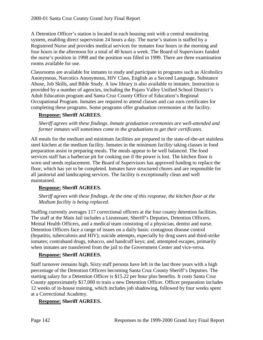A Detention Officer's station is located in each housing unit with a central monitoring system, enabling direct supervision 24 hours a day. The nurse's station is staffed by a Registered Nurse and provides medical services for inmates four hours in the morning and four hours in the afternoon for a total of 40 hours a week. The Board of Supervisors funded the nurse's position in 1998 and the position was filled in 1999. There are three examination rooms available for use.

Classrooms are available for inmates to study and participate in programs such as Alcoholics Anonymous, Narcotics Anonymous, HIV Class, English as a Second Language, Substance Abuse, Job Skills, and Bible Study. A law library is also available to inmates. Instruction is provided by a number of agencies, including the Pajaro Valley Unified School District's Adult Education program and Santa Cruz County Office of Education's Regional Occupational Program. Inmates are required to attend classes and can earn certificates for completing these programs. Some programs offer graduation ceremonies at the facility.

# **Response: Sheriff AGREES.**

*Sheriff agrees with these findings. Inmate graduation ceremonies are well-attended and former inmates will sometimes come to the graduations to get their certificates.*

All meals for the medium and minimum facilities are prepared in the state-of-the-art stainless steel kitchen at the medium facility. Inmates in the minimum facility taking classes in food preparation assist in preparing meals. The meals appear to be well balanced. The food services staff has a barbecue pit for cooking use if the power is lost. The kitchen floor is worn and needs replacement. The Board of Supervisors has approved funding to replace the floor, which has yet to be completed. Inmates have structured chores and are responsible for all janitorial and landscaping services. The facility is exceptionally clean and well maintained.

# **Response: Sheriff AGREES.**

*Sheriff agrees with these findings. At the time of this response, the kitchen floor at the Medium facility is being replaced.*

Staffing currently averages 117 correctional officers at the four county detention facilities. The staff at the Main Jail includes a Lieutenant, Sheriff's Deputies, Detention Officers, Mental Health Officers, and a medical team consisting of a physician, dentist and nurse. Detention Officers face a range of issues on a daily basis: contagious disease control (hepatitis, tuberculosis and HIV); suicide attempts, especially by drug users and third-strike inmates; contraband drugs, tobacco, and handcuff keys; and, attempted escapes, primarily when inmates are transferred from the jail to the Government Center and vice-versa.

# **Response: Sheriff AGREES.**

Staff turnover remains high. Sixty staff persons have left in the last three years with a high percentage of the Detention Officers becoming Santa Cruz County Sheriff's Deputies. The starting salary for a Detention Officer is \$15.22 per hour plus benefits. It costs Santa Cruz County approximately \$17,000 to train a new Detention Officer. Officer preparation includes 12 weeks of in-house training, which includes job shadowing, followed by four weeks spent at a Correctional Academy.

# **Response: Sheriff AGREES.**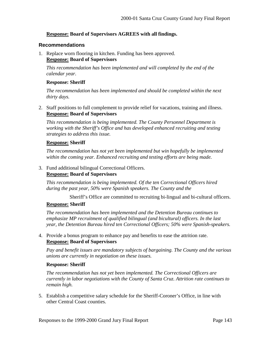# **Response: Board of Supervisors AGREES with all findings.**

### **Recommendations**

1. Replace worn flooring in kitchen. Funding has been approved. **Response: Board of Supervisors**

*This recommendation has been implemented and will completed by the end of the calendar year.*

#### **Response: Sheriff**

*The recommendation has been implemented and should be completed within the next thirty days.*

2. Staff positions to full complement to provide relief for vacations, training and illness. **Response: Board of Supervisors**

*This recommendation is being implemented. The County Personnel Department is working with the Sheriff's Office and has developed enhanced recruiting and testing strategies to address this issue.*

### **Response: Sheriff**

*The recommendation has not yet been implemented but win hopefully be implemented within the coming year. Enhanced recruiting and testing efforts are being made.*

#### 3. Fund additional bilingual Correctional Officers. **Response: Board of Supervisors**

*This recommendation is being implemented. Of the ten Correctional Officers hired during the past year, 50% were Spanish speakers. The County and the*

Sheriff's Office are committed to recruiting bi-lingual and bi-cultural officers.

# **Response: Sheriff**

*The recommendation has been implemented and the Detention Bureau continues to emphasize MP recruitment of qualified bilingual (and bicultural) officers. In the last year, the Detention Bureau hired ten Correctional Officers; 50% were Spanish-speakers.*

4. Provide a bonus program to enhance pay and benefits to ease the attrition rate. **Response: Board of Supervisors**

*Pay and benefit issues are mandatory subjects of bargaining. The County and the various unions are currently in negotiation on these issues.*

#### **Response: Sheriff**

*The recommendation has not yet been implemented. The Correctional Officers are currently in labor negotiations with the County of Santa Cruz. Attrition rate continues to remain high.*

5. Establish a competitive salary schedule for the Sheriff-Coroner's Office, in line with other Central Coast counties.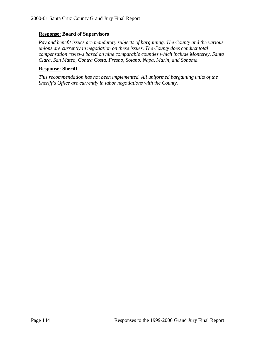# **Response: Board of Supervisors**

*Pay and benefit issues are mandatory subjects of bargaining. The County and the various unions are currently in negotiation on these issues. The County does conduct total compensation reviews based on nine comparable counties which include Monterey, Santa Clara, San Mateo, Contra Costa, Fresno, Solano, Napa, Marin, and Sonoma.*

### **Response: Sheriff**

*This recommendation has not been implemented. All uniformed bargaining units of the Sheriff's Office are currently in labor negotiations with the County.*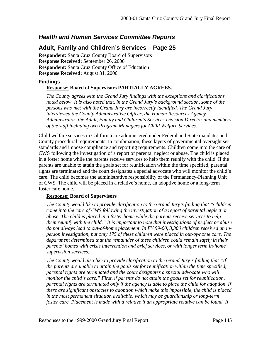# *Health and Human Services Committee Reports*

# **Adult, Family and Children's Services – Page 25**

**Respondent:** Santa Cruz County Board of Supervisors **Response Received:** September 26, 2000 **Respondent:** Santa Cruz County Office of Education **Response Received:** August 31, 2000

# **Findings**

# **Response: Board of Supervisors PARTIALLY AGREES.**

*The County agrees with the Grand Jury findings with the exceptions and clarifications noted below. It is also noted that, in the Grand Jury's background section, some of the persons who met with the Grand Jury are incorrectly identified. The Grand Jury interviewed the County Administrative Officer, the Human Resources Agency Administrator, the Adult, Family and Children's Services Division Director and members of the staff including two Program Managers for Child Welfare Services.*

Child welfare services in California are administered under Federal and State mandates and County procedural requirements. In combination, these layers of governmental oversight set standards and impose compliance and reporting requirements. Children come into the care of CWS following the investigation of a report of parental neglect or abuse. The child is placed in a foster home while the parents receive services to help them reunify with the child. If the parents are unable to attain the goals set for reunification within the time specified, parental rights are terminated and the court designates a special advocate who will monitor the child's care. The child becomes the administrative responsibility of the Permanency-Planning Unit of CWS. The child will be placed in a relative's home, an adoptive home or a long-term foster care home.

# **Response: Board of Supervisors**

*The County would like to provide clarification to the Grand Jury's finding that "Children come into the care of CWS following the investigation of a report of parental neglect or abuse. The child is placed in a foster home while the parents receive services to help them reunify with the child." It is important to note that investigations of neglect or abuse do not always lead to out-of-home placement. In FY 99-00, 3,300 children received an inperson investigation, but only 175 of these children were placed in out-of-home care. The department determined that the remainder of these children could remain safely in their parents' homes with crisis intervention and brief services, or with longer term in-home supervision services.*

*The County would also like to provide clarification to the Grand Jury's finding that "If the parents are unable to attain the goals set for reunification within the time specified, parental rights are terminated and the court designates a special advocate who will monitor the child's care." First, if parents do not attain the goals set for reunification, parental rights are terminated only if the agency is able to place the child for adoption. If there are significant obstacles to adoption which make this impossible, the child is placed in the most permanent situation available, which may be guardianship or long-term foster care. Placement is made with a relative if an appropriate relative can be found. If*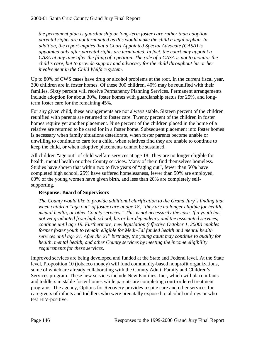*the permanent plan is guardianship or long-term foster care rather than adoption, parental rights are not terminated as this would make the child a legal orphan. In addition, the report implies that a Court Appointed Special Advocate (CASA) is appointed only after parental rights are terminated. In fact, the court may appoint a CASA at any time after the filing of a petition. The role of a CASA is not to monitor the child's care, but to provide support and advocacy for the child throughout his or her involvement in the Child Welfare system.*

Up to 80% of CWS cases have drug or alcohol problems at the root. In the current fiscal year, 300 children are in foster homes. Of these 300 children, 40% may be reunified with their families. Sixty percent will receive Permanency Planning Services. Permanent arrangements include adoption for about 30%, foster homes with guardianship status for 25%, and longterm foster care for the remaining 45%.

For any given child, these arrangements are not always stable. Sixteen percent of the children reunified with parents are returned to foster care. Twenty percent of the children in foster homes require yet another placement. Nine percent of the children placed in the home of a relative are returned to be cared for in a foster home. Subsequent placement into foster homes is necessary when family situations deteriorate, when foster parents become unable or unwilling to continue to care for a child, when relatives find they are unable to continue to keep the child, or when adoptive placements cannot be sustained.

All children "age out" of child welfare services at age 18. They are no longer eligible for health, mental health or other County services. Many of them find themselves homeless. Studies have shown that within two to five years of "aging out", fewer than 50% have completed high school, 25% have suffered homelessness, fewer than 50% are employed, 60% of the young women have given birth, and less than 20% are completely selfsupporting.

# **Response: Board of Supervisors**

*The County would like to provide additional clarification to the Grand Jury's finding that when children "age out" of foster care at age 18, "they are no longer eligible for health, mental health, or other County services." This is not necessarily the case. If a youth has not yet graduated from high school, his or her dependency and the associated services, continue until age 19. Furthermore, new legislation (effective October 1, 2000) enables former foster youth to remain eligible for Medi-Cal funded health and mental health services until age 21. After the 21st birthday, the young adult may continue to quality for health, mental health, and other County services by meeting the income eligibility requirements for these services.*

Improved services are being developed and funded at the State and Federal level. At the State level, Proposition 10 (tobacco money) will fund community-based nonprofit organizations, some of which are already collaborating with the County Adult, Family and Children's Services program. These new services include New Families, Inc., which will place infants and toddlers in stable foster homes while parents are completing court-ordered treatment programs. The agency, Options for Recovery provides respite care and other services for caregivers of infants and toddlers who were prenatally exposed to alcohol or drugs or who test HIV-positive.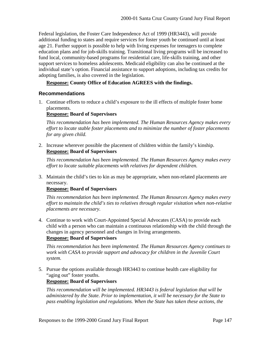Federal legislation, the Foster Care Independence Act of 1999 (HR3443), will provide additional funding to states and require services for foster youth be continued until at least age 21. Further support is possible to help with living expenses for teenagers to complete education plans and for job-skills training. Transitional living programs will be increased to fund local, community-based programs for residential care, life-skills training, and other support services to homeless adolescents. Medicaid eligibility can also be continued at the individual state's option. Financial assistance to support adoptions, including tax credits for adopting families, is also covered in the legislation.

# **Response: County Office of Education AGREES with the findings.**

# **Recommendations**

1. Continue efforts to reduce a child's exposure to the ill effects of multiple foster home placements.

# **Response: Board of Supervisors**

*This recommendation has been implemented. The Human Resources Agency makes every effort to locate stable foster placements and to minimize the number of foster placements for any given child.*

2. Increase wherever possible the placement of children within the family's kinship. **Response: Board of Supervisors**

*This recommendation has been implemented. The Human Resources Agency makes every effort to locate suitable placements with relatives for dependent children.*

3. Maintain the child's ties to kin as may be appropriate, when non-related placements are necessary.

# **Response: Board of Supervisors**

*This recommendation has been implemented. The Human Resources Agency makes every effort to maintain the child's ties to relatives through regular visitation when non-relative placements are necessary.*

4. Continue to work with Court-Appointed Special Advocates (CASA) to provide each child with a person who can maintain a continuous relationship with the child through the changes in agency personnel and changes in living arrangements. **Response: Board of Supervisors**

*This recommendation has been implemented. The Human Resources Agency continues to work with CASA to provide support and advocacy for children in the Juvenile Court system.*

5. Pursue the options available through HR3443 to continue health care eligibility for "aging out" foster youths. **Response: Board of Supervisors**

*This recommendation will be implemented. HR3443 is federal legislation that will be administered by the State. Prior to implementation, it will be necessary for the State to pass enabling legislation and regulations. When the State has taken these actions, the*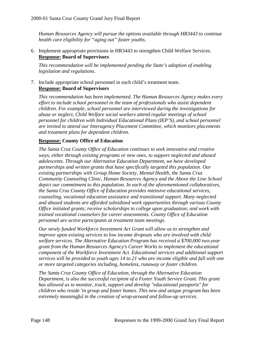*Human Resources Agency will pursue the options available through HR3443 to continue health care eligibility for "aging out" foster youths.*

6. Implement appropriate provisions in HR3443 to strengthen Child Welfare Services. **Response: Board of Supervisors**

*This recommendation will be implemented pending the State's adoption of enabling legislation and regulations.*

7. Include appropriate school personnel in each child's treatment team. **Response: Board of Supervisors**

*This recommendation has been implemented. The Human Resources Agency makes every effort to include school personnel in the team of professionals who assist dependent children. For example, school personnel are interviewed during the investigations for abuse or neglect, Child Welfare social workers attend regular meetings of school personnel for children with Individual Educational Plans (IEP'S), and school personnel are invited to attend our Interagency Placement Committee, which monitors placements and treatment plans for dependent children.*

# **Response: County Office of Education**

*The Santa Cruz County Office of Education continues to seek innovative and creative ways, either through existing programs or new ones, to support neglected and abused adolescents. Through our Alternative Education Department, we have developed partnerships and written grants that have specifically targeted this population. Our existing partnerships with Group Home Society, Mental Health, the Santa Cruz Community Counseling Clinic, Human Resources Agency and the Above the Line School depict our commitment to this population. In each of the aforementioned collaboratives, the Santa Cruz County Office of Education provides intensive educational services, counseling, vocational education assistance and transitional support. Many neglected and abused students are afforded subsidized work opportunities through various County Office initiated grants; receive scholarships to college upon graduation; and work with trained vocational counselors for career assessments. County Office of Education personnel are active participants at treatment team meetings.*

*Our newly funded Workforce Investment Act Grant will allow us to strengthen and improve upon existing services to low income dropouts who are involved with child welfare services. The Alternative Education Program has received a \$700,000 two-year grant from the Human Resources Agency's Career Works to implement the educational component of the Workforce Investment Act. Educational services and additional support services will be provided to youth ages 14 to 21 who are income eligible and fall with one or more targeted categories including, homeless, runaway or foster children.*

*The Santa Cruz County Office of Education, through the Alternative Education Department, is also the successful recipient of a Foster Youth Service Grant. This grant has allowed us to monitor, track, support and develop "educational passports" for children who reside 'in group and foster homes. This new and unique program has been extremely meaningful in the creation of wrap-around and follow-up services.*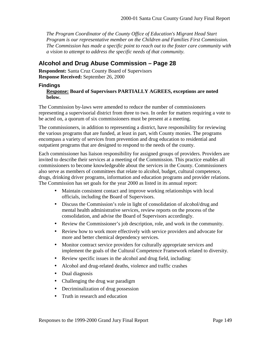*The Program Coordinator of the County Office of Education's Migrant Head Start Program is our representative member on the Children and Families First Commission. The Commission has made a specific point to reach out to the foster care community with a vision to attempt to address the specific needs of that community.*

# **Alcohol and Drug Abuse Commission – Page 28**

**Respondent:** Santa Cruz County Board of Supervisors **Response Received:** September 26, 2000

#### **Findings**

#### **Response: Board of Supervisors PARTIALLY AGREES, exceptions are noted below.**

The Commission by-laws were amended to reduce the number of commissioners representing a supervisorial district from three to two. In order for matters requiring a vote to be acted on, a quorum of six commissioners must be present at a meeting.

The commissioners, in addition to representing a district, have responsibility for reviewing the various programs that are funded, at least in part, with County monies. The programs encompass a variety of services from prevention and drug education to residential and outpatient programs that are designed to respond to the needs of the county.

Each commissioner has liaison responsibility for assigned groups of providers. Providers are invited to describe their services at a meeting of the Commission. This practice enables all commissioners to become knowledgeable about the services in the County. Commissioners also serve as members of committees that relate to alcohol, budget, cultural competence, drugs, drinking driver programs, information and education programs and provider relations. The Commission has set goals for the year 2000 as listed in its annual report:

- Maintain consistent contact and improve working relationships with local officials, including the Board of Supervisors.
- Discuss the Commission's role in light of consolidation of alcohol/drug and mental health administrative services, review reports on the process of the consolidation, and advise the Board of Supervisors accordingly.
- Review the Commissioner's job description, role, and work in the community.
- Review how to work more effectively with service providers and advocate for more and better chemical dependency services.
- Monitor contract service providers for culturally appropriate services and implement the goals of the Cultural Competence Framework related to diversity.
- Review specific issues in the alcohol and drug field, including:
- Alcohol and drug-related deaths, violence and traffic crashes
- Dual diagnosis
- Challenging the drug war paradigm
- Decriminalization of drug possession
- Truth in research and education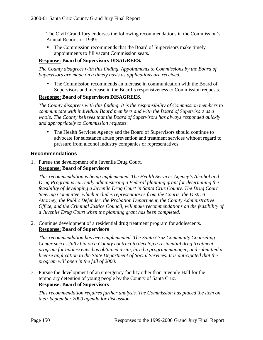The Civil Grand Jury endorses the following recommendations in the Commission's Annual Report for 1999:

• The Commission recommends that the Board of Supervisors make timely appointments to fill vacant Commission seats.

# **Response: Board of Supervisors DISAGREES.**

*The County disagrees with this finding. Appointments to Commissions by the Board of Supervisors are made on a timely basis as applications are received.*

• The Commission recommends an increase in communication with the Board of Supervisors and increase in the Board's responsiveness to Commission requests.

# **Response: Board of Supervisors DISAGREES.**

*The County disagrees with this finding. It is the responsibility of Commission members to communicate with individual Board members and with the Board of Supervisors as a whole. The County believes that the Board of Supervisors has always responded quickly and appropriately to Commission requests.*

• The Health Services Agency and the Board of Supervisors should continue to advocate for substance abuse prevention and treatment services without regard to pressure from alcohol industry companies or representatives.

# **Recommendations**

1. Pursue the development of a Juvenile Drug Court. **Response: Board of Supervisors**

*This recommendation is being implemented. The Health Services Agency's Alcohol and Drug Program is currently administering a Federal planning grant for determining the feasibility of developing a Juvenile Drug Court in Santa Cruz County. The Drug Court Steering Committee, which includes representatives from the Courts, the District Attorney, the Public Defender, the Probation Department, the County Administrative Office, and the Criminal Justice Council, will make recommendations on the feasibility of a Juvenile Drug Court when the planning grant has been completed.*

2. Continue development of a residential drug treatment program for adolescents. **Response: Board of Supervisors**

*This recommendation has been implemented. The Santa Cruz Community Counseling Center successfully bid on a County contract to develop a residential drug treatment program for adolescents, has obtained a site, hired a program manager, and submitted a license application to the State Department of Social Services. It is anticipated that the program will open in the fall of 2000.*

3. Pursue the development of an emergency facility other than Juvenile Hall for the temporary detention of young people by the County of Santa Cruz. **Response: Board of Supervisors**

*This recommendation requires further analysis. The Commission has placed the item on their September 2000 agenda for discussion.*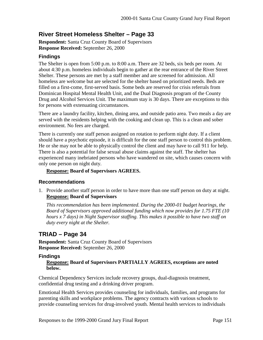# **River Street Homeless Shelter – Page 33**

**Respondent:** Santa Cruz County Board of Supervisors **Response Received:** September 26, 2000

# **Findings**

The Shelter is open from 5:00 p.m. to 8:00 a.m. There are 32 beds, six beds per room. At about 4:30 p.m. homeless individuals begin to gather at the rear entrance of the River Street Shelter. These persons are met by a staff member and are screened for admission. All homeless are welcome but are selected for the shelter based on prioritized needs. Beds are filled on a first-come, first-served basis. Some beds are reserved for crisis referrals from Dominican Hospital Mental Health Unit, and the Dual Diagnosis program of the County Drug and Alcohol Services Unit. The maximum stay is 30 days. There are exceptions to this for persons with extenuating circumstances.

There are a laundry facility, kitchen, dining area, and outside patio area. Two meals a day are served with the residents helping with the cooking and clean up. This is a clean and sober environment. No fees are charged.

There is currently one staff person assigned on rotation to perform night duty. If a client should have a psychotic episode, it is difficult for the one staff person to control this problem. He or she may not be able to physically control the client and may have to call 911 for help. There is also a potential for false sexual abuse claims against the staff. The shelter has experienced many inebriated persons who have wandered on site, which causes concern with only one person on night duty.

### **Response: Board of Supervisors AGREES.**

# **Recommendations**

1. Provide another staff person in order to have more than one staff person on duty at night. **Response: Board of Supervisors**

*This recommendation has been implemented. During the 2000-01 budget hearings, the Board of Supervisors approved additional funding which now provides for 1.75 FTE (10 hours x 7 days) in Night Supervisor staffing. This makes it possible to have two staff on duty every night at the Shelter.*

# **TRIAD – Page 34**

**Respondent:** Santa Cruz County Board of Supervisors **Response Received:** September 26, 2000

#### **Findings**

**Response: Board of Supervisors PARTIALLY AGREES, exceptions are noted below.**

Chemical Dependency Services include recovery groups, dual-diagnosis treatment, confidential drug testing and a drinking driver program.

Emotional Health Services provides counseling for individuals, families, and programs for parenting skills and workplace problems. The agency contracts with various schools to provide counseling services for drug-involved youth. Mental health services to individuals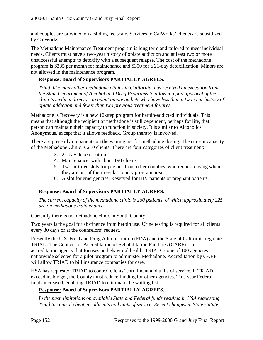and couples are provided on a sliding fee scale. Services to CalWorks' clients are subsidized by CalWorks.

The Methadone Maintenance Treatment program is long term and tailored to meet individual needs. Clients must have a two-year history of opiate addiction and at least two or more unsuccessful attempts to detoxify with a subsequent relapse. The cost of the methadone program is \$335 per month for maintenance and \$300 for a 21-day detoxification. Minors are not allowed in the maintenance program.

# **Response: Board of Supervisors PARTIALLY AGREES.**

*Triad, like many other methadone clinics in California, has received an exception from the State Department of Alcohol and Drug Programs to allow it, upon approval of the clinic's medical director, to admit opiate addicts who have less than a two-year history of opiate addiction and fewer than two previous treatment failures.*

Methadone is Recovery is a new 12-step program for heroin-addicted individuals. This means that although the recipient of methadone is still dependent, perhaps for life, that person can maintain their capacity to function in society. It is similar to Alcoholics Anonymous, except that it allows feedback. Group therapy is involved.

There are presently no patients on the waiting list for methadone dosing. The current capacity of the Methadone Clinic is 210 clients. There are four categories of client treatment:

- 3. 21-day detoxification
- 4. Maintenance, with about 190 clients
- 5. Two or three slots for persons from other counties, who request dosing when they are out of their regular county program area.
- 6. A slot for emergencies. Reserved for HIV patients or pregnant patients.

# **Response: Board of Supervisors PARTIALLY AGREES.**

*The current capacity of the methadone clinic is 260 patients, of which approximately 225 are on methadone maintenance.*

Currently there is no methadone clinic in South County.

Two years is the goal for abstinence from heroin use. Urine testing is required for all clients every 30 days or at the counselors' request.

Presently the U.S. Food and Drug Administration (FDA) and the State of California regulate TRIAD. The Council for Accreditation of Rehabilitation Facilities (CARF) is an accreditation agency that focuses on behavioral health. TRIAD is one of 100 agencies nationwide selected for a pilot program to administer Methadone. Accreditation by CARF will allow TRIAD to bill insurance companies for care.

HSA has requested TRIAD to control clients' enrollment and units of service. If TRIAD exceed its budget, the County must reduce funding for other agencies. This year Federal funds increased, enabling TRIAD to eliminate the waiting list.

# **Response: Board of Supervisors PARTIALLY AGREES.**

*In the past, limitations on available State and Federal funds resulted in HSA requesting Triad to control client enrollments and units of service. Recent changes in State statute*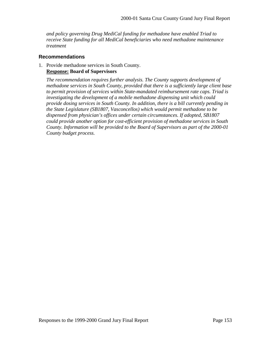*and policy governing Drug MediCal funding for methadone have enabled Triad to receive State funding for all MediCal beneficiaries who need methadone maintenance treatment*

### **Recommendations**

1. Provide methadone services in South County. **Response: Board of Supervisors**

*The recommendation requires further analysis. The County supports development of methadone services in South County, provided that there is a sufficiently large client base to permit provision of services within State-mandated reimbursement rate caps. Triad is investigating the development of a mobile methadone dispensing unit which could provide dosing services in South County. In addition, there is a bill currently pending in the State Legislature (SB1807, Vasconcellos) which would permit methadone to be dispensed from physician's offices under certain circumstances. If adopted, SB1807 could provide another option for cost-efficient provision of methadone services in South County. Information will be provided to the Board of Supervisors as part of the 2000-01 County budget process.*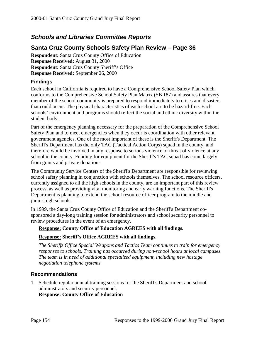# *Schools and Libraries Committee Reports*

# **Santa Cruz County Schools Safety Plan Review – Page 36**

**Respondent:** Santa Cruz County Office of Education **Response Received:** August 31, 2000 **Respondent:** Santa Cruz County Sheriff's Office **Response Received:** September 26, 2000

# **Findings**

Each school in California is required to have a Comprehensive School Safety Plan which conforms to the Comprehensive School Safety Plan Matrix (SB 187) and assures that every member of the school community is prepared to respond immediately to crises and disasters that could occur. The physical characteristics of each school are to be hazard-free. Each schools' environment and programs should reflect the social and ethnic diversity within the student body.

Part of the emergency planning necessary for the preparation of the Comprehensive School Safety Plan and to meet emergencies when they occur is coordination with other relevant government agencies. One of the most important of these is the Sheriff's Department. The Sheriff's Department has the only TAC (Tactical Action Corps) squad in the county, and therefore would be involved in any response to serious violence or threat of violence at any school in the county. Funding for equipment for the Sheriff's TAC squad has come largely from grants and private donations.

The Community Service Centers of the Sheriff's Department are responsible for reviewing school safety planning in conjunction with schools themselves. The school resource officers, currently assigned to all the high schools in the county, are an important part of this review process, as well as providing vital monitoring and early warning functions. The Sheriff's Department is planning to extend the school resource officer program to the middle and junior high schools.

In 1999, the Santa Cruz County Office of Education and the Sheriff's Department cosponsored a day-long training session for administrators and school security personnel to review procedures in the event of an emergency.

# **Response: County Office of Education AGREES with all findings.**

# **Response: Sheriff's Office AGREES with all findings.**

*The Sheriffs Office Special Weapons and Tactics Team continues to train for emergency responses to schools. Training has occurred during non-school hours at local campuses. The team is in need of additional specialized equipment, including new hostage negotiation telephone systems.*

# **Recommendations**

1. Schedule regular annual training sessions for the Sheriff's Department and school administrators and security personnel. **Response: County Office of Education**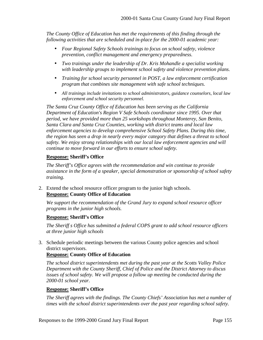*The County Office of Education has met the requirements of this finding through the following activities that are scheduled and in-place for the 2000-01 academic year:*

- *Four Regional Safety Schools trainings to focus on school safety, violence prevention, conflict management and emergency preparedness.*
- *Two trainings under the leadership of Dr. Kris Mohandle a specialist working with leadership groups to implement school safety and violence prevention plans.*
- *Training for school security personnel in POST, a law enforcement certification program that combines site management with safe school techniques.*
- *All trainings include invitations to school administrators, guidance counselors, local law enforcement and school security personnel.*

*The Santa Cruz County Office of Education has been serving as the California Department of Education's Region V Safe Schools coordinator since 1995. Over that period, we have provided more than 25 workshops throughout Monterey, San Benito, Santa Clara and Santa Cruz Counties, working with district teams and local law enforcement agencies to develop comprehensive School Safety Plans. During this time, the region has seen a drop in nearly every major category that defines a threat to school safety. We enjoy strong relationships with our local law enforcement agencies and will continue to move forward in our efforts to ensure school safety.*

# **Response: Sheriff's Office**

*The Sheriff's Office agrees with the recommendation and win continue to provide assistance in the form of a speaker, special demonstration or sponsorship of school safety training.*

2. Extend the school resource officer program to the junior high schools. **Response: County Office of Education**

*We support the recommendation of the Grand Jury to expand school resource officer programs in the junior high schools.*

# **Response: Sheriff's Office**

*The Sheriff s Office has submitted a federal COPS grant to add school resource officers at three junior high schools*

3. Schedule periodic meetings between the various County police agencies and school district supervisors.

# **Response: County Office of Education**

*The school district superintendents met during the past year at the Scotts Valley Police Department with the County Sheriff, Chief of Police and the District Attorney to discus issues of school safety. We will propose a follow up meeting be conducted during the 2000-01 school year.*

#### **Response: Sheriff's Office**

*The Sheriff agrees with the findings. The County Chiefs' Association has met a number of times with the school district superintendents over the past year regarding school safety.*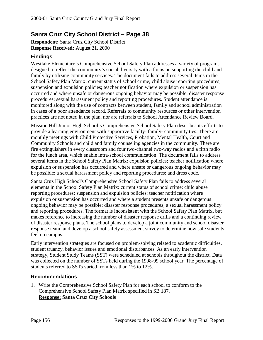# **Santa Cruz City School District – Page 38**

**Respondent:** Santa Cruz City School District **Response Received:** August 21, 2000

# **Findings**

Westlake Elementary's Comprehensive School Safety Plan addresses a variety of programs designed to reflect the community's social diversity with a focus on supporting the child and family by utilizing community services. The document fails to address several items in the School Safety Plan Matrix: current status of school crime; child abuse reporting procedures; suspension and expulsion policies; teacher notification where expulsion or suspension has occurred and where unsafe or dangerous ongoing behavior may be possible; disaster response procedures; sexual harassment policy and reporting procedures. Student attendance is monitored along with the use of contracts between student, family and school administration in cases of a poor attendance record. Referrals to community resources or other intervention practices are not noted in the plan, nor are referrals to School Attendance Review Board.

Mission Hill Junior High School's Comprehensive School Safety Plan describes its efforts to provide a learning environment with supportive faculty- family- community ties. There are monthly meetings with Child Protective Services, Probation, Mental Health, Court and Community Schools and child and family counseling agencies in the community. There are fire extinguishers in every classroom and four two-channel two-way radios and a fifth radio for the lunch area, which enable intra-school communication. The document fails to address several items in the School Safety Plan Matrix: expulsion policies; teacher notification where expulsion or suspension has occurred and where unsafe or dangerous ongoing behavior may be possible; a sexual harassment policy and reporting procedures; and dress code.

Santa Cruz High School's Comprehensive School Safety Plan fails to address several elements in the School Safety Plan Matrix: current status of school crime; child abuse reporting procedures; suspension and expulsion policies; teacher notification where expulsion or suspension has occurred and where a student presents unsafe or dangerous ongoing behavior may be possible; disaster response procedures; a sexual harassment policy and reporting procedures. The format is inconsistent with the School Safety Plan Matrix, but makes reference to increasing the number of disaster response drills and a continuing review of disaster response plans. The school plans to develop a joint community and school disaster response team, and develop a school safety assessment survey to determine how safe students feel on campus.

Early intervention strategies are focused on problem-solving related to academic difficulties, student truancy, behavior issues and emotional disturbances. As an early intervention strategy, Student Study Teams (SST) were scheduled at schools throughout the district. Data was collected on the number of SSTs held during the 1998-99 school year. The percentage of students referred to SSTs varied from less than 1% to 12%.

# **Recommendations**

1. Write the Comprehensive School Safety Plan for each school to conform to the Comprehensive School Safety Plan Matrix specified in SB 187. **Response: Santa Cruz City Schools**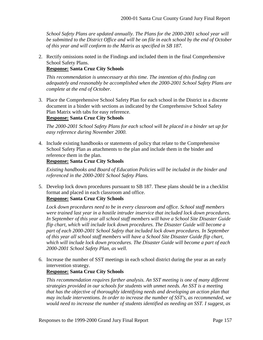*School Safety Plans are updated annually. The Plans for the 2000-2001 school year will be submitted to the District Office and will be on file in each school by the end of October of this year and will conform to the Matrix as specified in SB 187.*

2. Rectify omissions noted in the Findings and included them in the final Comprehensive School Safety Plans.

# **Response: Santa Cruz City Schools**

*This recommendation is unnecessary at this time. The intention of this finding can adequately and reasonably be accomplished when the 2000-2001 School Safety Plans are complete at the end of October.*

3. Place the Comprehensive School Safety Plan for each school in the District in a discrete document in a binder with sections as indicated by the Comprehensive School Safety Plan Matrix with tabs for easy reference.

# **Response: Santa Cruz City Schools**

*The 2000-2001 School Safety Plans for each school will be placed in a binder set up for easy reference during November 2000.*

4. Include existing handbooks or statements of policy that relate to the Comprehensive School Safety Plan as attachments to the plan and include them in the binder and reference them in the plan.

### **Response: Santa Cruz City Schools**

*Existing handbooks and Board of Education Policies will be included in the binder and referenced in the 2000-2001 School Safety Plans.*

5. Develop lock down procedures pursuant to SB 187. These plans should be in a checklist format and placed in each classroom and office. **Response: Santa Cruz City Schools**

*Lock down procedures need to be in every classroom and office. School staff members were trained last year in a hostile intruder inservice that included lock down procedures. In September of this year all school staff members will have a School Site Disaster Guide flip chart, which will include lock down procedures. The Disaster Guide will become a part of each 2000-2001 School Safety that included lock down procedures. In September of this year all school staff members will have a School Site Disaster Guide flip chart, which will include lock down procedures. The Disaster Guide will become a part of each 2000-2001 School Safety Plan, as well.*

6. Increase the number of SST meetings in each school district during the year as an early intervention strategy.

# **Response: Santa Cruz City Schools**

*This recommendation requires farther analysis. An SST meeting is one of many different strategies provided in our schools for students with unmet needs. An SST is a meeting that has the objective of thoroughly identifying needs and developing an action plan that may include interventions. In order to increase the number of SST's, as recommended, we would need to increase the number of students identified as needing an SST. I suggest, as*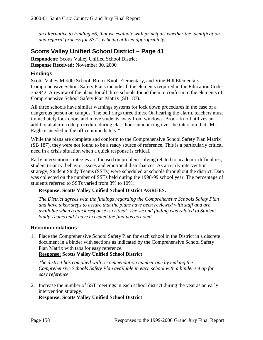*an alternative to Finding #6, that we evaluate with principals whether the identification and referral process for SST's is being utilized appropriately.*

# **Scotts Valley Unified School District – Page 41**

**Respondent:** Scotts Valley Unified School District **Response Received:** November 30, 2000

# **Findings**

Scotts Valley Middle School, Brook Knoll Elementary, and Vine Hill Elementary Comprehensive School Safety Plans include all the elements required in the Education Code 352942. A review of the plans for all three schools found them to conform to the elements of Comprehensive School Safety Plan Matrix (SB 187).

All three schools have similar warnings systems for lock down procedures in the case of a dangerous person on campus. The bell rings three times. On hearing the alarm, teachers must immediately lock doors and move students away from windows. Brook Knoll utilizes an additional alarm code procedure during class hour announcing over the intercom that "Mr. Eagle is needed in the office immediately."

While the plans are complete and conform to the Comprehensive School Safety Plan Matrix (SB 187), they were not found to be a ready source of reference. This is a particularly critical need in a crisis situation when a quick response is critical.

Early intervention strategies are focused on problem-solving related to academic difficulties, student truancy, behavior issues and emotional disturbances. As an early intervention strategy, Student Study Teams (SSTs) were scheduled at schools throughout the district. Data was collected on the number of SSTs held during the 1998-99 school year. The percentage of students referred to SSTs varied from 3% to 10%.

# **Response: Scotts Valley Unified School District AGREES.**

*The District agrees with the findings regarding the Comprehensive Schools Safety Plan and have taken steps to assure that the plans have been reviewed with staff and are available when a quick response is critical. The second finding was related to Student Study Teams and I have accepted the findings as noted.*

# **Recommendations**

1. Place the Comprehensive School Safety Plan for each school in the District in a discrete document in a binder with sections as indicated by the Comprehensive School Safety Plan Matrix with tabs for easy reference.

# **Response: Scotts Valley Unified School District**

*The district has complied with recommendation number one by making the Comprehensive Schools Safety Plan available in each school with a binder set up for easy reference.*

2. Increase the number of SST meetings in each school district during the year as an early intervention strategy.

**Response: Scotts Valley Unified School District**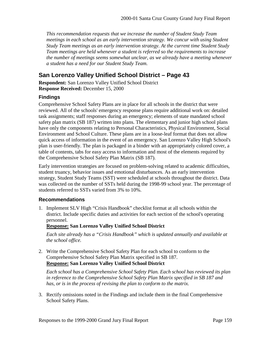*This recommendation requests that we increase the number of Student Study Team meetings in each school as an early intervention strategy. We concur with using Student Study Team meetings as an early intervention strategy. At the current time Student Study Team meetings are held whenever a student is referred so the requirements to increase the number of meetings seems somewhat unclear, as we already have a meeting whenever a student has a need for our Student Study Team.*

# **San Lorenzo Valley Unified School District – Page 43**

**Respondent:** San Lorenzo Valley Unified School District **Response Received:** December 15, 2000

# **Findings**

Comprehensive School Safety Plans are in place for all schools in the district that were reviewed. All of the schools' emergency response plans require additional work on: detailed task assignments; staff responses during an emergency; elements of state mandated school safety plan matrix (SB 187) written into plans. The elementary and junior high school plans have only the components relating to Personal Characteristics, Physical Environment, Social Environment and School Culture. These plans are in a loose-leaf format that does not allow quick access of information in the event of an emergency. San Lorenzo Valley High School's plan is user-friendly. The plan is packaged in a binder with an appropriately colored cover, a table of contents, tabs for easy access to information and most of the elements required by the Comprehensive School Safety Plan Matrix (SB 187).

Early intervention strategies are focused on problem-solving related to academic difficulties, student truancy, behavior issues and emotional disturbances. As an early intervention strategy, Student Study Teams (SST) were scheduled at schools throughout the district. Data was collected on the number of SSTs held during the 1998-99 school year. The percentage of students referred to SSTs varied from 3% to 10%.

# **Recommendations**

1. Implement SLV High "Crisis Handbook" checklist format at all schools within the district. Include specific duties and activities for each section of the school's operating personnel.

#### **Response: San Lorenzo Valley Unified School District**

*Each site already has a "Crisis Handbook" which is updated annually and available at the school office.*

2. Write the Comprehensive School Safety Plan for each school to conform to the Comprehensive School Safety Plan Matrix specified in SB 187. **Response: San Lorenzo Valley Unified School District**

*Each school has a Comprehensive School Safety Plan. Each school has reviewed its plan in reference to the Comprehensive School Safety Plan Matrix specified in SB 187 and has, or is in the process of revising the plan to conform to the matrix.*

3. Rectify omissions noted in the Findings and include them in the final Comprehensive School Safety Plans.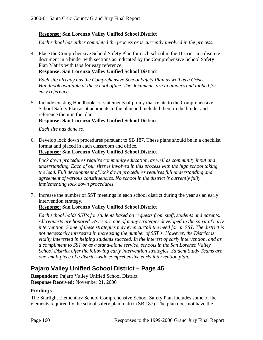# **Response: San Lorenzo Valley Unified School District**

*Each school has either completed the process or is currently involved in the process.*

4. Place the Comprehensive School Safety Plan for each school in the District in a discrete document in a binder with sections as indicated by the Comprehensive School Safety Plan Matrix with tabs for easy reference.

# **Response: San Lorenzo Valley Unified School District**

*Each site already has the Comprehensive School Safety Plan as well as a Crisis Handbook available at the school office. The documents are in binders and tabbed for easy reference.*

5. Include existing Handbooks or statements of policy that relate to the Comprehensive School Safety Plan as attachments to the plan and included them in the binder and reference them in the plan.

# **Response: San Lorenzo Valley Unified School District**

*Each site has done so.*

6. Develop lock down procedures pursuant to SB 187. These plans should be in a checklist format and placed in each classroom and office.

# **Response: San Lorenzo Valley Unified School District**

*Lock down procedures require community education, as well as community input and understanding. Each of our sites is involved in this process with the high school taking the lead. Full development of lock down procedures requires full understanding and agreement of various constituencies. No school in the district is currently fully implementing lock down procedures.*

7. Increase the number of SST meetings in each school district during the year as an early intervention strategy.

# **Response: San Lorenzo Valley Unified School District**

*Each school holds SST's for students based on requests from staff, students and parents. All requests are honored. SST's are one of many strategies developed in the spirit of early intervention. Some of these strategies may even curtail the need for an SST. The district is not necessarily interested in increasing the number of SST's. However, the District is vitally interested in helping students succeed. In the interest of early intervention, and as a compliment to SST or as a stand-alone service, schools in the San Lorenzo Valley School District offer the following early intervention strategies. Student Study Teams are one small piece of a district-wide comprehensive early intervention plan.*

# **Pajaro Valley Unified School District – Page 45**

**Respondent:** Pajaro Valley Unified School District **Response Received:** November 21, 2000

# **Findings**

The Starlight Elementary School Comprehensive School Safety Plan includes some of the elements required by the school safety plan matrix (SB 187). The plan does not have the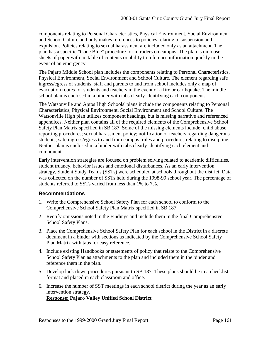components relating to Personal Characteristics, Physical Environment, Social Environment and School Culture and only makes references to policies relating to suspension and expulsion. Policies relating to sexual harassment are included only as an attachment. The plan has a specific "Code Blue" procedure for intruders on campus. The plan is on loose sheets of paper with no table of contents or ability to reference information quickly in the event of an emergency.

The Pajaro Middle School plan includes the components relating to Personal Characteristics, Physical Environment, Social Environment and School Culture. The element regarding safe ingress/egress of students, staff and parents to and from school includes only a map of evacuation routes for students and teachers in the event of a fire or earthquake. The middle school plan is enclosed in a binder with tabs clearly identifying each component.

The Watsonville and Aptos High Schools' plans include the components relating to Personal Characteristics, Physical Environment, Social Environment and School Culture. The Watsonville High plan utilizes component headings, but is missing narrative and referenced appendices. Neither plan contains all of the required elements of the Comprehensive School Safety Plan Matrix specified in SB 187. Some of the missing elements include: child abuse reporting procedures; sexual harassment policy; notification of teachers regarding dangerous students; safe ingress/egress to and from campus; rules and procedures relating to discipline. Neither plan is enclosed in a binder with tabs clearly identifying each element and component.

Early intervention strategies are focused on problem solving related to academic difficulties, student truancy, behavior issues and emotional disturbances. As an early intervention strategy, Student Study Teams (SSTs) were scheduled at schools throughout the district. Data was collected on the number of SSTs held during the 1998-99 school year. The percentage of students referred to SSTs varied from less than 1% to 7%.

# **Recommendations**

- 1. Write the Comprehensive School Safety Plan for each school to conform to the Comprehensive School Safety Plan Matrix specified in SB 187.
- 2. Rectify omissions noted in the Findings and include them in the final Comprehensive School Safety Plans.
- 3. Place the Comprehensive School Safety Plan for each school in the District in a discrete document in a binder with sections as indicated by the Comprehensive School Safety Plan Matrix with tabs for easy reference.
- 4. Include existing Handbooks or statements of policy that relate to the Comprehensive School Safety Plan as attachments to the plan and included them in the binder and reference them in the plan.
- 5. Develop lock down procedures pursuant to SB 187. These plans should be in a checklist format and placed in each classroom and office.
- 6. Increase the number of SST meetings in each school district during the year as an early intervention strategy. **Response: Pajaro Valley Unified School District**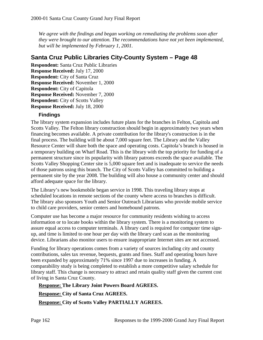*We agree with the findings and began working on remediating the problems soon after they were brought to our attention. The recommendations have not yet been implemented, but will be implemented by February 1, 2001.*

# **Santa Cruz Public Libraries City-County System – Page 48**

**Respondent:** Santa Cruz Public Libraries **Response Received:** July 17, 2000 **Respondent:** City of Santa Cruz **Response Received:** November 1, 2000 **Respondent:** City of Capitola **Response Received:** November 7, 2000 **Respondent:** City of Scotts Valley **Response Received:** July 18, 2000

# **Findings**

The library system expansion includes future plans for the branches in Felton, Capitola and Scotts Valley. The Felton library construction should begin in approximately two years when financing becomes available. A private contribution for the library's construction is in the final process. The building will be about 7,000 square feet. The Library and the Valley Resource Center will share both the space and operating costs. Capitola's branch is housed in a temporary building on Wharf Road. This is the library with the top priority for funding of a permanent structure since its popularity with library patrons exceeds the space available. The Scotts Valley Shopping Center site is 5,000 square feet and is inadequate to service the needs of those patrons using this branch. The City of Scotts Valley has committed to building a permanent site by the year 2008. The building will also house a community center and should afford adequate space for the library.

The Library's new bookmobile began service in 1998. This traveling library stops at scheduled locations in remote sections of the county where access to branches is difficult. The library also sponsors Youth and Senior Outreach Librarians who provide mobile service to child care providers, senior centers and homebound patrons.

Computer use has become a major resource for community residents wishing to access information or to locate books within the library system. There is a monitoring system to assure equal access to computer terminals. A library card is required for computer time signup, and time is limited to one hour per day with the library card scan as the monitoring device. Librarians also monitor users to ensure inappropriate Internet sites are not accessed.

Funding for library operations comes from a variety of sources including city and county contributions, sales tax revenue, bequests, grants and fines. Staff and operating hours have been expanded by approximately 71% since 1997 due to increases in funding. A comparability study is being completed to establish a more competitive salary schedule for library staff. This change is necessary to attract and retain quality staff given the current cost of living in Santa Cruz County.

# **Response: The Library Joint Powers Board AGREES.**

**Response: City of Santa Cruz AGREES.**

**Response: City of Scotts Valley PARTIALLY AGREES.**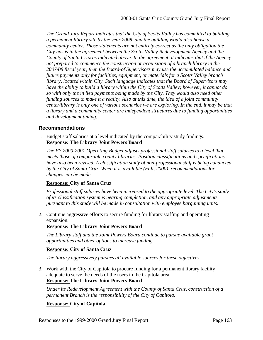*The Grand Jury Report indicates that the City of Scotts Valley has committed to building a permanent library site by the year 2008, and the building would also house a community center. Those statements are not entirely correct as the only obligation the City has is in the agreement between the Scotts Valley Redevelopment Agency and the County of Santa Cruz as indicated above. In the agreement, it indicates that if the Agency not prepared to commence the construction or acquisition of a branch library in the 2007/08 fiscal year, then the Board-of Supervisors may use the accumulated balance and future payments only for facilities, equipment, or materials for a Scotts Valley branch library, located within City. Such language indicates that the Board of Supervisors may have the ability to build a library within the City of Scotts Valley; however, it cannot do so with only the in lieu payments being made by the City. They would also need other funding sources to make it a reality. Also at this time, the idea of a joint community center/library is only one of various scenarios we are exploring. In the end, it may be that a library and a community center are independent structures due to funding opportunities and development timing.*

#### **Recommendations**

1. Budget staff salaries at a level indicated by the comparability study findings. **Response: The Library Joint Powers Board**

*The FY 2000-2001 Operating Budget adjusts professional staff salaries to a level that meets those of comparable county libraries. Position classifications and specifications have also been revised. A classification study of non-professional staff is being conducted by the City of Santa Cruz. When it is available (Fall, 2000), recommendations for changes can be made.*

#### **Response: City of Santa Cruz**

*Professional staff salaries have been increased to the appropriate level. The City's study of its classification system is nearing completion, and any appropriate adjustments pursuant to this study will be made in consultation with employee bargaining units.*

2. Continue aggressive efforts to secure funding for library staffing and operating expansion.

#### **Response: The Library Joint Powers Board**

*The Library staff and the Joint Powers Board continue to pursue available grant opportunities and other options to increase funding.*

#### **Response: City of Santa Cruz**

*The library aggressively pursues all available sources for these objectives.*

3. Work with the City of Capitola to procure funding for a permanent library facility adequate to serve the needs of the users in the Capitola area. **Response: The Library Joint Powers Board**

*Under its Redevelopment Agreement with the County of Santa Cruz, construction of a permanent Branch is the responsibility of the City of Capitola.*

#### **Response: City of Capitola**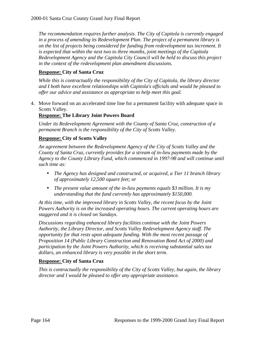*The recommendation requires further analysis. The City of Capitola is currently engaged in a process of amending its Redevelopment Plan. The project of a permanent library is on the list of projects being considered for funding from redevelopment tax increment. It is expected that within the next two to three months, joint meetings of the Capitola Redevelopment Agency and the Capitola City Council will be held to discuss this project in the context of the redevelopment plan amendment discussions.*

# **Response: City of Santa Cruz**

*While this is contractually the responsibility of the City of Capitola, the library director and I both have excellent relationships with Capitola's officials and would be pleased to offer our advice and assistance as appropriate to help meet this goal.*

4. Move forward on an accelerated time line for a permanent facility with adequate space in Scotts Valley.

# **Response: The Library Joint Powers Board**

*Under its Redevelopment Agreement with the County of Santa Cruz, construction of a permanent Branch is the responsibility of the City of Scotts Valley.*

# **Response: City of Scotts Valley**

*An agreement between the Redevelopment Agency of the City of Scotts Valley and the County of Santa Cruz, currently provides for a stream of in-lieu payments made by the Agency to the County Library Fund, which commenced in 1997-98 and will continue until such time as:*

- *The Agency has designed and constructed, or acquired, a Tier 11 branch library of approximately 12,500 square feet; or*
- *The present value amount of the in-lieu payments equals \$3 million. It is my understanding that the fund currently has approximately \$150,000.*

*At this time, with the improved library in Scotts Valley, the recent focus by the Joint Powers Authority is on the increased operating hours. The current operating hours are staggered and it is closed on Sundays.*

*Discussions regarding enhanced library facilities continue with the Joint Powers Authority, the Library Director, and Scotts Valley Redevelopment Agency staff. The opportunity for that rests upon adequate funding. With the most recent passage of Proposition 14 (Public Library Construction and Renovation Bond Act of 2000) and participation by the Joint Powers Authority, which is receiving substantial sales tax dollars, an enhanced library is very possible in the short term.*

# **Response: City of Santa Cruz**

*This is contractually the responsibility of the City of Scotts Valley, but again, the library director and I would be pleased to offer any appropriate assistance.*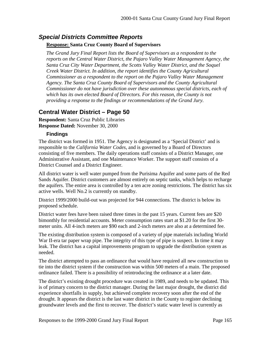## *Special Districts Committee Reports*

#### **Response: Santa Cruz County Board of Supervisors**

*The Grand Jury Final Report lists the Board of Supervisors as a respondent to the reports on the Central Water District, the Pajaro Valley Water Management Agency, the Santa Cruz City Water Department, the Scotts Valley Water District, and the Soquel Creek Water District. In addition, the report identifies the County Agricultural Commissioner as a respondent to the report on the Pajaro Valley Water Management Agency. The Santa Cruz County Board of Supervisors and the County Agricultural Commissioner do not have jurisdiction over these autonomous special districts, each of which has its own elected Board of Directors. For this reason, the County is not providing a response to the findings or recommendations of the Grand Jury.*

## **Central Water District – Page 50**

**Respondent:** Santa Cruz Public Libraries **Response Dated:** November 30, 2000

#### **Findings**

The district was formed in 1951. The Agency is designated as a 'Special District' and is responsible to the *California Water Codes*, and is governed by a Board of Directors consisting of five members. The daily operations staff consists of a District Manager, one Administrative Assistant, and one Maintenance Worker. The support staff consists of a District Counsel and a District Engineer.

All district water is well water pumped from the Purisima Aquifer and some parts of the Red Sands Aquifer. District customers are almost entirely on septic tanks, which helps to recharge the aquifers. The entire area is controlled by a ten acre zoning restrictions. The district has six active wells. Well No.2 is currently on standby.

District 1999/2000 build-out was projected for 944 connections. The district is below its proposed schedule.

District water fees have been raised three times in the past 15 years. Current fees are \$20 bimonthly for residential accounts. Meter consumption rates start at \$1.20 for the first 30 meter units. All 4-inch meters are \$90 each and 2-inch meters are also at a determined fee.

The existing distribution system is composed of a variety of pipe materials including World War II-era tar paper wrap pipe. The integrity of this type of pipe is suspect. In time it may leak. The district has a capital improvements program to upgrade the distribution system as needed.

The district attempted to pass an ordinance that would have required all new construction to tie into the district system if the construction was within 500 meters of a main. The proposed ordinance failed. There is a possibility of reintroducing the ordinance at a later date.

The district's existing drought procedure was created in 1989, and needs to be updated. This is of primary concern to the district manager. During the last major drought, the district did experience shortfalls in supply, but achieved complete recovery soon after the end of the drought. It appears the district is the last water district in the County to register declining groundwater levels and the first to recover. The district's static water level is currently as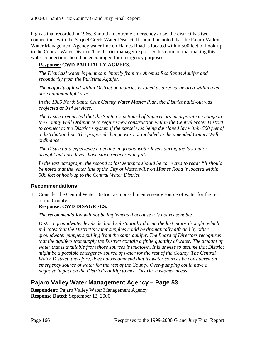high as that recorded in 1966. Should an extreme emergency arise, the district has two connections with the Soquel Creek Water District. It should be noted that the Pajaro Valley Water Management Agency water line on Hames Road is located within 500 feet of hook-up to the Central Water District. The district manager expressed his opinion that making this water connection should be encouraged for emergency purposes.

#### **Response: CWD PARTIALLY AGREES.**

*The Districts' water is pumped primarily from the Aromas Red Sands Aquifer and secondarily from the Purisima Aquifer.*

*The majority of land within District boundaries is zoned as a recharge area within a tenacre minimum light size.*

*In the 1985 North Santa Cruz County Water Master Plan, the District build-out was projected as 944 services.*

*The District requested that the Santa Cruz Board of Supervisors incorporate a change in the County Well Ordinance to require new construction within the Central Water District to connect to the District's system if the parcel was being developed lay within 500 feet of a distribution line. The proposed change was not included in the amended County Well ordinance.*

*The District did experience a decline in ground water levels during the last major drought but hose levels have since recovered in full.*

*In the last paragraph, the second to last sentence should be corrected to read: "It should be noted that the water line of the City of Watsonville on Hames Road is located within 500 feet of hook-up to the Central Water District.*

#### **Recommendations**

1. Consider the Central Water District as a possible emergency source of water for the rest of the County.

#### **Response: CWD DISAGREES.**

*The recommendation will not be implemented because it is not reasonable.*

*District groundwater levels declined substantially during the last major drought, which indicates that the District's water supplies could be dramatically affected by other groundwater pumpers pulling from the same aquifer. The Board of Directors recognizes that the aquifers that supply the District contain a finite quantity of water. The amount of water that is available from those sources is unknown. It is unwise to assume that District might be a possible emergency source of water for the rest of the County. The Central Water District, therefore, does not recommend that its water sources be considered an emergency source of water for the rest of the County. Over-pumping could have a negative impact on the District's ability to meet District customer needs.*

## **Pajaro Valley Water Management Agency – Page 53**

**Respondent:** Pajaro Valley Water Management Agency **Response Dated:** September 13, 2000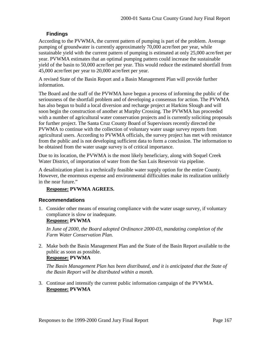## **Findings**

According to the PVWMA, the current pattern of pumping is part of the problem. Average pumping of groundwater is currently approximately 70,000 acre/feet per year, while sustainable yield with the current pattern of pumping is estimated at only 25,000 acre/feet per year. PVWMA estimates that an optimal pumping pattern could increase the sustainable yield of the basin to 50,000 acre/feet per year. This would reduce the estimated shortfall from 45,000 acre/feet per year to 20,000 acre/feet per year.

A revised State of the Basin Report and a Basin Management Plan will provide further information.

The Board and the staff of the PVWMA have begun a process of informing the public of the seriousness of the shortfall problem and of developing a consensus for action. The PVWMA has also begun to build a local diversion and recharge project at Harkins Slough and will soon begin the construction of another at Murphy Crossing. The PVWMA has proceeded with a number of agricultural water conservation projects and is currently soliciting proposals for further project. The Santa Cruz County Board of Supervisors recently directed the PVWMA to continue with the collection of voluntary water usage survey reports from agricultural users. According to PVWMA officials, the survey project has met with resistance from the public and is not developing sufficient data to form a conclusion. The information to be obtained from the water usage survey is of critical importance.

Due to its location, the PVWMA is the most likely beneficiary, along with Soquel Creek Water District, of importation of water from the San Luis Reservoir via pipeline.

A desalinization plant is a technically feasible water supply option for the entire County. However, the enormous expense and environmental difficulties make its realization unlikely in the near future."

## **Response: PVWMA AGREES.**

## **Recommendations**

1. Consider other means of ensuring compliance with the water usage survey, if voluntary compliance is slow or inadequate.

#### **Response: PVWMA**

*In June of 2000, the Board adopted Ordinance 2000-03, mandating completion of the Farm Water Conservation Plan.*

2. Make both the Basin Management Plan and the State of the Basin Report available to the public as soon as possible.

# **Response: PVWMA**

*The Basin Management Plan has been distributed, and it is anticipated that the State of the Basin Report will be distributed within a month.*

3. Continue and intensify the current public information campaign of the PVWMA. **Response: PVWMA**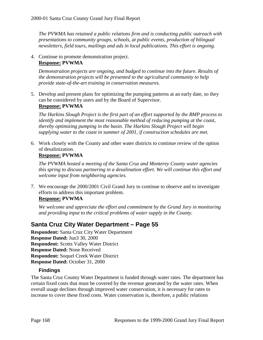*The PVWMA has retained a public relations firm and is conducting public outreach with presentations to community groups, schools, at public events, production of bilingual newsletters, field tours, mailings and ads in local publications. This effort is ongoing.*

4. Continue to promote demonstration project. **Response: PVWMA**

*Demonstration projects are ongoing, and budged to continue into the future. Results of the demonstration projects will be presented to the agricultural community to help provide state-of-the-art training in conservation measures.*

5. Develop and present plans for optimizing the pumping patterns at an early date, so they can be considered by users and by the Board of Supervisor. **Response: PVWMA**

*The Harkins Slough Project is the first part of an effort supported by the BMP process to identify and implement the most reasonable method of reducing pumping at the coast, thereby optimizing pumping in the basin. The Harkins Slough Project will begin supplying water to the coast in summer of 2001, if construction schedules are met.*

6. Work closely with the County and other water districts to continue review of the option of desalinization.

#### **Response: PVWMA**

*The PVWMA hosted a meeting of the Santa Cruz and Monterey County water agencies this spring to discuss partnering in a desalination effort. We will continue this effort and welcome input from neighboring agencies.*

7. We encourage the 2000/2001 Civil Grand Jury to continue to observe and to investigate efforts to address this important problem. **Response: PVWMA**

*We welcome and appreciate the effort and commitment by the Grand Jury in monitoring and providing input to the critical problems of water supply in the County.*

## **Santa Cruz City Water Department – Page 55**

**Respondent:** Santa Cruz City Water Department **Response Dated:** Jun3 30, 2000 **Respondent:** Scotts Valley Water District **Response Dated:** None Received **Respondent:** Soquel Creek Water District **Response Dated:** October 31, 2000

#### **Findings**

The Santa Cruz County Water Department is funded through water rates. The department has certain fixed costs that must be covered by the revenue generated by the water rates. When overall usage declines through improved water conservation, it is necessary for rates to increase to cover these fixed costs. Water conservation is, therefore, a public relations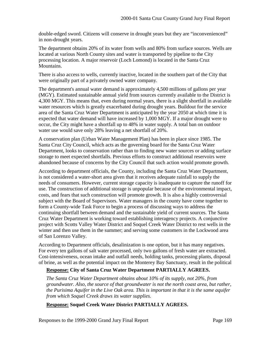double-edged sword. Citizens will conserve in drought years but they are "inconvenienced" in non-drought years.

The department obtains 20% of its water from wells and 80% from surface sources. Wells are located at various North County sites and water is transported by pipeline to the City processing location. A major reservoir (Loch Lomond) is located in the Santa Cruz Mountains.

There is also access to wells, currently inactive, located in the southern part of the City that were originally part of a privately owned water company.

The department's annual water demand is approximately 4,500 millions of gallons per year (MGY). Estimated sustainable annual yield from sources currently available to the District is 4,300 MGY. This means that, even during normal years, there is a slight shortfall in available water resources which is greatly exacerbated during drought years. Buildout for the service area of the Santa Cruz Water Department is anticipated by the year 2050 at which time it is expected that water demand will have increased by 1,000 MGY. If a major drought were to occur, the City might have a shortfall up to 48% in water supply. A total ban on outdoor water use would save only 28% leaving a net shortfall of 20%.

A conservation plan (Urban Water Management Plan) has been in place since 1985. The Santa Cruz City Council, which acts as the governing board for the Santa Cruz Water Department, looks to conservation rather than to finding new water sources or adding surface storage to meet expected shortfalls. Previous efforts to construct additional reservoirs were abandoned because of concerns by the City Council that such action would promote growth.

According to department officials, the County, including the Santa Cruz Water Department, is not considered a water-short area given that it receives adequate rainfall to supply the needs of consumers. However, current storage capacity is inadequate to capture the runoff for use. The construction of additional storage is unpopular because of the environmental impact, costs, and fears that such construction will promote growth. It is also a highly controversial subject with the Board of Supervisors. Water managers in the county have come together to form a County-wide Task Force to begin a process of discussing ways to address the continuing shortfall between demand and the sustainable yield of current sources. The Santa Cruz Water Department is working toward establishing interagency projects. A conjunctive project with Scotts Valley Water District and Soquel Creek Water District to rest wells in the winter and then use them in the summer; and serving some customers in the Lockwood area of San Lorenzo Valley.

According to Department officials, desalinization is one option, but it has many negatives. For every ten gallons of salt water processed, only two gallons of fresh water are extracted. Cost-intensiveness, ocean intake and outfall needs, holding tanks, processing plants, disposal of brine, as well as the potential impact on the Monterey Bay Sanctuary, result in the political

#### **Response: City of Santa Cruz Water Department PARTIALLY AGREES.**

*The Santa Cruz Water Department obtains about 10% of its supply, not 20%, from groundwater. Also, the source of that groundwater is not the north coast area, but rather, the Purisima Aquifer in the Live Oak area. This is important in that it is the same aquifer from which Soquel Creek draws its water supplies.*

#### **Response: Soquel Creek Water District PARTIALLY AGREES.**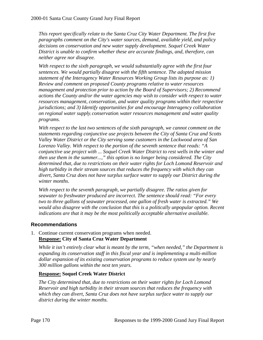*This report specifically relate to the Santa Cruz City Water Department. The first five paragraphs comment on the City's water sources, demand, available yield, and policy decisions on conservation and new water supply development. Soquel Creek Water District is unable to confirm whether these are accurate findings, and, therefore, can neither agree nor disagree.*

*With respect to the sixth paragraph, we would substantially agree with the first four sentences. We would partially disagree with the fifth sentence. The adopted mission statement of the Interagency Water Resources Working Group lists its purpose as: 1) Review and comment on proposed County programs relative to water resources management and protection prior to action by the Board of Supervisors; 2) Recommend actions the County and/or the water agencies may wish to consider with respect to water resources management, conservation, and water quality programs within their respective jurisdictions; and 3) Identify opportunities for and encourage Interagency collaboration on regional water supply, conservation, water resources management and water quality programs.*

*With respect to the last two sentences of the sixth paragraph, we cannot comment on the statements regarding conjunctive use projects between the City of Santa Cruz and Scotts Valley Water District or the City serving some customers in the Lockwood area of San Lorenzo Valley. With respect to the portion of the seventh sentence that reads: "A conjunctive use project with ... Soquel Creek Water District to rest wells in the winter and then use them in the summer...," this option is no longer being considered. The City determined that, due to restrictions on their water rights for Loch Lomond Reservoir and high turbidity in their stream sources that reduces the frequency with which they can divert, Santa Cruz does not have surplus surface water to supply our District during the winter months.*

*With respect to the seventh paragraph, we partially disagree. The ratios given for seawater to freshwater produced are incorrect. The sentence should read: "For every two to three gallons of seawater processed, one gallon of fresh water is extracted." We would also disagree with the conclusion that this is a politically unpopular option. Recent indications are that it may be the most politically acceptable alternative available.*

#### **Recommendations**

1. Continue current conservation programs when needed. **Response: City of Santa Cruz Water Department**

*While it isn't entirely clear what is meant by the term, "when needed," the Department is expanding its conservation staff in this fiscal year and is implementing a multi-million dollar expansion of its existing conservation programs to reduce system use by nearly 300 million gallons within the next ten years.*

#### **Response: Soquel Creek Water District**

*The City determined that, due to restrictions on their water rights for Loch Lomond Reservoir and high turbidity in their stream sources that reduces the frequency with which they can divert, Santa Cruz does not have surplus surface water to supply our district during the winter months.*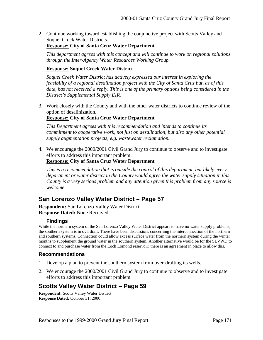2. Continue working toward establishing the conjunctive project with Scotts Valley and Soquel Creek Water Districts.

#### **Response: City of Santa Cruz Water Department**

*This department agrees with this concept and will continue to work on regional solutions through the Inter-Agency Water Resources Working Group.*

#### **Response: Soquel Creek Water District**

*Soquel Creek Water District has actively expressed our interest in exploring the feasibility of a regional desalination project with the City of Santa Cruz but, as of this date, has not received a reply. This is one of the primary options being considered in the District's Supplemental Supply EIR.*

3. Work closely with the County and with the other water districts to continue review of the option of desalinization.

#### **Response: City of Santa Cruz Water Department**

*This Department agrees with this recommendation and intends to continue its commitment to cooperative work, not just on desalination, but also any other potential supply augmentation projects, e.g. wastewater reclamation.*

4. We encourage the 2000/2001 Civil Grand Jury to continue to observe and to investigate efforts to address this important problem.

#### **Response: City of Santa Cruz Water Department**

*This is a recommendation that is outside the control of this department, but likely every department or water district in the County would agree the water supply situation in this County is a very serious problem and any attention given this problem from any source is welcome.*

## **San Lorenzo Valley Water District – Page 57**

**Respondent:** San Lorenzo Valley Water District **Response Dated:** None Received

#### **Findings**

While the northern system of the San Lorenzo Valley Water District appears to have no water supply problems, the southern system is in overdraft. There have been discussions concerning the interconnection of the northern and southern systems. Connection could allow excess surface water from the northern system during the winter months to supplement the ground water in the southern system. Another alternative would be for the SLVWD to connect to and purchase water from the Loch Lomond reservoir; there is an agreement in place to allow this.

#### **Recommendations**

- 1. Develop a plan to prevent the southern system from over-drafting its wells.
- 2. We encourage the 2000/2001 Civil Grand Jury to continue to observe and to investigate efforts to address this important problem.

## **Scotts Valley Water District – Page 59**

**Respondent:** Scotts Valley Water District **Response Dated:** October 31, 2000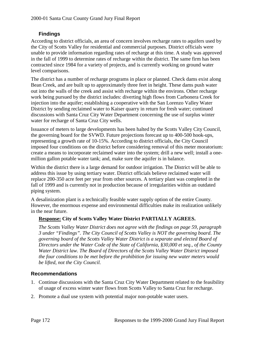#### **Findings**

According to district officials, an area of concern involves recharge rates to aquifers used by the City of Scotts Valley for residential and commercial purposes. District officials were unable to provide information regarding rates of recharge at this time. A study was approved in the fall of 1999 to determine rates of recharge within the district. The same firm has been contracted since 1984 for a variety of projects, and is currently working on ground water level comparisons.

The district has a number of recharge programs in place or planned. Check dams exist along Bean Creek, and are built up to approximately three feet in height. These dams push water out into the walls of the creek and assist with recharge within the environs. Other recharge work being pursued by the district includes: diverting high flows from Carbonera Creek for injection into the aquifer; establishing a cooperative with the San Lorenzo Valley Water District by sending reclaimed water to Kaiser quarry in return for fresh water; continued discussions with Santa Cruz City Water Department concerning the use of surplus winter water for recharge of Santa Cruz City wells.

Issuance of meters to large developments has been halted by the Scotts Valley City Council, the governing board for the SVWD. Future projections forecast up to 400-500 hook-ups, representing a growth rate of 10-15%. According to district officials, the City Council imposed four conditions on the district before considering removal of this meter moratorium: create a means to incorporate reclaimed water into the system; drill a new well; install a onemillion gallon potable water tank; and, make sure the aquifer is in balance.

Within the district there is a large demand for outdoor irrigation. The District will be able to address this issue by using tertiary water. District officials believe reclaimed water will replace 200-350 acre feet per year from other sources. A tertiary plant was completed in the fall of 1999 and is currently not in production because of irregularities within an outdated piping system.

A desalinization plant is a technically feasible water supply option of the entire County. However, the enormous expense and environmental difficulties make its realization unlikely in the near future.

#### **Response: City of Scotts Valley Water District PARTIALLY AGREES.**

*The Scotts Valley Water District does not agree with the findings on page 59, paragraph 3 under "Findings". The City Council of Scotts Valley is NOT the governing board. The governing board of the Scotts Valley Water District is a separate and elected Board of Directors under the Water Code of the State of California, §30,000 et seq., of the County Water District law. The Board of Directors of the Scotts Valley Water District imposed the four conditions to be met before the prohibition for issuing new water meters would be lifted, not the City Council.*

#### **Recommendations**

- 1. Continue discussions with the Santa Cruz City Water Department related to the feasibility of usage of excess winter water flows from Scotts Valley to Santa Cruz for recharge.
- 2. Promote a dual use system with potential major non-potable water users.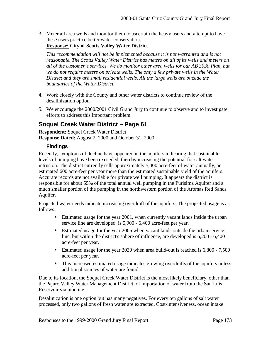3. Meter all area wells and monitor them to ascertain the heavy users and attempt to have these users practice better water conservation.

#### **Response: City of Scotts Valley Water District**

*This recommendation will not be implemented because it is not warranted and is not reasonable. The Scotts Valley Water District has meters on all of its wells and meters on all of the customer's services. We do monitor other area wells for our AB 3030 Plan, but we do not require meters on private wells. The only a few private wells in the Water District and they are small residential wells. All the large wells are outside the boundaries of the Water District.*

- 4. Work closely with the County and other water districts to continue review of the desalinization option.
- 5. We encourage the 2000/2001 Civil Grand Jury to continue to observe and to investigate efforts to address this important problem.

## **Soquel Creek Water District – Page 61**

**Respondent:** Soquel Creek Water District **Response Dated:** August 2, 2000 and October 31, 2000

#### **Findings**

Recently, symptoms of decline have appeared in the aquifers indicating that sustainable levels of pumping have been exceeded, thereby increasing the potential for salt water intrusion. The district currently sells approximately 5,400 acre-feet of water annually, an estimated 600 acre-feet per year more than the estimated sustainable yield of the aquifers. Accurate records are not available for private well pumping. It appears the district is responsible for about 55% of the total annual well pumping in the Purisima Aquifer and a much smaller portion of the pumping in the northwestern portion of the Aromas Red Sands Aquifer.

Projected water needs indicate increasing overdraft of the aquifers. The projected usage is as follows:

- Estimated usage for the year 2001, when currently vacant lands inside the urban service line are developed, is 5,900 - 6,400 acre-feet per year.
- Estimated usage for the year 2006 when vacant lands outside the urban service line, but within the district's sphere of influence, are developed is 6,200 - 6,400 acre-feet per year.
- Estimated usage for the year 2030 when area build-out is reached is 6,800 7,500 acre-feet per year.
- This increased estimated usage indicates growing overdrafts of the aquifers unless additional sources of water are found.

Due to its location, the Soquel Creek Water District is the most likely beneficiary, other than the Pajaro Valley Water Management District, of importation of water from the San Luis Reservoir via pipeline.

Desalinization is one option but has many negatives. For every ten gallons of salt water processed, only two gallons of fresh water are extracted. Cost-intensiveness, ocean intake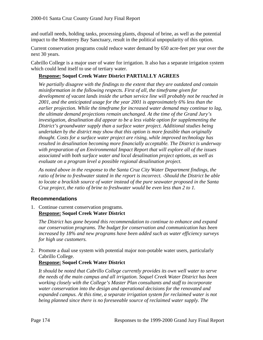and outfall needs, holding tanks, processing plants, disposal of brine, as well as the potential impact to the Monterey Bay Sanctuary, result in the political unpopularity of this option.

Current conservation programs could reduce water demand by 650 acre-feet per year over the next 30 years.

Cabrillo College is a major user of water for irrigation. It also has a separate irrigation system which could lend itself to use of tertiary water.

#### **Response: Soquel Creek Water District PARTIALLY AGREES**

*We partially disagree with the findings to the extent that they are outdated and contain misinformation in the following respects. First of all, the timeframe given for development of vacant lands inside the urban service line will probably not be reached in 2001, and the anticipated usage for the year 2001 is approximately 6% less than the earlier projection. While the timeframe for increased water demand may continue to lag, the ultimate demand projections remain unchanged. At the time of the Grand Jury's investigation, desalination did appear to be a less viable option for supplementing the District's groundwater supply than a surface water project. Additional studies being undertaken by the district may show that this option is more feasible than originally thought. Costs for a surface water project are rising, while improved technology has resulted in desalination becoming more financially acceptable. The District is underway with preparation of an Environmental Impact Report that will explore all of the issues associated with both surface water and local desalination project options, as well as evaluate on a program level a possible regional desalination project.*

*As noted above in the response to the Santa Cruz City Water Department findings, the ratio of brine to freshwater stated in the report is incorrect. -Should the District be able to locate a brackish source of water instead of the pure seawater proposed in the Santa Cruz project, the ratio of brine to freshwater would be even less than 2 to 1.*

#### **Recommendations**

1. Continue current conservation programs. **Response: Soquel Creek Water District**

*The District has gone beyond this recommendation to continue to enhance and expand our conservation programs. The budget for conservation and communication has been increased by 18% and new programs have been added such as water efficiency surveys for high use customers.*

2. Promote a dual use system with potential major non-potable water users, particularly Cabrillo College.

#### **Response: Soquel Creek Water District**

*It should be noted that Cabrillo College currently provides its own well water to serve the needs of the main campus and all irrigation. Soquel Creek Water District has been working closely with the College's Master Plan consultants and staff to incorporate water conservation into the design and operational decisions for the renovated and expanded campus. At this time, a separate irrigation system for reclaimed water is not being planned since there is no foreseeable source of reclaimed water supply. The*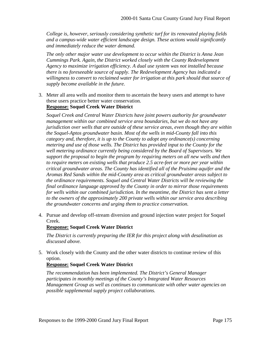*College is, however, seriously considering synthetic turf for its renovated playing fields and a campus-wide water efficient landscape design. These actions would significantly and immediately reduce the water demand.*

*The only other major water use development to occur within the District is Anna Jean Cummings Park. Again, the District worked closely with the County Redevelopment Agency to maximize irrigation efficiency. A dual use system was not installed because there is no foreseeable source of supply. The Redevelopment Agency has indicated a willingness to convert to reclaimed water for irrigation at this park should that source of supply become available in the future.*

3. Meter all area wells and monitor them to ascertain the heavy users and attempt to have these users practice better water conservation. **Response: Soquel Creek Water District**

*Soquel Creek and Central Water Districts have joint powers authority for groundwater management within our combined service area boundaries, but we do not have any jurisdiction over wells that are outside of these service areas, even though they are within the Soquel-Aptos groundwater basin. Most of the wells in mid-County fall into this category and, therefore, it is up to the County to adopt any ordinance(s) concerning metering and use of those wells. The District has provided input to the County for the well metering ordinance currently being considered by the Board of Supervisors. We support the proposal to begin the program by requiring meters on all new wells and then to require meters on existing wells that produce 2.5 acre-feet or more per year within critical groundwater areas. The County has identified all of the Pruisima aquifer and the Aromas Red Sands within the mid-County area as critical groundwater areas subject to the ordinance requirements. Soquel and Central Water Districts will be reviewing the final ordinance language approved by the County in order to mirror those requirements for wells within our combined jurisdiction. In the meantime, the District has sent a letter to the owners of the approximately 200 private wells within our service area describing the groundwater concerns and urging them to practice conservation.*

4. Pursue and develop off-stream diversion and ground injection water project for Soquel Creek.

#### **Response: Soquel Creek Water District**

*The District is currently preparing the IER for this project along with desalination as discussed above.*

5. Work closely with the County and the other water districts to continue review of this option.

#### **Response: Soquel Creek Water District**

*The recommendation has been implemented. The District's General Manager participates in monthly meetings of the County's Integrated Water Resources Management Group as well as continues to communicate with other water agencies on possible supplemental supply project collaborations.*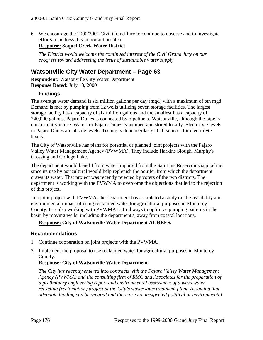6. We encourage the 2000/2001 Civil Grand Jury to continue to observe and to investigate efforts to address this important problem. **Response: Soquel Creek Water District**

*The District would welcome the continued interest of the Civil Grand Jury on our progress toward addressing the issue of sustainable water supply.*

## **Watsonville City Water Department – Page 63**

**Respondent:** Watsonville City Water Department **Response Dated:** July 18, 2000

#### **Findings**

The average water demand is six million gallons per day (mgd) with a maximum of ten mgd. Demand is met by pumping from 12 wells utilizing seven storage facilities. The largest storage facility has a capacity of six million gallons and the smallest has a capacity of 240,000 gallons. Pajaro Dunes is connected by pipeline to Watsonville, although the pipe is not currently in use. Water for Pajaro Dunes is pumped and stored locally. Electrolyte levels in Pajaro Dunes are at safe levels. Testing is done regularly at all sources for electrolyte levels.

The City of Watsonville has plans for potential or planned joint projects with the Pajaro Valley Water Management Agency (PVWMA). They include Harkins Slough, Murphy's Crossing and College Lake.

The department would benefit from water imported from the San Luis Reservoir via pipeline, since its use by agricultural would help replenish the aquifer from which the department draws its water. That project was recently rejected by voters of the two districts. The department is working with the PVWMA to overcome the objections that led to the rejection of this project.

In a joint project with PVWMA, the department has completed a study on the feasibility and environmental impact of using reclaimed water for agricultural purposes in Monterey County. It is also working with PVWMA to find ways to optimize pumping patterns in the basin by moving wells, including the department's, away from coastal locations.

#### **Response: City of Watsonville Water Department AGREES.**

#### **Recommendations**

- 1. Continue cooperation on joint projects with the PVWMA.
- 2. Implement the proposal to use reclaimed water for agricultural purposes in Monterey County.

#### **Response: City of Watsonville Water Department**

*The City has recently entered into contracts with the Pajaro Valley Water Management Agency (PVWMA) and the consulting firm of RMC and Associates for the preparation of a preliminary engineering report and environmental assessment of a wastewater recycling (reclamation) project at the City's wastewater treatment plant. Assuming that adequate funding can be secured and there are no unexpected political or environmental*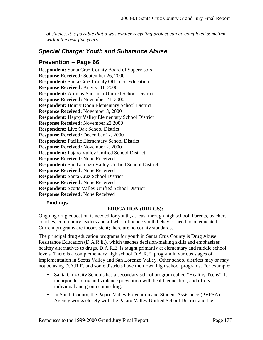*obstacles, it is possible that a wastewater recycling project can be completed sometime within the next five years.*

## *Special Charge: Youth and Substance Abuse*

## **Prevention – Page 66**

**Respondent:** Santa Cruz County Board of Supervisors **Response Received:** September 26, 2000 **Respondent:** Santa Cruz County Office of Education **Response Received:** August 31, 2000 **Respondent:** Aromas-San Juan Unified School District **Response Received:** November 21, 2000 **Respondent:** Bonny Doon Elementary School District **Response Received:** November 3, 2000 **Respondent:** Happy Valley Elementary School District **Response Received:** November 22,2000 **Respondent:** Live Oak School District **Response Received:** December 12, 2000 **Respondent:** Pacific Elementary School District **Response Received:** November 2, 2000 **Respondent:** Pajaro Valley Unified School District **Response Received:** None Received **Respondent:** San Lorenzo Valley Unified School District **Response Received:** None Received **Respondent:** Santa Cruz School District **Response Received:** None Received **Respondent:** Scotts Valley Unified School District **Response Received:** None Received

#### **Findings**

#### **EDUCATION (DRUGS):**

Ongoing drug education is needed for youth, at least through high school. Parents, teachers, coaches, community leaders and all who influence youth behavior need to be educated. Current programs are inconsistent; there are no county standards.

The principal drug education programs for youth in Santa Cruz County is Drug Abuse Resistance Education (D.A.R.E.), which teaches decision-making skills and emphasizes healthy alternatives to drugs. D.A.R.E. is taught primarily at elementary and middle school levels. There is a complementary high school D.A.R.E. program in various stages of implementation in Scotts Valley and San Lorenzo Valley. Other school districts may or may not be using D.A.R.E. and some districts have their own high school programs. For example:

- Santa Cruz City Schools has a secondary school program called "Healthy Teens". It incorporates drug and violence prevention with health education, and offers individual and group counseling.
- In South County, the Pajaro Valley Prevention and Student Assistance (PVPSA) Agency works closely with the Pajaro Valley Unified School District and the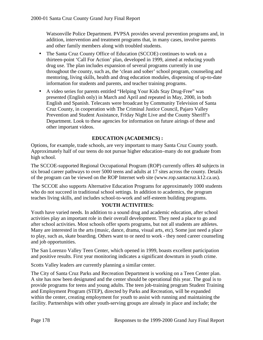Watsonville Police Department. PVPSA provides several prevention programs and, in addition, intervention and treatment programs that, in many cases, involve parents and other family members along with troubled students.

- The Santa Cruz County Office of Education (SCCOE) continues to work on a thirteen-point 'Call For Action' plan, developed in 1999, aimed at reducing youth drug use. The plan includes expansion of several programs currently in use throughout the county, such as, the 'clean and sober' school program, counseling and mentoring, living skills, health and drug education modules, dispensing of up-to-date information for students and parents, and teacher training programs.
- A video series for parents entitled "Helping Your Kids Stay Drug-Free" was presented (English only) in March and April and repeated in May, 2000, in both English and Spanish. Telecasts were broadcast by Community Television of Santa Cruz County, in cooperation with The Criminal Justice Council, Pajaro Valley Prevention and Student Assistance, Friday Night Live and the County Sheriff's Department. Look to these agencies for information on future airings of these and other important videos.

#### **EDUCATION (ACADEMICS) :**

Options, for example, trade schools, are very important to many Santa Cruz County youth. Approximately half of our teens do not pursue higher education–many do not graduate from high school.

The SCCOE-supported Regional Occupational Program (ROP) currently offers 40 subjects in six broad career pathways to over 5000 teens and adults at 17 sites across the county. Details of the program can be viewed on the ROP Internet web site (www.rop.santacruz.k12.ca.us).

 The SCCOE also supports Alternative Education Programs for approximately 1000 students who do not succeed in traditional school settings. In addition to academics, the program teaches living skills, and includes school-to-work and self-esteem building programs.

## **YOUTH ACTIVITIES:**

Youth have varied needs. In addition to a sound drug and academic education, after school activities play an important role in their overall development. They need a place to go and after school activities. Most schools offer sports programs, but not all students are athletes. Many are interested in the arts (music, dance, drama, visual arts, etc). Some just need a place to play, such as, skate boarding. Others want to or need to work - they need career counseling and job opportunities.

The San Lorenzo Valley Teen Center, which opened in 1999, boasts excellent participation and positive results. First year monitoring indicates a significant downturn in youth crime.

Scotts Valley leaders are currently planning a similar center.

The City of Santa Cruz Parks and Recreation Department is working on a Teen Center plan. A site has now been designated and the center should be operational this year. The goal is to provide programs for teens and young adults. The teen job-training program Student Training and Employment Program (STEP), directed by Parks and Recreation, will be expanded within the center, creating employment for youth to assist with running and maintaining the facility. Partnerships with other youth-serving groups are already in place and include; the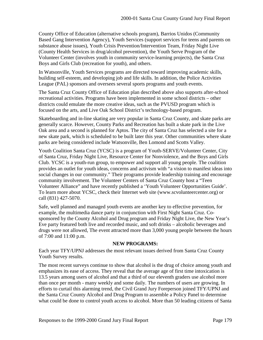County Office of Education (alternative schools program), Barrios Unidos (Community Based Gang Intervention Agency), Youth Services (support services for teens and parents on substance abuse issues), Youth Crisis Prevention/Intervention Team, Friday Night Live (County Health Services in drug/alcohol prevention), the Youth Serve Program of the Volunteer Center (involves youth in community service-learning projects), the Santa Cruz Boys and Girls Club (recreation for youth), and others.

In Watsonville, Youth Services programs are directed toward improving academic skills, building self-esteem, and developing job and life skills. In addition, the Police Activities League (PAL) sponsors and oversees several sports programs and youth events.

The Santa Cruz County Office of Education plan described above also supports after-school recreational activities. Programs have been implemented in some school districts – other districts could emulate the more creative ideas, such as the PVUSD program which is focused on the arts, and Live Oak School District's technology-based program.

Skateboarding and in-line skating are very popular in Santa Cruz County, and skate parks are generally scarce. However, County Parks and Recreation has built a skate park in the Live Oak area and a second is planned for Aptos. The city of Santa Cruz has selected a site for a new skate park, which is scheduled to be built later this year. Other communities where skate parks are being considered include Watsonville, Ben Lomond and Scotts Valley.

Youth Coalition Santa Cruz (YCSC) is a program of Youth-SERVE/Volunteer Center, City of Santa Cruz, Friday Night Live, Resource Center for Nonviolence, and the Boys and Girls Club. YCSC is a youth-run group, to empower and support all young people. The coalition provides an outlet for youth ideas, concerns and activism with "a vision to manifest ideas into social changes in our community." Their programs provide leadership training and encourage community involvement. The Volunteer Centers of Santa Cruz County host a "Teen Volunteer Alliance" and have recently published a 'Youth Volunteer Opportunities Guide'. To learn more about YCSC, check their Internet web site (www.scvolunteercenter.org) or call (831) 427-5070.

Safe, well planned and managed youth events are another key to effective prevention, for example, the multimedia dance party in conjunction with First Night Santa Cruz. Cosponsored by the County Alcohol and Drug program and Friday Night Live, the New Year's Eve party featured both live and recorded music, and soft drinks – alcoholic beverages and drugs were not allowed, The event attracted more than 3,000 young people between the hours of 7:00 and 11:00 p.m.

#### **NEW PROGRAMS:**

Each year TFY/UPNJ addresses the most relevant issues derived from Santa Cruz County Youth Survey results.

The most recent surveys continue to show that alcohol is the drug of choice among youth and emphasizes its ease of access. They reveal that the average age of first time intoxication is 13.5 years among users of alcohol and that a third of our eleventh graders use alcohol more than once per month - many weekly and some daily. The numbers of users are growing. In efforts to curtail this alarming trend, the Civil Grand Jury Foreperson joined TFY/UPNJ and the Santa Cruz County Alcohol and Drug Program to assemble a Policy Panel to determine what could be done to control youth access to alcohol. More than 50 leading citizens of Santa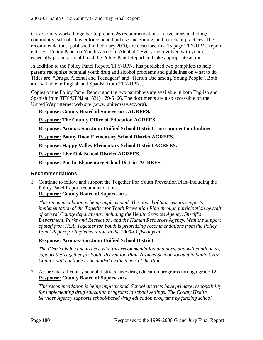Cruz County worked together to prepare 26 recommendations in five areas including; community, schools, law enforcement, land use and zoning, and merchant practices. The recommendations, published in February 2000, are described in a 15 page TFY/UPNJ report entitled "Policy Panel on Youth Access to Alcohol". Everyone involved with youth, especially parents, should read the Policy Panel Report and take appropriate action.

In addition to the Policy Panel Report, TFY/UPNJ has published two pamphlets to help parents recognize potential youth drug and alcohol problems and guidelines on what to do. Titles are: "Drugs, Alcohol and Teenagers" and "Heroin Use among Young People". Both are available in English and Spanish from TFY/UPNJ.

Copies of the Policy Panel Report and the two pamphlets are available in both English and Spanish from TFY/UPNJ at (831) 479-5466. The documents are also accessible on the United Way internet web site (www.unitedway.scc.org).

**Response: County Board of Supervisors AGREES.**

**Response: The County Office of Education AGREES.**

**Response: Aromas-San Juan Unified School District – no comment on findings**

**Response: Bonny Doon Elementary School District AGREES.**

**Response: Happy Valley Elementary School District AGREES.**

**Response: Live Oak School District AGREES.**

**Response: Pacific Elementary School District AGREES.**

#### **Recommendations**

1. Continue to follow and support the Together For Youth Prevention Plan–including the Policy Panel Report recommendations.

#### **Response: County Board of Supervisors**

*This recommendation is being implemented. The Board of Supervisors supports implementation of the Together for Youth Prevention Plan through participation by staff of several County departments, including the Health Services Agency, Sheriff's Department, Parks and Recreation, and the Human Resources Agency. With the support of staff from HSA, Together for Youth is prioritizing recommendations from the Policy Panel Report for implementation in the 2000-01 fiscal year.*

#### **Response: Aromas-San Juan Unified School District**

*The District is in concurrence with this recommendation and does, and will continue to, support the Together for Youth Prevention Plan. Aromas School, located in Santa Cruz County, will continue to be guided by the tenets of the Plan.*

2. Assure that all county school districts have drug education programs through grade 12. **Response: County Board of Supervisors**

*This recommendation is being implemented. School districts have primary responsibility for implementing drug education programs in school settings. The County Health Services Agency supports school-based drug education programs by funding school*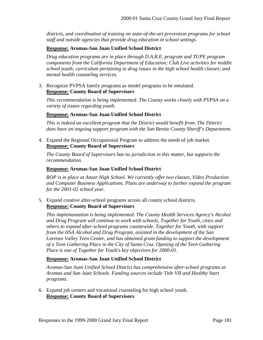*districts, and coordination of training on state-of-the-art prevention programs for school staff and outside agencies that provide drug education in school settings.*

#### **Response: Aromas-San Juan Unified School District**

*Drug education programs are in place through D.A.R.E. program and TUPE program components from the California Department of Education; Club Live activities for middle school youth; curriculum pertaining to drug issues in the high school health classes; and mental health counseling services.*

#### 3. Recognize PVPSA family programs as model programs to be emulated. **Response: County Board of Supervisors**

*This recommendation is being implemented. The County works closely with PVPSA on a variety of issues regarding youth.*

#### **Response: Aromas-San Juan Unified School District**

*This is indeed an excellent program that the District would benefit from. The District does have an ongoing support program with the San Benito County Sheriff's Department.*

4. Expand the Regional Occupational Program to address the needs of job market. **Response: County Board of Supervisors**

*The County Board of Supervisors has no jurisdiction in this matter, but supports the recommendation.*

#### **Response: Aromas-San Juan Unified School District**

*ROP is in place at Anzar High School. We currently offer two classes, Video Production and Computer Business Applications. Plans are underway to further expand the program for the 2001-02 school year.*

5. Expand creative after-school programs across all county school districts. **Response: County Board of Supervisors**

*This implementation is being implemented. The County Health Services Agency's Alcohol and Drug Program will continue to work with schools, Together for Youth, cities and others to expand after-school programs countywide. Together for Youth, with support from the HSA Alcohol and Drug Program, assisted in the development of the San Lorenzo Valley Teen Center, and has obtained grant funding to support the development of a Teen Gathering Place in the City of Santa Cruz. Opening of the Teen Gathering Place is one of Together for Youth's key objectives for 2000-01.*

#### **Response: Aromas-San Juan Unified School District**

*Aromas-San Juan Unified School District has comprehensive after-school programs at Aromas and San Juan Schools. Funding sources include Title VII and Healthy Start programs.*

6. Expand job centers and vocational counseling for high school youth. **Response: County Board of Supervisors**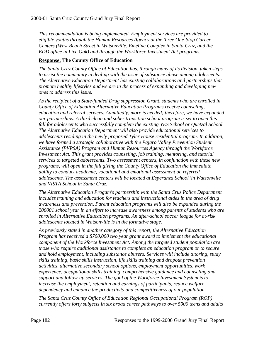*This recommendation is being implemented. Employment services are provided to eligible youths through the Human Resources Agency at the three One-Stop Career Centers (West Beach Street in Watsonville, Emeline Complex in Santa Cruz, and the EDD office in Live Oak) and through the Workforce Investment Act programs.*

#### **Response: The County Office of Education**

*The Santa Cruz County Office of Education has, through many of its division, taken steps to assist the community in dealing with the issue of substance abuse among adolescents. The Alternative Education Department has existing collaborations and partnerships that promote healthy lifestyles and we are in the process of expanding and developing new ones to address this issue.*

*As the recipient of a State-funded Drug suppression Grant, students who are enrolled in County Office of Education Alternative Education Programs receive counseling, education and referral services. Admittedly, more is needed; therefore, we have expanded our partnerships. A third clean and sober transition school program is set to open this fall for adolescents who successfully complete the existing YES School or Quetzal School. The Alternative Education Department will also provide educational services to adolescents residing in the newly proposed Tyler House residential program. In addition, we have formed a strategic collaborative with the Pajaro Valley Prevention Student Assistance (PVPSA) Program and Human Resources Agency through the Workforce Investment Act. This grant provides counseling, job training, mentoring, and tutorial services to targeted adolescents. Two assessment centers, in conjunction with these new programs, will open in the fall giving the County Office of Education the immediate ability to conduct academic, vocational and emotional assessment on referred adolescents. The assessment centers will be located at Esperanza School 'in Watsonville and VISTA School in Santa Cruz.*

*The Alternative Education Progam's partnership with the Santa Cruz Police Department includes training and education for teachers and instructional aides in the area of drug awareness and prevention, Parent education programs will also be expanded during the 200001 school year in an effort to increase awareness among parents of students who are enrolled in Alternative Education programs. An after-school soccer league for at-risk adolescents located in Watsonville is in the formative stage.*

*As previously stated in another category of this report, the Alternative Education Program has received a \$700,000 two year grant award to implement the educational component of the Workforce Investment Act. Among the targeted student population are those who require additional assistance to complete an education program or to secure and hold employment, including substance abusers. Services will include tutoring, study skills training, basic skills instruction, life skills training and dropout prevention activities, alternative secondary school options, employment opportunities, work experience, occupational skills training, comprehensive guidance and counseling and support and follow-up services. The goal of the Workforce Investment System is to increase the employment, retention and earnings of participants, reduce welfare dependency and enhance the productivity and competitiveness of our population.*

*The Santa Cruz County Office of Education Regional Occupational Program (ROP) currently offers forty subjects in six broad career pathways to over 5000 teens and adults*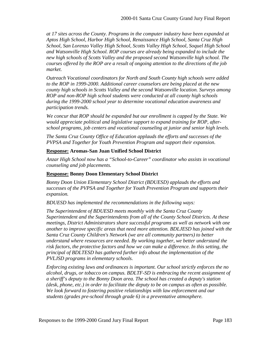*at 17 sites across the County. Programs in the computer industry have been expanded at Aptos High School, Harbor High School, Renaissance High School, Santa Cruz High School, San Lorenzo Valley High School, Scotts Valley High School, Soquel High School and Watsonville High School. ROP courses are already being expanded to include the new high schools of Scotts Valley and the proposed second Watsonville high school. The courses offered by the ROP are a result of ongoing attention to the directions of the job market.*

*Outreach Vocational coordinators for North and South County high schools were added to the ROP in 1999-2000. Additional career counselors are being placed at the new county high schools in Scotts Valley and the second Watsonville location. Surveys among ROP and non-ROP high school students were conducted at all county high schools during the 1999-2000 school year to determine vocational education awareness and participation trends.*

*We concur that ROP should be expanded but our enrollment is capped by the State. We would appreciate political and legislative support to expand training for ROP, afterschool programs, job centers and vocational counseling at junior and senior high levels.*

*The Santa Cruz County Office of Education applauds the efforts and successes of the PVPSA and Together for Youth Prevention Program and support their expansion.*

#### **Response: Aromas-San Juan Unified School District**

*Anzar High School now has a "School-to-Career" coordinator who assists in vocational counseling and job placements.*

#### **Response: Bonny Doon Elementary School District**

*Bonny Doon Union Elementary School District (BDUESD) applauds the efforts and successes of the PVPSA and Together for Youth Prevention Program and supports their expansion.*

*BDUESD has implemented the recommendations in the following ways:*

*The Superintendent of BDUESD meets monthly with the Santa Cruz County Superintendent and the Superintendents from all of the County School Districts. At these meetings, District Administrators share successful programs as well as network with one another to improve specific areas that need more attention. BDLJESD has joined with the Santa Cruz County Children's Network (we are all community partners) to better understand where resources are needed. By working together, we better understand the risk factors, the protective factors and how we can make a difference. In this setting, the principal of BDLTESD has gathered further info about the implementation of the PVLJSD programs in elementary schools.*

*Enforcing existing laws and ordinances is important. Our school strictly enforces the no alcohol, drugs, or tobacco on campus. BDLTF-SD is embracing the recent assignment of a sheriff's deputy to the Bonny Doon area. The school has created a deputy's station (desk, phone, etc.) in order to facilitate the deputy to be on campus as often as possible. We look forward to fostering positive relationships with law enforcement and our students (grades pre-school through grade 6) in a preventative atmosphere.*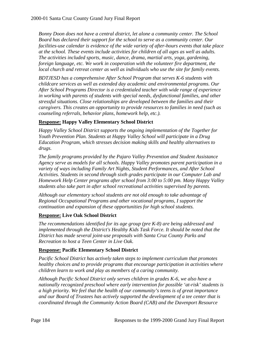*Bonny Doon does not have a central district, let alone a community center. The School Board has declared their support for the school to serve as a community center. Our facilities-use calendar is evidence of the wide variety of after-hours events that take place at the school. These events include activities for children of all ages as well as adults. The activities included sports, music, dance, drama, martial arts, yoga, gardening, foreign language, etc. We work in cooperation with the volunteer fire department, the local church and retreat center as well as individuals who use the site for family events.*

*BDTJESD has a comprehensive After School Program that serves K-6 students with childcare services as well as extended day academic and environmental programs. Our After School Programs Director is a credentialed teacher with wide range of experience in working with parents of students with special needs, dysfunctional families, and other stressful situations. Close relationships are developed between the families and their caregivers. This creates an opportunity to provide resources to families in need (such as counseling referrals, behavior plans, homework help, etc.).*

#### **Response: Happy Valley Elementary School District**

*Happy Valley School District supports the ongoing implementation of the Together for Youth Prevention Plan. Students at Happy Valley School will participate in a Drug Education Program, which stresses decision making skills and healthy alternatives to drugs.*

*The family programs provided by the Pajaro Valley Prevention and Student Assistance Agency serve as models for all schools. Happy Valley promotes parent participation in a variety of ways including Family Art Nights, Student Performances, and After School Activities. Students in second through sixth grades participate in our Computer Lab and Homework Help Center programs after school from 3:00 to 5:00 pm. Many Happy Valley students also take part in after school recreational activities supervised by parents.*

*Although our elementary school students are not old enough to take advantage of Regional Occupational Programs and other vocational programs, I support the continuation and expansion of these opportunities for high school students.*

#### **Response: Live Oak School District**

*The recommendations identified for its age group (pre K-8) are being addressed and implemented through the District's Healthy Kids Task Force. It should be noted that the District has made several joint-use proposals with Santa Cruz County Parks and Recreation to host a Teen Center in Live Oak.*

#### **Response: Pacific Elementary School District**

*Pacific School District has actively taken steps to implement curriculum that promotes healthy choices and to provide programs that encourage participation in activities where children learn to work and play as members of a caring community.*

*Although Pacific School District only serves children in grades K-6, we also have a nationally recognized preschool where early intervention for possible 'at-risk' students is a high priority. We feel that the health of our community's teens is of great importance and our Board of Trustees has actively supported the development of a tee center that is coordinated through the Community Action Board (CAB) and the Davenport Resource*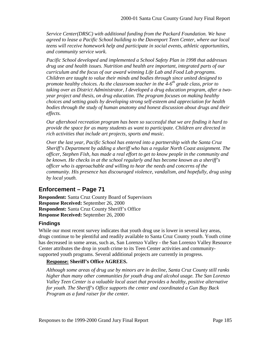*Service Center(DRSC) with additional funding from the Packard Foundation. We have agreed to lease a Pacific School building to the Davenport Teen Center, where our local teens will receive homework help and participate in social events, athletic opportunities, and community service work.*

*Pacific School developed and implemented a School Safety Plan in 1998 that addresses drug use and health issues. Nutrition and health are important, integrated parts of our curriculum and the focus of our award winning Life Lab and Food Lab programs. Children are taught to value their minds and bodies through since united designed to promote healthy choices. As the classroom teacher in the 4-6th grade class, prior to taking over as District Administrator, I developed a drug education program, after a twoyear project and thesis, on drug education. The program focuses on making healthy choices and setting goals by developing strong self-esteem and appreciation for health bodies through the study of human anatomy and honest discussion about drugs and their effects.*

*Our aftershool recreation program has been so successful that we are finding it hard to provide the space for as many students as want to participate. Children are directed in rich activities that include art projects, sports and music.*

*Over the last year, Pacific School has entered into a partnership with the Santa Cruz Sheriff's Department by adding a sheriff who has a regular North Coast assignment. The officer, Stephen Fish, has made a real effort to get to know people in the community and be known. He checks in at the school regularly and has become known as a sheriff's officer who is approachable and willing to hear the needs and concerns of the community. His presence has discouraged violence, vandalism, and hopefully, drug using by local youth.*

## **Enforcement – Page 71**

**Respondent:** Santa Cruz County Board of Supervisors **Response Received:** September 26, 2000 **Respondent:** Santa Cruz County Sheriff's Office **Response Received:** September 26, 2000

## **Findings**

While our most recent survey indicates that youth drug use is lower in several key areas, drugs continue to be plentiful and readily available to Santa Cruz County youth. Youth crime has decreased in some areas, such as, San Lorenzo Valley - the San Lorenzo Valley Resource Center attributes the drop in youth crime to its Teen Center activities and communitysupported youth programs. Several additional projects are currently in progress.

## **Response: Sheriff's Office AGREES.**

*Although some areas of drug use by minors are in decline, Santa Cruz County still ranks higher than many other communities for youth drug and alcohol usage. The San Lorenzo Valley Teen Center is a valuable local asset that provides a healthy, positive alternative for youth. The Sheriff's Office supports the center and coordinated a Gun Buy Back Program as a fund raiser for the center.*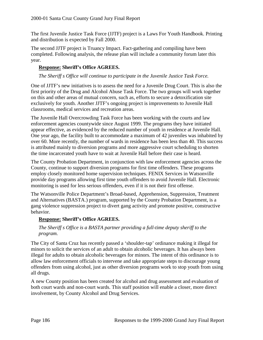The first Juvenile Justice Task Force (JJTF) project is a Laws For Youth Handbook. Printing and distribution is expected by Fall 2000.

The second JJTF project is Truancy Impact. Fact-gathering and compiling have been completed. Following analysis, the release plan will include a community forum later this year.

#### **Response: Sheriff's Office AGREES.**

#### *The Sheriff s Office will continue to participate in the Juvenile Justice Task Force.*

One of JJTF's new initiatives is to assess the need for a Juvenile Drug Court. This is also the first priority of the Drug and Alcohol Abuse Task Force. The two groups will work together on this and other areas of mutual concern, such as, efforts to secure a detoxification site exclusively for youth. Another JJTF's ongoing project is improvements to Juvenile Hall classrooms, medical services and recreation areas.

The Juvenile Hall Overcrowding Task Force has been working with the courts and law enforcement agencies countywide since August 1999. The programs they have initiated appear effective, as evidenced by the reduced number of youth in residence at Juvenile Hall. One year ago, the facility built to accommodate a maximum of 42 juveniles was inhabited by over 60. More recently, the number of wards in residence has been less than 40. This success is attributed mainly to diversion programs and more aggressive court scheduling to shorten the time incarcerated youth have to wait at Juvenile Hall before their case is heard.

The County Probation Department, in conjunction with law enforcement agencies across the County, continue to support diversion programs for first time offenders. These programs employ closely monitored home supervision techniques. FENIX Services in Watsonville provide day programs allowing first time youth offenders to avoid Juvenile Hall. Electronic monitoring is used for less serious offenders, even if it is not their first offense.

The Watsonville Police Department's Broad-based, Apprehension, Suppression, Treatment and Alternatives (BASTA.) program, supported by the County Probation Department, is a gang violence suppression project to divert gang activity and promote positive, constructive behavior.

#### **Response: Sheriff's Office AGREES.**

#### *The Sheriff s Office is a BASTA partner providing a full-time deputy sheriff to the program.*

The City of Santa Cruz has recently passed a 'shoulder-tap' ordinance making it illegal for minors to solicit the services of an adult to obtain alcoholic beverages. It has always been illegal for adults to obtain alcoholic beverages for minors. The intent of this ordinance is to allow law enforcement officials to intervene and take appropriate steps to discourage young offenders from using alcohol, just as other diversion programs work to stop youth from using all drugs.

A new County position has been created for alcohol and drug assessment and evaluation of both court wards and non-court wards. This staff position will enable a closer, more direct involvement, by County Alcohol and Drug Services.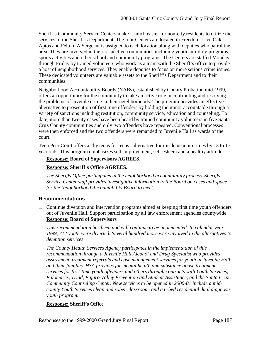Sheriff's Community Service Centers make it much easier for non-city residents to utilize the services of the Sheriff's Department. The four Centers are located in Freedom, Live Oak, Aptos and Felton. A Sergeant is assigned to each location along with deputies who patrol the area. They are involved in their respective communities including youth anti-drug programs, sports activities and other school and community programs. The Centers are staffed Monday through Friday by trained volunteers who work as a team with the Sheriff's office to provide a host of neighborhood services. They enable deputies to focus on more serious crime issues. These dedicated volunteers are valuable assets to the Sheriff's Department and to their communities.

Neighborhood Accountability Boards (NABs), established by County Probation mid-1999, offers an opportunity for the community to take an active role in confronting and resolving the problems of juvenile crime in their neighborhoods. The program provides an effective alternative to prosecution of first time offenders by holding the minor accountable through a variety of sanctions including restitution, community service, education and counseling. To date, more than twenty cases have been heard by trained community volunteers in five Santa Cruz County communities and only two offenders have repeated. Conventional processes were then enforced and the two offenders were remanded to Juvenile Hall as wards of the court.

Teen Peer Court offers a "by teens for teens" alternative for misdemeanor crimes by 13 to 17 year olds. This program emphasizes self-improvement, self-esteem and a healthy attitude.

#### **Response: Board of Supervisors AGREES.**

#### **Response: Sheriff's Office AGREES.**

*The Sheriffs Office participates in the neighborhood accountability process. Sheriffs Service Center staff provides investigative information to the Board on cases and space for the Neighborhood Accountability Board to meet.*

#### **Recommendations**

1. Continue diversion and intervention programs aimed at keeping first time youth offenders out of Juvenile Hall. Support participation by all law enforcement agencies countywide. **Response: Board of Supervisors**

*This recommendation has been and will continue to be implemented. In calendar year 1999, 712 youth were diverted. Several hundred more were involved in the alternatives to detention services.*

*The County Health Services Agency participates in the implementation of this recommendation through a Juvenile Hall Alcohol and Drug Specialist who provides assessment, treatment referrals and case management services for youth in Juvenile Hall and their families. HSA provides for mental health and substance abuse treatment services for first-time youth offenders and others through contracts with Youth Services, Palomares, Triad, Pajaro Valley Prevention and Student Assistance, and the Santa Cruz Community Counseling Center. New services to be opened in 2000-01 include a midcounty Youth Services clean and sober classroom, and a 6-bed residential dual diagnosis youth program.*

#### **Response: Sheriff's Office**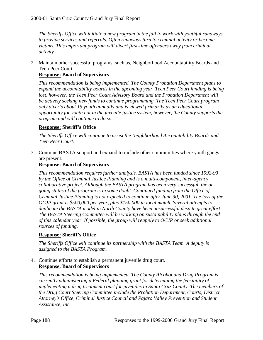*The Sheriffs Office will initiate a new program in the fall to work with youthful runaways to provide services and referrals. Often runaways turn to criminal activity or become victims. This important program will divert first-time offenders away from criminal activity.*

2. Maintain other successful programs, such as, Neighborhood Accountability Boards and Teen Peer Court.

#### **Response: Board of Supervisors**

*This recommendation is being implemented. The County Probation Department plans to expand the accountability boards in the upcoming year. Teen Peer Court funding is being* lost, however, the Teen Peer Court Advisory Board and the Probation Department will *be actively seeking new funds to continue programming. The Teen Peer Court program only diverts about 15 youth annually and is viewed primarily as an educational opportunity for youth not in the juvenile justice system, however, the County supports the program and will continue to do so.*

#### **Response: Sheriff's Office**

*The Sheriffs Office will continue to assist the Neighborhood Accountability Boards and Teen Peer Court.*

3. Continue BASTA support and expand to include other communities where youth gangs are present.

#### **Response: Board of Supervisors**

*This recommendation requires further analysis. BASTA has been funded since 1992-93 by the Office of Criminal Justice Planning and is a multi-component, inter-agency collaborative project. Although the BASTA program has been very successful, the ongoing status of the program is in some doubt. Continued funding from the Office of Criminal Justice Planning is not expected to continue after June 30, 2001. The loss of the OCJP grant is \$500,000 per year, plus \$150,000 in local match. Several attempts to duplicate the BASTA model in North County have been unsuccessful despite great effort The BASTA Steering Committee will be working on sustainability plans through the end of this calendar year. If possible, the group will reapply to OCJP or seek additional sources of funding.*

#### **Response: Sheriff's Office**

*The Sheriffs Office will continue its partnership with the BASTA Team. A deputy is assigned to the BASTA Program.*

#### 4. Continue efforts to establish a permanent juvenile drug court. **Response: Board of Supervisors**

*This recommendation is being implemented. The County Alcohol and Drug Program is currently administering a Federal planning grant for determining the feasibility of implementing a drug treatment court for juveniles in Santa Cruz County. The members of the Drug Court Steering Committee include the Probation Department, Courts, District Attorney's Office, Criminal Justice Council and Pajaro Valley Prevention and Student Assistance, Inc.*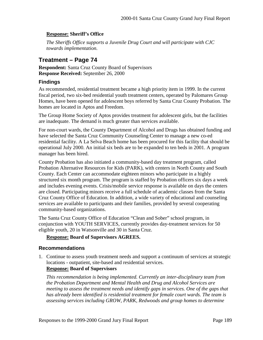#### **Response: Sheriff's Office**

*The Sheriffs Office supports a Juvenile Drug Court and will participate with CJC towards implementation.*

## **Treatment – Page 74**

**Respondent:** Santa Cruz County Board of Supervisors **Response Received:** September 26, 2000

#### **Findings**

As recommended, residential treatment became a high priority item in 1999. In the current fiscal period, two six-bed residential youth treatment centers, operated by Palomares Group Homes, have been opened for adolescent boys referred by Santa Cruz County Probation. The homes are located in Aptos and Freedom.

The Group Home Society of Aptos provides treatment for adolescent girls, but the facilities are inadequate. The demand is much greater than services available.

For non-court wards, the County Department of Alcohol and Drugs has obtained funding and have selected the Santa Cruz Community Counseling Center to manage a new co-ed residential facility. A La Selva Beach home has been procured for this facility that should be operational July 2000. An initial six beds are to be expanded to ten beds in 2001. A program manager has been hired.

County Probation has also initiated a community-based day treatment program, called Probation Alternative Resources for Kids (PARK), with centers in North County and South County. Each Center can accommodate eighteen minors who participate in a highly structured six month program. The program is staffed by Probation officers six days a week and includes evening events. Crisis/mobile service response is available on days the centers are closed. Participating minors receive a full schedule of academic classes from the Santa Cruz County Office of Education. In addition, a wide variety of educational and counseling services are available to participants and their families, provided by several cooperating community-based organizations.

The Santa Cruz County Office of Education "Clean and Sober" school program, in conjunction with YOUTH SERVICES, currently provides day-treatment services for 50 eligible youth, 20 in Watsonville and 30 in Santa Cruz.

#### **Response: Board of Supervisors AGREES.**

#### **Recommendations**

1. Continue to assess youth treatment needs and support a continuum of services at strategic locations - outpatient, site-based and residential services.

#### **Response: Board of Supervisors**

*This recommendation is being implemented. Currently an inter-disciplinary team from the Probation Department and Mental Health and Drug and Alcohol Services are meeting to assess the treatment needs and identify gaps in services. One of the gaps that has already been identified is residential treatment for female court wards. The team is assessing services including GROW, PARK, Redwoods and group homes to determine*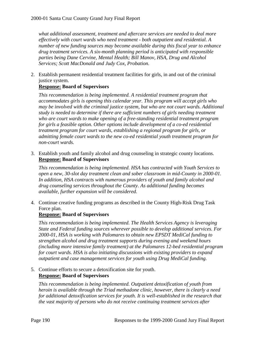*what additional assessment, treatment and aftercare services are needed to deal more effectively with court wards who need treatment - both outpatient and residential. A number of new funding sources may become available during this fiscal year to enhance drug treatment services. A six-month planning period is anticipated with responsible parties being Dane Cervine, Mental Health; Bill Manov, HSA, Drug and Alcohol Services; Scott MacDonald and Judy Cox, Probation.*

2. Establish permanent residential treatment facilities for girls, in and out of the criminal justice system.

#### **Response: Board of Supervisors**

*This recommendation is being implemented. A residential treatment program that accommodates girls is opening this calendar year. This program will accept girls who may be involved with the criminal justice system, but who are not court wards. Additional study is needed to determine if there are sufficient numbers of girls needing treatment who are court wards to make opening of a free-standing residential treatment program for girls a feasible option. Other options include development of a co-ed residential treatment program for court wards, establishing a regional program for girls, or admitting female court wards to the new co-ed residential youth treatment program for non-court wards.*

3. Establish youth and family alcohol and drug counseling in strategic county locations. **Response: Board of Supervisors**

*This recommendation is being implemented. HSA has contracted with Youth Services to open a new, 30-slot day treatment clean and sober classroom in mid-County in 2000-01. In addition, HSA contracts with numerous providers of youth and family alcohol and drug counseling services throughout the County. As additional funding becomes available, further expansion will be considered.*

4. Continue creative funding programs as described in the County High-Risk Drug Task Force plan.

#### **Response: Board of Supervisors**

*This recommendation is being implemented. The Health Services Agency is leveraging State and Federal funding sources wherever possible to develop additional services. For 2000-01, HSA is working with Palomares to obtain new EPSDT MediCal funding to strengthen alcohol and drug treatment supports during evening and weekend hours (including more intensive family treatment) at the Palomares 12-bed residential program for court wards. HSA is also initiating discussions with existing providers to expand outpatient and case management services for youth using Drug MediCal funding.*

5. Continue efforts to secure a detoxification site for youth. **Response: Board of Supervisors**

*This recommendation is being implemented. Outpatient detoxification of youth from heroin is available through the Triad methadone clinic, however, there is clearly a need for additional detoxification services for youth. It is well-established in the research that the vast majority of persons who do not receive continuing treatment services after*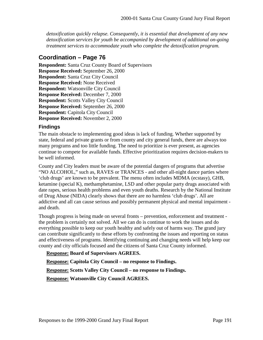*detoxification quickly relapse. Consequently, it is essential that development of any new detoxification services for youth be accompanied by development of additional on-going treatment services to accommodate youth who complete the detoxification program.*

## **Coordination – Page 76**

**Respondent:** Santa Cruz County Board of Supervisors **Response Received:** September 26, 2000 **Respondent:** Santa Cruz City Council **Response Received:** None Received **Respondent:** Watsonville City Council **Response Received:** December 7, 2000 **Respondent:** Scotts Valley City Council **Response Received:** September 26, 2000 **Respondent:** Capitola City Council **Response Received:** November 2, 2000

#### **Findings**

The main obstacle to implementing good ideas is lack of funding. Whether supported by state, federal and private grants or from county and city general funds, there are always too many programs and too little funding. The need to prioritize is ever present, as agencies continue to compete for available funds. Effective prioritization requires decision-makers to be well informed.

County and City leaders must be aware of the potential dangers of programs that advertise "NO ALCOHOL," such as, RAVES or TRANCES - and other all-night dance parties where 'club drugs' are known to be prevalent. The menu often includes MDMA (ecstasy), GHB, ketamine (special K), methamphetamine, LSD and other popular party drugs associated with date rapes, serious health problems and even youth deaths. Research by the National Institute of Drug Abuse (NIDA) clearly shows that there are no harmless 'club drugs'. All are addictive and all can cause serious and possibly permanent physical and mental impairment and death.

Though progress is being made on several fronts – prevention, enforcement and treatment the problem is certainly not solved. All we can do is continue to work the issues and do everything possible to keep our youth healthy and safely out of harms way. The grand jury can contribute significantly to these efforts by confronting the issues and reporting on status and effectiveness of programs. Identifying continuing and changing needs will help keep our county and city officials focused and the citizens of Santa Cruz County informed.

**Response: Board of Supervisors AGREES.**

**Response: Capitola City Council – no response to Findings.**

**Response: Scotts Valley City Council – no response to Findings.**

**Response: Watsonville City Council AGREES.**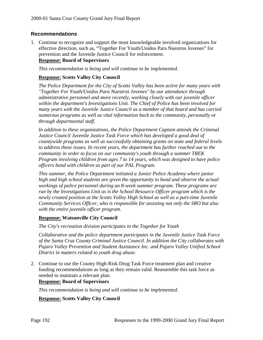#### **Recommendations**

1. Continue to recognize and support the most knowledgeable involved organizations for effective direction, such as, "Together For Youth/Unidos Para Nuestros Jovenes" for prevention and the Juvenile Justice Council for enforcement. **Response: Board of Supervisors**

*This recommendation is being and will continue to be implemented.*

#### **Response: Scotts Valley City Council**

*The Police Department for the City of Scotts Valley has been active for many years with "Together For Youth/Unidos Para Nuestros Jovenes" by our attendance through administrative personnel and more recently, working closely with our juvenile officer within the department's Investigations Unit. The Chief of Police has been involved for many years with the Juvenile Justice Council as a member of that board and has carried numerous programs as well as vital information back to the community, personally or through departmental staff.*

*In addition to these organizations, the Police Department Captain attends the Criminal Justice Council Juvenile Justice Task Force which has developed a good deal of countywide programs as well as successfully obtaining grants on state and federal levels to address these issues. In recent years, the department has further reached out to the community in order to focus on our community's youth through a summer TREK Program involving children from ages 7 to 14 years, which was designed to have police officers bond with children as part of our PAL Program.*

*This summer, the Police Department initiated a Junior Police Academy where junior high and high school students are given the opportunity to bond and observe the actual workings of police personnel during an 8-week summer program. These programs are run by the Investigations Unit as is the School Resource Officer program which is the newly created position at the Scotts Valley High School as well as a part-time Juvenile Community Services Officer, who is responsible for assisting not only the SRO but also with the entire juvenile officer program.*

#### **Response: Watsonville City Council**

*The City's recreation division participates in the Together for Youth*

*Collaborative and the police department participates in the Juvenile Justice Task Force of the Santa Cruz County Criminal Justice Council. In addition the City collaborates with Pajaro Valley Prevention and Student Assistance Inc. and Pajaro Valley Unified School District in matters related to youth drug abuse.*

2. Continue to use the County High-Risk Drug Task Force treatment plan and creative funding recommendations as long as they remain valid. Reassemble this task force as needed to maintain a relevant plan.

#### **Response: Board of Supervisors**

*This recommendation is being and will continue to be implemented.*

#### **Response: Scotts Valley City Council**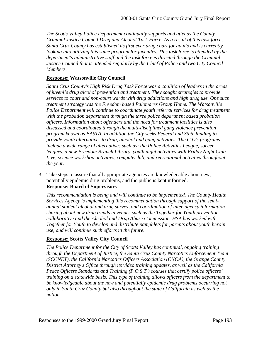*The Scotts Valley Police Department continually supports and attends the County Criminal Justice Council Drug and Alcohol Task Force. As a result of this task force, Santa Cruz County has established its first ever drug court for adults and is currently looking into utilizing this same program for juveniles. This task force is attended by the department's administrative staff and the task force is directed through the Criminal Justice Council that is attended regularly by the Chief of Police and two City Council Members.*

#### **Response: Watsonville City Council**

*Santa Cruz County's High Risk Drug Task Force was a coalition of leaders in the areas of juvenile drug alcohol prevention and treatment. They sought strategies to provide services to court and non-court wards with drug addictions and high drug use. One such treatment strategy was the Freedom based Palomares Group Home. The Watsonville Police Department will continue to coordinate youth referral services for drug treatment with the probation department through the three police department based probation officers. Information about offenders and the need for treatment facilities is also discussed and coordinated through the multi-disciplined gang violence prevention program known as BASTA. In addition the City seeks Federal and State funding to provide youth alternatives to drug, alcohol and gang activities. The City's pro*g*rams include a wide range of alternatives such as: the Police Activities League, soccer leagues, a new Freedom Branch Library, youth night activities with Friday Night Club Live, science workshop activities, computer lab, and recreational activities throughout the year.*

3. Take steps to assure that all appropriate agencies are knowledgeable about new, potentially epidemic drug problems, and the public is kept informed. **Response: Board of Supervisors**

*This recommendation is being and will continue to be implemented. The County Health Services Agency is implementing this recommendation through support of the semiannual student alcohol and drug survey, and coordination of inter-agency information sharing about new drug trends in venues such as the Together for Youth prevention collaborative and the Alcohol and Drug Abuse Commission. HSA has worked with Together for Youth to develop and distribute pamphlets for parents about youth heroin use, and will continue such efforts in the future.*

#### **Response: Scotts Valley City Council**

*The Police Department for the City of Scotts Valley has continual, ongoing training through the Department of Justice, the Santa Cruz County Narcotics Enforcement Team (SCCNET), the California Narcotics Officers Association (CNOA), the Orange County District Attorney's Office through its video training updates, as well as the California Peace Officers Standards and Training (P.O.S.T.) courses that certify police officers' training on a statewide basis. This type of training allows officers from the department to be knowledgeable about the new and potentially epidemic drug problems occurring not only in Santa Cruz County but also throughout the state of California as well as the nation.*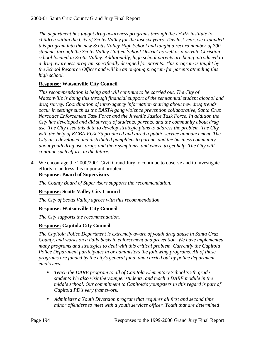*The department has taught drug awareness programs through the DARE institute to children within the City of Scotts Valley for the last six years. This last year, we expanded this program into the new Scotts Valley High School and taught a record number of 700 students through the Scotts Valley Unified School District as well as a private Christian school located in Scotts Valley. Additionally, high school parents are being introduced to a drug awareness program specifically designed for parents. This program is taught by the School Resource Officer and will be an ongoing program for parents attending this high school.*

#### **Response: Watsonville City Council**

*This recommendation is being and will continue to be carried out. The City of Watsonville is doing this through financial support of the semiannual student alcohol and drug survey. Coordination of inter-agency information sharing about new drug trends occur in settings such as the BASTA gang violence prevention collaborative, Santa Cruz Narcotics Enforcement Task Force and the Juvenile Justice Task Force. In addition the City has developed and did surveys of students, parents, and the community about drug use. The City used this data to develop strategic plans to address the problem. The City with the help of KCBA-FOX 35 produced and aired a public service announcement. The City also developed and distributed pamphlets to parents and the business community about youth drug use, drugs and their symptoms, and where to get help. The City will continue such efforts in the future.*

4. We encourage the 2000/2001 Civil Grand Jury to continue to observe and to investigate efforts to address this important problem. **Response: Board of Supervisors**

*The County Board of Supervisors supports the recommendation.*

#### **Response: Scotts Valley City Council**

*The City of Scotts Valley agrees with this recommendation.*

#### **Response: Watsonville City Council**

*The City supports the recommendation.*

#### **Response: Capitola City Council**

*The Capitola Police Department is extremely aware of youth drug abuse in Santa Cruz County, and works on a daily basis in enforcement and prevention. We have implemented many programs and strategies to deal with this critical problem. Currently the Capitola Police Department participates in or administers the following programs. All of these programs are funded by the city's general fund, and carried out by police department employees:*

- *Teach the DARE program to all of Capitola Elementary School's 5th grade students We also visit the younger students, and teach a DARE module in the middle school. Our commitment to Capitola's youngsters in this regard is part of Capitola PD's very framework.*
- *Administer a Youth Diversion program that requires all first and second time minor offenders to meet with a youth services officer. Youth that are determined*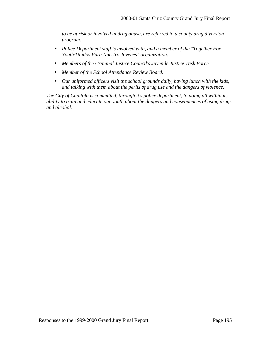*to be at risk or involved in drug abuse, are referred to a county drug diversion program.*

- *Police Department staff is involved with, and a member of the "Together For Youth/Unidos Para Nuestro Jovenes" organization.*
- *Members of the Criminal Justice Council's Juvenile Justice Task Force*
- *Member of the School Attendance Review Board.*
- *Our uniformed officers visit the school grounds daily, having lunch with the kids, and talking with them about the perils of drug use and the dangers of violence.*

*The City of Capitola is committed, through it's police department, to doing all within its ability to train and educate our youth about the dangers and consequences of using drugs and alcohol.*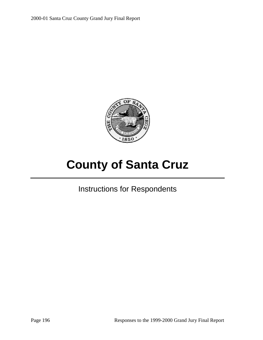

# **County of Santa Cruz**

## Instructions for Respondents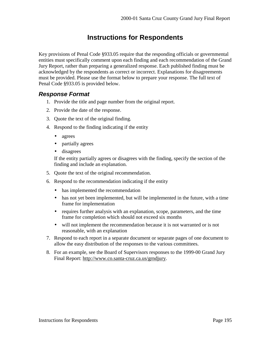## **Instructions for Respondents**

Key provisions of Penal Code §933.05 require that the responding officials or governmental entities must specifically comment upon each finding and each recommendation of the Grand Jury Report, rather than preparing a generalized response. Each published finding must be acknowledged by the respondents as correct or incorrect. Explanations for disagreements must be provided. Please use the format below to prepare your response. The full text of Penal Code §933.05 is provided below.

## *Response Format*

- 1. Provide the title and page number from the original report.
- 2. Provide the date of the response.
- 3. Quote the text of the original finding.
- 4. Respond to the finding indicating if the entity
	- agrees
	- partially agrees
	- disagrees

If the entity partially agrees or disagrees with the finding, specify the section of the finding and include an explanation.

- 5. Quote the text of the original recommendation.
- 6. Respond to the recommendation indicating if the entity
	- has implemented the recommendation
	- has not yet been implemented, but will be implemented in the future, with a time frame for implementation
	- requires further analysis with an explanation, scope, parameters, and the time frame for completion which should not exceed six months
	- will not implement the recommendation because it is not warranted or is not reasonable, with an explanation
- 7. Respond to each report in a separate document or separate pages of one document to allow the easy distribution of the responses to the various committees.
- 8. For an example, see the Board of Supervisors responses to the 1999-00 Grand Jury Final Report: http://www.co.santa-cruz.ca.us/grndjury.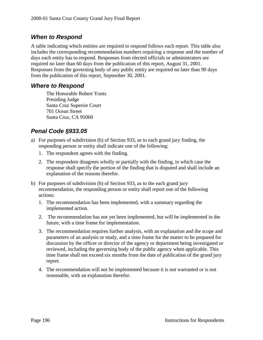## *When to Respond*

A table indicating which entities are required to respond follows each report. This table also includes the corresponding recommendation numbers requiring a response and the number of days each entity has to respond. Responses from elected officials or administrators are required no later than 60 days from the publication of this report, August 31, 2001. Responses from the governing body of any public entity are required no later than 90 days from the publication of this report, September 30, 2001.

## *Where to Respond*

The Honorable Robert Yonts Presiding Judge Santa Cruz Superior Court 701 Ocean Street Santa Cruz, CA 95060

## *Penal Code §933.05*

- a) For purposes of subdivision (b) of Section 933, as to each grand jury finding, the responding person or entity shall indicate one of the following:
	- 1. The respondent agrees with the finding.
	- 2. The respondent disagrees wholly or partially with the finding, in which case the response shall specify the portion of the finding that is disputed and shall include an explanation of the reasons therefor.
- b) For purposes of subdivision (b) of Section 933, as to the each grand jury recommendation, the responding person or entity shall report one of the following actions:
	- 1. The recommendation has been implemented, with a summary regarding the implemented action.
	- 2. The recommendation has not yet been implemented, but will be implemented in the future, with a time frame for implementation.
	- 3. The recommendation requires further analysis, with an explanation and the scope and parameters of an analysis or study, and a time frame for the matter to be prepared for discussion by the officer or director of the agency or department being investigated or reviewed, including the governing body of the public agency when applicable. This time frame shall not exceed six months from the date of publication of the grand jury report.
	- 4. The recommendation will not be implemented because it is not warranted or is not reasonable, with an explanation therefor.